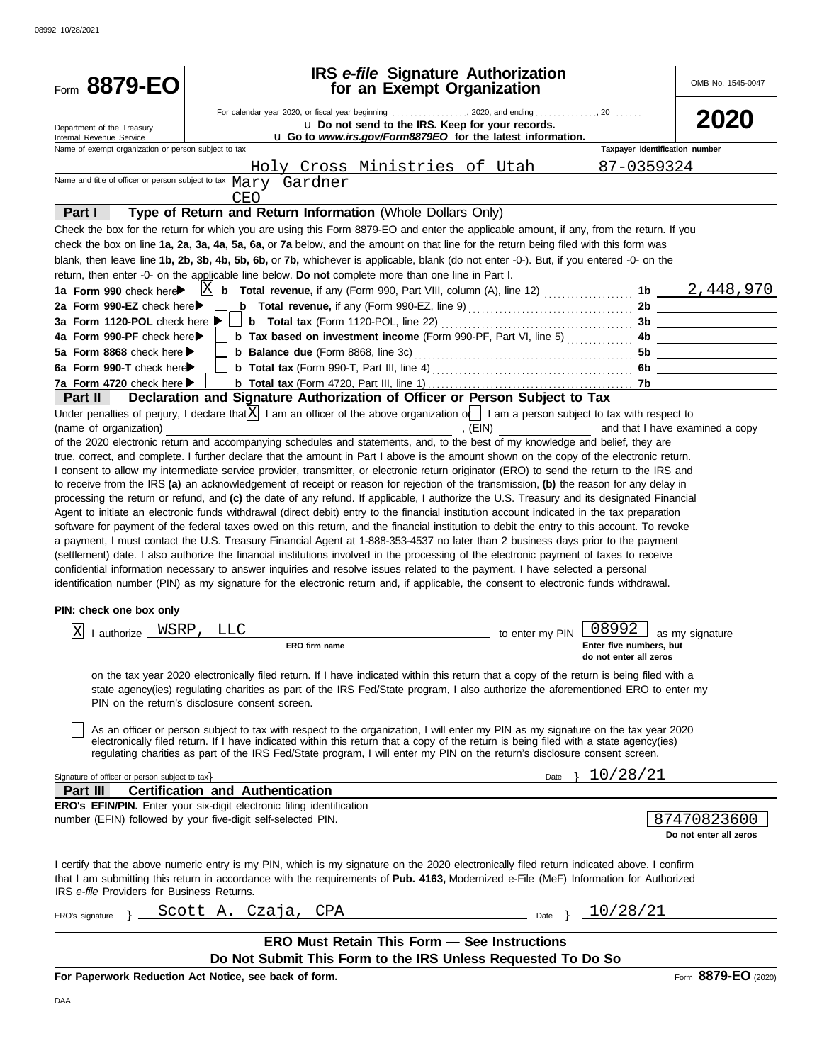| Form 8879-EO                                                                     | <b>IRS</b> e-file Signature Authorization<br>for an Exempt Organization                                                                                                                                                                                                             |                                                                                    |                                | OMB No. 1545-0047               |
|----------------------------------------------------------------------------------|-------------------------------------------------------------------------------------------------------------------------------------------------------------------------------------------------------------------------------------------------------------------------------------|------------------------------------------------------------------------------------|--------------------------------|---------------------------------|
|                                                                                  |                                                                                                                                                                                                                                                                                     |                                                                                    |                                |                                 |
| Department of the Treasury                                                       | u Do not send to the IRS. Keep for your records.                                                                                                                                                                                                                                    |                                                                                    |                                |                                 |
| Internal Revenue Service<br>Name of exempt organization or person subject to tax | u Go to www.irs.gov/Form8879EO for the latest information.                                                                                                                                                                                                                          |                                                                                    | Taxpayer identification number |                                 |
|                                                                                  | Holy Cross Ministries of Utah                                                                                                                                                                                                                                                       |                                                                                    | 87-0359324                     |                                 |
|                                                                                  | Name and title of officer or person subject to tax Mary Gardner                                                                                                                                                                                                                     |                                                                                    |                                |                                 |
|                                                                                  | <b>CEO</b>                                                                                                                                                                                                                                                                          |                                                                                    |                                |                                 |
| Part I                                                                           | Type of Return and Return Information (Whole Dollars Only)                                                                                                                                                                                                                          |                                                                                    |                                |                                 |
|                                                                                  | Check the box for the return for which you are using this Form 8879-EO and enter the applicable amount, if any, from the return. If you<br>check the box on line 1a, 2a, 3a, 4a, 5a, 6a, or 7a below, and the amount on that line for the return being filed with this form was     |                                                                                    |                                |                                 |
|                                                                                  | blank, then leave line 1b, 2b, 3b, 4b, 5b, 6b, or 7b, whichever is applicable, blank (do not enter -0-). But, if you entered -0- on the                                                                                                                                             |                                                                                    |                                |                                 |
|                                                                                  | return, then enter -0- on the applicable line below. Do not complete more than one line in Part I.                                                                                                                                                                                  |                                                                                    |                                |                                 |
| 1a Form 990 check here                                                           |                                                                                                                                                                                                                                                                                     |                                                                                    |                                |                                 |
| 2a Form 990-EZ check here▶                                                       |                                                                                                                                                                                                                                                                                     |                                                                                    |                                | 2b                              |
| 3a Form 1120-POL check here ▶<br>4a Form 990-PF check here▶                      | <b>b</b> Total tax (Form 1120-POL, line 22) $\ldots$ $\ldots$ $\ldots$ $\ldots$ $\ldots$ $\ldots$<br>b Tax based on investment income (Form 990-PF, Part VI, line 5)                                                                                                                |                                                                                    |                                | 3b                              |
| 5a Form 8868 check here                                                          |                                                                                                                                                                                                                                                                                     |                                                                                    | 4b<br>5b                       |                                 |
| 6a Form 990-T check here                                                         |                                                                                                                                                                                                                                                                                     |                                                                                    | 6b                             |                                 |
| 7a Form 4720 check here ▶                                                        |                                                                                                                                                                                                                                                                                     |                                                                                    |                                |                                 |
| <b>Part II</b>                                                                   | Declaration and Signature Authorization of Officer or Person Subject to Tax                                                                                                                                                                                                         |                                                                                    |                                |                                 |
|                                                                                  | Under penalties of perjury, I declare that $X$ I am an officer of the above organization of I am a person subject to tax with respect to                                                                                                                                            |                                                                                    |                                |                                 |
| (name of organization)                                                           |                                                                                                                                                                                                                                                                                     | , (EIN)                                                                            |                                | and that I have examined a copy |
|                                                                                  | of the 2020 electronic return and accompanying schedules and statements, and, to the best of my knowledge and belief, they are                                                                                                                                                      |                                                                                    |                                |                                 |
|                                                                                  | true, correct, and complete. I further declare that the amount in Part I above is the amount shown on the copy of the electronic return.                                                                                                                                            |                                                                                    |                                |                                 |
|                                                                                  | I consent to allow my intermediate service provider, transmitter, or electronic return originator (ERO) to send the return to the IRS and<br>to receive from the IRS (a) an acknowledgement of receipt or reason for rejection of the transmission, (b) the reason for any delay in |                                                                                    |                                |                                 |
|                                                                                  | processing the return or refund, and (c) the date of any refund. If applicable, I authorize the U.S. Treasury and its designated Financial                                                                                                                                          |                                                                                    |                                |                                 |
|                                                                                  | Agent to initiate an electronic funds withdrawal (direct debit) entry to the financial institution account indicated in the tax preparation                                                                                                                                         |                                                                                    |                                |                                 |
|                                                                                  | software for payment of the federal taxes owed on this return, and the financial institution to debit the entry to this account. To revoke                                                                                                                                          |                                                                                    |                                |                                 |
|                                                                                  | a payment, I must contact the U.S. Treasury Financial Agent at 1-888-353-4537 no later than 2 business days prior to the payment                                                                                                                                                    |                                                                                    |                                |                                 |
|                                                                                  | (settlement) date. I also authorize the financial institutions involved in the processing of the electronic payment of taxes to receive                                                                                                                                             |                                                                                    |                                |                                 |
|                                                                                  | confidential information necessary to answer inquiries and resolve issues related to the payment. I have selected a personal                                                                                                                                                        |                                                                                    |                                |                                 |
|                                                                                  | identification number (PIN) as my signature for the electronic return and, if applicable, the consent to electronic funds withdrawal.                                                                                                                                               |                                                                                    |                                |                                 |
| PIN: check one box only                                                          |                                                                                                                                                                                                                                                                                     |                                                                                    |                                |                                 |
| WSRP,<br>$\mathbf{\mathbf{X}}$<br>I authorize _                                  | <b>LLC</b>                                                                                                                                                                                                                                                                          | to enter my PIN $\left[\begin{array}{c} 0.8992 \end{array}\right]$ as my signature |                                |                                 |
|                                                                                  | ERO firm name                                                                                                                                                                                                                                                                       |                                                                                    | Enter five numbers, but        |                                 |
|                                                                                  |                                                                                                                                                                                                                                                                                     |                                                                                    | do not enter all zeros         |                                 |
|                                                                                  | on the tax year 2020 electronically filed return. If I have indicated within this return that a copy of the return is being filed with a                                                                                                                                            |                                                                                    |                                |                                 |
|                                                                                  | state agency(ies) regulating charities as part of the IRS Fed/State program, I also authorize the aforementioned ERO to enter my                                                                                                                                                    |                                                                                    |                                |                                 |
|                                                                                  | PIN on the return's disclosure consent screen.                                                                                                                                                                                                                                      |                                                                                    |                                |                                 |
|                                                                                  |                                                                                                                                                                                                                                                                                     |                                                                                    |                                |                                 |
|                                                                                  | As an officer or person subject to tax with respect to the organization, I will enter my PIN as my signature on the tax year 2020<br>electronically filed return. If I have indicated within this return that a copy of the return is being filed with a state agency(ies)          |                                                                                    |                                |                                 |
|                                                                                  | regulating charities as part of the IRS Fed/State program, I will enter my PIN on the return's disclosure consent screen.                                                                                                                                                           |                                                                                    |                                |                                 |
|                                                                                  |                                                                                                                                                                                                                                                                                     |                                                                                    | 10/28/21                       |                                 |
| Signature of officer or person subject to tax><br>Part III                       | <b>Certification and Authentication</b>                                                                                                                                                                                                                                             | Date $\}$                                                                          |                                |                                 |
|                                                                                  | <b>ERO's EFIN/PIN.</b> Enter your six-digit electronic filing identification                                                                                                                                                                                                        |                                                                                    |                                |                                 |
|                                                                                  | number (EFIN) followed by your five-digit self-selected PIN.                                                                                                                                                                                                                        |                                                                                    |                                | 87470823600                     |
|                                                                                  |                                                                                                                                                                                                                                                                                     |                                                                                    |                                | Do not enter all zeros          |
|                                                                                  |                                                                                                                                                                                                                                                                                     |                                                                                    |                                |                                 |
| IRS e-file Providers for Business Returns.                                       | I certify that the above numeric entry is my PIN, which is my signature on the 2020 electronically filed return indicated above. I confirm<br>that I am submitting this return in accordance with the requirements of Pub. 4163, Modernized e-File (MeF) Information for Authorized |                                                                                    |                                |                                 |
|                                                                                  | ERO's signature } Scott A. Czaja, CPA<br>Date }                                                                                                                                                                                                                                     |                                                                                    | <u>_10/28/21</u>               |                                 |
|                                                                                  |                                                                                                                                                                                                                                                                                     |                                                                                    |                                |                                 |
|                                                                                  | <b>ERO Must Retain This Form - See Instructions</b>                                                                                                                                                                                                                                 |                                                                                    |                                |                                 |
|                                                                                  | Do Not Submit This Form to the IRS Unless Requested To Do So                                                                                                                                                                                                                        |                                                                                    |                                |                                 |
|                                                                                  | For Paperwork Reduction Act Notice, see back of form.                                                                                                                                                                                                                               |                                                                                    |                                | Form 8879-EO (2020)             |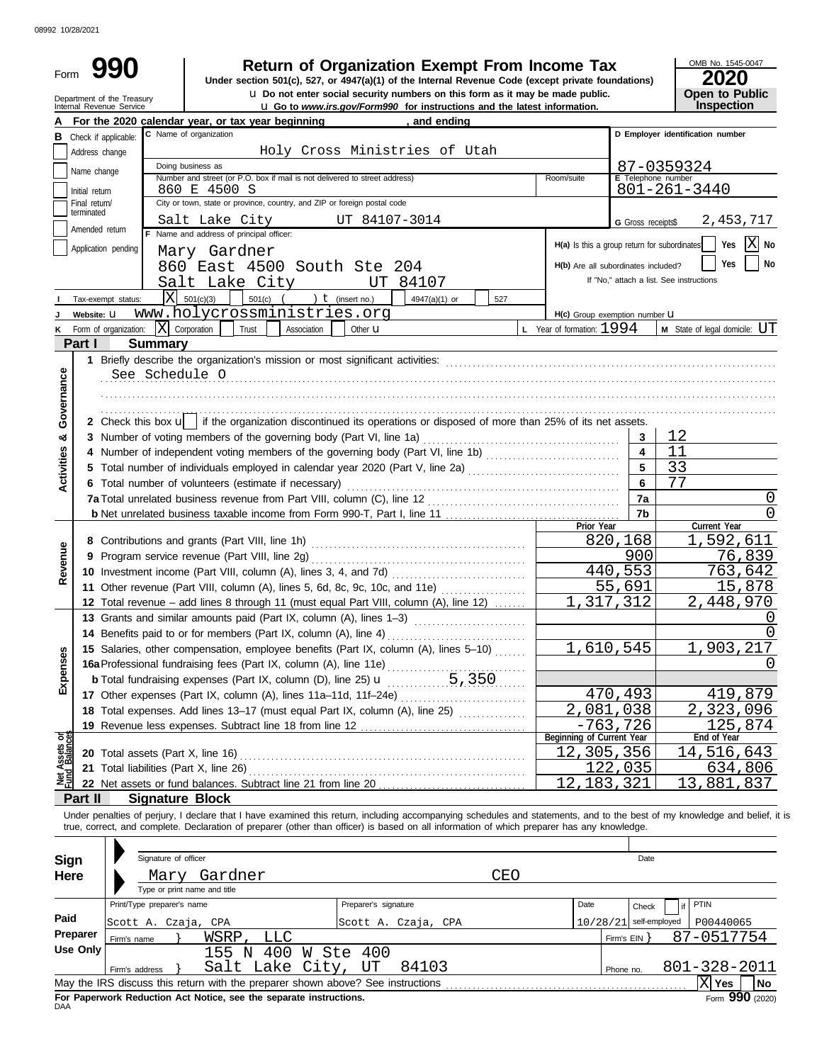| Form                         | Department of the Treasury<br>Internal Revenue Service |                                                                             | <b>Return of Organization Exempt From Income Tax</b><br>Under section 501(c), 527, or 4947(a)(1) of the Internal Revenue Code (except private foundations)<br>u Do not enter social security numbers on this form as it may be made public.                                                                              |     |                                               |                          | OMB No. 1545-0047<br>2020<br>Open to Public |
|------------------------------|--------------------------------------------------------|-----------------------------------------------------------------------------|--------------------------------------------------------------------------------------------------------------------------------------------------------------------------------------------------------------------------------------------------------------------------------------------------------------------------|-----|-----------------------------------------------|--------------------------|---------------------------------------------|
|                              |                                                        |                                                                             | <b>u</b> Go to www.irs.gov/Form990 for instructions and the latest information.                                                                                                                                                                                                                                          |     |                                               |                          | Inspection                                  |
| в                            | Check if applicable:                                   | For the 2020 calendar year, or tax year beginning<br>C Name of organization | , and ending                                                                                                                                                                                                                                                                                                             |     |                                               |                          | D Employer identification number            |
|                              | Address change                                         |                                                                             | Holy Cross Ministries of Utah                                                                                                                                                                                                                                                                                            |     |                                               |                          |                                             |
|                              |                                                        | Doing business as                                                           |                                                                                                                                                                                                                                                                                                                          |     |                                               |                          | 87-0359324                                  |
|                              | Name change                                            | Number and street (or P.O. box if mail is not delivered to street address)  |                                                                                                                                                                                                                                                                                                                          |     | Room/suite                                    | E Telephone number       |                                             |
|                              | Initial return                                         | 860 E 4500 S                                                                |                                                                                                                                                                                                                                                                                                                          |     |                                               |                          | 801-261-3440                                |
|                              | Final return/<br>terminated                            | City or town, state or province, country, and ZIP or foreign postal code    |                                                                                                                                                                                                                                                                                                                          |     |                                               |                          |                                             |
|                              | Amended return                                         | Salt Lake City                                                              | UT 84107-3014                                                                                                                                                                                                                                                                                                            |     |                                               | G Gross receipts\$       | 2,453,717                                   |
|                              |                                                        | Name and address of principal officer:                                      |                                                                                                                                                                                                                                                                                                                          |     | H(a) Is this a group return for subordinates' |                          | $ X $ No<br>Yes                             |
|                              | Application pending                                    | Mary Gardner                                                                |                                                                                                                                                                                                                                                                                                                          |     |                                               |                          |                                             |
|                              |                                                        | 860 East 4500 South Ste 204                                                 |                                                                                                                                                                                                                                                                                                                          |     | H(b) Are all subordinates included?           |                          | <b>Yes</b><br><b>No</b>                     |
|                              |                                                        | Salt Lake City                                                              | UT 84107                                                                                                                                                                                                                                                                                                                 |     |                                               |                          | If "No," attach a list. See instructions    |
|                              | Tax-exempt status:                                     | $\overline{X}$ 501(c)(3)<br>501(c)                                          | ) $t$ (insert no.)<br>4947(a)(1) or                                                                                                                                                                                                                                                                                      | 527 |                                               |                          |                                             |
|                              | Website: U                                             | www.holycrossministries.org                                                 |                                                                                                                                                                                                                                                                                                                          |     | H(c) Group exemption number <b>U</b>          |                          |                                             |
| κ                            | Form of organization:                                  | $\boxed{\mathbf{X}}$ Corporation<br>Trust                                   | Association<br>Other $\mathbf u$                                                                                                                                                                                                                                                                                         |     | <b>L</b> Year of formation: $1994$            |                          | <b>M</b> State of legal domicile: $UT$      |
|                              | Part I                                                 | <b>Summary</b>                                                              |                                                                                                                                                                                                                                                                                                                          |     |                                               |                          |                                             |
| Governance                   |                                                        | See Schedule O                                                              | 2 Check this box u   if the organization discontinued its operations or disposed of more than 25% of its net assets.                                                                                                                                                                                                     |     |                                               |                          |                                             |
| න්                           |                                                        |                                                                             |                                                                                                                                                                                                                                                                                                                          |     |                                               | 3                        | 12                                          |
| <b>Activities</b>            |                                                        |                                                                             | 4 Number of independent voting members of the governing body (Part VI, line 1b)                                                                                                                                                                                                                                          |     |                                               | $\overline{\mathbf{4}}$  | 11                                          |
|                              |                                                        |                                                                             | 5 Total number of individuals employed in calendar year 2020 (Part V, line 2a)                                                                                                                                                                                                                                           |     |                                               | 5                        | 33                                          |
|                              |                                                        | 6 Total number of volunteers (estimate if necessary)                        |                                                                                                                                                                                                                                                                                                                          |     |                                               | 6                        | 77                                          |
|                              |                                                        |                                                                             |                                                                                                                                                                                                                                                                                                                          |     |                                               | 7a                       | 0                                           |
|                              |                                                        |                                                                             |                                                                                                                                                                                                                                                                                                                          |     |                                               | 7b                       | $\left( \right)$                            |
|                              |                                                        |                                                                             |                                                                                                                                                                                                                                                                                                                          |     | Prior Year                                    | 820,168                  | Current Year<br>1,592,611                   |
| Revenue                      |                                                        |                                                                             |                                                                                                                                                                                                                                                                                                                          |     |                                               | 900                      | 76,839                                      |
|                              |                                                        |                                                                             |                                                                                                                                                                                                                                                                                                                          |     |                                               | 440,553                  | 763,642                                     |
|                              |                                                        |                                                                             |                                                                                                                                                                                                                                                                                                                          |     |                                               | 55,691                   | 15,878                                      |
|                              |                                                        |                                                                             | 12 Total revenue - add lines 8 through 11 (must equal Part VIII, column (A), line 12)                                                                                                                                                                                                                                    |     | 317                                           | .312                     | 2,448,970                                   |
|                              |                                                        | 13 Grants and similar amounts paid (Part IX, column (A), lines 1-3)         |                                                                                                                                                                                                                                                                                                                          |     |                                               |                          | $\left( \right)$                            |
|                              |                                                        |                                                                             | 14 Benefits paid to or for members (Part IX, column (A), line 4)                                                                                                                                                                                                                                                         |     |                                               |                          | 0                                           |
|                              |                                                        |                                                                             | 15 Salaries, other compensation, employee benefits (Part IX, column (A), lines 5-10)                                                                                                                                                                                                                                     |     | 1,610,545                                     |                          | 1,903,217                                   |
| Expenses                     |                                                        |                                                                             |                                                                                                                                                                                                                                                                                                                          |     |                                               |                          |                                             |
|                              |                                                        |                                                                             |                                                                                                                                                                                                                                                                                                                          |     |                                               |                          |                                             |
|                              |                                                        |                                                                             |                                                                                                                                                                                                                                                                                                                          |     |                                               | 470,493                  | 419,879                                     |
|                              |                                                        |                                                                             | 18 Total expenses. Add lines 13-17 (must equal Part IX, column (A), line 25)                                                                                                                                                                                                                                             |     | 2,081,038                                     |                          | 2,323,096                                   |
|                              |                                                        |                                                                             |                                                                                                                                                                                                                                                                                                                          |     |                                               | $\overline{-7}$ 63,726   | 125,874                                     |
|                              |                                                        |                                                                             |                                                                                                                                                                                                                                                                                                                          |     | Beginning of Current Year                     |                          | End of Year                                 |
| <b>Assets of</b><br>Balanced |                                                        |                                                                             |                                                                                                                                                                                                                                                                                                                          |     | 12,305,356                                    |                          | 14,516,643                                  |
|                              |                                                        |                                                                             |                                                                                                                                                                                                                                                                                                                          |     |                                               | 122,035                  | 634,806                                     |
|                              |                                                        |                                                                             |                                                                                                                                                                                                                                                                                                                          |     | 12,183,321                                    |                          | 13,881,837                                  |
|                              | Part II                                                | <b>Signature Block</b>                                                      |                                                                                                                                                                                                                                                                                                                          |     |                                               |                          |                                             |
| <b>Sign</b>                  |                                                        | Signature of officer                                                        | Under penalties of perjury, I declare that I have examined this return, including accompanying schedules and statements, and to the best of my knowledge and belief, it is<br>true, correct, and complete. Declaration of preparer (other than officer) is based on all information of which preparer has any knowledge. |     |                                               | Date                     |                                             |
| <b>Here</b>                  |                                                        | Mary Gardner                                                                |                                                                                                                                                                                                                                                                                                                          | CEO |                                               |                          |                                             |
|                              |                                                        | Type or print name and title                                                |                                                                                                                                                                                                                                                                                                                          |     |                                               |                          |                                             |
|                              |                                                        | Print/Type preparer's name                                                  | Preparer's signature                                                                                                                                                                                                                                                                                                     |     | Date                                          | Check                    | PTIN                                        |
| Paid                         |                                                        | Scott A. Czaja, CPA                                                         | Scott A. Czaja, CPA                                                                                                                                                                                                                                                                                                      |     |                                               | $10/28/21$ self-employed | P00440065                                   |
|                              | <b>Preparer</b><br>Firm's name                         | WSRP<br><b>LLC</b>                                                          |                                                                                                                                                                                                                                                                                                                          |     |                                               | Firm's $EIN$ }           | 87-0517754                                  |
|                              | <b>Use Only</b>                                        | 155 N 400 W Ste 400                                                         |                                                                                                                                                                                                                                                                                                                          |     |                                               |                          |                                             |
|                              |                                                        | Salt Lake City, UT<br>Firm's address $\}$                                   | 84103                                                                                                                                                                                                                                                                                                                    |     |                                               | Phone no.                | 801-328-2011                                |
|                              |                                                        |                                                                             |                                                                                                                                                                                                                                                                                                                          |     |                                               |                          | $ X $ Yes<br>No                             |

**For Paperwork Reduction Act Notice, see the separate instructions.**<br>DAA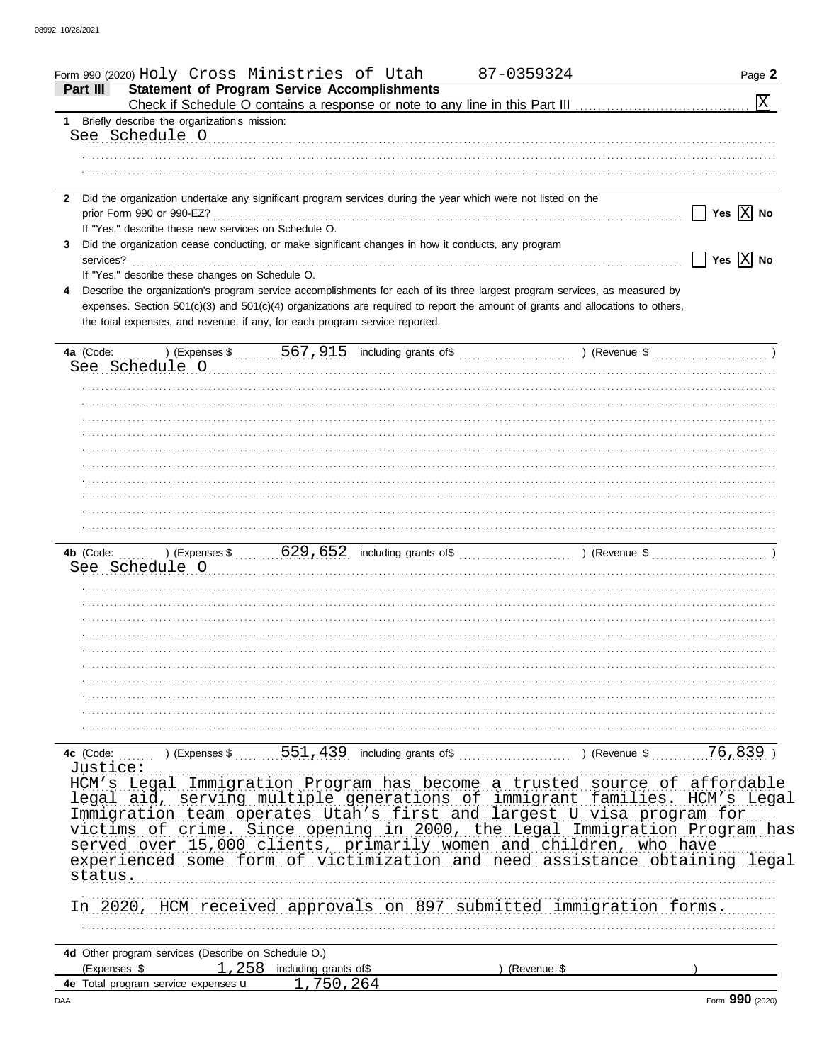| Form 990 (2020) Holy Cross Ministries of Utah                                                                                   | 87-0359324    | Page 2                                                  |
|---------------------------------------------------------------------------------------------------------------------------------|---------------|---------------------------------------------------------|
| <b>Statement of Program Service Accomplishments</b><br>Part III                                                                 |               | $\overline{\text{X}}$                                   |
| Briefly describe the organization's mission:<br>1.                                                                              |               |                                                         |
| See Schedule O                                                                                                                  |               |                                                         |
|                                                                                                                                 |               |                                                         |
|                                                                                                                                 |               |                                                         |
|                                                                                                                                 |               |                                                         |
| Did the organization undertake any significant program services during the year which were not listed on the<br>$\mathbf{2}$    |               |                                                         |
|                                                                                                                                 |               | Yes $ X $ No                                            |
| If "Yes," describe these new services on Schedule O.                                                                            |               |                                                         |
| Did the organization cease conducting, or make significant changes in how it conducts, any program<br>3                         |               |                                                         |
| services?                                                                                                                       |               | $\overline{\phantom{a}}$ Yes $\overline{\mathrm{X}}$ No |
| If "Yes," describe these changes on Schedule O.                                                                                 |               |                                                         |
| Describe the organization's program service accomplishments for each of its three largest program services, as measured by<br>4 |               |                                                         |
| expenses. Section 501(c)(3) and 501(c)(4) organizations are required to report the amount of grants and allocations to others,  |               |                                                         |
| the total expenses, and revenue, if any, for each program service reported.                                                     |               |                                                         |
|                                                                                                                                 |               |                                                         |
|                                                                                                                                 |               |                                                         |
| See Schedule O                                                                                                                  |               |                                                         |
|                                                                                                                                 |               |                                                         |
|                                                                                                                                 |               |                                                         |
|                                                                                                                                 |               |                                                         |
|                                                                                                                                 |               |                                                         |
|                                                                                                                                 |               |                                                         |
|                                                                                                                                 |               |                                                         |
|                                                                                                                                 |               |                                                         |
|                                                                                                                                 |               |                                                         |
|                                                                                                                                 |               |                                                         |
|                                                                                                                                 |               |                                                         |
|                                                                                                                                 |               |                                                         |
|                                                                                                                                 |               |                                                         |
|                                                                                                                                 |               |                                                         |
| See Schedule O                                                                                                                  |               |                                                         |
|                                                                                                                                 |               |                                                         |
|                                                                                                                                 |               |                                                         |
|                                                                                                                                 |               |                                                         |
|                                                                                                                                 |               |                                                         |
|                                                                                                                                 |               |                                                         |
|                                                                                                                                 |               |                                                         |
|                                                                                                                                 |               |                                                         |
|                                                                                                                                 |               |                                                         |
|                                                                                                                                 |               |                                                         |
|                                                                                                                                 |               |                                                         |
|                                                                                                                                 |               |                                                         |
| 551,439<br>$\sim$ (Expenses \$<br>4c (Code:                                                                                     | ) (Revenue \$ | 76,839                                                  |
| Justice:                                                                                                                        |               |                                                         |
| HCM's Legal Immigration Program has become a trusted source of affordable                                                       |               |                                                         |
| legal aid, serving multiple generations of immigrant families. HCM's Legal                                                      |               |                                                         |
| Immigration team operates Utah's first and largest U visa program for                                                           |               |                                                         |
| victims of crime. Since opening in 2000, the Legal Immigration Program has                                                      |               |                                                         |
| served over 15,000 clients, primarily women and children, who have                                                              |               |                                                         |
| experienced some form of victimization and need assistance obtaining legal                                                      |               |                                                         |
|                                                                                                                                 |               |                                                         |
| status.                                                                                                                         |               |                                                         |
|                                                                                                                                 |               |                                                         |
| In 2020, HCM received approvals on 897 submitted immigration forms.                                                             |               |                                                         |
|                                                                                                                                 |               |                                                         |
|                                                                                                                                 |               |                                                         |
| 4d Other program services (Describe on Schedule O.)                                                                             |               |                                                         |
| 1,258<br>(Expenses \$<br>including grants of\$                                                                                  | ) (Revenue \$ |                                                         |
| 1,750,264<br>4e Total program service expenses u                                                                                |               |                                                         |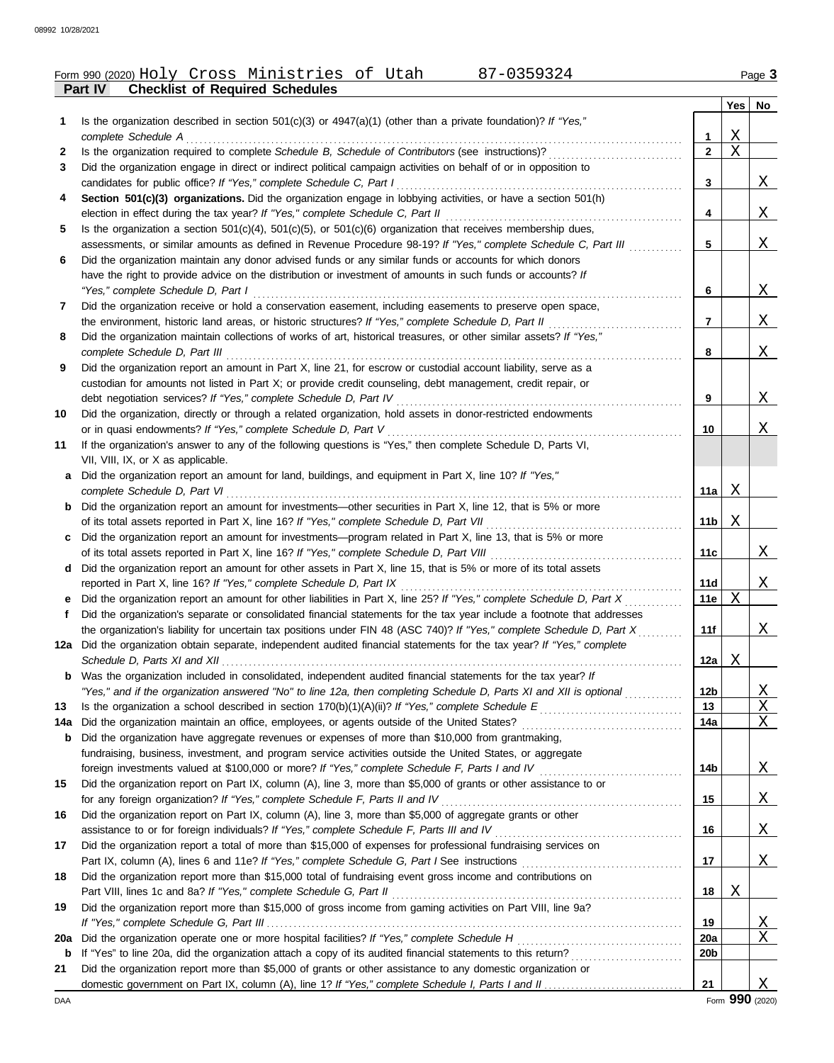|              | Form 990 (2020) Holy Cross Ministries of Utah<br>87-0359324                                                       |      | Page 3 |
|--------------|-------------------------------------------------------------------------------------------------------------------|------|--------|
|              | <b>Checklist of Required Schedules</b><br>Part IV                                                                 |      |        |
|              |                                                                                                                   | Yes∣ | No     |
|              | Is the organization described in section $501(c)(3)$ or $4947(a)(1)$ (other than a private foundation)? If "Yes," |      |        |
|              | complete Schedule A                                                                                               |      |        |
| $\mathbf{2}$ | Is the organization required to complete Schedule B, Schedule of Contributors (see instructions)?                 |      |        |
|              | Did the organization engage in direct or indirect political campaign activities on behalf of or in opposition to  |      |        |

| candidates for public office? If "Yes," complete Schedule C, Part I                                             |
|-----------------------------------------------------------------------------------------------------------------|
| 4 Section 501(c)(3) organizations. Did the organization engage in lobbying activities, or have a section 501(h) |
| election in effect during the tax year? If "Yes," complete Schedule C, Part II                                  |

**5** Is the organization a section 501(c)(4), 501(c)(5), or 501(c)(6) organization that receives membership dues, assessments, or similar amounts as defined in Revenue Procedure 98-19? If "Yes," complete Schedule C, Part III *..........*..

| 6 Did the organization maintain any donor advised funds or any similar funds or accounts for which donors   |
|-------------------------------------------------------------------------------------------------------------|
| have the right to provide advice on the distribution or investment of amounts in such funds or accounts? If |
| "Yes," complete Schedule D, Part I                                                                          |
|                                                                                                             |

res, complete scriedille D, rate reservation easement, including easements to preserve open space, the environment, historic land areas, or historic structures? *If "Yes," complete Schedule D, Part II* . . . . . . . . . . . . . . . . . . . . . . . . . . . . . .

| 8 Did the organization maintain collections of works of art, historical treasures, or other similar assets? If "Yes," |
|-----------------------------------------------------------------------------------------------------------------------|
| complete Schedule D, Part III                                                                                         |
| <b>Q</b> Did the organization report an amount in Part Y line 21 for escrow or custodial account liability sense as a |

**9** Did the organization report an amount in Part X, line 21, for escrow or custodial account liability, serve as a custodian for amounts not listed in Part X; or provide credit counseling, debt management, credit repair, or debt negotiation services? *If "Yes," complete Schedule D, Part IV* . . . . . . . . . . . . . . . . . . . . . . . . . . . . . . . . . . . . . . . . . . . . . . . . . . . . . . . . . . . . . . . .

**10** Did the organization, directly or through a related organization, hold assets in donor-restricted endowments or in quasi endowments? *If "Yes," complete Schedule D, Part V* . . . . . . . . . . . . . . . . . . . . . . . . . . . . . . . . . . . . . . . . . . . . . . . . . . . . . . . . . . . . . . . . . .

**11** If the organization's answer to any of the following questions is "Yes," then complete Schedule D, Parts VI,

| VII, VIII, IX, or X as applicable.                                                                       |
|----------------------------------------------------------------------------------------------------------|
| a Did the organization report an amount for land, buildings, and equipment in Part X, line 10? If "Yes," |
| complete Schedule D, Part VI                                                                             |

| <b>b</b> Did the organization report an amount for investments—other securities in Part X, line 12, that is 5% or more |
|------------------------------------------------------------------------------------------------------------------------|
| of its total assets reported in Part X, line 16? If "Yes," complete Schedule D, Part VII                               |
| c Did the organization report an amount for investments—program related in Part X, line 13, that is 5% or more         |

of its total assets reported in Part X, line 16? *If "Yes," complete Schedule D, Part VIII* . . . . . . . . . . . . . . . . . . . . . . . . . . . . . . . . . . . . . . . . . . . reported in Part X, line 16? *If "Yes," complete Schedule D, Part IX* . . . . . . . . . . . . . . . . . . . . . . . . . . . . . . . . . . . . . . . . . . . . . . . . . . . . . . . . . . . . . . . Did the organization report an amount for other assets in Part X, line 15, that is 5% or more of its total assets **d**

| e Did the organization report an amount for other liabilities in Part X, line 25? If "Yes," complete Schedule D, Part X |
|-------------------------------------------------------------------------------------------------------------------------|
| Did the organization's separate or consolidated financial statements for the tax year include a footnote that addresses |
| the organization's liability for uncertain tax positions under FIN 48 (ASC 740)? If "Yes," complete Schedule D, Part X  |
| 12a Did the organization obtain separate, independent audited financial statements for the tax year? If "Yes," complete |

*Schedule D, Parts XI and XII* . . . . . . . . . . . . . . . . . . . . . . . . . . . . . . . . . . . . . . . . . . . . . . . . . . . . . . . . . . . . . . . . . . . . . . . . . . . . . . . . . . . . . . . . . . . . . . . . . . . . . . . *"Yes," and if the organization answered "No" to line 12a, then completing Schedule D, Parts XI and XII is optional* . . . . . . . . . . . . . **b** Was the organization included in consolidated, independent audited financial statements for the tax year? If

| 13 Is the organization a school described in section $170(b)(1)(A)(ii)$ ? If "Yes," complete Schedule E   |
|-----------------------------------------------------------------------------------------------------------|
| 14a Did the organization maintain an office, employees, or agents outside of the United States?           |
| <b>b</b> Did the organization have aggregate revenues or expenses of more than \$10,000 from grantmaking, |
| fundraising, business, investment, and program service activities outside the United States, or aggregate |

|    | foreign investments valued at \$100,000 or more? If "Yes," complete Schedule F, Parts I and IV                    |
|----|-------------------------------------------------------------------------------------------------------------------|
| 15 | Did the organization report on Part IX, column (A), line 3, more than \$5,000 of grants or other assistance to or |
|    | for any foreign organization? If "Yes," complete Schedule F, Parts II and IV [[[[[[[[[[[[[[[[[[[[[[[[[[[[[[[[     |
|    | 16 Did the organization report on Part IX, column (A), line 3, more than \$5,000 of aggregate grants or other     |
|    | assistance to or for foreign individuals? If "Yes," complete Schedule F, Parts III and IV                         |
| 17 | Did the organization report a total of more than \$15,000 of expenses for professional fundraising services on    |
|    |                                                                                                                   |

|    | Did the organization report a total of more than \$15,000 of expenses for professional fundraising services on |    |                           |
|----|----------------------------------------------------------------------------------------------------------------|----|---------------------------|
|    | Part IX, column (A), lines 6 and 11e? If "Yes," complete Schedule G, Part I See instructions                   |    |                           |
| 18 | Did the organization report more than \$15,000 total of fundraising event gross income and contributions on    |    |                           |
|    | Part VIII, lines 1c and 8a? If "Yes," complete Schedule G, Part II                                             | 18 | $\boldsymbol{\mathrm{X}}$ |
| 19 | Did the organization report more than \$15,000 of gross income from gaming activities on Part VIII, line 9a?   |    |                           |

|    |                                                                                                                       | 19              |  |
|----|-----------------------------------------------------------------------------------------------------------------------|-----------------|--|
|    | 20a Did the organization operate one or more hospital facilities? If "Yes," complete Schedule H                       | 20a             |  |
|    | <b>b</b> If "Yes" to line 20a, did the organization attach a copy of its audited financial statements to this return? | 20 <sub>b</sub> |  |
| 21 | Did the organization report more than \$5,000 of grants or other assistance to any domestic organization or           |                 |  |
|    | domestic government on Part IX, column (A), line 1? If "Yes," complete Schedule I, Parts I and II                     |                 |  |

DAA Form **990** (2020)

**16**

**15**

**14b**

**14a 13**

**10**

**11a**

X

X

X

X

**11b**

**11c**

**11d 11e**

**11f**

**12a**

**12b**

. . . . . . . . . . . . . . . . . . . . . . . . . . . . . . . . . . . . . . . . . . . . . . . . . . . . . . . . . . . . . . . . . . . . . . . . . . . . . . . . . . . . . . . . . . . . . . . . . . . . . .

**9**

**8**

**7**

**6**

**5**

**4**

**3**

X

X

X

X

X

X

X

X

X

X

X

X X X

X

X

X

X

X X

X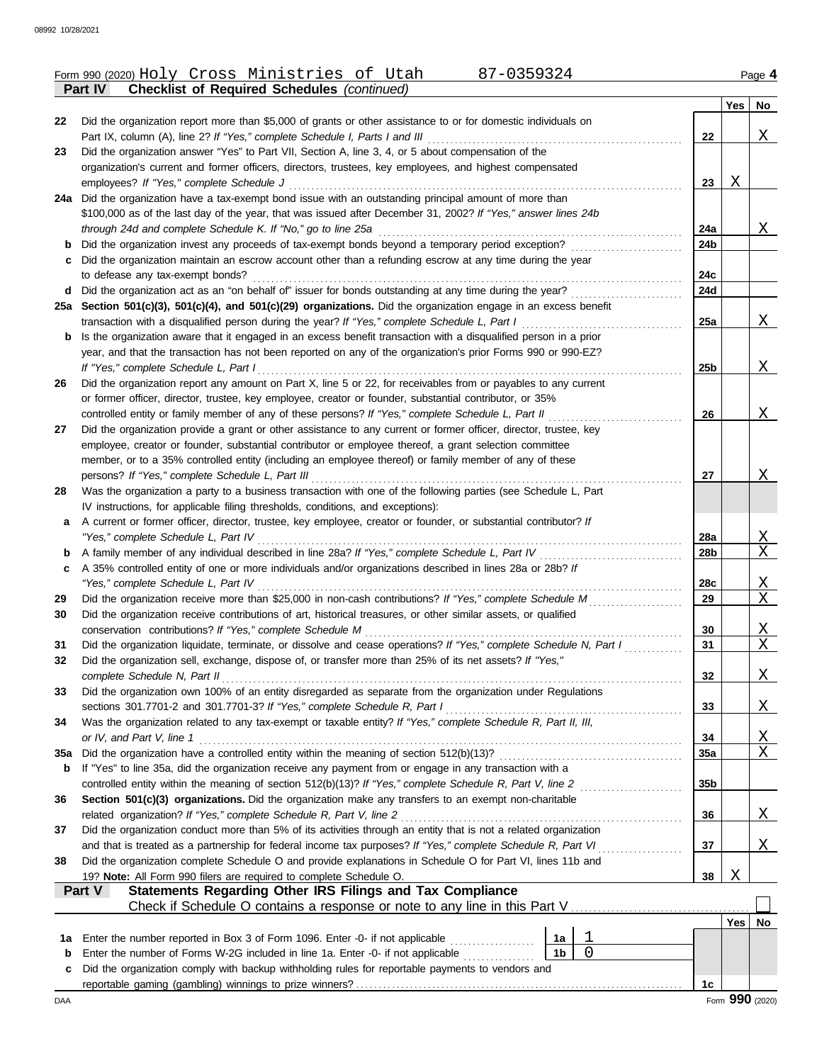|     | Form 990 (2020) Holy Cross Ministries of Utah<br>87-0359324                                                        |                |                |                 |            | Page 4                |
|-----|--------------------------------------------------------------------------------------------------------------------|----------------|----------------|-----------------|------------|-----------------------|
|     | <b>Checklist of Required Schedules (continued)</b><br>Part IV                                                      |                |                |                 |            |                       |
|     |                                                                                                                    |                |                |                 |            | Yes   No              |
| 22  | Did the organization report more than \$5,000 of grants or other assistance to or for domestic individuals on      |                |                |                 |            |                       |
|     | Part IX, column (A), line 2? If "Yes," complete Schedule I, Parts I and III                                        |                |                | 22              |            | Χ                     |
| 23  | Did the organization answer "Yes" to Part VII, Section A, line 3, 4, or 5 about compensation of the                |                |                |                 |            |                       |
|     | organization's current and former officers, directors, trustees, key employees, and highest compensated            |                |                |                 |            |                       |
|     | employees? If "Yes," complete Schedule J                                                                           |                |                | 23              | X          |                       |
|     | 24a Did the organization have a tax-exempt bond issue with an outstanding principal amount of more than            |                |                |                 |            |                       |
|     | \$100,000 as of the last day of the year, that was issued after December 31, 2002? If "Yes," answer lines 24b      |                |                |                 |            |                       |
|     | through 24d and complete Schedule K. If "No," go to line 25a                                                       |                |                | 24a             |            | <u>X</u>              |
| b   | Did the organization invest any proceeds of tax-exempt bonds beyond a temporary period exception?                  |                |                | 24b             |            |                       |
| c   | Did the organization maintain an escrow account other than a refunding escrow at any time during the year          |                |                |                 |            |                       |
|     | to defease any tax-exempt bonds?                                                                                   |                |                | 24c             |            |                       |
|     | d Did the organization act as an "on behalf of" issuer for bonds outstanding at any time during the year?          |                |                | 24d             |            |                       |
|     | 25a Section 501(c)(3), 501(c)(4), and 501(c)(29) organizations. Did the organization engage in an excess benefit   |                |                |                 |            |                       |
|     | transaction with a disqualified person during the year? If "Yes," complete Schedule L, Part I                      |                |                | 25a             |            | Χ                     |
| b   | Is the organization aware that it engaged in an excess benefit transaction with a disqualified person in a prior   |                |                |                 |            |                       |
|     | year, and that the transaction has not been reported on any of the organization's prior Forms 990 or 990-EZ?       |                |                |                 |            |                       |
|     | If "Yes," complete Schedule L, Part I                                                                              |                |                | 25b             |            | Χ                     |
| 26  | Did the organization report any amount on Part X, line 5 or 22, for receivables from or payables to any current    |                |                |                 |            |                       |
|     | or former officer, director, trustee, key employee, creator or founder, substantial contributor, or 35%            |                |                |                 |            |                       |
|     | controlled entity or family member of any of these persons? If "Yes," complete Schedule L, Part II                 |                |                | 26              |            | X                     |
| 27  | Did the organization provide a grant or other assistance to any current or former officer, director, trustee, key  |                |                |                 |            |                       |
|     | employee, creator or founder, substantial contributor or employee thereof, a grant selection committee             |                |                |                 |            |                       |
|     | member, or to a 35% controlled entity (including an employee thereof) or family member of any of these             |                |                |                 |            |                       |
|     | persons? If "Yes," complete Schedule L, Part III                                                                   |                |                | 27              |            | X                     |
| 28  | Was the organization a party to a business transaction with one of the following parties (see Schedule L, Part     |                |                |                 |            |                       |
|     | IV instructions, for applicable filing thresholds, conditions, and exceptions):                                    |                |                |                 |            |                       |
| a   | A current or former officer, director, trustee, key employee, creator or founder, or substantial contributor? If   |                |                |                 |            |                       |
|     | "Yes," complete Schedule L, Part IV                                                                                |                |                | 28a             |            | <u>X</u>              |
| b   | A family member of any individual described in line 28a? If "Yes," complete Schedule L, Part IV                    |                |                | 28b             |            | $\mathbf{X}$          |
| c   | A 35% controlled entity of one or more individuals and/or organizations described in lines 28a or 28b? If          |                |                |                 |            |                       |
|     | "Yes," complete Schedule L, Part IV                                                                                |                |                | 28c             |            | <u>X</u>              |
| 29  | Did the organization receive more than \$25,000 in non-cash contributions? If "Yes," complete Schedule M           |                |                | 29              |            | $\mathbf X$           |
| 30  | Did the organization receive contributions of art, historical treasures, or other similar assets, or qualified     |                |                |                 |            |                       |
|     | conservation contributions? If "Yes," complete Schedule M                                                          |                |                | 30              |            | Χ                     |
| 31  | Did the organization liquidate, terminate, or dissolve and cease operations? If "Yes," complete Schedule N, Part I |                |                | 31              |            | $\overline{\text{X}}$ |
| 32  | Did the organization sell, exchange, dispose of, or transfer more than 25% of its net assets? If "Yes,"            |                |                |                 |            |                       |
|     | complete Schedule N, Part II                                                                                       |                |                | 32              |            | <u>X</u>              |
| 33  | Did the organization own 100% of an entity disregarded as separate from the organization under Regulations         |                |                |                 |            |                       |
|     | sections 301.7701-2 and 301.7701-3? If "Yes," complete Schedule R, Part I                                          |                |                | 33              |            | Χ                     |
| 34  | Was the organization related to any tax-exempt or taxable entity? If "Yes," complete Schedule R, Part II, III,     |                |                |                 |            |                       |
|     | or IV, and Part V, line 1                                                                                          |                |                | 34              |            | <u>X</u>              |
| 35a |                                                                                                                    |                |                | 35a             |            | $\mathbf X$           |
| b   | If "Yes" to line 35a, did the organization receive any payment from or engage in any transaction with a            |                |                |                 |            |                       |
|     | controlled entity within the meaning of section 512(b)(13)? If "Yes," complete Schedule R, Part V, line 2          |                |                | 35 <sub>b</sub> |            |                       |
| 36  | Section 501(c)(3) organizations. Did the organization make any transfers to an exempt non-charitable               |                |                |                 |            |                       |
|     | related organization? If "Yes," complete Schedule R, Part V, line 2                                                |                |                | 36              |            | <u>X</u>              |
| 37  | Did the organization conduct more than 5% of its activities through an entity that is not a related organization   |                |                |                 |            |                       |
|     | and that is treated as a partnership for federal income tax purposes? If "Yes," complete Schedule R, Part VI       |                |                | 37              |            | Χ                     |
| 38  | Did the organization complete Schedule O and provide explanations in Schedule O for Part VI, lines 11b and         |                |                |                 |            |                       |
|     | 19? Note: All Form 990 filers are required to complete Schedule O.                                                 |                |                | 38              | X          |                       |
|     | Statements Regarding Other IRS Filings and Tax Compliance<br>Part V                                                |                |                |                 |            |                       |
|     | Check if Schedule O contains a response or note to any line in this Part V                                         |                |                |                 |            |                       |
|     |                                                                                                                    |                |                |                 | $Yes \mid$ | No                    |
| 1a  | Enter the number reported in Box 3 of Form 1096. Enter -0- if not applicable                                       | 1a             |                |                 |            |                       |
| b   | Enter the number of Forms W-2G included in line 1a. Enter -0- if not applicable                                    | 1 <sub>b</sub> | $\overline{0}$ |                 |            |                       |
| c   | Did the organization comply with backup withholding rules for reportable payments to vendors and                   |                |                |                 |            |                       |
|     |                                                                                                                    |                |                | 1c              |            |                       |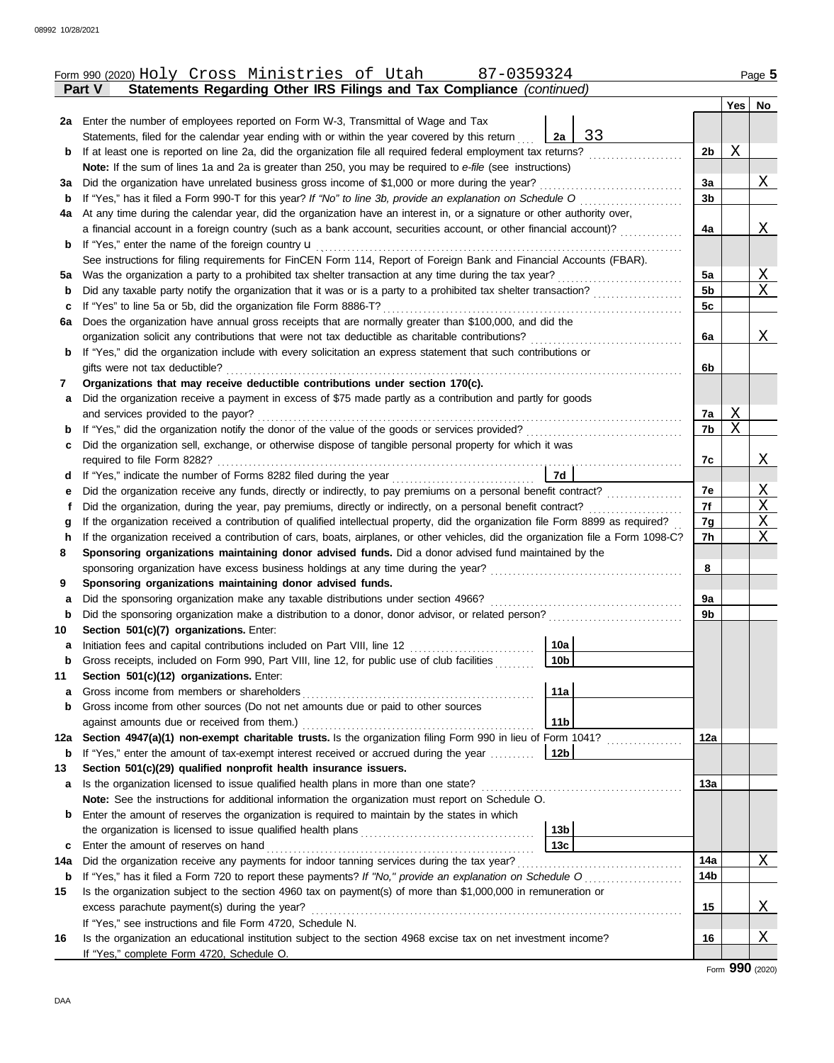|     | 87-0359324<br>Form 990 (2020) Holy Cross Ministries of Utah                                                                                     |                 |   | Page 5            |
|-----|-------------------------------------------------------------------------------------------------------------------------------------------------|-----------------|---|-------------------|
|     | Statements Regarding Other IRS Filings and Tax Compliance (continued)<br>Part V                                                                 |                 |   |                   |
|     |                                                                                                                                                 |                 |   | Yes No            |
|     | 2a Enter the number of employees reported on Form W-3, Transmittal of Wage and Tax                                                              |                 |   |                   |
|     | 33<br>2a<br>Statements, filed for the calendar year ending with or within the year covered by this return                                       |                 |   |                   |
| b   | If at least one is reported on line 2a, did the organization file all required federal employment tax returns?                                  | 2b              | Χ |                   |
|     | Note: If the sum of lines 1a and 2a is greater than 250, you may be required to e-file (see instructions)                                       |                 |   |                   |
| За  | Did the organization have unrelated business gross income of \$1,000 or more during the year?                                                   | 3a              |   | X                 |
| b   | If "Yes," has it filed a Form 990-T for this year? If "No" to line 3b, provide an explanation on Schedule O                                     | 3b              |   |                   |
| 4a  | At any time during the calendar year, did the organization have an interest in, or a signature or other authority over,                         |                 |   |                   |
|     | a financial account in a foreign country (such as a bank account, securities account, or other financial account)?                              | 4a              |   | <u>X</u>          |
| b   | If "Yes," enter the name of the foreign country <b>u</b>                                                                                        |                 |   |                   |
|     | See instructions for filing requirements for FinCEN Form 114, Report of Foreign Bank and Financial Accounts (FBAR).                             |                 |   |                   |
| ьa  | Was the organization a party to a prohibited tax shelter transaction at any time during the tax year?                                           | 5a              |   | Χ                 |
| b   | Did any taxable party notify the organization that it was or is a party to a prohibited tax shelter transaction?                                | 5 <sub>b</sub>  |   | X                 |
| с   | If "Yes" to line 5a or 5b, did the organization file Form 8886-T?                                                                               | 5c              |   |                   |
| 6a  | Does the organization have annual gross receipts that are normally greater than \$100,000, and did the                                          |                 |   |                   |
|     | organization solicit any contributions that were not tax deductible as charitable contributions?                                                | 6a              |   | Χ                 |
| b   | If "Yes," did the organization include with every solicitation an express statement that such contributions or                                  |                 |   |                   |
|     | gifts were not tax deductible?                                                                                                                  | 6b              |   |                   |
| 7   | Organizations that may receive deductible contributions under section 170(c).                                                                   |                 |   |                   |
| а   | Did the organization receive a payment in excess of \$75 made partly as a contribution and partly for goods                                     |                 |   |                   |
|     | and services provided to the payor?                                                                                                             | 7a              | Χ |                   |
| b   | If "Yes," did the organization notify the donor of the value of the goods or services provided?                                                 | 7b              | Χ |                   |
| с   | Did the organization sell, exchange, or otherwise dispose of tangible personal property for which it was                                        |                 |   |                   |
|     | required to file Form 8282?                                                                                                                     | 7c              |   | X                 |
| d   | 7d<br>If "Yes," indicate the number of Forms 8282 filed during the year                                                                         |                 |   |                   |
| е   | Did the organization receive any funds, directly or indirectly, to pay premiums on a personal benefit contract?                                 | 7e              |   | X                 |
| t   | Did the organization, during the year, pay premiums, directly or indirectly, on a personal benefit contract?                                    | 7f              |   | $\mathbf{X}$<br>Χ |
| g   | If the organization received a contribution of qualified intellectual property, did the organization file Form 8899 as required?                | 7g              |   | Χ                 |
| h   | If the organization received a contribution of cars, boats, airplanes, or other vehicles, did the organization file a Form 1098-C?              | 7h              |   |                   |
| 8   | Sponsoring organizations maintaining donor advised funds. Did a donor advised fund maintained by the                                            | 8               |   |                   |
| 9   | sponsoring organization have excess business holdings at any time during the year?<br>Sponsoring organizations maintaining donor advised funds. |                 |   |                   |
| а   | Did the sponsoring organization make any taxable distributions under section 4966?                                                              | 9a              |   |                   |
| b   | Did the sponsoring organization make a distribution to a donor, donor advisor, or related person?                                               | 9b              |   |                   |
| 10  | Section 501(c)(7) organizations. Enter:                                                                                                         |                 |   |                   |
|     | 10a<br>Initiation fees and capital contributions included on Part VIII, line 12                                                                 |                 |   |                   |
| b   | 10 <sub>b</sub><br>Gross receipts, included on Form 990, Part VIII, line 12, for public use of club facilities                                  |                 |   |                   |
| 11  | Section 501(c)(12) organizations. Enter:                                                                                                        |                 |   |                   |
| а   | 11a<br>Gross income from members or shareholders                                                                                                |                 |   |                   |
| b   | Gross income from other sources (Do not net amounts due or paid to other sources                                                                |                 |   |                   |
|     | 11 <sub>b</sub><br>against amounts due or received from them.)                                                                                  |                 |   |                   |
| 12a | Section 4947(a)(1) non-exempt charitable trusts. Is the organization filing Form 990 in lieu of Form 1041?                                      | 12a             |   |                   |
| b   | 12b<br>If "Yes," enter the amount of tax-exempt interest received or accrued during the year                                                    |                 |   |                   |
| 13  | Section 501(c)(29) qualified nonprofit health insurance issuers.                                                                                |                 |   |                   |
| a   | Is the organization licensed to issue qualified health plans in more than one state?                                                            | 13a             |   |                   |
|     | Note: See the instructions for additional information the organization must report on Schedule O.                                               |                 |   |                   |
| b   | Enter the amount of reserves the organization is required to maintain by the states in which                                                    |                 |   |                   |
|     | 13 <sub>b</sub>                                                                                                                                 |                 |   |                   |
| c   | 13 <sub>c</sub><br>Enter the amount of reserves on hand                                                                                         |                 |   |                   |
| 14a | Did the organization receive any payments for indoor tanning services during the tax year?                                                      | 14a             |   | Χ                 |
| b   |                                                                                                                                                 | 14 <sub>b</sub> |   |                   |
| 15  | Is the organization subject to the section 4960 tax on payment(s) of more than \$1,000,000 in remuneration or                                   |                 |   |                   |
|     | excess parachute payment(s) during the year?                                                                                                    | 15              |   | <u>X</u>          |
|     | If "Yes," see instructions and file Form 4720, Schedule N.                                                                                      |                 |   |                   |
| 16  | Is the organization an educational institution subject to the section 4968 excise tax on net investment income?                                 | 16              |   | Χ                 |
|     | If "Yes," complete Form 4720, Schedule O.                                                                                                       |                 |   |                   |
|     |                                                                                                                                                 |                 |   | Form 990 (2020)   |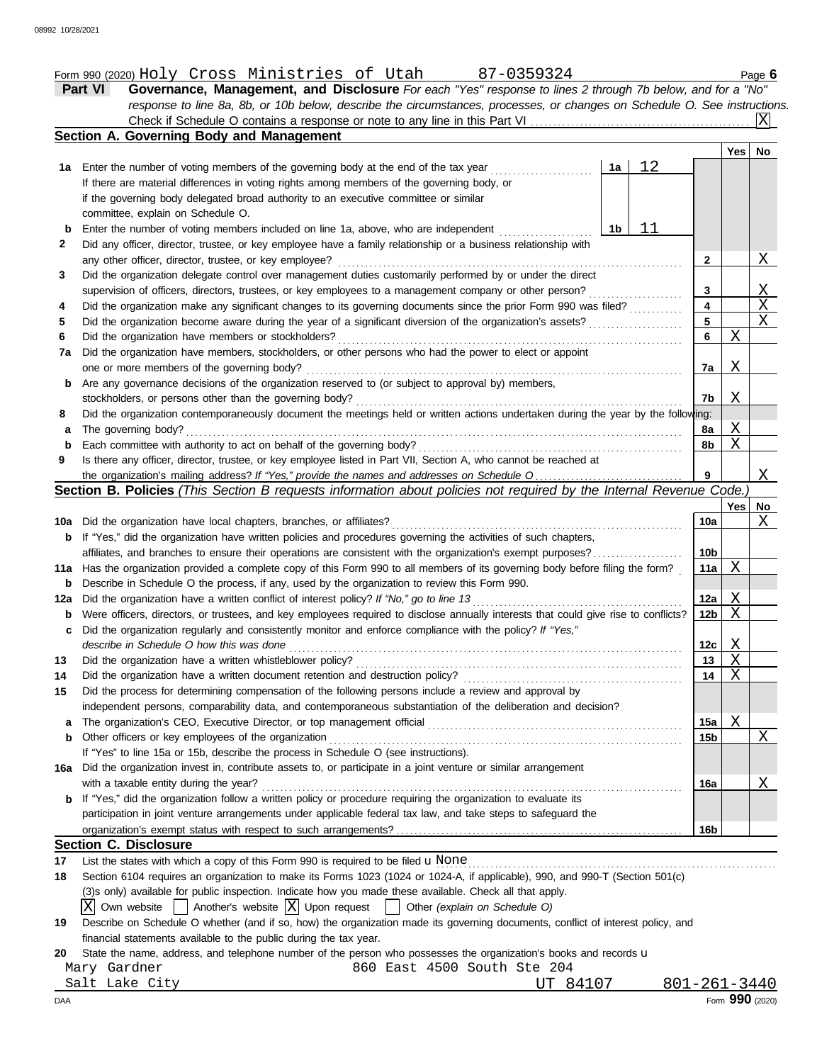|             | Form 990 (2020) Holy Cross Ministries of Utah<br>87-0359324                                                                         |                 |             | Page 6         |
|-------------|-------------------------------------------------------------------------------------------------------------------------------------|-----------------|-------------|----------------|
|             | Governance, Management, and Disclosure For each "Yes" response to lines 2 through 7b below, and for a "No"<br><b>Part VI</b>        |                 |             |                |
|             | response to line 8a, 8b, or 10b below, describe the circumstances, processes, or changes on Schedule O. See instructions.           |                 |             |                |
|             |                                                                                                                                     |                 |             | ΙXΙ            |
|             | Section A. Governing Body and Management                                                                                            |                 |             |                |
|             |                                                                                                                                     |                 | Yes l       | No             |
|             | 12<br>1a                                                                                                                            |                 |             |                |
|             | If there are material differences in voting rights among members of the governing body, or                                          |                 |             |                |
|             | if the governing body delegated broad authority to an executive committee or similar                                                |                 |             |                |
|             | committee, explain on Schedule O.                                                                                                   |                 |             |                |
| b           | 11<br>Enter the number of voting members included on line 1a, above, who are independent<br>1b                                      |                 |             |                |
|             | Did any officer, director, trustee, or key employee have a family relationship or a business relationship with                      |                 |             |                |
|             | any other officer, director, trustee, or key employee?                                                                              | $\mathbf{2}$    |             | Χ              |
|             | Did the organization delegate control over management duties customarily performed by or under the direct                           |                 |             |                |
|             | supervision of officers, directors, trustees, or key employees to a management company or other person?                             | 3               |             | $\mathbf{X}$   |
|             | Did the organization make any significant changes to its governing documents since the prior Form 990 was filed?                    | 4               |             | $\overline{X}$ |
|             |                                                                                                                                     | $\overline{5}$  |             | $\mathbf{X}$   |
|             | Did the organization have members or stockholders?                                                                                  | 6               | X           |                |
| 7a          | Did the organization have members, stockholders, or other persons who had the power to elect or appoint                             |                 |             |                |
|             | one or more members of the governing body?                                                                                          | 7a              | X           |                |
| b           | Are any governance decisions of the organization reserved to (or subject to approval by) members,                                   |                 |             |                |
|             | stockholders, or persons other than the governing body?                                                                             | 7b              | Χ           |                |
|             | Did the organization contemporaneously document the meetings held or written actions undertaken during the year by the following:   |                 |             |                |
| 8<br>а      | The governing body?                                                                                                                 | 8а              | Χ           |                |
| $\mathbf b$ |                                                                                                                                     | 8b              | $\mathbf X$ |                |
|             | Is there any officer, director, trustee, or key employee listed in Part VII, Section A, who cannot be reached at                    |                 |             |                |
|             | the organization's mailing address? If "Yes," provide the names and addresses on Schedule O                                         | 9               |             | X              |
|             | Section B. Policies (This Section B requests information about policies not required by the Internal Revenue Code.)                 |                 |             |                |
|             |                                                                                                                                     |                 | Yes         | <u>No</u>      |
|             | 10a Did the organization have local chapters, branches, or affiliates?                                                              | 10a             |             | Χ              |
| b           | If "Yes," did the organization have written policies and procedures governing the activities of such chapters,                      |                 |             |                |
|             | affiliates, and branches to ensure their operations are consistent with the organization's exempt purposes?                         | 10 <sub>b</sub> |             |                |
|             | 11a Has the organization provided a complete copy of this Form 990 to all members of its governing body before filing the form?     | 11a             | X           |                |
| b           | Describe in Schedule O the process, if any, used by the organization to review this Form 990.                                       |                 |             |                |
| 12a         | Did the organization have a written conflict of interest policy? If "No," go to line 13                                             | 12a             | X           |                |
| b           | Were officers, directors, or trustees, and key employees required to disclose annually interests that could give rise to conflicts? | 12 <sub>b</sub> | X           |                |
|             | Did the organization regularly and consistently monitor and enforce compliance with the policy? If "Yes,"                           |                 |             |                |
| c           | describe in Schedule O how this was done                                                                                            |                 |             |                |
| 13          |                                                                                                                                     | 12c             | X           |                |
|             | Did the organization have a written whistleblower policy?                                                                           | 13              | Χ           |                |
|             | Did the organization have a written document retention and destruction policy?                                                      | 14              | X           |                |
| 15          | Did the process for determining compensation of the following persons include a review and approval by                              |                 |             |                |
|             | independent persons, comparability data, and contemporaneous substantiation of the deliberation and decision?                       |                 |             |                |
| a           | The organization's CEO, Executive Director, or top management official                                                              | 15a             | Χ           |                |
| b           | Other officers or key employees of the organization                                                                                 | 15b             |             | Χ              |
|             | If "Yes" to line 15a or 15b, describe the process in Schedule O (see instructions).                                                 |                 |             |                |
| 16a         | Did the organization invest in, contribute assets to, or participate in a joint venture or similar arrangement                      |                 |             |                |
|             | with a taxable entity during the year?                                                                                              | 16a             |             | Χ              |
| b           | If "Yes," did the organization follow a written policy or procedure requiring the organization to evaluate its                      |                 |             |                |
|             | participation in joint venture arrangements under applicable federal tax law, and take steps to safeguard the                       |                 |             |                |
|             |                                                                                                                                     | 16b             |             |                |
|             | <b>Section C. Disclosure</b>                                                                                                        |                 |             |                |
|             | List the states with which a copy of this Form 990 is required to be filed $\mathbf u$ None                                         |                 |             |                |
|             | Section 6104 requires an organization to make its Forms 1023 (1024 or 1024-A, if applicable), 990, and 990-T (Section 501(c)        |                 |             |                |
|             | (3) s only) available for public inspection. Indicate how you made these available. Check all that apply.                           |                 |             |                |
|             | Another's website $ X $ Upon request<br>Other (explain on Schedule O)<br>Own website                                                |                 |             |                |
| 19          | Describe on Schedule O whether (and if so, how) the organization made its governing documents, conflict of interest policy, and     |                 |             |                |
|             | financial statements available to the public during the tax year.                                                                   |                 |             |                |
|             | State the name, address, and telephone number of the person who possesses the organization's books and records u                    |                 |             |                |
| 20          | Mary Gardner<br>860 East 4500 South Ste 204                                                                                         |                 |             |                |
|             |                                                                                                                                     |                 |             |                |

|     | Salt Lake City | TTT | $8410^-$ | 801-261-3440    |
|-----|----------------|-----|----------|-----------------|
| DAA |                |     |          | Form 990 (2020) |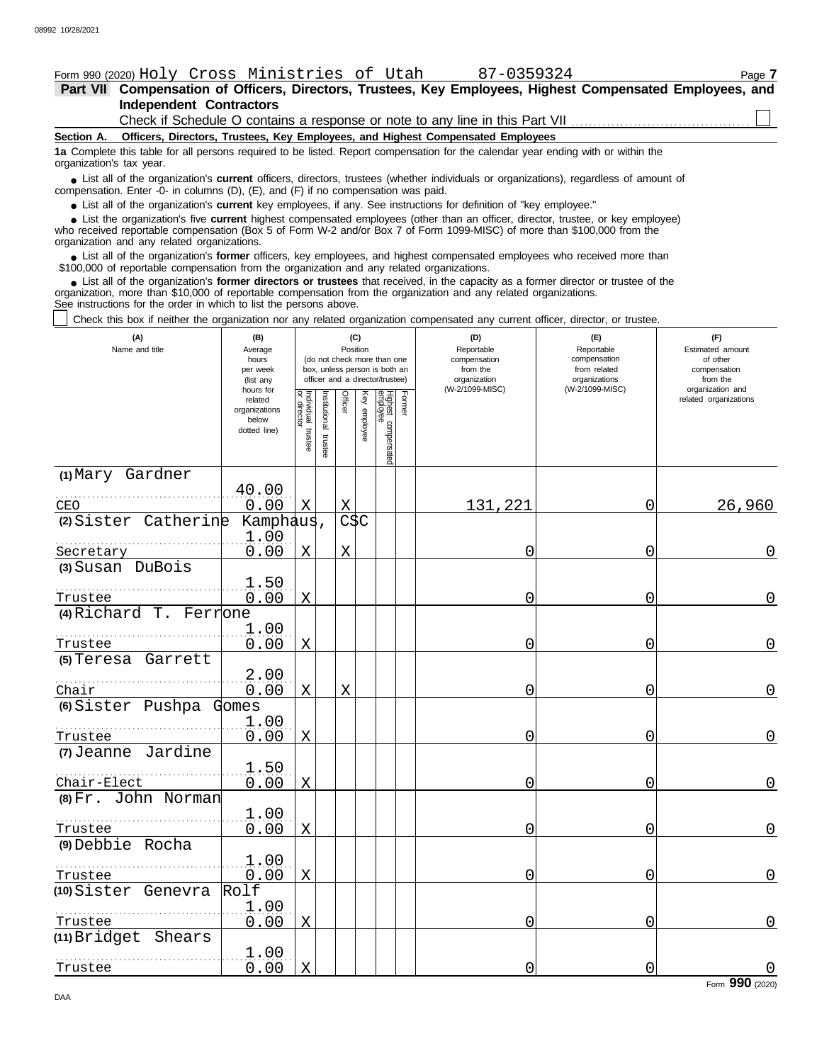### Form 990 (2020) Page **7** Holy Cross Ministries of Utah 87-0359324

### **Independent Contractors Part VII Compensation of Officers, Directors, Trustees, Key Employees, Highest Compensated Employees, and**

Check if Schedule O contains a response or note to any line in this Part VII

**Section A. Officers, Directors, Trustees, Key Employees, and Highest Compensated Employees**

**1a** Complete this table for all persons required to be listed. Report compensation for the calendar year ending with or within the organization's tax year.

■ List all of the organization's **current** officers, directors, trustees (whether individuals or organizations), regardless of amount of the organization Enter -0- in columns (D), (E), and (E) if no compensation was paid compensation. Enter -0- in columns (D), (E), and (F) if no compensation was paid.

● List all of the organization's **current** key employees, if any. See instructions for definition of "key employee."

who received reportable compensation (Box 5 of Form W-2 and/or Box 7 of Form 1099-MISC) of more than \$100,000 from the organization and any related organizations. ■ List the organization's five **current** highest compensated employees (other than an officer, director, trustee, or key employee)<br>
a received reportable compensation (Box 5 of Form W-2 and/or Box 7 of Form 1099-MISC) of

■ List all of the organization's **former** officers, key employees, and highest compensated employees who received more than<br>00,000 of reportable compensation from the organization and any related organizations \$100,000 of reportable compensation from the organization and any related organizations.

■ List all of the organization's **former directors or trustees** that received, in the capacity as a former director or trustee of the anization more than \$10,000 of reportable compensation from the organization and any re organization, more than \$10,000 of reportable compensation from the organization and any related organizations. See instructions for the order in which to list the persons above.

Check this box if neither the organization nor any related organization compensated any current officer, director, or trustee.

| (A)<br>Name and title              | (B)<br>Average<br>hours<br>per week<br>(list any               | (C)<br>Position<br>(do not check more than one<br>box, unless person is both an<br>officer and a director/trustee) |                          |             |                 |                                 |        | (D)<br>Reportable<br>compensation<br>from the<br>organization | (E)<br>Reportable<br>compensation<br>from related<br>organizations | (F)<br>Estimated amount<br>of other<br>compensation<br>from the |
|------------------------------------|----------------------------------------------------------------|--------------------------------------------------------------------------------------------------------------------|--------------------------|-------------|-----------------|---------------------------------|--------|---------------------------------------------------------------|--------------------------------------------------------------------|-----------------------------------------------------------------|
|                                    | hours for<br>related<br>organizations<br>below<br>dotted line) | Individual trustee<br>or director                                                                                  | Institutional<br>trustee | Officer     | Ķey<br>employee | Highest compensated<br>employee | Former | (W-2/1099-MISC)                                               | (W-2/1099-MISC)                                                    | organization and<br>related organizations                       |
| (1) Mary Gardner<br>CEO            | 40.00<br>0.00                                                  | X                                                                                                                  |                          | Χ           |                 |                                 |        | 131,221                                                       | 0                                                                  | 26,960                                                          |
| (2) Sister Catherine               | Kamphaus,<br>1.00                                              |                                                                                                                    |                          | <b>CSC</b>  |                 |                                 |        |                                                               |                                                                    |                                                                 |
| Secretary<br>(3) Susan DuBois      | 0.00                                                           | X                                                                                                                  |                          | $\mathbf X$ |                 |                                 |        | Ω                                                             | 0                                                                  | 0                                                               |
| Trustee                            | 1.50<br>0.00                                                   | X                                                                                                                  |                          |             |                 |                                 |        | 0                                                             | 0                                                                  | $\overline{0}$                                                  |
| $(4)$ Richard T. Ferrone           | 1.00                                                           |                                                                                                                    |                          |             |                 |                                 |        |                                                               |                                                                    |                                                                 |
| Trustee                            | 0.00                                                           | $\mathbf X$                                                                                                        |                          |             |                 |                                 |        | 0                                                             | 0                                                                  | $\overline{0}$                                                  |
| (5) Teresa Garrett                 | 2.00                                                           |                                                                                                                    |                          |             |                 |                                 |        |                                                               |                                                                    |                                                                 |
| Chair<br>(6) Sister Pushpa         | 0.00<br>Gomes                                                  | X                                                                                                                  |                          | X           |                 |                                 |        | 0                                                             | 0                                                                  | $\overline{0}$                                                  |
| Trustee                            | 1.00<br>0.00                                                   | X                                                                                                                  |                          |             |                 |                                 |        | N                                                             | 0                                                                  | 0                                                               |
| (7) Jeanne Jardine                 | 1.50                                                           |                                                                                                                    |                          |             |                 |                                 |        |                                                               |                                                                    |                                                                 |
| Chair-Elect<br>(8) Fr. John Norman | 0.00                                                           | $\mathbf X$                                                                                                        |                          |             |                 |                                 |        | 0                                                             | 0                                                                  | 0                                                               |
| Trustee                            | 1.00<br>0.00                                                   | X                                                                                                                  |                          |             |                 |                                 |        | 0                                                             | 0                                                                  | $\overline{0}$                                                  |
| (9) Debbie Rocha                   | 1.00                                                           |                                                                                                                    |                          |             |                 |                                 |        |                                                               |                                                                    | $\overline{0}$                                                  |
| Trustee<br>(10) Sister Genevra     | 0.00<br>Rolf                                                   | X                                                                                                                  |                          |             |                 |                                 |        | 0                                                             | 0                                                                  |                                                                 |
| Trustee                            | 1.00<br>0.00                                                   | X                                                                                                                  |                          |             |                 |                                 |        | 0                                                             | 0                                                                  | 0                                                               |
| (11) Bridget<br>Shears             |                                                                |                                                                                                                    |                          |             |                 |                                 |        |                                                               |                                                                    |                                                                 |
| Trustee                            | 1.00<br>0.00                                                   | X                                                                                                                  |                          |             |                 |                                 |        | 0                                                             | 0                                                                  | $\mathbf 0$                                                     |

Form **990** (2020)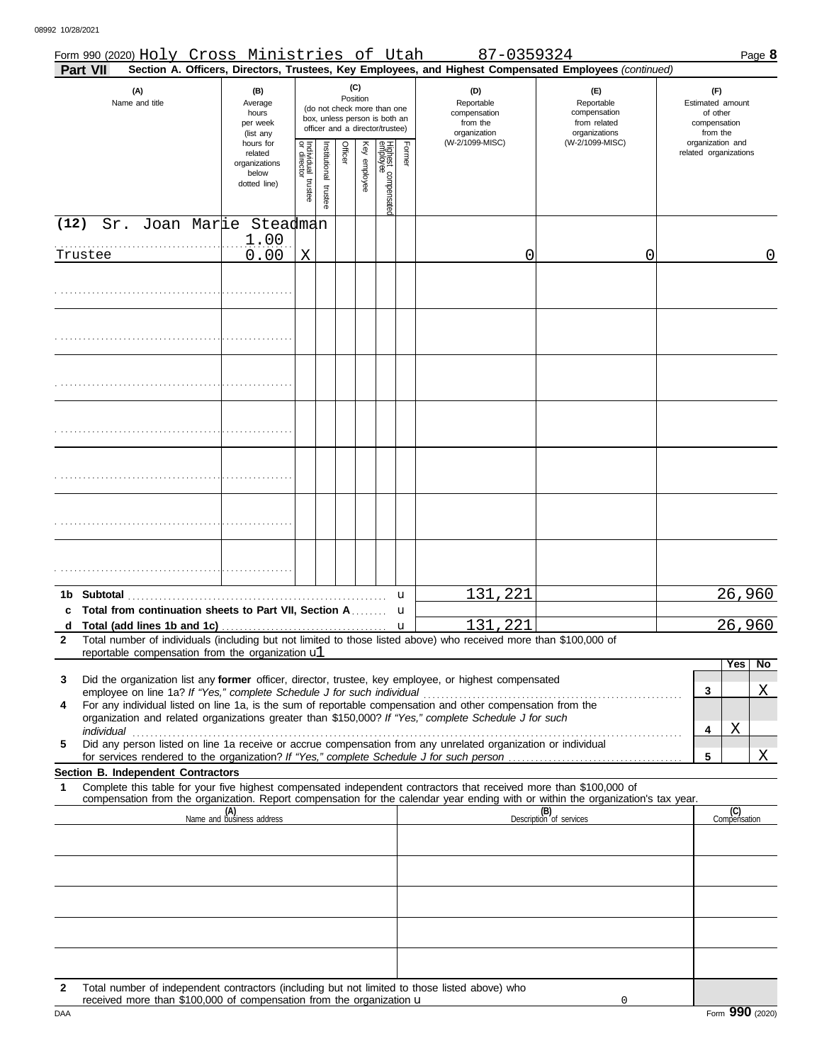|              | Form 990 (2020) Holy Cross Ministries of Utah                                                                                                                                                                                       |                                                               |                                   |                         |         |                 |                                                                                                 |        | 87-0359324                                                                       |                                                                                                        |   |                                                                                     | Page 8 |
|--------------|-------------------------------------------------------------------------------------------------------------------------------------------------------------------------------------------------------------------------------------|---------------------------------------------------------------|-----------------------------------|-------------------------|---------|-----------------|-------------------------------------------------------------------------------------------------|--------|----------------------------------------------------------------------------------|--------------------------------------------------------------------------------------------------------|---|-------------------------------------------------------------------------------------|--------|
|              | Part VII                                                                                                                                                                                                                            |                                                               |                                   |                         |         |                 |                                                                                                 |        |                                                                                  | Section A. Officers, Directors, Trustees, Key Employees, and Highest Compensated Employees (continued) |   |                                                                                     |        |
|              | (A)<br>Name and title                                                                                                                                                                                                               | (B)<br>Average<br>hours<br>per week<br>(list any<br>hours for |                                   |                         |         | (C)<br>Position | (do not check more than one<br>box, unless person is both an<br>officer and a director/trustee) |        | (D)<br>Reportable<br>compensation<br>from the<br>organization<br>(W-2/1099-MISC) | (E)<br>Reportable<br>compensation<br>from related<br>organizations<br>(W-2/1099-MISC)                  |   | (F)<br>Estimated amount<br>of other<br>compensation<br>from the<br>organization and |        |
|              |                                                                                                                                                                                                                                     | related<br>organizations<br>below<br>dotted line)             | Individual trustee<br>or director | nstitutional<br>trustee | Officer | Key employee    | Highest compensatec<br>employee                                                                 | Former |                                                                                  |                                                                                                        |   | related organizations                                                               |        |
| (12)         | Joan Marie Steadman<br>Sr.                                                                                                                                                                                                          |                                                               |                                   |                         |         |                 |                                                                                                 |        |                                                                                  |                                                                                                        |   |                                                                                     |        |
|              |                                                                                                                                                                                                                                     | 1.00                                                          |                                   |                         |         |                 |                                                                                                 |        |                                                                                  |                                                                                                        |   |                                                                                     |        |
|              | Trustee                                                                                                                                                                                                                             | 0.00                                                          | X                                 |                         |         |                 |                                                                                                 |        | 0                                                                                | 0                                                                                                      |   |                                                                                     | 0      |
|              |                                                                                                                                                                                                                                     |                                                               |                                   |                         |         |                 |                                                                                                 |        |                                                                                  |                                                                                                        |   |                                                                                     |        |
|              |                                                                                                                                                                                                                                     |                                                               |                                   |                         |         |                 |                                                                                                 |        |                                                                                  |                                                                                                        |   |                                                                                     |        |
|              |                                                                                                                                                                                                                                     |                                                               |                                   |                         |         |                 |                                                                                                 |        |                                                                                  |                                                                                                        |   |                                                                                     |        |
|              |                                                                                                                                                                                                                                     |                                                               |                                   |                         |         |                 |                                                                                                 |        |                                                                                  |                                                                                                        |   |                                                                                     |        |
|              |                                                                                                                                                                                                                                     |                                                               |                                   |                         |         |                 |                                                                                                 |        |                                                                                  |                                                                                                        |   |                                                                                     |        |
|              |                                                                                                                                                                                                                                     |                                                               |                                   |                         |         |                 |                                                                                                 |        |                                                                                  |                                                                                                        |   |                                                                                     |        |
|              |                                                                                                                                                                                                                                     |                                                               |                                   |                         |         |                 |                                                                                                 |        |                                                                                  |                                                                                                        |   |                                                                                     |        |
|              |                                                                                                                                                                                                                                     |                                                               |                                   |                         |         |                 |                                                                                                 |        |                                                                                  |                                                                                                        |   |                                                                                     |        |
|              |                                                                                                                                                                                                                                     |                                                               |                                   |                         |         |                 |                                                                                                 |        |                                                                                  |                                                                                                        |   |                                                                                     |        |
|              |                                                                                                                                                                                                                                     |                                                               |                                   |                         |         |                 |                                                                                                 |        |                                                                                  |                                                                                                        |   |                                                                                     |        |
|              |                                                                                                                                                                                                                                     |                                                               |                                   |                         |         |                 |                                                                                                 |        |                                                                                  |                                                                                                        |   |                                                                                     |        |
|              |                                                                                                                                                                                                                                     |                                                               |                                   |                         |         |                 |                                                                                                 |        |                                                                                  |                                                                                                        |   |                                                                                     |        |
|              |                                                                                                                                                                                                                                     |                                                               |                                   |                         |         |                 |                                                                                                 |        |                                                                                  |                                                                                                        |   |                                                                                     |        |
|              |                                                                                                                                                                                                                                     |                                                               |                                   |                         |         |                 |                                                                                                 |        |                                                                                  |                                                                                                        |   |                                                                                     |        |
|              |                                                                                                                                                                                                                                     |                                                               |                                   |                         |         |                 |                                                                                                 |        |                                                                                  |                                                                                                        |   |                                                                                     |        |
|              |                                                                                                                                                                                                                                     |                                                               |                                   |                         |         |                 |                                                                                                 | u      | 221<br>131                                                                       |                                                                                                        |   | 26,960                                                                              |        |
|              | c Total from continuation sheets to Part VII, Section A                                                                                                                                                                             |                                                               |                                   |                         |         |                 |                                                                                                 | u      |                                                                                  |                                                                                                        |   |                                                                                     |        |
| $\mathbf{2}$ | d Total (add lines 1b and 1c) $\ldots$ $\ldots$ $\ldots$ $\ldots$ $\ldots$ $\ldots$ $\ldots$ $\ldots$ $\ldots$<br>Total number of individuals (including but not limited to those listed above) who received more than \$100,000 of |                                                               |                                   |                         |         |                 |                                                                                                 |        | 131,221                                                                          |                                                                                                        |   | 26,960                                                                              |        |
|              | reportable compensation from the organization ul                                                                                                                                                                                    |                                                               |                                   |                         |         |                 |                                                                                                 |        |                                                                                  |                                                                                                        |   |                                                                                     |        |
|              |                                                                                                                                                                                                                                     |                                                               |                                   |                         |         |                 |                                                                                                 |        |                                                                                  |                                                                                                        |   | Yes                                                                                 | No     |
| 3            | Did the organization list any former officer, director, trustee, key employee, or highest compensated                                                                                                                               |                                                               |                                   |                         |         |                 |                                                                                                 |        |                                                                                  |                                                                                                        | 3 |                                                                                     | Χ      |
| 4            | For any individual listed on line 1a, is the sum of reportable compensation and other compensation from the                                                                                                                         |                                                               |                                   |                         |         |                 |                                                                                                 |        |                                                                                  |                                                                                                        |   |                                                                                     |        |
|              | organization and related organizations greater than \$150,000? If "Yes," complete Schedule J for such                                                                                                                               |                                                               |                                   |                         |         |                 |                                                                                                 |        |                                                                                  |                                                                                                        | 4 | Χ                                                                                   |        |
| 5            | Did any person listed on line 1a receive or accrue compensation from any unrelated organization or individual                                                                                                                       |                                                               |                                   |                         |         |                 |                                                                                                 |        |                                                                                  |                                                                                                        |   |                                                                                     |        |
|              | Section B. Independent Contractors                                                                                                                                                                                                  |                                                               |                                   |                         |         |                 |                                                                                                 |        |                                                                                  |                                                                                                        | 5 |                                                                                     | Χ      |
| 1            | Complete this table for your five highest compensated independent contractors that received more than \$100,000 of                                                                                                                  |                                                               |                                   |                         |         |                 |                                                                                                 |        |                                                                                  |                                                                                                        |   |                                                                                     |        |
|              | compensation from the organization. Report compensation for the calendar year ending with or within the organization's tax year.                                                                                                    |                                                               |                                   |                         |         |                 |                                                                                                 |        |                                                                                  |                                                                                                        |   |                                                                                     |        |
|              |                                                                                                                                                                                                                                     | (A)<br>Name and business address                              |                                   |                         |         |                 |                                                                                                 |        |                                                                                  | (B)<br>Description of services                                                                         |   | (C)<br>Compensation                                                                 |        |
|              |                                                                                                                                                                                                                                     |                                                               |                                   |                         |         |                 |                                                                                                 |        |                                                                                  |                                                                                                        |   |                                                                                     |        |
|              |                                                                                                                                                                                                                                     |                                                               |                                   |                         |         |                 |                                                                                                 |        |                                                                                  |                                                                                                        |   |                                                                                     |        |
|              |                                                                                                                                                                                                                                     |                                                               |                                   |                         |         |                 |                                                                                                 |        |                                                                                  |                                                                                                        |   |                                                                                     |        |
|              |                                                                                                                                                                                                                                     |                                                               |                                   |                         |         |                 |                                                                                                 |        |                                                                                  |                                                                                                        |   |                                                                                     |        |
|              |                                                                                                                                                                                                                                     |                                                               |                                   |                         |         |                 |                                                                                                 |        |                                                                                  |                                                                                                        |   |                                                                                     |        |
|              |                                                                                                                                                                                                                                     |                                                               |                                   |                         |         |                 |                                                                                                 |        |                                                                                  |                                                                                                        |   |                                                                                     |        |
|              |                                                                                                                                                                                                                                     |                                                               |                                   |                         |         |                 |                                                                                                 |        |                                                                                  |                                                                                                        |   |                                                                                     |        |
| $\mathbf{2}$ | Total number of independent contractors (including but not limited to those listed above) who                                                                                                                                       |                                                               |                                   |                         |         |                 |                                                                                                 |        |                                                                                  |                                                                                                        |   |                                                                                     |        |
|              |                                                                                                                                                                                                                                     |                                                               |                                   |                         |         |                 |                                                                                                 |        |                                                                                  |                                                                                                        |   |                                                                                     |        |

| DAA<br>Form | nnn.<br>.<br>.JJU |  |  | 2020) |  |
|-------------|-------------------|--|--|-------|--|
|-------------|-------------------|--|--|-------|--|

received more than \$100,000 of compensation from the organization  $\bf u$ 

0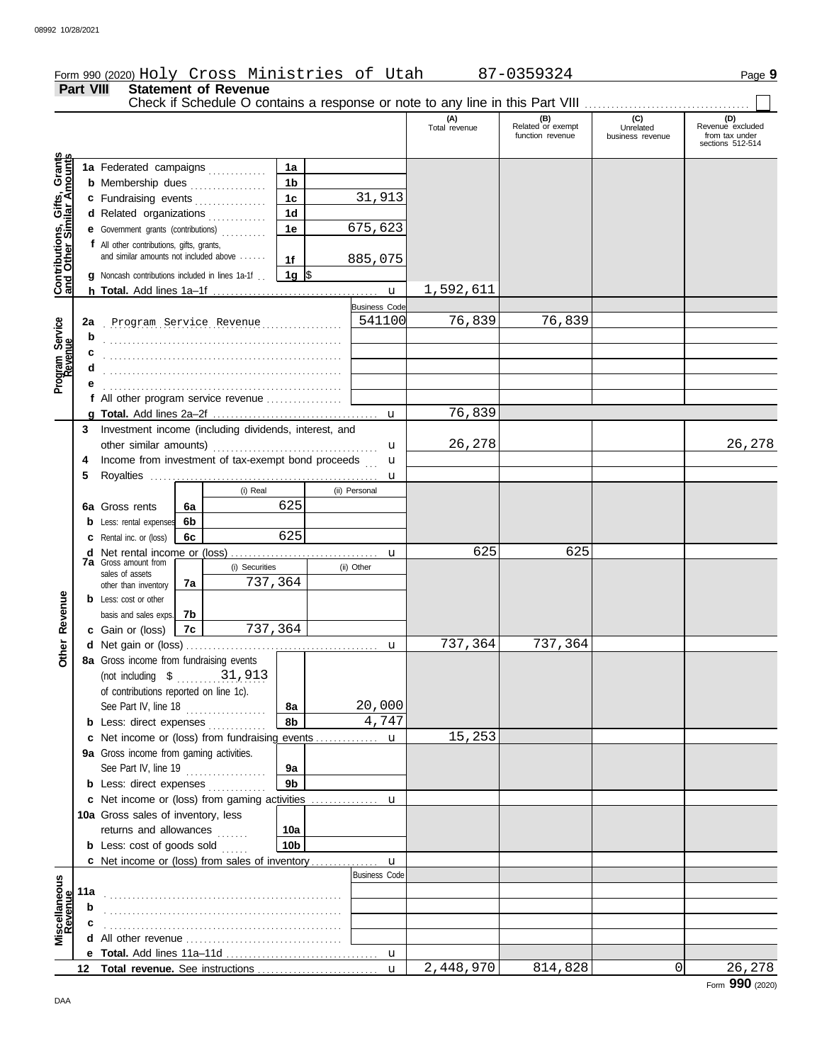### Form 990 (2020) Page **9** Holy Cross Ministries of Utah 87-0359324

**Part VIII Statement of Revenue**

|                                                                  |     |                                                       |    |                                |                  |  |                      | Check if Schedule O contains a response or note to any line in this Part VIII |                                              |                                      |                                                               |
|------------------------------------------------------------------|-----|-------------------------------------------------------|----|--------------------------------|------------------|--|----------------------|-------------------------------------------------------------------------------|----------------------------------------------|--------------------------------------|---------------------------------------------------------------|
|                                                                  |     |                                                       |    |                                |                  |  |                      | (A)<br>Total revenue                                                          | (B)<br>Related or exempt<br>function revenue | (C)<br>Unrelated<br>business revenue | (D)<br>Revenue excluded<br>from tax under<br>sections 512-514 |
|                                                                  |     |                                                       |    |                                |                  |  |                      |                                                                               |                                              |                                      |                                                               |
| <b>Contributions, Gifts, Grants</b><br>and Other Similar Amounts |     | 1a Federated campaigns                                |    |                                | 1a               |  |                      |                                                                               |                                              |                                      |                                                               |
|                                                                  |     | <b>b</b> Membership dues                              |    |                                | 1b               |  |                      |                                                                               |                                              |                                      |                                                               |
|                                                                  |     | c Fundraising events                                  |    |                                | 1c               |  | 31,913               |                                                                               |                                              |                                      |                                                               |
|                                                                  |     | d Related organizations                               |    |                                | 1d               |  |                      |                                                                               |                                              |                                      |                                                               |
|                                                                  |     | e Government grants (contributions)                   |    |                                | 1е               |  | 675,623              |                                                                               |                                              |                                      |                                                               |
|                                                                  |     | f All other contributions, gifts, grants,             |    |                                |                  |  |                      |                                                                               |                                              |                                      |                                                               |
|                                                                  |     | and similar amounts not included above                |    |                                | 1f               |  | 885,075              |                                                                               |                                              |                                      |                                                               |
|                                                                  |     | g Noncash contributions included in lines 1a-1f.      |    |                                | 1g $\frac{1}{3}$ |  |                      |                                                                               |                                              |                                      |                                                               |
|                                                                  |     |                                                       |    |                                |                  |  | $\mathbf{u}$         | 1,592,611                                                                     |                                              |                                      |                                                               |
|                                                                  |     |                                                       |    |                                |                  |  | <b>Business Code</b> |                                                                               |                                              |                                      |                                                               |
|                                                                  |     | 2a Program Service Revenue                            |    |                                |                  |  | 541100               | 76,839                                                                        | 76,839                                       |                                      |                                                               |
|                                                                  | b   |                                                       |    |                                |                  |  |                      |                                                                               |                                              |                                      |                                                               |
| Program Service<br>Revenue                                       |     |                                                       |    |                                |                  |  |                      |                                                                               |                                              |                                      |                                                               |
|                                                                  |     |                                                       |    |                                |                  |  |                      |                                                                               |                                              |                                      |                                                               |
|                                                                  |     |                                                       |    |                                |                  |  |                      |                                                                               |                                              |                                      |                                                               |
|                                                                  |     |                                                       |    |                                |                  |  |                      |                                                                               |                                              |                                      |                                                               |
|                                                                  |     | f All other program service revenue                   |    |                                |                  |  |                      |                                                                               |                                              |                                      |                                                               |
|                                                                  |     |                                                       |    |                                |                  |  | $\mathbf{u}$         | 76,839                                                                        |                                              |                                      |                                                               |
|                                                                  | 3   | Investment income (including dividends, interest, and |    |                                |                  |  |                      |                                                                               |                                              |                                      |                                                               |
|                                                                  |     | other similar amounts)                                |    |                                |                  |  |                      | 26,278                                                                        |                                              |                                      | 26,278                                                        |
|                                                                  | 4   | Income from investment of tax-exempt bond proceeds    |    |                                |                  |  | u                    |                                                                               |                                              |                                      |                                                               |
|                                                                  | 5   |                                                       |    |                                |                  |  | u                    |                                                                               |                                              |                                      |                                                               |
|                                                                  |     |                                                       |    | (i) Real                       |                  |  | (ii) Personal        |                                                                               |                                              |                                      |                                                               |
|                                                                  |     | 6a Gross rents                                        | 6a |                                | 625              |  |                      |                                                                               |                                              |                                      |                                                               |
|                                                                  |     | <b>b</b> Less: rental expenses                        | 6b |                                |                  |  |                      |                                                                               |                                              |                                      |                                                               |
|                                                                  |     | <b>c</b> Rental inc. or (loss)                        | 6с |                                | 625              |  |                      |                                                                               |                                              |                                      |                                                               |
|                                                                  |     | <b>d</b> Net rental income or (loss)                  |    |                                |                  |  | u                    | 625                                                                           | 625                                          |                                      |                                                               |
|                                                                  |     | <b>7a</b> Gross amount from                           |    | . <u>.</u> .<br>(i) Securities |                  |  | (ii) Other           |                                                                               |                                              |                                      |                                                               |
|                                                                  |     | sales of assets                                       |    |                                |                  |  |                      |                                                                               |                                              |                                      |                                                               |
|                                                                  |     | other than inventory                                  | 7a | 737,364                        |                  |  |                      |                                                                               |                                              |                                      |                                                               |
|                                                                  |     | <b>b</b> Less: cost or other                          |    |                                |                  |  |                      |                                                                               |                                              |                                      |                                                               |
| Revenue                                                          |     | basis and sales exps.                                 | 7b |                                |                  |  |                      |                                                                               |                                              |                                      |                                                               |
|                                                                  |     | c Gain or (loss)                                      | 7c | 737,364                        |                  |  |                      |                                                                               |                                              |                                      |                                                               |
| Other                                                            |     |                                                       |    |                                |                  |  | u                    | 737,364                                                                       | 737,364                                      |                                      |                                                               |
|                                                                  |     | 8a Gross income from fundraising events               |    |                                |                  |  |                      |                                                                               |                                              |                                      |                                                               |
|                                                                  |     | (not including $$31,913$                              |    |                                |                  |  |                      |                                                                               |                                              |                                      |                                                               |
|                                                                  |     | of contributions reported on line 1c).                |    |                                |                  |  |                      |                                                                               |                                              |                                      |                                                               |
|                                                                  |     | See Part IV, line 18                                  |    |                                | 8a               |  | 20,000               |                                                                               |                                              |                                      |                                                               |
|                                                                  |     | <b>b</b> Less: direct expenses                        |    |                                | 8b               |  | 4,747                |                                                                               |                                              |                                      |                                                               |
|                                                                  |     | c Net income or (loss) from fundraising events        |    |                                |                  |  | u                    | 15,253                                                                        |                                              |                                      |                                                               |
|                                                                  |     | 9a Gross income from gaming activities.               |    |                                |                  |  |                      |                                                                               |                                              |                                      |                                                               |
|                                                                  |     | See Part IV, line 19                                  |    |                                | 9a               |  |                      |                                                                               |                                              |                                      |                                                               |
|                                                                  |     |                                                       |    |                                | 9 <sub>b</sub>   |  |                      |                                                                               |                                              |                                      |                                                               |
|                                                                  |     | <b>b</b> Less: direct expenses                        |    |                                |                  |  |                      |                                                                               |                                              |                                      |                                                               |
|                                                                  |     |                                                       |    |                                |                  |  |                      |                                                                               |                                              |                                      |                                                               |
|                                                                  |     | 10a Gross sales of inventory, less                    |    |                                |                  |  |                      |                                                                               |                                              |                                      |                                                               |
|                                                                  |     | returns and allowances                                |    |                                | 10a              |  |                      |                                                                               |                                              |                                      |                                                               |
|                                                                  |     | <b>b</b> Less: cost of goods sold $\ldots$            |    |                                | 10b              |  |                      |                                                                               |                                              |                                      |                                                               |
|                                                                  |     | c Net income or (loss) from sales of inventory        |    |                                |                  |  | u                    |                                                                               |                                              |                                      |                                                               |
|                                                                  |     |                                                       |    |                                |                  |  | <b>Business Code</b> |                                                                               |                                              |                                      |                                                               |
|                                                                  | 11a |                                                       |    |                                |                  |  |                      |                                                                               |                                              |                                      |                                                               |
|                                                                  | b   |                                                       |    |                                |                  |  |                      |                                                                               |                                              |                                      |                                                               |
| Miscellaneous<br>Revenue                                         | c   |                                                       |    |                                |                  |  |                      |                                                                               |                                              |                                      |                                                               |
|                                                                  |     |                                                       |    |                                |                  |  |                      |                                                                               |                                              |                                      |                                                               |
|                                                                  |     |                                                       |    |                                |                  |  | $\mathbf u$          |                                                                               |                                              |                                      |                                                               |
|                                                                  |     |                                                       |    |                                |                  |  | $\mathbf{u}$         | 2,448,970                                                                     | 814,828                                      | 0                                    | 26,278                                                        |
|                                                                  |     |                                                       |    |                                |                  |  |                      |                                                                               |                                              |                                      |                                                               |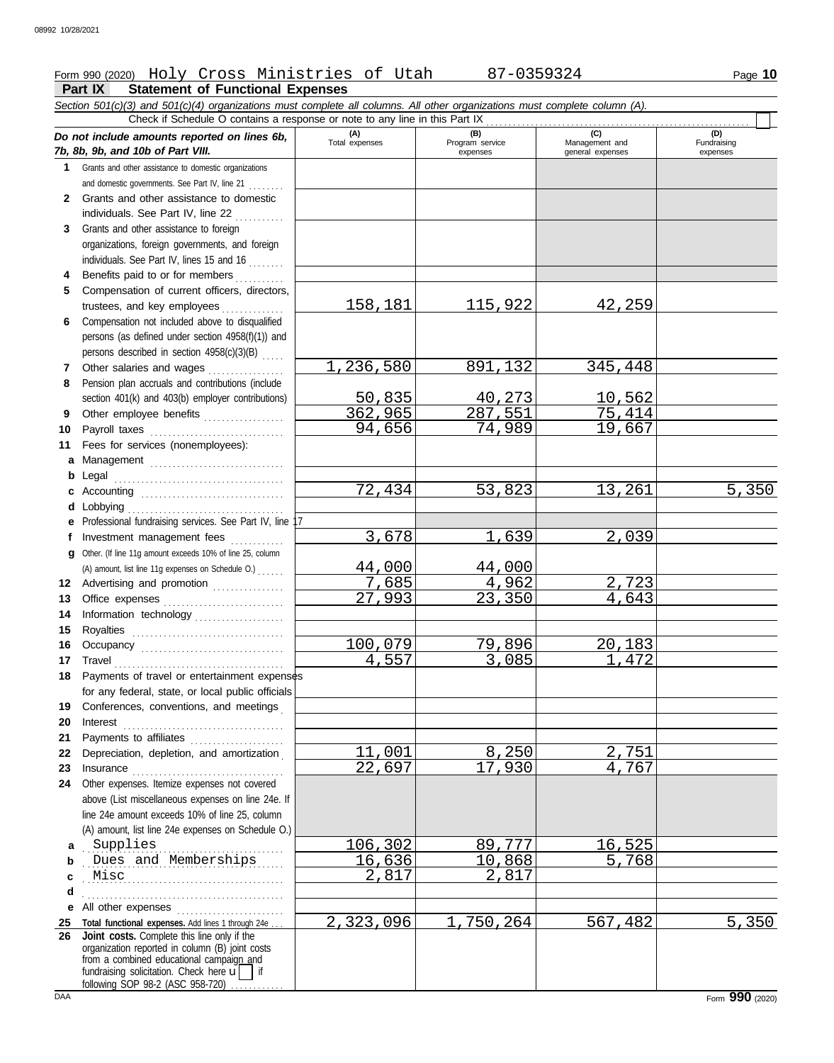## Form 990 (2020) Page **10** Holy Cross Ministries of Utah 87-0359324

|              | <b>Statement of Functional Expenses</b><br>Part IX                                                                                                                                                                            |                       |                                    |                                           |                                |
|--------------|-------------------------------------------------------------------------------------------------------------------------------------------------------------------------------------------------------------------------------|-----------------------|------------------------------------|-------------------------------------------|--------------------------------|
|              | Section 501(c)(3) and 501(c)(4) organizations must complete all columns. All other organizations must complete column (A).                                                                                                    |                       |                                    |                                           |                                |
|              | Check if Schedule O contains a response or note to any line in this Part IX                                                                                                                                                   |                       |                                    |                                           |                                |
|              | Do not include amounts reported on lines 6b,<br>7b, 8b, 9b, and 10b of Part VIII.                                                                                                                                             | (A)<br>Total expenses | (B)<br>Program service<br>expenses | (C)<br>Management and<br>general expenses | (D)<br>Fundraising<br>expenses |
| 1            | Grants and other assistance to domestic organizations                                                                                                                                                                         |                       |                                    |                                           |                                |
|              | and domestic governments. See Part IV, line 21                                                                                                                                                                                |                       |                                    |                                           |                                |
| $\mathbf{2}$ | Grants and other assistance to domestic                                                                                                                                                                                       |                       |                                    |                                           |                                |
|              | individuals. See Part IV, line 22                                                                                                                                                                                             |                       |                                    |                                           |                                |
| 3            | Grants and other assistance to foreign                                                                                                                                                                                        |                       |                                    |                                           |                                |
|              | organizations, foreign governments, and foreign                                                                                                                                                                               |                       |                                    |                                           |                                |
|              | individuals. See Part IV, lines 15 and 16                                                                                                                                                                                     |                       |                                    |                                           |                                |
| 4            | Benefits paid to or for members                                                                                                                                                                                               |                       |                                    |                                           |                                |
| 5            | Compensation of current officers, directors,                                                                                                                                                                                  |                       |                                    |                                           |                                |
|              | trustees, and key employees<br>Compensation not included above to disqualified                                                                                                                                                | <u>158,181</u>        | <u>115,922</u>                     | <u>42,259</u>                             |                                |
| 6            | persons (as defined under section 4958(f)(1)) and                                                                                                                                                                             |                       |                                    |                                           |                                |
|              | persons described in section 4958(c)(3)(B)                                                                                                                                                                                    |                       |                                    |                                           |                                |
| 7            | Other salaries and wages                                                                                                                                                                                                      | 1,236,580             | 891,132                            | 345,448                                   |                                |
| 8            | Pension plan accruals and contributions (include                                                                                                                                                                              |                       |                                    |                                           |                                |
|              | section 401(k) and 403(b) employer contributions)                                                                                                                                                                             | 50,835                | 40,273                             | <u> 10,562</u>                            |                                |
| 9            | Other employee benefits                                                                                                                                                                                                       | 362,965               | 287,551                            | 75,414                                    |                                |
| 10           |                                                                                                                                                                                                                               | 94,656                | 74,989                             | 19,667                                    |                                |
| 11           | Fees for services (nonemployees):                                                                                                                                                                                             |                       |                                    |                                           |                                |
| a            | Management                                                                                                                                                                                                                    |                       |                                    |                                           |                                |
| b            |                                                                                                                                                                                                                               |                       |                                    |                                           |                                |
| c            | Accounting                                                                                                                                                                                                                    | 72,434                | 53,823                             | 13,261                                    | 5,350                          |
| d            |                                                                                                                                                                                                                               |                       |                                    |                                           |                                |
| е            | Professional fundraising services. See Part IV, line                                                                                                                                                                          |                       |                                    |                                           |                                |
| Ť.           | Investment management fees                                                                                                                                                                                                    | 3,678                 | 1,639                              | 2,039                                     |                                |
| a            | Other. (If line 11g amount exceeds 10% of line 25, column                                                                                                                                                                     |                       |                                    |                                           |                                |
|              | (A) amount, list line 11g expenses on Schedule O.)                                                                                                                                                                            | 44,000                | 44,000                             |                                           |                                |
| 12           | Advertising and promotion [1] [1] [1] Advertising and promotion                                                                                                                                                               | 7,685                 | 4,962                              | 2,723                                     |                                |
| 13           |                                                                                                                                                                                                                               | 27,993                | 23,350                             | 4,643                                     |                                |
| 14           | Information technology                                                                                                                                                                                                        |                       |                                    |                                           |                                |
| 15           |                                                                                                                                                                                                                               |                       |                                    |                                           |                                |
| 16           |                                                                                                                                                                                                                               | 100,079               | 79,896                             | 20,183                                    |                                |
| 17           | Travel                                                                                                                                                                                                                        | <u>4,557</u>          | <u>3,085 </u>                      | 1,472                                     |                                |
| 18           | Payments of travel or entertainment expenses                                                                                                                                                                                  |                       |                                    |                                           |                                |
|              | for any federal, state, or local public officials<br>Conferences, conventions, and meetings                                                                                                                                   |                       |                                    |                                           |                                |
| 19<br>20     |                                                                                                                                                                                                                               |                       |                                    |                                           |                                |
| 21           | Payments to affiliates [11] contains a set of the set of the set of the set of the set of the set of the set of the set of the set of the set of the set of the set of the set of the set of the set of the set of the set of |                       |                                    |                                           |                                |
| 22           | Depreciation, depletion, and amortization                                                                                                                                                                                     | 11,001                | 8,250                              | 2,751                                     |                                |
| 23           |                                                                                                                                                                                                                               | 22,697                | 17,930                             | 4,767                                     |                                |
| 24           | Other expenses. Itemize expenses not covered                                                                                                                                                                                  |                       |                                    |                                           |                                |
|              | above (List miscellaneous expenses on line 24e. If                                                                                                                                                                            |                       |                                    |                                           |                                |
|              | line 24e amount exceeds 10% of line 25, column                                                                                                                                                                                |                       |                                    |                                           |                                |
|              | (A) amount, list line 24e expenses on Schedule O.)                                                                                                                                                                            |                       |                                    |                                           |                                |
| a            | Supplies                                                                                                                                                                                                                      | 106,302               | 89,777                             | 16,525                                    |                                |
| b            | Supplies<br>Dues and Memberships                                                                                                                                                                                              | 16,636                | 10,868                             | 5,768                                     |                                |
| c            | Misc                                                                                                                                                                                                                          | 2,817                 | 2,817                              |                                           |                                |
| d            |                                                                                                                                                                                                                               |                       |                                    |                                           |                                |
| е            | All other expenses                                                                                                                                                                                                            |                       |                                    |                                           |                                |
| 25           | Total functional expenses. Add lines 1 through 24e.                                                                                                                                                                           | 2,323,096             | 1,750,264                          | 567,482                                   | 5,350                          |
| 26           | Joint costs. Complete this line only if the<br>organization reported in column (B) joint costs                                                                                                                                |                       |                                    |                                           |                                |
|              | from a combined educational campaign and<br>fundraising solicitation. Check here $\vec{u}$   if                                                                                                                               |                       |                                    |                                           |                                |

following SOP 98-2 (ASC 958-720) .............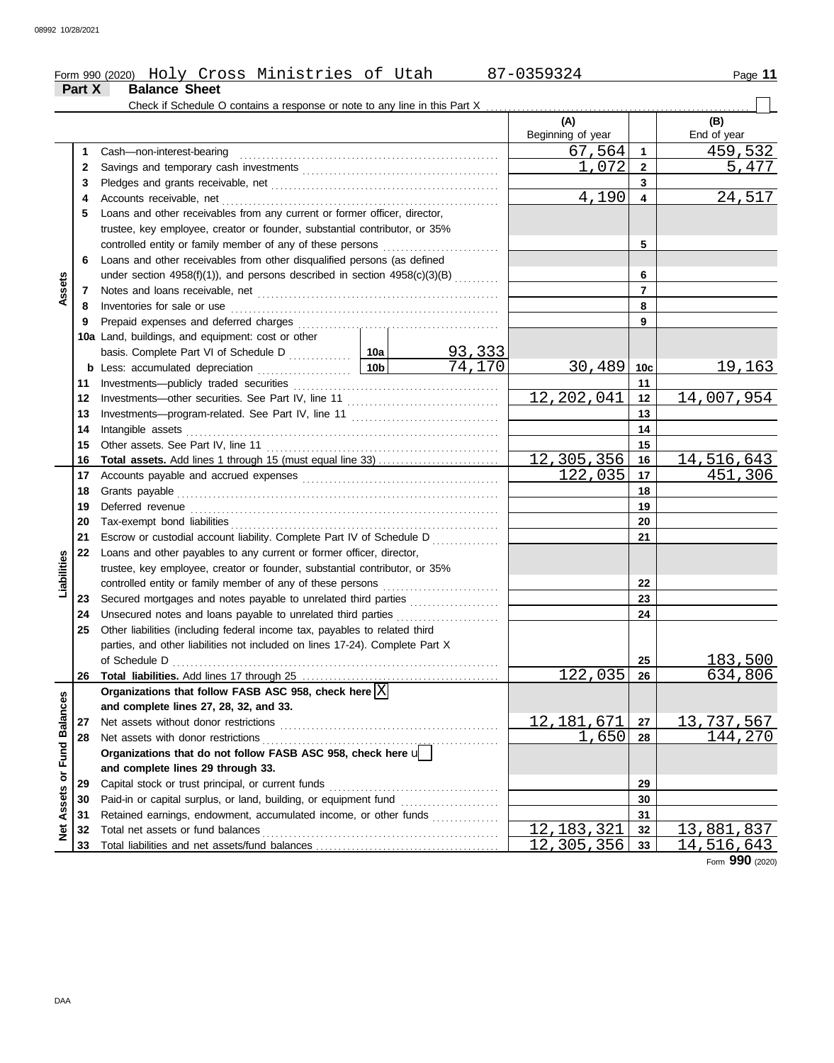|        | Form 990 (2020) Holy Cross Ministries of Utah                              | 87-0359324               |   | Page 11            |
|--------|----------------------------------------------------------------------------|--------------------------|---|--------------------|
| Part X | <b>Balance Sheet</b>                                                       |                          |   |                    |
|        | Check if Schedule O contains a response or note to any line in this Part X |                          |   |                    |
|        |                                                                            | (A)<br>Beginning of year |   | (B)<br>End of year |
|        | Cash-non-interest-bearing                                                  | 67,564                   |   | 459,532            |
|        |                                                                            | 1,072                    |   | 5,477              |
|        |                                                                            |                          |   |                    |
|        |                                                                            | 4,190                    |   | 24,517             |
| 5.     | Loans and other receivables from any current or former officer, director,  |                          |   |                    |
|        | trustee, key employee, creator or founder, substantial contributor, or 35% |                          |   |                    |
|        | controlled entity or family member of any of these persons                 |                          | 5 |                    |
| 6      | Loans and other receivables from other disqualified persons (as defined    |                          |   |                    |

|                 |    | controlled entity or family member of any of these persons                     |                         | 5              |                  |                 |                 |
|-----------------|----|--------------------------------------------------------------------------------|-------------------------|----------------|------------------|-----------------|-----------------|
|                 | 6  | Loans and other receivables from other disqualified persons (as defined        |                         |                |                  |                 |                 |
|                 |    | under section 4958(f)(1)), and persons described in section 4958(c)(3)(B)      |                         |                |                  | 6               |                 |
| Assets          | 7  |                                                                                |                         | $\overline{7}$ |                  |                 |                 |
|                 | 8  | Inventories for sale or use                                                    |                         |                |                  | 8               |                 |
|                 | 9  | Prepaid expenses and deferred charges                                          |                         |                |                  | 9               |                 |
|                 |    | 10a Land, buildings, and equipment: cost or other                              |                         |                |                  |                 |                 |
|                 |    |                                                                                |                         |                |                  |                 |                 |
|                 |    |                                                                                | $\frac{93,333}{74,170}$ |                | 30,489           | 10 <sub>c</sub> | <u>19,163</u>   |
|                 | 11 |                                                                                |                         |                |                  | 11              |                 |
|                 | 12 |                                                                                |                         |                | 12,202,041       | 12              | 14,007,954      |
|                 | 13 |                                                                                |                         |                |                  | 13              |                 |
|                 | 14 |                                                                                |                         |                |                  | 14              |                 |
|                 | 15 |                                                                                |                         |                |                  | 15              |                 |
|                 | 16 |                                                                                |                         |                | 12,305,356       | 16              | 14,516,643      |
|                 | 17 |                                                                                |                         |                | 122,035          | 17              | 451,306         |
|                 | 18 | Grants payable                                                                 |                         |                |                  | 18              |                 |
|                 | 19 |                                                                                |                         |                | 19               |                 |                 |
|                 | 20 |                                                                                |                         |                | 20               |                 |                 |
|                 | 21 | Escrow or custodial account liability. Complete Part IV of Schedule D          |                         |                | 21               |                 |                 |
|                 | 22 | Loans and other payables to any current or former officer, director,           |                         |                |                  |                 |                 |
| Liabilities     |    | trustee, key employee, creator or founder, substantial contributor, or 35%     |                         |                |                  |                 |                 |
|                 |    | controlled entity or family member of any of these persons                     |                         |                | 22               |                 |                 |
|                 | 23 | Secured mortgages and notes payable to unrelated third parties                 |                         |                |                  | 23              |                 |
|                 | 24 | Unsecured notes and loans payable to unrelated third parties                   |                         |                |                  | 24              |                 |
|                 | 25 | Other liabilities (including federal income tax, payables to related third     |                         |                |                  |                 |                 |
|                 |    | parties, and other liabilities not included on lines 17-24). Complete Part X   |                         |                |                  |                 |                 |
|                 |    |                                                                                |                         |                |                  | 25              | 183,500         |
|                 | 26 | Total liabilities. Add lines 17 through 25                                     |                         |                | 122,035          | 26              | 634,806         |
|                 |    | Organizations that follow FASB ASC 958, check here $ X $                       |                         |                |                  |                 |                 |
| <b>Balances</b> |    | and complete lines 27, 28, 32, and 33.                                         |                         |                |                  |                 |                 |
|                 | 27 |                                                                                |                         |                | 12, 181, 671     | 27              | 13,737,567      |
|                 | 28 |                                                                                | <u>.</u>                |                | 1,650            | 28              | 144,270         |
| <b>Fund</b>     |    | Organizations that do not follow FASB ASC 958, check here $\sqrt{\phantom{a}}$ |                         |                |                  |                 |                 |
| ŏ               |    | and complete lines 29 through 33.                                              |                         |                |                  |                 |                 |
|                 | 29 | Capital stock or trust principal, or current funds                             |                         |                |                  | 29              |                 |
| Assets          | 30 |                                                                                |                         | 30             |                  |                 |                 |
|                 | 31 | Retained earnings, endowment, accumulated income, or other funds               |                         |                |                  | 31              |                 |
| $\frac{1}{2}$   | 32 | Total net assets or fund balances                                              | 12, 183, 321            | 32             | 13,881,837       |                 |                 |
|                 | 33 |                                                                                |                         |                | 12<br>, 305, 356 | 33              | 14,516,643      |
|                 |    |                                                                                |                         |                |                  |                 | Form 990 (2020) |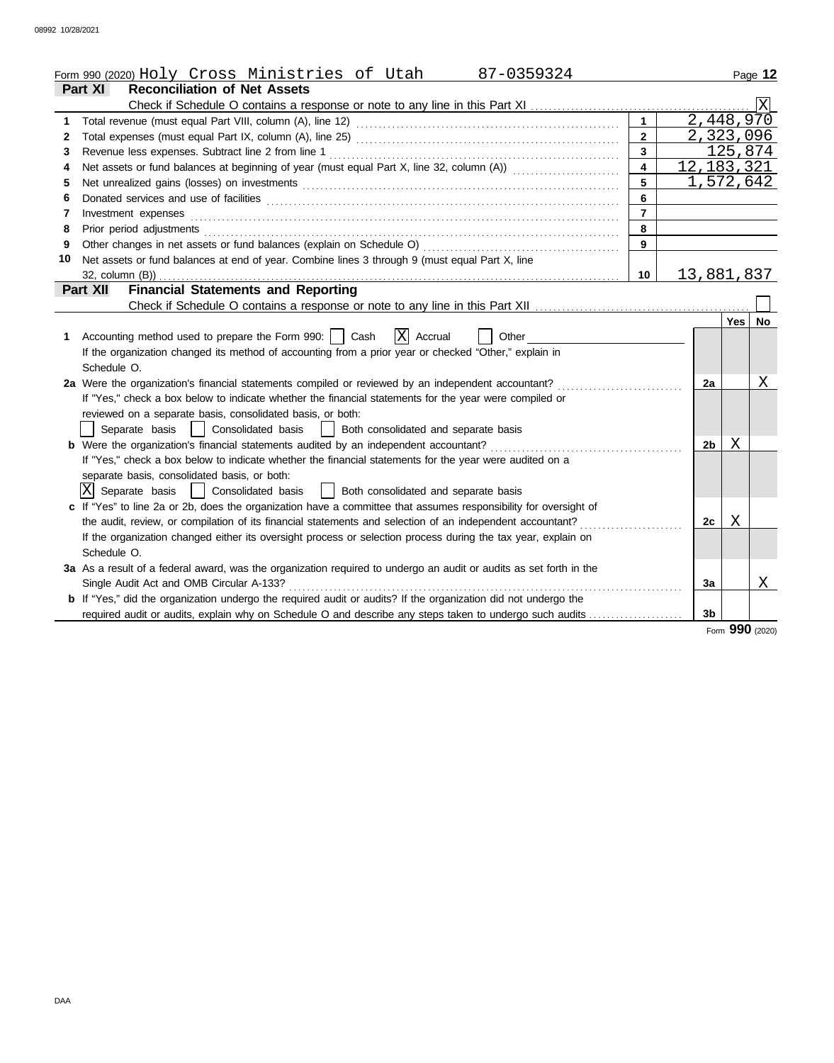|    | Form 990 (2020) Holy Cross Ministries of Utah<br>87-0359324                                                                                                                                                                    |                         |                |              | Page 12 |
|----|--------------------------------------------------------------------------------------------------------------------------------------------------------------------------------------------------------------------------------|-------------------------|----------------|--------------|---------|
|    | Part XI<br><b>Reconciliation of Net Assets</b>                                                                                                                                                                                 |                         |                |              |         |
|    |                                                                                                                                                                                                                                |                         |                |              |         |
| 1  |                                                                                                                                                                                                                                | $\mathbf{1}$            |                | 2,448,970    |         |
| 2  |                                                                                                                                                                                                                                | $\overline{2}$          |                | 2,323,096    |         |
| 3  | Revenue less expenses. Subtract line 2 from line 1                                                                                                                                                                             | $\mathbf{3}$            |                | 125,874      |         |
| 4  | Net assets or fund balances at beginning of year (must equal Part X, line 32, column (A))                                                                                                                                      | $\overline{\mathbf{4}}$ |                | 12, 183, 321 |         |
| 5  | Net unrealized gains (losses) on investments [11] matter contracts and the state of the state of the state of the state of the state of the state of the state of the state of the state of the state of the state of the stat | 5                       |                | 1,572,642    |         |
| 6  |                                                                                                                                                                                                                                | 6                       |                |              |         |
| 7  | Investment expenses                                                                                                                                                                                                            | $\overline{7}$          |                |              |         |
| 8  | Prior period adjustments [11, 12] and the contract of the contract of the contract of the contract of the contract of the contract of the contract of the contract of the contract of the contract of the contract of the cont | 8                       |                |              |         |
| 9  | Other changes in net assets or fund balances (explain on Schedule O)                                                                                                                                                           | $\overline{9}$          |                |              |         |
| 10 | Net assets or fund balances at end of year. Combine lines 3 through 9 (must equal Part X, line                                                                                                                                 |                         |                |              |         |
|    | 32, column (B))                                                                                                                                                                                                                | 10                      |                | 13,881,837   |         |
|    | <b>Financial Statements and Reporting</b><br>Part XII                                                                                                                                                                          |                         |                |              |         |
|    |                                                                                                                                                                                                                                |                         |                |              |         |
|    |                                                                                                                                                                                                                                |                         |                | Yes I        | No      |
| 1  | X Accrual<br>Accounting method used to prepare the Form 990:     Cash<br>Other                                                                                                                                                 |                         |                |              |         |
|    | If the organization changed its method of accounting from a prior year or checked "Other," explain in                                                                                                                          |                         |                |              |         |
|    | Schedule O.                                                                                                                                                                                                                    |                         |                |              |         |
|    | 2a Were the organization's financial statements compiled or reviewed by an independent accountant?                                                                                                                             |                         | 2a             |              | Χ       |
|    | If "Yes," check a box below to indicate whether the financial statements for the year were compiled or                                                                                                                         |                         |                |              |         |
|    | reviewed on a separate basis, consolidated basis, or both:                                                                                                                                                                     |                         |                |              |         |
|    | Separate basis     Consolidated basis<br>  Both consolidated and separate basis                                                                                                                                                |                         |                |              |         |
|    | <b>b</b> Were the organization's financial statements audited by an independent accountant?                                                                                                                                    |                         | 2b             | Χ            |         |
|    | If "Yes," check a box below to indicate whether the financial statements for the year were audited on a                                                                                                                        |                         |                |              |         |
|    | separate basis, consolidated basis, or both:                                                                                                                                                                                   |                         |                |              |         |
|    | $ X $ Separate basis $ $ Consolidated basis<br>  Both consolidated and separate basis                                                                                                                                          |                         |                |              |         |
|    | c If "Yes" to line 2a or 2b, does the organization have a committee that assumes responsibility for oversight of                                                                                                               |                         |                |              |         |
|    | the audit, review, or compilation of its financial statements and selection of an independent accountant?                                                                                                                      |                         | 2c             | Χ            |         |
|    | If the organization changed either its oversight process or selection process during the tax year, explain on                                                                                                                  |                         |                |              |         |
|    | Schedule O.                                                                                                                                                                                                                    |                         |                |              |         |
|    | 3a As a result of a federal award, was the organization required to undergo an audit or audits as set forth in the                                                                                                             |                         |                |              |         |
|    | Single Audit Act and OMB Circular A-133?                                                                                                                                                                                       |                         | 3a             |              | X       |
|    | b If "Yes," did the organization undergo the required audit or audits? If the organization did not undergo the                                                                                                                 |                         |                |              |         |
|    | required audit or audits, explain why on Schedule O and describe any steps taken to undergo such audits                                                                                                                        |                         | 3 <sub>b</sub> |              |         |

Form **990** (2020)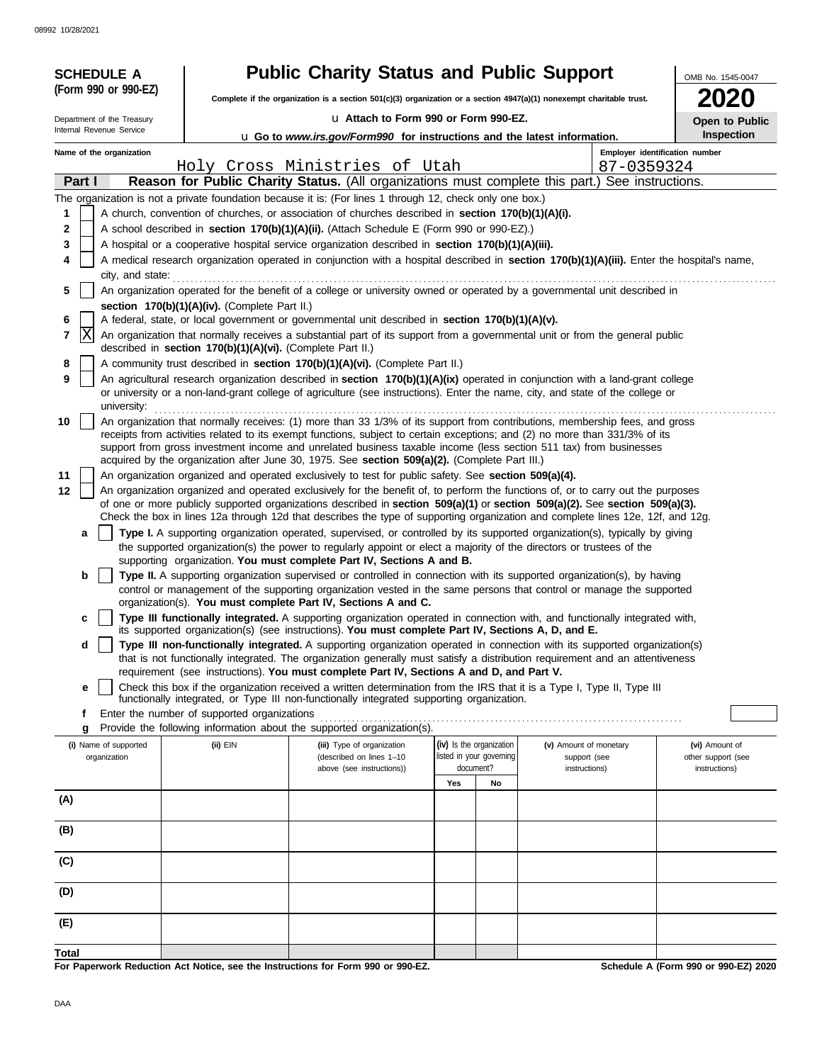08992 10/28/2021

| <b>SCHEDULE A</b>                     |                  | <b>Public Charity Status and Public Support</b>            | OMB No. 1545-0047                                                                                                                                                                                                                                               |     |                                                      |                                        |                                      |
|---------------------------------------|------------------|------------------------------------------------------------|-----------------------------------------------------------------------------------------------------------------------------------------------------------------------------------------------------------------------------------------------------------------|-----|------------------------------------------------------|----------------------------------------|--------------------------------------|
| (Form 990 or 990-EZ)                  |                  |                                                            | Complete if the organization is a section 501(c)(3) organization or a section $4947(a)(1)$ nonexempt charitable trust.                                                                                                                                          |     |                                                      |                                        |                                      |
| Department of the Treasury            |                  |                                                            | u Attach to Form 990 or Form 990-EZ.                                                                                                                                                                                                                            |     |                                                      |                                        |                                      |
| Internal Revenue Service              |                  |                                                            | <b>u</b> Go to <i>www.irs.gov/Form990</i> for instructions and the latest information.                                                                                                                                                                          |     |                                                      |                                        | Open to Public<br>Inspection         |
| Name of the organization              |                  |                                                            |                                                                                                                                                                                                                                                                 |     |                                                      |                                        | Employer identification number       |
|                                       |                  |                                                            | Holy Cross Ministries of Utah                                                                                                                                                                                                                                   |     |                                                      | 87-0359324                             |                                      |
| Part I                                |                  |                                                            | Reason for Public Charity Status. (All organizations must complete this part.) See instructions.                                                                                                                                                                |     |                                                      |                                        |                                      |
|                                       |                  |                                                            | The organization is not a private foundation because it is: (For lines 1 through 12, check only one box.)                                                                                                                                                       |     |                                                      |                                        |                                      |
| 1                                     |                  |                                                            | A church, convention of churches, or association of churches described in section 170(b)(1)(A)(i).                                                                                                                                                              |     |                                                      |                                        |                                      |
| 2                                     |                  |                                                            | A school described in section 170(b)(1)(A)(ii). (Attach Schedule E (Form 990 or 990-EZ).)                                                                                                                                                                       |     |                                                      |                                        |                                      |
| 3<br>4                                |                  |                                                            | A hospital or a cooperative hospital service organization described in section 170(b)(1)(A)(iii).<br>A medical research organization operated in conjunction with a hospital described in section 170(b)(1)(A)(iii). Enter the hospital's name,                 |     |                                                      |                                        |                                      |
|                                       | city, and state: |                                                            |                                                                                                                                                                                                                                                                 |     |                                                      |                                        |                                      |
| 5                                     |                  |                                                            | An organization operated for the benefit of a college or university owned or operated by a governmental unit described in                                                                                                                                       |     |                                                      |                                        |                                      |
|                                       |                  | section 170(b)(1)(A)(iv). (Complete Part II.)              |                                                                                                                                                                                                                                                                 |     |                                                      |                                        |                                      |
| 6                                     |                  |                                                            | A federal, state, or local government or governmental unit described in section 170(b)(1)(A)(v).                                                                                                                                                                |     |                                                      |                                        |                                      |
| X<br>7                                |                  | described in section 170(b)(1)(A)(vi). (Complete Part II.) | An organization that normally receives a substantial part of its support from a governmental unit or from the general public                                                                                                                                    |     |                                                      |                                        |                                      |
| 8                                     |                  |                                                            | A community trust described in section 170(b)(1)(A)(vi). (Complete Part II.)                                                                                                                                                                                    |     |                                                      |                                        |                                      |
| 9                                     |                  |                                                            | An agricultural research organization described in section 170(b)(1)(A)(ix) operated in conjunction with a land-grant college                                                                                                                                   |     |                                                      |                                        |                                      |
|                                       |                  |                                                            | or university or a non-land-grant college of agriculture (see instructions). Enter the name, city, and state of the college or                                                                                                                                  |     |                                                      |                                        |                                      |
| university:                           |                  |                                                            |                                                                                                                                                                                                                                                                 |     |                                                      |                                        |                                      |
| 10                                    |                  |                                                            | An organization that normally receives: (1) more than 33 1/3% of its support from contributions, membership fees, and gross<br>receipts from activities related to its exempt functions, subject to certain exceptions; and (2) no more than 331/3% of its      |     |                                                      |                                        |                                      |
|                                       |                  |                                                            | support from gross investment income and unrelated business taxable income (less section 511 tax) from businesses                                                                                                                                               |     |                                                      |                                        |                                      |
|                                       |                  |                                                            | acquired by the organization after June 30, 1975. See section 509(a)(2). (Complete Part III.)                                                                                                                                                                   |     |                                                      |                                        |                                      |
| 11<br>12                              |                  |                                                            | An organization organized and operated exclusively to test for public safety. See section 509(a)(4).                                                                                                                                                            |     |                                                      |                                        |                                      |
|                                       |                  |                                                            | An organization organized and operated exclusively for the benefit of, to perform the functions of, or to carry out the purposes<br>of one or more publicly supported organizations described in section 509(a)(1) or section 509(a)(2). See section 509(a)(3). |     |                                                      |                                        |                                      |
|                                       |                  |                                                            | Check the box in lines 12a through 12d that describes the type of supporting organization and complete lines 12e, 12f, and 12g.                                                                                                                                 |     |                                                      |                                        |                                      |
| a                                     |                  |                                                            | Type I. A supporting organization operated, supervised, or controlled by its supported organization(s), typically by giving                                                                                                                                     |     |                                                      |                                        |                                      |
|                                       |                  |                                                            | the supported organization(s) the power to regularly appoint or elect a majority of the directors or trustees of the<br>supporting organization. You must complete Part IV, Sections A and B.                                                                   |     |                                                      |                                        |                                      |
| b                                     |                  |                                                            | Type II. A supporting organization supervised or controlled in connection with its supported organization(s), by having                                                                                                                                         |     |                                                      |                                        |                                      |
|                                       |                  |                                                            | control or management of the supporting organization vested in the same persons that control or manage the supported                                                                                                                                            |     |                                                      |                                        |                                      |
|                                       |                  |                                                            | organization(s). You must complete Part IV, Sections A and C.                                                                                                                                                                                                   |     |                                                      |                                        |                                      |
| c                                     |                  |                                                            | Type III functionally integrated. A supporting organization operated in connection with, and functionally integrated with,<br>its supported organization(s) (see instructions). You must complete Part IV, Sections A, D, and E.                                |     |                                                      |                                        |                                      |
| d                                     |                  |                                                            | Type III non-functionally integrated. A supporting organization operated in connection with its supported organization(s)                                                                                                                                       |     |                                                      |                                        |                                      |
|                                       |                  |                                                            | that is not functionally integrated. The organization generally must satisfy a distribution requirement and an attentiveness                                                                                                                                    |     |                                                      |                                        |                                      |
|                                       |                  |                                                            | requirement (see instructions). You must complete Part IV, Sections A and D, and Part V.                                                                                                                                                                        |     |                                                      |                                        |                                      |
| e                                     |                  |                                                            | Check this box if the organization received a written determination from the IRS that it is a Type I, Type II, Type III<br>functionally integrated, or Type III non-functionally integrated supporting organization.                                            |     |                                                      |                                        |                                      |
| f                                     |                  | Enter the number of supported organizations                |                                                                                                                                                                                                                                                                 |     |                                                      |                                        |                                      |
| g                                     |                  |                                                            | Provide the following information about the supported organization(s).                                                                                                                                                                                          |     |                                                      |                                        |                                      |
| (i) Name of supported<br>organization |                  | (ii) EIN                                                   | (iii) Type of organization<br>(described on lines 1-10                                                                                                                                                                                                          |     | (iv) Is the organization<br>listed in your governing | (v) Amount of monetary<br>support (see | (vi) Amount of<br>other support (see |
|                                       |                  |                                                            | above (see instructions))                                                                                                                                                                                                                                       |     | document?                                            | instructions)                          | instructions)                        |
|                                       |                  |                                                            |                                                                                                                                                                                                                                                                 | Yes | No                                                   |                                        |                                      |
| (A)                                   |                  |                                                            |                                                                                                                                                                                                                                                                 |     |                                                      |                                        |                                      |
|                                       |                  |                                                            |                                                                                                                                                                                                                                                                 |     |                                                      |                                        |                                      |
| (B)                                   |                  |                                                            |                                                                                                                                                                                                                                                                 |     |                                                      |                                        |                                      |
| (C)                                   |                  |                                                            |                                                                                                                                                                                                                                                                 |     |                                                      |                                        |                                      |
|                                       |                  |                                                            |                                                                                                                                                                                                                                                                 |     |                                                      |                                        |                                      |
| (D)                                   |                  |                                                            |                                                                                                                                                                                                                                                                 |     |                                                      |                                        |                                      |
|                                       |                  |                                                            |                                                                                                                                                                                                                                                                 |     |                                                      |                                        |                                      |
| (E)                                   |                  |                                                            |                                                                                                                                                                                                                                                                 |     |                                                      |                                        |                                      |
| Total                                 |                  |                                                            |                                                                                                                                                                                                                                                                 |     |                                                      |                                        |                                      |
|                                       |                  |                                                            |                                                                                                                                                                                                                                                                 |     |                                                      |                                        |                                      |

**For Paperwork Reduction Act Notice, see the Instructions for Form 990 or 990-EZ.**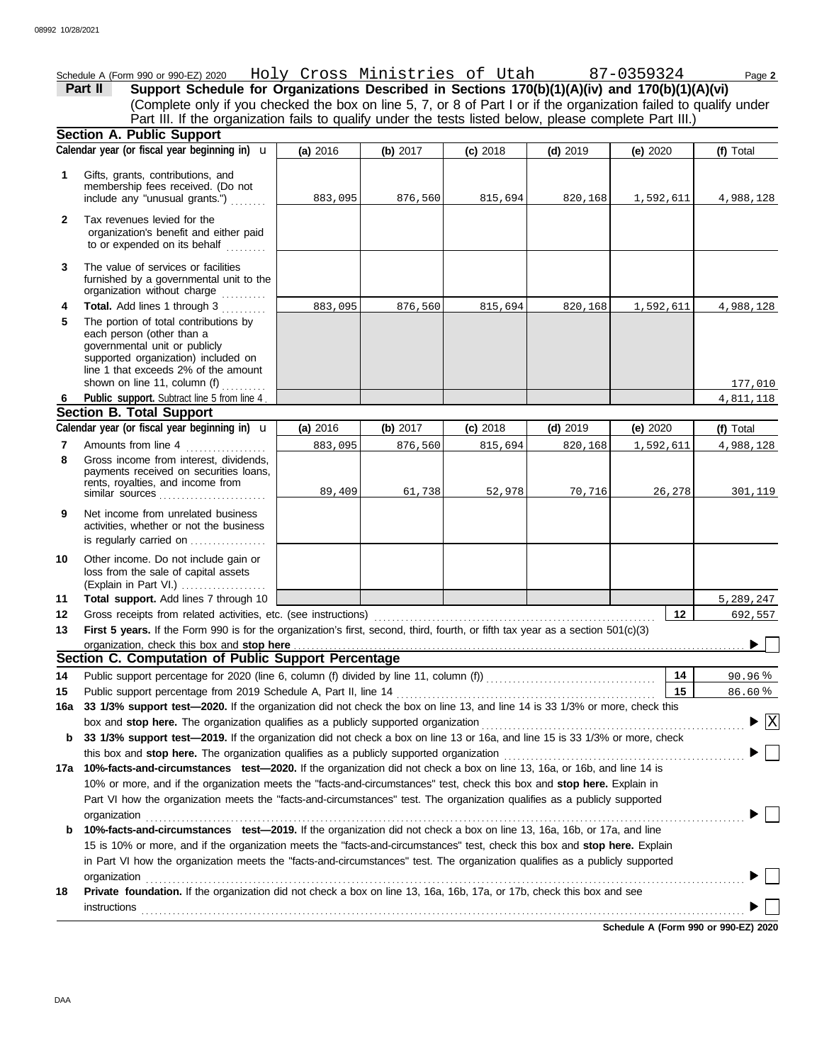Schedule A (Form 990 or 990-EZ) 2020 Holy Cross Ministries of Utah 87-0359324 Page **2 Part II** Support Schedule for Organizations Described in Sections 170(b)(1)(A)(iv) and 170(b)(1)(A)(vi) (Complete only if you checked the box on line 5, 7, or 8 of Part I or if the organization failed to qualify under Part III. If the organization fails to qualify under the tests listed below, please complete Part III.) **Section A. Public Support (a)** 2016 **(b)** 2017 **(c)** 2018 **(d)** 2019 **(e)** 2020 Calendar year (or fiscal year beginning in) **\u | (a)** 2016 **| (b)** 2017 **| (c)** 2018 **| (d)** 2019 **| (e)** 2020 **| (f)** Total Gifts, grants, contributions, and **1** membership fees received. (Do not include any "unusual grants.") . . . . . . . . 883,095 876,560 815,694 820,168 1,592,611 4,988,128 **2** Tax revenues levied for the organization's benefit and either paid to or expended on its behalf ......... **3** The value of services or facilities furnished by a governmental unit to the organization without charge **Total.** Add lines 1 through 3 .......... **4** 883,095 876,560 815,694 820,168 1,592,611 4,988,128 **5** The portion of total contributions by each person (other than a governmental unit or publicly supported organization) included on line 1 that exceeds 2% of the amount shown on line 11, column (f)  $\ldots$ 177,010 **Public support.** Subtract line 5 from line 4 . 4,811,118 **6 Section B. Total Support** Calendar year (or fiscal year beginning in)  $\bf{u}$  (a) 2016 (b) 2017 (c) 2018 (d) 2019 (e) 2020 (f) Total **(a)** 2016 u **(b)** 2017 **(c)** 2018 **(d)** 2019 **(e)** 2020 Amounts from line 4 . . . . . . . . . . . . . . . . . . 883,095 876,560 815,694 820,168 1,592,611 4,988,128 **7 8** Gross income from interest, dividends, payments received on securities loans, rents, royalties, and income from similar sources 89,409 61,738 52,978 70,716 26,278 301,119 **9** Net income from unrelated business activities, whether or not the business is regularly carried on ................. Other income. Do not include gain or **10** loss from the sale of capital assets (Explain in Part VI.) . . . . . . . . . . . . . . . . . . . **Total support.** Add lines 7 through 10 **11** 5,289,247 **12 12** 692,557 Gross receipts from related activities, etc. (see instructions) . . . . . . . . . . . . . . . . . . . . . . . . . . . . . . . . . . . . . . . . . . . . . . . . . . . . . . . . . . . . . . . First 5 years. If the Form 990 is for the organization's first, second, third, fourth, or fifth tax year as a section 501(c)(3) **13** organization, check this box and stop here  $\blacktriangleright$ **Section C. Computation of Public Support Percentage 14 14** Public support percentage for 2020 (line 6, column (f) divided by line 11, column (f)) . . . . . . . . . . . . . . . . . . . . . . . . . . . . . . . . . . . . . . % 90.96 Public support percentage from 2019 Schedule A, Part II, line 14 . . . . . . . . . . . . . . . . . . . . . . . . . . . . . . . . . . . . . . . . . . . . . . . . . . . . . . . . . . **15 15** % 86.60 **16a 33 1/3% support test—2020.** If the organization did not check the box on line 13, and line 14 is 33 1/3% or more, check this box and stop here. The organization qualifies as a publicly supported organization ...............  $\overline{\mathbf{x}}$  $\blacktriangleright$ **b 33 1/3% support test—2019.** If the organization did not check a box on line 13 or 16a, and line 15 is 33 1/3% or more, check this box and **stop here.** The organization qualifies as a publicly supported organization . . . . . . . . . . . . . . . . . . . . . . . . . . . . . . . . . . . . . . . . . . . . . . . . . . . . . . **17a 10%-facts-and-circumstances test—2020.** If the organization did not check a box on line 13, 16a, or 16b, and line 14 is 10% or more, and if the organization meets the "facts-and-circumstances" test, check this box and **stop here.** Explain in Part VI how the organization meets the "facts-and-circumstances" test. The organization qualifies as a publicly supported ▶ organization . . . . . . . . . . . . . . . . . . . . . . . . . . . . . . . . . . . . . . . . . . . . . . . . . . . . . . . . . . . . . . . . . . . . . . . . . . . . . . . . . . . . . . . . . . . . . . . . . . . . . . . . . . . . . . . . . . . . . . . . . . . . . . . . . . . . . . **b 10%-facts-and-circumstances test—2019.** If the organization did not check a box on line 13, 16a, 16b, or 17a, and line 15 is 10% or more, and if the organization meets the "facts-and-circumstances" test, check this box and **stop here.** Explain in Part VI how the organization meets the "facts-and-circumstances" test. The organization qualifies as a publicly supported organization and the contract of the contract of the contract of the contract of the contract of the contract of the contract of the contract of the contract of the contract of the contract of the contract of the contract **18 Private foundation.** If the organization did not check a box on line 13, 16a, 16b, 17a, or 17b, check this box and see instructions . . . . . . . . . . . . . . . . . . . . . . . . . . . . . . . . . . . . . . . . . . . . . . . . . . . . . . . . . . . . . . . . . . . . . . . . . . . . . . . . . . . . . . . . . . . . . . . . . . . . . . . . . . . . . . . . . . . . . . . . . . . . . . . . . . . . . . . ▶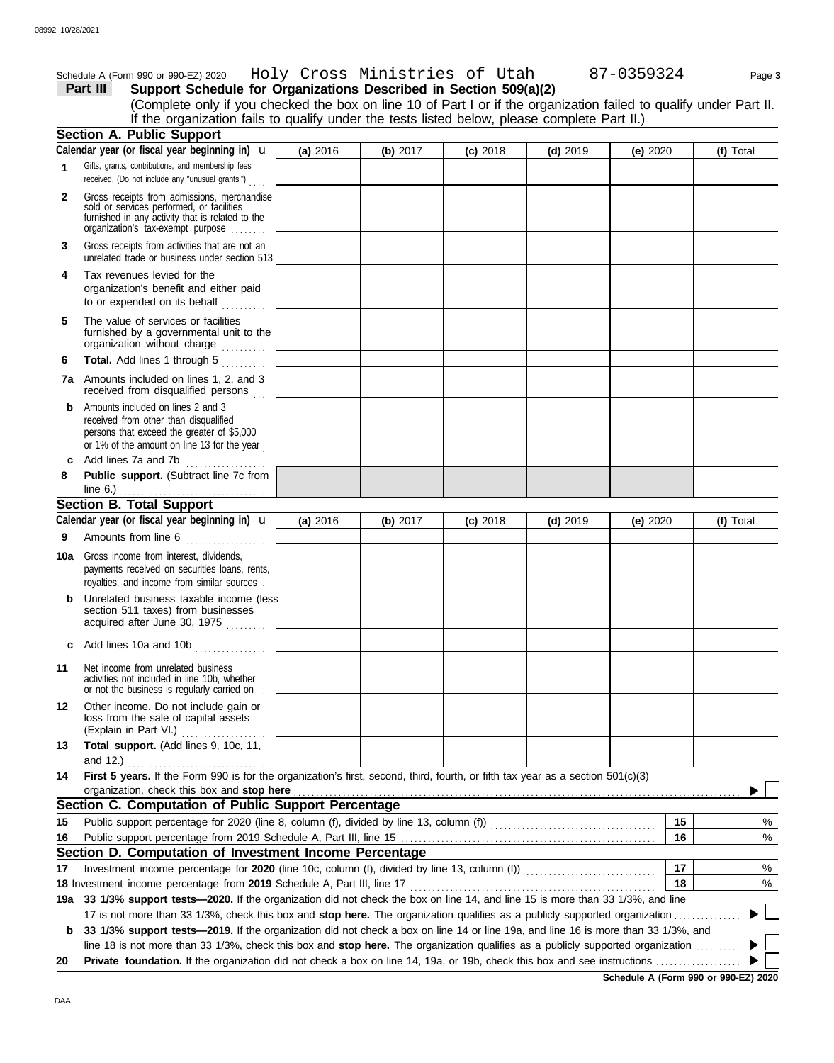|              | Schedule A (Form 990 or 990-EZ) 2020   Holy Cross Ministries of Utah                                                                                                              |          |          |            |            | 87-0359324 |    | Page 3    |
|--------------|-----------------------------------------------------------------------------------------------------------------------------------------------------------------------------------|----------|----------|------------|------------|------------|----|-----------|
|              | Support Schedule for Organizations Described in Section 509(a)(2)<br>Part III                                                                                                     |          |          |            |            |            |    |           |
|              | (Complete only if you checked the box on line 10 of Part I or if the organization failed to qualify under Part II.                                                                |          |          |            |            |            |    |           |
|              | If the organization fails to qualify under the tests listed below, please complete Part II.)                                                                                      |          |          |            |            |            |    |           |
|              | <b>Section A. Public Support</b>                                                                                                                                                  |          |          |            |            |            |    |           |
|              | Calendar year (or fiscal year beginning in) $\mathbf u$                                                                                                                           | (a) 2016 | (b) 2017 | $(c)$ 2018 | $(d)$ 2019 | (e) $2020$ |    | (f) Total |
| 1            | Gifts, grants, contributions, and membership fees<br>received. (Do not include any "unusual grants.")                                                                             |          |          |            |            |            |    |           |
| $\mathbf{2}$ | Gross receipts from admissions, merchandise<br>sold or services performed, or facilities<br>furnished in any activity that is related to the<br>organization's tax-exempt purpose |          |          |            |            |            |    |           |
| 3            | Gross receipts from activities that are not an<br>unrelated trade or business under section 513                                                                                   |          |          |            |            |            |    |           |
| 4            | Tax revenues levied for the<br>organization's benefit and either paid<br>to or expended on its behalf<br>.                                                                        |          |          |            |            |            |    |           |
| 5            | The value of services or facilities<br>furnished by a governmental unit to the<br>organization without charge                                                                     |          |          |            |            |            |    |           |
| 6            | Total. Add lines 1 through 5                                                                                                                                                      |          |          |            |            |            |    |           |
|              | 7a Amounts included on lines 1, 2, and 3<br>received from disqualified persons                                                                                                    |          |          |            |            |            |    |           |
| b            | Amounts included on lines 2 and 3<br>received from other than disqualified<br>persons that exceed the greater of \$5,000<br>or 1% of the amount on line 13 for the year           |          |          |            |            |            |    |           |
| c            | Add lines 7a and 7b                                                                                                                                                               |          |          |            |            |            |    |           |
| 8            | Public support. (Subtract line 7c from<br>line $6.$ )                                                                                                                             |          |          |            |            |            |    |           |
|              | <b>Section B. Total Support</b>                                                                                                                                                   |          |          |            |            |            |    |           |
|              | Calendar year (or fiscal year beginning in) $\mathbf u$                                                                                                                           | (a) 2016 | (b) 2017 | $(c)$ 2018 | $(d)$ 2019 | (e) $2020$ |    | (f) Total |
| 9            | Amounts from line 6                                                                                                                                                               |          |          |            |            |            |    |           |
| 10a          | Gross income from interest, dividends,<br>payments received on securities loans, rents,                                                                                           |          |          |            |            |            |    |           |
|              | royalties, and income from similar sources.                                                                                                                                       |          |          |            |            |            |    |           |
| b            | Unrelated business taxable income (less<br>section 511 taxes) from businesses<br>acquired after June 30, 1975                                                                     |          |          |            |            |            |    |           |
|              | c Add lines 10a and 10b                                                                                                                                                           |          |          |            |            |            |    |           |
| 11           | Net income from unrelated business<br>activities not included in line 10b, whether<br>or not the business is regularly carried on                                                 |          |          |            |            |            |    |           |
| 12           | Other income. Do not include gain or<br>loss from the sale of capital assets<br>(Explain in Part VI.)<br>.                                                                        |          |          |            |            |            |    |           |
| 13           | Total support. (Add lines 9, 10c, 11,                                                                                                                                             |          |          |            |            |            |    |           |
| 14           | First 5 years. If the Form 990 is for the organization's first, second, third, fourth, or fifth tax year as a section 501(c)(3)<br>organization, check this box and stop here     |          |          |            |            |            |    |           |
|              | Section C. Computation of Public Support Percentage                                                                                                                               |          |          |            |            |            |    |           |
| 15           |                                                                                                                                                                                   |          |          |            |            |            | 15 | %         |
| 16           |                                                                                                                                                                                   |          |          |            |            |            | 16 | %         |
|              | Section D. Computation of Investment Income Percentage                                                                                                                            |          |          |            |            |            |    |           |
| 17           |                                                                                                                                                                                   |          |          |            |            |            | 17 | %         |
|              | 18 Investment income percentage from 2019 Schedule A, Part III, line 17                                                                                                           |          |          |            |            |            | 18 | %         |
| 19а          | 33 1/3% support tests-2020. If the organization did not check the box on line 14, and line 15 is more than 33 1/3%, and line                                                      |          |          |            |            |            |    |           |
|              | 17 is not more than 33 1/3%, check this box and stop here. The organization qualifies as a publicly supported organization                                                        |          |          |            |            |            |    |           |
| b            | 33 1/3% support tests-2019. If the organization did not check a box on line 14 or line 19a, and line 16 is more than 33 1/3%, and                                                 |          |          |            |            |            |    |           |
| 20           | line 18 is not more than 33 1/3%, check this box and stop here. The organization qualifies as a publicly supported organization                                                   |          |          |            |            |            |    |           |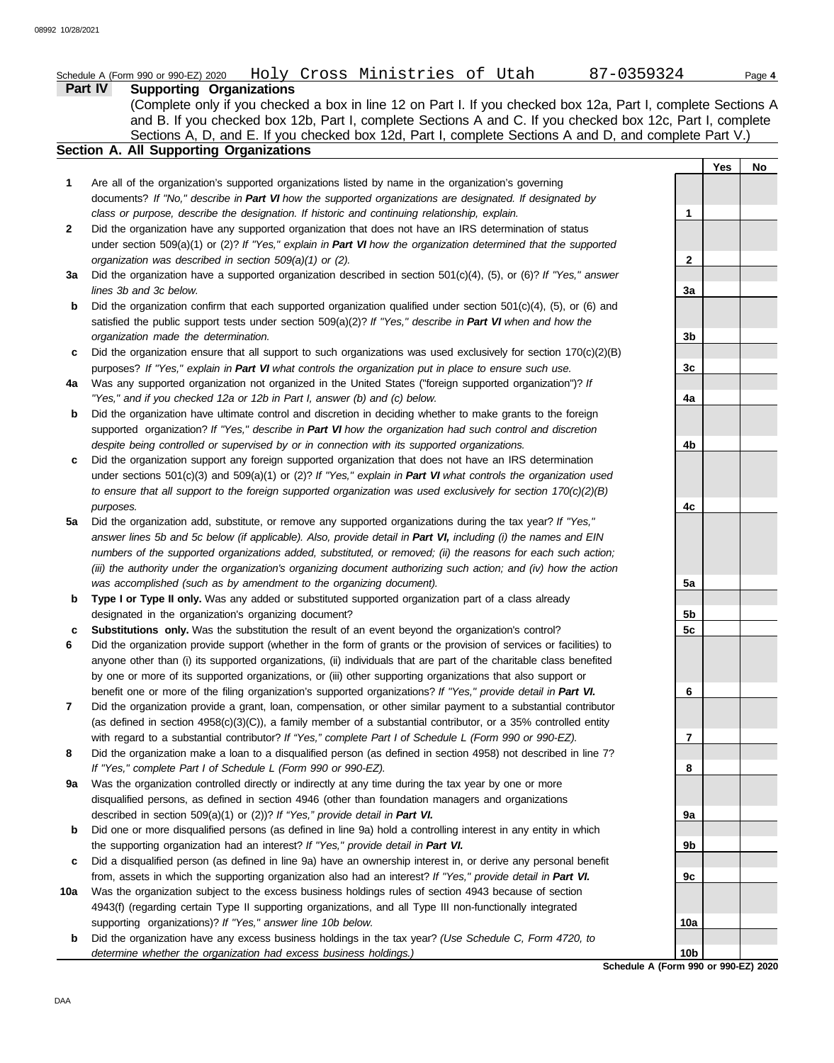|              | Holy Cross Ministries of Utah 87-0359324<br>Schedule A (Form 990 or 990-EZ) 2020                                                                                                                                      |                  | Page 4    |
|--------------|-----------------------------------------------------------------------------------------------------------------------------------------------------------------------------------------------------------------------|------------------|-----------|
|              | <b>Part IV</b><br><b>Supporting Organizations</b>                                                                                                                                                                     |                  |           |
|              | (Complete only if you checked a box in line 12 on Part I. If you checked box 12a, Part I, complete Sections A                                                                                                         |                  |           |
|              | and B. If you checked box 12b, Part I, complete Sections A and C. If you checked box 12c, Part I, complete                                                                                                            |                  |           |
|              | Sections A, D, and E. If you checked box 12d, Part I, complete Sections A and D, and complete Part V.)                                                                                                                |                  |           |
|              | Section A. All Supporting Organizations                                                                                                                                                                               |                  |           |
|              |                                                                                                                                                                                                                       |                  | Yes<br>No |
| 1            | Are all of the organization's supported organizations listed by name in the organization's governing                                                                                                                  |                  |           |
|              | documents? If "No," describe in Part VI how the supported organizations are designated. If designated by                                                                                                              |                  |           |
| $\mathbf{2}$ | class or purpose, describe the designation. If historic and continuing relationship, explain.<br>Did the organization have any supported organization that does not have an IRS determination of status               | 1                |           |
|              | under section 509(a)(1) or (2)? If "Yes," explain in Part VI how the organization determined that the supported                                                                                                       |                  |           |
|              | organization was described in section 509(a)(1) or (2).                                                                                                                                                               | $\boldsymbol{2}$ |           |
| 3a           | Did the organization have a supported organization described in section $501(c)(4)$ , (5), or (6)? If "Yes," answer                                                                                                   |                  |           |
|              | lines 3b and 3c below.                                                                                                                                                                                                | 3a               |           |
| b            | Did the organization confirm that each supported organization qualified under section $501(c)(4)$ , (5), or (6) and                                                                                                   |                  |           |
|              | satisfied the public support tests under section 509(a)(2)? If "Yes," describe in Part VI when and how the                                                                                                            |                  |           |
|              | organization made the determination.                                                                                                                                                                                  | 3b               |           |
| c            | Did the organization ensure that all support to such organizations was used exclusively for section $170(c)(2)(B)$                                                                                                    |                  |           |
|              | purposes? If "Yes," explain in Part VI what controls the organization put in place to ensure such use.                                                                                                                | 3c               |           |
| 4a           | Was any supported organization not organized in the United States ("foreign supported organization")? If                                                                                                              |                  |           |
|              | "Yes," and if you checked 12a or 12b in Part I, answer (b) and (c) below.                                                                                                                                             | 4a               |           |
| b            | Did the organization have ultimate control and discretion in deciding whether to make grants to the foreign                                                                                                           |                  |           |
|              | supported organization? If "Yes," describe in Part VI how the organization had such control and discretion                                                                                                            |                  |           |
|              | despite being controlled or supervised by or in connection with its supported organizations.                                                                                                                          | 4b               |           |
| c            | Did the organization support any foreign supported organization that does not have an IRS determination                                                                                                               |                  |           |
|              | under sections $501(c)(3)$ and $509(a)(1)$ or (2)? If "Yes," explain in Part VI what controls the organization used                                                                                                   |                  |           |
|              | to ensure that all support to the foreign supported organization was used exclusively for section $170(c)(2)(B)$                                                                                                      |                  |           |
|              | purposes.                                                                                                                                                                                                             | 4c               |           |
| 5a           | Did the organization add, substitute, or remove any supported organizations during the tax year? If "Yes,"                                                                                                            |                  |           |
|              | answer lines 5b and 5c below (if applicable). Also, provide detail in Part VI, including (i) the names and EIN                                                                                                        |                  |           |
|              | numbers of the supported organizations added, substituted, or removed; (ii) the reasons for each such action;                                                                                                         |                  |           |
|              | (iii) the authority under the organization's organizing document authorizing such action; and (iv) how the action<br>was accomplished (such as by amendment to the organizing document).                              | 5a               |           |
| b            | Type I or Type II only. Was any added or substituted supported organization part of a class already                                                                                                                   |                  |           |
|              | designated in the organization's organizing document?                                                                                                                                                                 | 5b               |           |
| c            | Substitutions only. Was the substitution the result of an event beyond the organization's control?                                                                                                                    | 5c               |           |
| 6            | Did the organization provide support (whether in the form of grants or the provision of services or facilities) to                                                                                                    |                  |           |
|              | anyone other than (i) its supported organizations, (ii) individuals that are part of the charitable class benefited                                                                                                   |                  |           |
|              | by one or more of its supported organizations, or (iii) other supporting organizations that also support or                                                                                                           |                  |           |
|              | benefit one or more of the filing organization's supported organizations? If "Yes," provide detail in Part VI.                                                                                                        | 6                |           |
| 7            | Did the organization provide a grant, loan, compensation, or other similar payment to a substantial contributor                                                                                                       |                  |           |
|              | (as defined in section 4958(c)(3)(C)), a family member of a substantial contributor, or a 35% controlled entity                                                                                                       |                  |           |
|              | with regard to a substantial contributor? If "Yes," complete Part I of Schedule L (Form 990 or 990-EZ).                                                                                                               | 7                |           |
| 8            | Did the organization make a loan to a disqualified person (as defined in section 4958) not described in line 7?                                                                                                       |                  |           |
|              | If "Yes," complete Part I of Schedule L (Form 990 or 990-EZ).                                                                                                                                                         | 8                |           |
| 9а           | Was the organization controlled directly or indirectly at any time during the tax year by one or more                                                                                                                 |                  |           |
|              | disqualified persons, as defined in section 4946 (other than foundation managers and organizations                                                                                                                    |                  |           |
|              | described in section 509(a)(1) or (2))? If "Yes," provide detail in Part VI.                                                                                                                                          | 9a               |           |
| b            | Did one or more disqualified persons (as defined in line 9a) hold a controlling interest in any entity in which                                                                                                       |                  |           |
|              | the supporting organization had an interest? If "Yes," provide detail in Part VI.                                                                                                                                     | 9b               |           |
| c            | Did a disqualified person (as defined in line 9a) have an ownership interest in, or derive any personal benefit                                                                                                       |                  |           |
| 10a          | from, assets in which the supporting organization also had an interest? If "Yes," provide detail in Part VI.<br>Was the organization subject to the excess business holdings rules of section 4943 because of section | 9c               |           |
|              | 4943(f) (regarding certain Type II supporting organizations, and all Type III non-functionally integrated                                                                                                             |                  |           |
|              | supporting organizations)? If "Yes," answer line 10b below.                                                                                                                                                           | 10a              |           |
| b            | Did the organization have any excess business holdings in the tax year? (Use Schedule C, Form 4720, to                                                                                                                |                  |           |
|              | determine whether the organization had excess business holdings.)                                                                                                                                                     | 10 <sub>b</sub>  |           |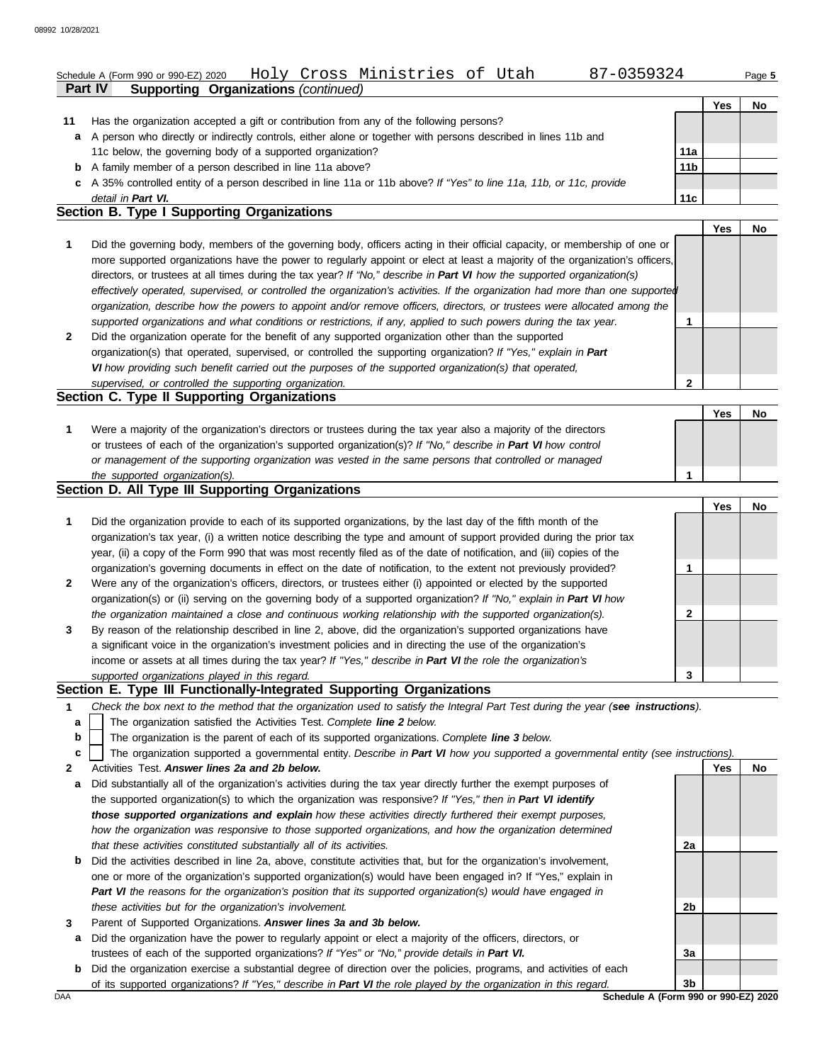### **Part IV Supporting Organizations** *(continued)* Schedule A (Form 990 or 990-EZ) 2020 Holy Cross Ministries of Utah 87-0359324 Page **5**

|    |                                                                                                                      |                 | Yes | No |
|----|----------------------------------------------------------------------------------------------------------------------|-----------------|-----|----|
| 11 | Has the organization accepted a gift or contribution from any of the following persons?                              |                 |     |    |
|    | a A person who directly or indirectly controls, either alone or together with persons described in lines 11b and     |                 |     |    |
|    | 11c below, the governing body of a supported organization?                                                           | 11a             |     |    |
|    | <b>b</b> A family member of a person described in line 11a above?                                                    | 11 <sub>b</sub> |     |    |
|    | c A 35% controlled entity of a person described in line 11a or 11b above? If "Yes" to line 11a, 11b, or 11c, provide |                 |     |    |
|    | detail in Part VI.                                                                                                   | 11c             |     |    |
|    | Section B. Type I Supporting Organizations                                                                           |                 |     |    |

|   |                                                                                                                                                                                                                                                                                                                                                                                                                                                                                                                                                                                                                                                      | Yes | No |
|---|------------------------------------------------------------------------------------------------------------------------------------------------------------------------------------------------------------------------------------------------------------------------------------------------------------------------------------------------------------------------------------------------------------------------------------------------------------------------------------------------------------------------------------------------------------------------------------------------------------------------------------------------------|-----|----|
|   | Did the governing body, members of the governing body, officers acting in their official capacity, or membership of one or<br>more supported organizations have the power to regularly appoint or elect at least a majority of the organization's officers,<br>directors, or trustees at all times during the tax year? If "No," describe in Part VI how the supported organization(s)<br>effectively operated, supervised, or controlled the organization's activities. If the organization had more than one supported<br>organization, describe how the powers to appoint and/or remove officers, directors, or trustees were allocated among the |     |    |
|   | supported organizations and what conditions or restrictions, if any, applied to such powers during the tax year.                                                                                                                                                                                                                                                                                                                                                                                                                                                                                                                                     |     |    |
| 2 | Did the organization operate for the benefit of any supported organization other than the supported                                                                                                                                                                                                                                                                                                                                                                                                                                                                                                                                                  |     |    |
|   | organization(s) that operated, supervised, or controlled the supporting organization? If "Yes," explain in Part                                                                                                                                                                                                                                                                                                                                                                                                                                                                                                                                      |     |    |
|   | VI how providing such benefit carried out the purposes of the supported organization(s) that operated,                                                                                                                                                                                                                                                                                                                                                                                                                                                                                                                                               |     |    |
|   | supervised, or controlled the supporting organization.                                                                                                                                                                                                                                                                                                                                                                                                                                                                                                                                                                                               |     |    |
|   | Section C. Type II Supporting Organizations                                                                                                                                                                                                                                                                                                                                                                                                                                                                                                                                                                                                          |     |    |

| Were a majority of the organization's directors or trustees during the tax year also a majority of the directors |  |  |
|------------------------------------------------------------------------------------------------------------------|--|--|
| or trustees of each of the organization's supported organization(s)? If "No," describe in Part VI how control    |  |  |
| or management of the supporting organization was vested in the same persons that controlled or managed           |  |  |
| the supported organization(s).                                                                                   |  |  |

### **Section D. All Type III Supporting Organizations**

|                |                                                                                                                                                                                                                                                                                                                                                                   |   | Yes | Nο |
|----------------|-------------------------------------------------------------------------------------------------------------------------------------------------------------------------------------------------------------------------------------------------------------------------------------------------------------------------------------------------------------------|---|-----|----|
|                | Did the organization provide to each of its supported organizations, by the last day of the fifth month of the<br>organization's tax year, (i) a written notice describing the type and amount of support provided during the prior tax<br>year, (ii) a copy of the Form 990 that was most recently filed as of the date of notification, and (iii) copies of the |   |     |    |
|                | organization's governing documents in effect on the date of notification, to the extent not previously provided?                                                                                                                                                                                                                                                  |   |     |    |
| $\overline{2}$ | Were any of the organization's officers, directors, or trustees either (i) appointed or elected by the supported<br>organization(s) or (ii) serving on the governing body of a supported organization? If "No," explain in Part VI how                                                                                                                            |   |     |    |
|                | the organization maintained a close and continuous working relationship with the supported organization(s).                                                                                                                                                                                                                                                       | 2 |     |    |
| $\mathbf{3}$   | By reason of the relationship described in line 2, above, did the organization's supported organizations have<br>a significant voice in the organization's investment policies and in directing the use of the organization's<br>income or assets at all times during the tax year? If "Yes," describe in Part VI the role the organization's                     |   |     |    |
|                | supported organizations played in this regard.                                                                                                                                                                                                                                                                                                                    | 3 |     |    |

### **Section E. Type III Functionally-Integrated Supporting Organizations**

- **1** *Check the box next to the method that the organization used to satisfy the Integral Part Test during the year (see instructions).*
- The organization satisfied the Activities Test. *Complete line 2 below.* **a**
- The organization is the parent of each of its supported organizations. *Complete line 3 below.* **b**
- The organization supported a governmental entity. *Describe in Part VI how you supported a governmental entity (see instructions).* **c**
- **2** Activities Test. *Answer lines 2a and 2b below.*
- **a** Did substantially all of the organization's activities during the tax year directly further the exempt purposes of the supported organization(s) to which the organization was responsive? *If "Yes," then in Part VI identify those supported organizations and explain how these activities directly furthered their exempt purposes, how the organization was responsive to those supported organizations, and how the organization determined that these activities constituted substantially all of its activities.*
- **b** Did the activities described in line 2a, above, constitute activities that, but for the organization's involvement, one or more of the organization's supported organization(s) would have been engaged in? If "Yes," explain in *Part VI the reasons for the organization's position that its supported organization(s) would have engaged in these activities but for the organization's involvement.*
- **3** Parent of Supported Organizations. *Answer lines 3a and 3b below.*
- **a** Did the organization have the power to regularly appoint or elect a majority of the officers, directors, or trustees of each of the supported organizations? *If "Yes" or "No," provide details in Part VI.*
- **b** Did the organization exercise a substantial degree of direction over the policies, programs, and activities of each of its supported organizations? *If "Yes," describe in Part VI the role played by the organization in this regard.*

**Yes No 2a 2b 3a 3b**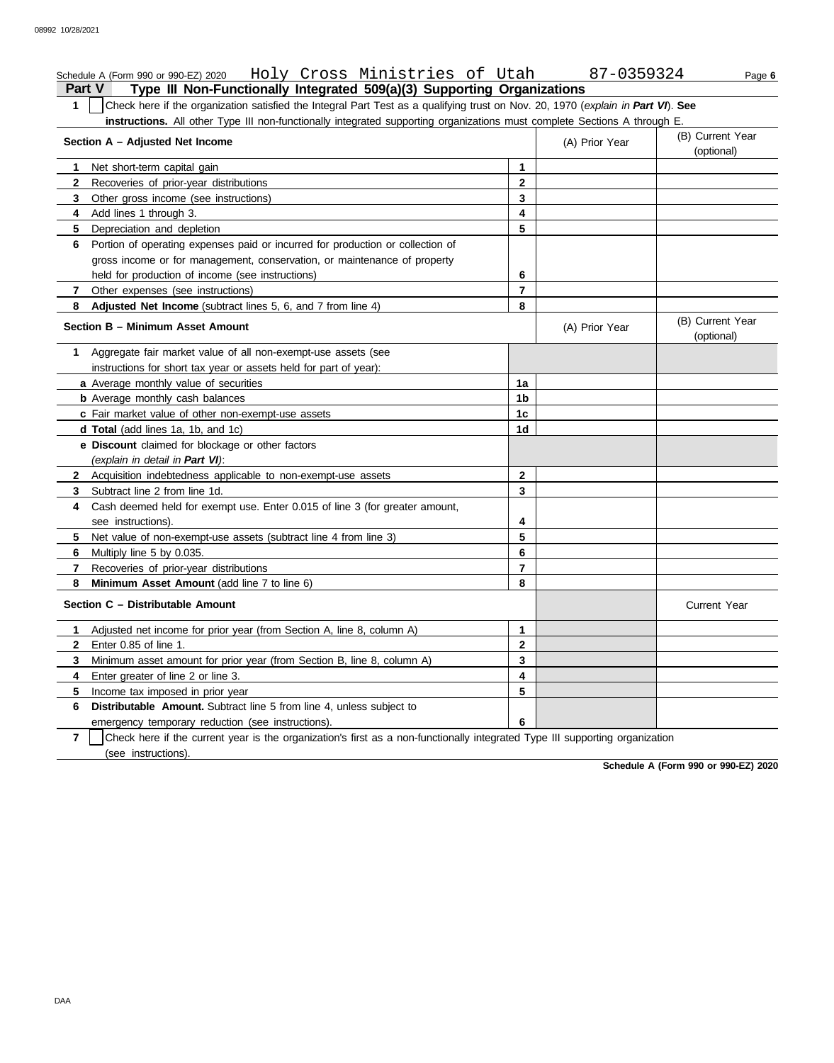### **Part V Type III Non-Functionally Integrated 509(a)(3) Supporting Organizations** Schedule A (Form 990 or 990-EZ) 2020 Holy Cross Ministries of Utah 87-0359324 Page 6 **1** Check here if the organization satisfied the Integral Part Test as a qualifying trust on Nov. 20, 1970 (*explain in Part VI*). **See instructions.** All other Type III non-functionally integrated supporting organizations must complete Sections A through E. **1 2 3 4 5 6** Portion of operating expenses paid or incurred for production or collection of **7 8 1** Aggregate fair market value of all non-exempt-use assets (see **Section A – Adjusted Net Income** Net short-term capital gain Recoveries of prior-year distributions Other gross income (see instructions) Add lines 1 through 3. Depreciation and depletion gross income or for management, conservation, or maintenance of property held for production of income (see instructions) Other expenses (see instructions) **Adjusted Net Income** (subtract lines 5, 6, and 7 from line 4) **Section B – Minimum Asset Amount** instructions for short tax year or assets held for part of year): **a** Average monthly value of securities **b** Average monthly cash balances **c** Fair market value of other non-exempt-use assets **d Total** (add lines 1a, 1b, and 1c) **e Discount** claimed for blockage or other factors *(explain in detail in Part VI)*: **8 Minimum Asset Amount** (add line 7 to line 6) **7 6 5 4** Cash deemed held for exempt use. Enter 0.015 of line 3 (for greater amount, **3** Subtract line 2 from line 1d. **2** Acquisition indebtedness applicable to non-exempt-use assets see instructions). Net value of non-exempt-use assets (subtract line 4 from line 3) Multiply line 5 by 0.035. Recoveries of prior-year distributions **Section C – Distributable Amount 3 2 1** Adjusted net income for prior year (from Section A, line 8, column A) Enter 0.85 of line 1. Minimum asset amount for prior year (from Section B, line 8, column A) **8 7 6 5 4 3 2 1** (A) Prior Year (B) Current Year (optional) (optional) (B) Current Year (A) Prior Year **1a 1b 1c 1d 2 3 4 5 6 7 8 3 2 1** Current Year

**7 6 Distributable Amount.** Subtract line 5 from line 4, unless subject to **5** Income tax imposed in prior year emergency temporary reduction (see instructions). **6**

**4** Enter greater of line 2 or line 3.

(see instructions) Check here if the current year is the organization's first as a non-functionally integrated Type III supporting organization

**5 4**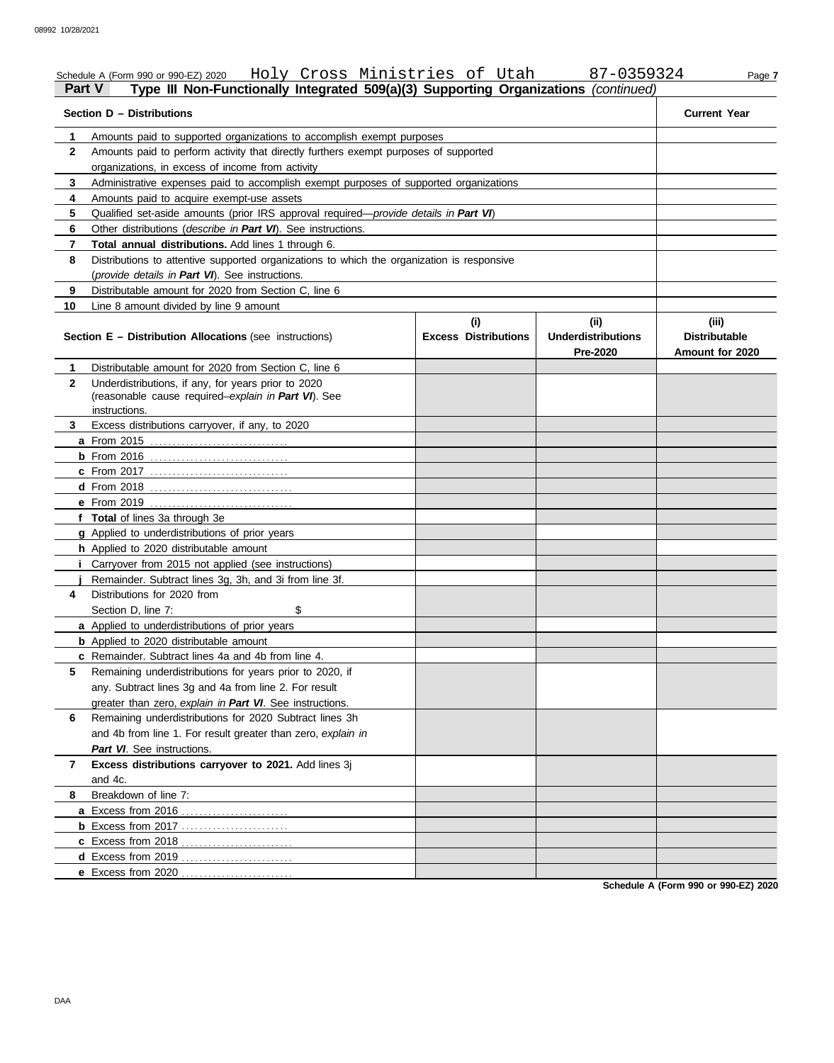| Part V       | Schedule A (Form 990 or 990-EZ) 2020 Holy Cross Ministries of Utah<br>Type III Non-Functionally Integrated 509(a)(3) Supporting Organizations (continued) |                             | 87-0359324                            | Page 7                                  |
|--------------|-----------------------------------------------------------------------------------------------------------------------------------------------------------|-----------------------------|---------------------------------------|-----------------------------------------|
|              | Section D - Distributions                                                                                                                                 |                             |                                       | <b>Current Year</b>                     |
| 1            | Amounts paid to supported organizations to accomplish exempt purposes                                                                                     |                             |                                       |                                         |
| $\mathbf{2}$ | Amounts paid to perform activity that directly furthers exempt purposes of supported                                                                      |                             |                                       |                                         |
|              | organizations, in excess of income from activity                                                                                                          |                             |                                       |                                         |
| 3            | Administrative expenses paid to accomplish exempt purposes of supported organizations                                                                     |                             |                                       |                                         |
| 4            | Amounts paid to acquire exempt-use assets                                                                                                                 |                             |                                       |                                         |
| 5            | Qualified set-aside amounts (prior IRS approval required-provide details in Part VI)                                                                      |                             |                                       |                                         |
| 6            | Other distributions (describe in Part VI). See instructions.                                                                                              |                             |                                       |                                         |
| 7            | Total annual distributions. Add lines 1 through 6.                                                                                                        |                             |                                       |                                         |
| 8            | Distributions to attentive supported organizations to which the organization is responsive                                                                |                             |                                       |                                         |
|              | (provide details in Part VI). See instructions.                                                                                                           |                             |                                       |                                         |
| 9            | Distributable amount for 2020 from Section C, line 6                                                                                                      |                             |                                       |                                         |
| 10           | Line 8 amount divided by line 9 amount                                                                                                                    |                             |                                       |                                         |
|              |                                                                                                                                                           | (i)                         | (ii)                                  | (iii)                                   |
|              | <b>Section E - Distribution Allocations (see instructions)</b>                                                                                            | <b>Excess Distributions</b> | <b>Underdistributions</b><br>Pre-2020 | <b>Distributable</b><br>Amount for 2020 |
| 1.           | Distributable amount for 2020 from Section C. line 6                                                                                                      |                             |                                       |                                         |
| $\mathbf{2}$ | Underdistributions, if any, for years prior to 2020                                                                                                       |                             |                                       |                                         |
|              | (reasonable cause required-explain in Part VI). See                                                                                                       |                             |                                       |                                         |
|              | instructions.                                                                                                                                             |                             |                                       |                                         |
| 3            | Excess distributions carryover, if any, to 2020                                                                                                           |                             |                                       |                                         |
|              |                                                                                                                                                           |                             |                                       |                                         |
|              |                                                                                                                                                           |                             |                                       |                                         |
|              | <b>c</b> From 2017                                                                                                                                        |                             |                                       |                                         |
|              |                                                                                                                                                           |                             |                                       |                                         |
|              | e From 2019                                                                                                                                               |                             |                                       |                                         |
|              | f Total of lines 3a through 3e                                                                                                                            |                             |                                       |                                         |
|              | g Applied to underdistributions of prior years                                                                                                            |                             |                                       |                                         |
|              | h Applied to 2020 distributable amount                                                                                                                    |                             |                                       |                                         |
|              | <i>i</i> Carryover from 2015 not applied (see instructions)                                                                                               |                             |                                       |                                         |
|              | Remainder. Subtract lines 3g, 3h, and 3i from line 3f.                                                                                                    |                             |                                       |                                         |
| 4            | Distributions for 2020 from                                                                                                                               |                             |                                       |                                         |
|              | \$<br>Section D. line 7:                                                                                                                                  |                             |                                       |                                         |
|              | a Applied to underdistributions of prior years                                                                                                            |                             |                                       |                                         |
|              | <b>b</b> Applied to 2020 distributable amount                                                                                                             |                             |                                       |                                         |
|              | <b>c</b> Remainder. Subtract lines 4a and 4b from line 4.                                                                                                 |                             |                                       |                                         |
| 5            | Remaining underdistributions for years prior to 2020, if                                                                                                  |                             |                                       |                                         |
|              | any. Subtract lines 3g and 4a from line 2. For result                                                                                                     |                             |                                       |                                         |
|              | greater than zero, explain in Part VI. See instructions.                                                                                                  |                             |                                       |                                         |
| 6            | Remaining underdistributions for 2020 Subtract lines 3h                                                                                                   |                             |                                       |                                         |
|              | and 4b from line 1. For result greater than zero, explain in                                                                                              |                             |                                       |                                         |
|              | Part VI. See instructions.                                                                                                                                |                             |                                       |                                         |
| 7            | Excess distributions carryover to 2021. Add lines 3j<br>and 4c.                                                                                           |                             |                                       |                                         |
| 8            | Breakdown of line 7:                                                                                                                                      |                             |                                       |                                         |
|              | a Excess from 2016                                                                                                                                        |                             |                                       |                                         |
|              | <b>b</b> Excess from 2017                                                                                                                                 |                             |                                       |                                         |
|              | c Excess from 2018                                                                                                                                        |                             |                                       |                                         |
|              | d Excess from 2019                                                                                                                                        |                             |                                       |                                         |
|              | e Excess from 2020                                                                                                                                        |                             |                                       |                                         |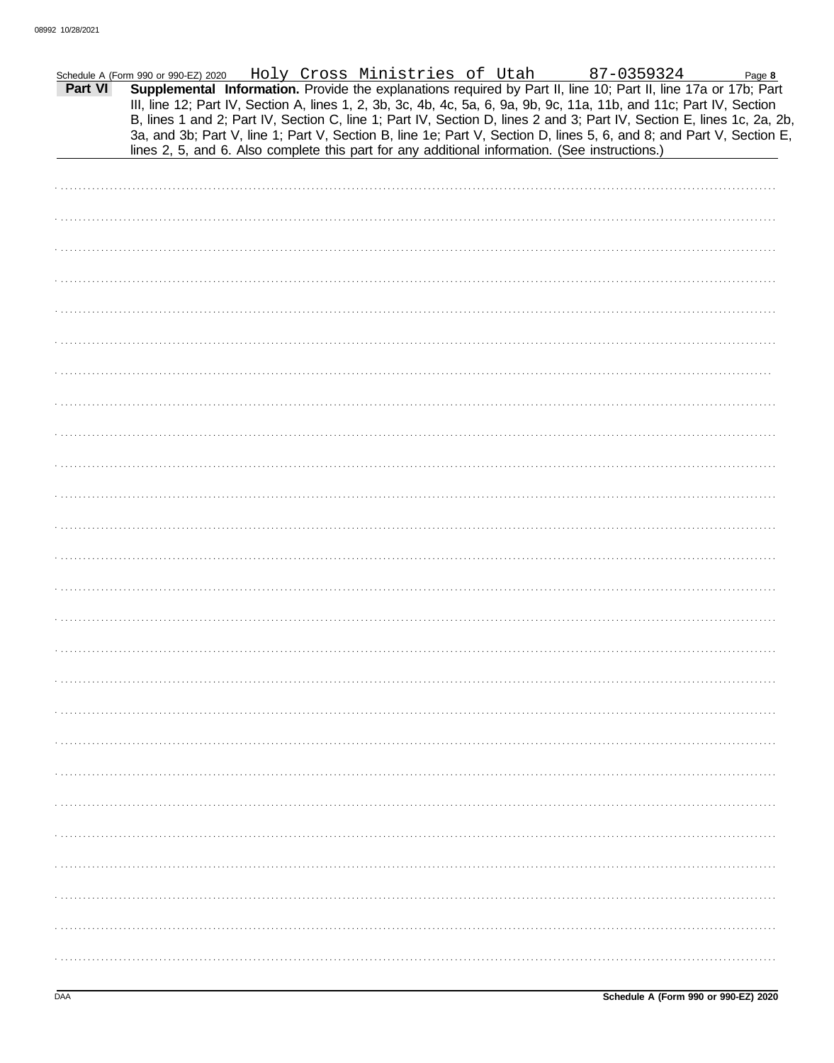|         | Schedule A (Form 990 or 990-EZ) 2020 Holy Cross Ministries of Utah 87-0359324                                        |  |  |  |  |  | Page 8                                                                                                                 |
|---------|----------------------------------------------------------------------------------------------------------------------|--|--|--|--|--|------------------------------------------------------------------------------------------------------------------------|
| Part VI | Supplemental Information. Provide the explanations required by Part II, line 10; Part II, line 17a or 17b; Part      |  |  |  |  |  |                                                                                                                        |
|         | III, line 12; Part IV, Section A, lines 1, 2, 3b, 3c, 4b, 4c, 5a, 6, 9a, 9b, 9c, 11a, 11b, and 11c; Part IV, Section |  |  |  |  |  | B, lines 1 and 2; Part IV, Section C, line 1; Part IV, Section D, lines 2 and 3; Part IV, Section E, lines 1c, 2a, 2b, |
|         | 3a, and 3b; Part V, line 1; Part V, Section B, line 1e; Part V, Section D, lines 5, 6, and 8; and Part V, Section E, |  |  |  |  |  |                                                                                                                        |
|         | lines 2, 5, and 6. Also complete this part for any additional information. (See instructions.)                       |  |  |  |  |  |                                                                                                                        |
|         |                                                                                                                      |  |  |  |  |  |                                                                                                                        |
|         |                                                                                                                      |  |  |  |  |  |                                                                                                                        |
|         |                                                                                                                      |  |  |  |  |  |                                                                                                                        |
|         |                                                                                                                      |  |  |  |  |  |                                                                                                                        |
|         |                                                                                                                      |  |  |  |  |  |                                                                                                                        |
|         |                                                                                                                      |  |  |  |  |  |                                                                                                                        |
|         |                                                                                                                      |  |  |  |  |  |                                                                                                                        |
|         |                                                                                                                      |  |  |  |  |  |                                                                                                                        |
|         |                                                                                                                      |  |  |  |  |  |                                                                                                                        |
|         |                                                                                                                      |  |  |  |  |  |                                                                                                                        |
|         |                                                                                                                      |  |  |  |  |  |                                                                                                                        |
|         |                                                                                                                      |  |  |  |  |  |                                                                                                                        |
|         |                                                                                                                      |  |  |  |  |  |                                                                                                                        |
|         |                                                                                                                      |  |  |  |  |  |                                                                                                                        |
|         |                                                                                                                      |  |  |  |  |  |                                                                                                                        |
|         |                                                                                                                      |  |  |  |  |  |                                                                                                                        |
|         |                                                                                                                      |  |  |  |  |  |                                                                                                                        |
|         |                                                                                                                      |  |  |  |  |  |                                                                                                                        |
|         |                                                                                                                      |  |  |  |  |  |                                                                                                                        |
|         |                                                                                                                      |  |  |  |  |  |                                                                                                                        |
|         |                                                                                                                      |  |  |  |  |  |                                                                                                                        |
|         |                                                                                                                      |  |  |  |  |  |                                                                                                                        |
|         |                                                                                                                      |  |  |  |  |  |                                                                                                                        |
|         |                                                                                                                      |  |  |  |  |  |                                                                                                                        |
|         |                                                                                                                      |  |  |  |  |  |                                                                                                                        |
|         |                                                                                                                      |  |  |  |  |  |                                                                                                                        |
|         |                                                                                                                      |  |  |  |  |  |                                                                                                                        |
|         |                                                                                                                      |  |  |  |  |  |                                                                                                                        |
|         |                                                                                                                      |  |  |  |  |  |                                                                                                                        |
|         |                                                                                                                      |  |  |  |  |  |                                                                                                                        |
|         |                                                                                                                      |  |  |  |  |  |                                                                                                                        |
|         |                                                                                                                      |  |  |  |  |  |                                                                                                                        |
|         |                                                                                                                      |  |  |  |  |  |                                                                                                                        |
|         |                                                                                                                      |  |  |  |  |  |                                                                                                                        |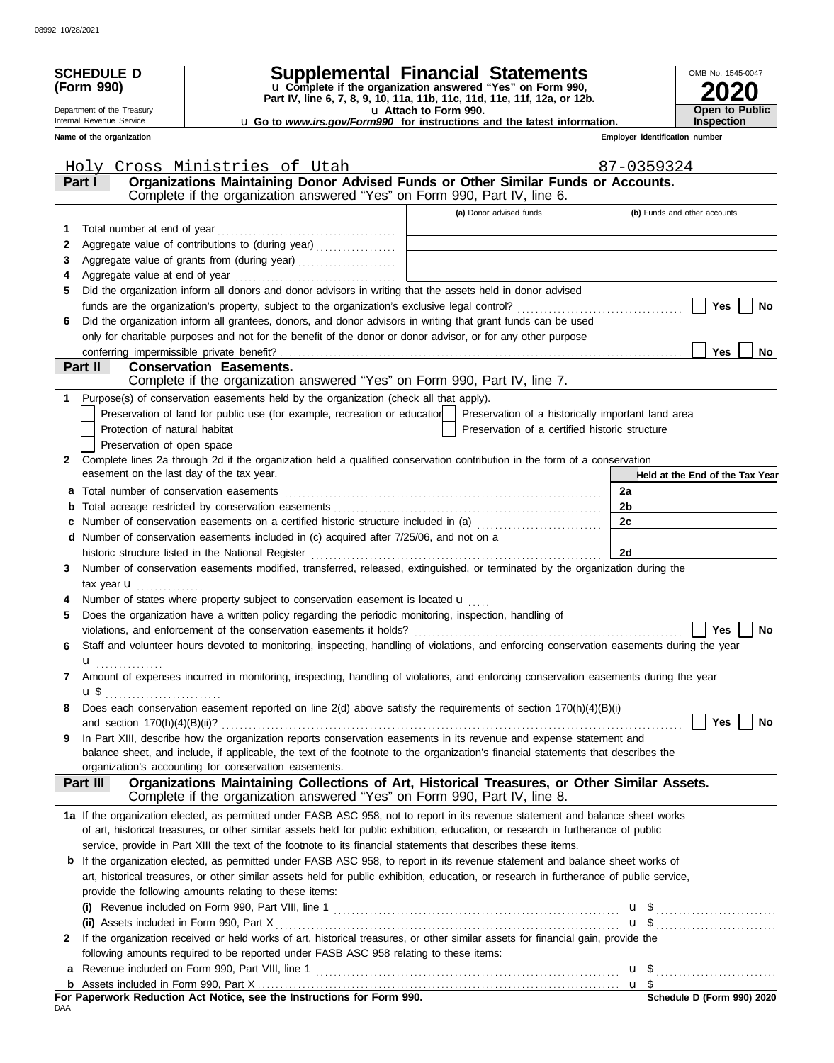|              | <b>SCHEDULE D</b><br>(Form 990)<br>Department of the Treasury | Supplemental Financial Statements<br>u Complete if the organization answered "Yes" on Form 990,<br>Part IV, line 6, 7, 8, 9, 10, 11a, 11b, 11c, 11d, 11e, 11f, 12a, or 12b.                                                                                                     | OMB No. 1545-0047<br><b>Open to Public</b>                                                        |            |                                 |
|--------------|---------------------------------------------------------------|---------------------------------------------------------------------------------------------------------------------------------------------------------------------------------------------------------------------------------------------------------------------------------|---------------------------------------------------------------------------------------------------|------------|---------------------------------|
|              | Internal Revenue Service                                      |                                                                                                                                                                                                                                                                                 | u Attach to Form 990.<br>u Go to www.irs.gov/Form990 for instructions and the latest information. |            | <b>Inspection</b>               |
|              | Name of the organization                                      |                                                                                                                                                                                                                                                                                 |                                                                                                   |            | Employer identification number  |
|              |                                                               |                                                                                                                                                                                                                                                                                 |                                                                                                   |            |                                 |
|              |                                                               | Holy Cross Ministries of Utah                                                                                                                                                                                                                                                   |                                                                                                   | 87-0359324 |                                 |
|              | Part I                                                        | Organizations Maintaining Donor Advised Funds or Other Similar Funds or Accounts.<br>Complete if the organization answered "Yes" on Form 990, Part IV, line 6.                                                                                                                  |                                                                                                   |            |                                 |
|              |                                                               |                                                                                                                                                                                                                                                                                 |                                                                                                   |            |                                 |
|              |                                                               |                                                                                                                                                                                                                                                                                 | (a) Donor advised funds                                                                           |            | (b) Funds and other accounts    |
| 1            |                                                               | Aggregate value of contributions to (during year)                                                                                                                                                                                                                               |                                                                                                   |            |                                 |
| 2<br>3       |                                                               |                                                                                                                                                                                                                                                                                 |                                                                                                   |            |                                 |
| 4            |                                                               |                                                                                                                                                                                                                                                                                 |                                                                                                   |            |                                 |
| 5            |                                                               | Did the organization inform all donors and donor advisors in writing that the assets held in donor advised                                                                                                                                                                      |                                                                                                   |            |                                 |
|              |                                                               |                                                                                                                                                                                                                                                                                 |                                                                                                   |            | Yes<br>No                       |
| 6            |                                                               | Did the organization inform all grantees, donors, and donor advisors in writing that grant funds can be used                                                                                                                                                                    |                                                                                                   |            |                                 |
|              |                                                               | only for charitable purposes and not for the benefit of the donor or donor advisor, or for any other purpose                                                                                                                                                                    |                                                                                                   |            |                                 |
|              |                                                               |                                                                                                                                                                                                                                                                                 |                                                                                                   |            | <b>Yes</b><br>No                |
|              | Part II                                                       | <b>Conservation Easements.</b>                                                                                                                                                                                                                                                  |                                                                                                   |            |                                 |
|              |                                                               | Complete if the organization answered "Yes" on Form 990, Part IV, line 7.                                                                                                                                                                                                       |                                                                                                   |            |                                 |
| 1.           |                                                               | Purpose(s) of conservation easements held by the organization (check all that apply).                                                                                                                                                                                           |                                                                                                   |            |                                 |
|              |                                                               | Preservation of land for public use (for example, recreation or education                                                                                                                                                                                                       | Preservation of a historically important land area                                                |            |                                 |
|              | Protection of natural habitat                                 |                                                                                                                                                                                                                                                                                 | Preservation of a certified historic structure                                                    |            |                                 |
|              | Preservation of open space                                    |                                                                                                                                                                                                                                                                                 |                                                                                                   |            |                                 |
| $\mathbf{2}$ |                                                               | Complete lines 2a through 2d if the organization held a qualified conservation contribution in the form of a conservation                                                                                                                                                       |                                                                                                   |            |                                 |
|              | easement on the last day of the tax year.                     |                                                                                                                                                                                                                                                                                 |                                                                                                   |            | Held at the End of the Tax Year |
|              |                                                               |                                                                                                                                                                                                                                                                                 |                                                                                                   | 2a         |                                 |
|              |                                                               |                                                                                                                                                                                                                                                                                 |                                                                                                   | 2b         |                                 |
| c            |                                                               | Number of conservation easements on a certified historic structure included in (a)                                                                                                                                                                                              |                                                                                                   | 2c         |                                 |
|              |                                                               | d Number of conservation easements included in (c) acquired after 7/25/06, and not on a                                                                                                                                                                                         |                                                                                                   |            |                                 |
|              |                                                               |                                                                                                                                                                                                                                                                                 |                                                                                                   | 2d         |                                 |
| 3            |                                                               | Number of conservation easements modified, transferred, released, extinguished, or terminated by the organization during the                                                                                                                                                    |                                                                                                   |            |                                 |
|              | tax year $\mathbf{u}$                                         | Number of states where property subject to conservation easement is located <b>u</b>                                                                                                                                                                                            |                                                                                                   |            |                                 |
| 5            |                                                               | Does the organization have a written policy regarding the periodic monitoring, inspection, handling of                                                                                                                                                                          |                                                                                                   |            |                                 |
|              |                                                               | violations, and enforcement of the conservation easements it holds?                                                                                                                                                                                                             |                                                                                                   |            | Yes<br>No                       |
| 6            |                                                               | Staff and volunteer hours devoted to monitoring, inspecting, handling of violations, and enforcing conservation easements during the year                                                                                                                                       |                                                                                                   |            |                                 |
|              | u <u>.</u>                                                    |                                                                                                                                                                                                                                                                                 |                                                                                                   |            |                                 |
| 7            |                                                               | Amount of expenses incurred in monitoring, inspecting, handling of violations, and enforcing conservation easements during the year                                                                                                                                             |                                                                                                   |            |                                 |
|              |                                                               |                                                                                                                                                                                                                                                                                 |                                                                                                   |            |                                 |
| 8            |                                                               | Does each conservation easement reported on line 2(d) above satisfy the requirements of section 170(h)(4)(B)(i)                                                                                                                                                                 |                                                                                                   |            |                                 |
|              |                                                               |                                                                                                                                                                                                                                                                                 |                                                                                                   |            | Yes $ $<br>No                   |
| 9            |                                                               | In Part XIII, describe how the organization reports conservation easements in its revenue and expense statement and                                                                                                                                                             |                                                                                                   |            |                                 |
|              |                                                               | balance sheet, and include, if applicable, the text of the footnote to the organization's financial statements that describes the                                                                                                                                               |                                                                                                   |            |                                 |
|              |                                                               | organization's accounting for conservation easements.                                                                                                                                                                                                                           |                                                                                                   |            |                                 |
|              | Part III                                                      | Organizations Maintaining Collections of Art, Historical Treasures, or Other Similar Assets.                                                                                                                                                                                    |                                                                                                   |            |                                 |
|              |                                                               | Complete if the organization answered "Yes" on Form 990, Part IV, line 8.                                                                                                                                                                                                       |                                                                                                   |            |                                 |
|              |                                                               | 1a If the organization elected, as permitted under FASB ASC 958, not to report in its revenue statement and balance sheet works                                                                                                                                                 |                                                                                                   |            |                                 |
|              |                                                               | of art, historical treasures, or other similar assets held for public exhibition, education, or research in furtherance of public                                                                                                                                               |                                                                                                   |            |                                 |
|              |                                                               | service, provide in Part XIII the text of the footnote to its financial statements that describes these items.                                                                                                                                                                  |                                                                                                   |            |                                 |
|              |                                                               | <b>b</b> If the organization elected, as permitted under FASB ASC 958, to report in its revenue statement and balance sheet works of<br>art, historical treasures, or other similar assets held for public exhibition, education, or research in furtherance of public service, |                                                                                                   |            |                                 |
|              |                                                               | provide the following amounts relating to these items:                                                                                                                                                                                                                          |                                                                                                   |            |                                 |
|              |                                                               |                                                                                                                                                                                                                                                                                 |                                                                                                   |            |                                 |
|              |                                                               |                                                                                                                                                                                                                                                                                 |                                                                                                   |            | $u \$                           |
| 2            |                                                               | If the organization received or held works of art, historical treasures, or other similar assets for financial gain, provide the                                                                                                                                                |                                                                                                   |            |                                 |
|              |                                                               | following amounts required to be reported under FASB ASC 958 relating to these items:                                                                                                                                                                                           |                                                                                                   |            |                                 |
| a            |                                                               |                                                                                                                                                                                                                                                                                 |                                                                                                   |            |                                 |
|              |                                                               |                                                                                                                                                                                                                                                                                 |                                                                                                   |            |                                 |
|              |                                                               | For Paperwork Reduction Act Notice, see the Instructions for Form 990.                                                                                                                                                                                                          |                                                                                                   |            | $$$ Schedule D (Form 990) 2020  |

DAA **For Paperwork Reduction Act Notice, see the Instructions for Form 990.**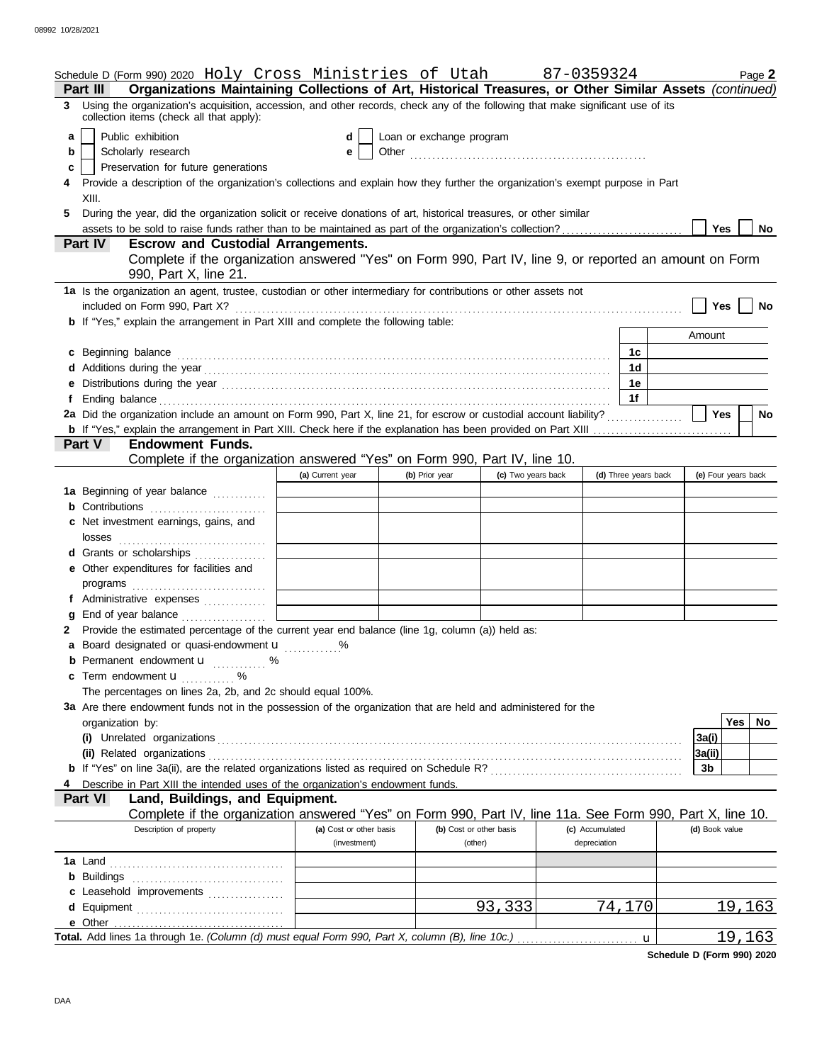|    | Schedule D (Form 990) 2020 Holy Cross Ministries of Utah                                                                                                                                                                                                 |                         |                          |                         | 87-0359324      |                      | Page 2              |
|----|----------------------------------------------------------------------------------------------------------------------------------------------------------------------------------------------------------------------------------------------------------|-------------------------|--------------------------|-------------------------|-----------------|----------------------|---------------------|
|    | Organizations Maintaining Collections of Art, Historical Treasures, or Other Similar Assets (continued)<br>Part III<br>3 Using the organization's acquisition, accession, and other records, check any of the following that make significant use of its |                         |                          |                         |                 |                      |                     |
|    | collection items (check all that apply):                                                                                                                                                                                                                 |                         |                          |                         |                 |                      |                     |
| а  | Public exhibition                                                                                                                                                                                                                                        | d                       | Loan or exchange program |                         |                 |                      |                     |
| b  | Scholarly research                                                                                                                                                                                                                                       | е                       |                          |                         |                 |                      |                     |
| c  | Preservation for future generations                                                                                                                                                                                                                      |                         |                          |                         |                 |                      |                     |
|    | Provide a description of the organization's collections and explain how they further the organization's exempt purpose in Part<br>XIII.                                                                                                                  |                         |                          |                         |                 |                      |                     |
| 5. | During the year, did the organization solicit or receive donations of art, historical treasures, or other similar                                                                                                                                        |                         |                          |                         |                 |                      |                     |
|    |                                                                                                                                                                                                                                                          |                         |                          |                         |                 |                      | Yes<br>No           |
|    | Part IV<br><b>Escrow and Custodial Arrangements.</b>                                                                                                                                                                                                     |                         |                          |                         |                 |                      |                     |
|    | Complete if the organization answered "Yes" on Form 990, Part IV, line 9, or reported an amount on Form                                                                                                                                                  |                         |                          |                         |                 |                      |                     |
|    | 990, Part X, line 21.                                                                                                                                                                                                                                    |                         |                          |                         |                 |                      |                     |
|    | 1a Is the organization an agent, trustee, custodian or other intermediary for contributions or other assets not                                                                                                                                          |                         |                          |                         |                 |                      |                     |
|    | included on Form 990, Part X?                                                                                                                                                                                                                            |                         |                          |                         |                 |                      | Yes<br>No           |
|    | <b>b</b> If "Yes," explain the arrangement in Part XIII and complete the following table:                                                                                                                                                                |                         |                          |                         |                 |                      |                     |
|    |                                                                                                                                                                                                                                                          |                         |                          |                         |                 |                      | Amount              |
|    | c Beginning balance                                                                                                                                                                                                                                      |                         |                          |                         |                 | 1c                   |                     |
|    |                                                                                                                                                                                                                                                          |                         |                          |                         |                 | 1d                   |                     |
|    |                                                                                                                                                                                                                                                          |                         |                          |                         |                 | 1е                   |                     |
|    |                                                                                                                                                                                                                                                          |                         |                          |                         |                 | 1f                   |                     |
|    | 2a Did the organization include an amount on Form 990, Part X, line 21, for escrow or custodial account liability?                                                                                                                                       |                         |                          |                         |                 |                      | Yes<br>No           |
|    | <b>Endowment Funds.</b><br>Part V                                                                                                                                                                                                                        |                         |                          |                         |                 |                      |                     |
|    | Complete if the organization answered "Yes" on Form 990, Part IV, line 10.                                                                                                                                                                               |                         |                          |                         |                 |                      |                     |
|    |                                                                                                                                                                                                                                                          | (a) Current year        | (b) Prior year           | (c) Two years back      |                 | (d) Three years back | (e) Four years back |
|    | 1a Beginning of year balance                                                                                                                                                                                                                             |                         |                          |                         |                 |                      |                     |
|    | <b>b</b> Contributions                                                                                                                                                                                                                                   |                         |                          |                         |                 |                      |                     |
|    | c Net investment earnings, gains, and                                                                                                                                                                                                                    |                         |                          |                         |                 |                      |                     |
|    | losses                                                                                                                                                                                                                                                   |                         |                          |                         |                 |                      |                     |
|    | d Grants or scholarships                                                                                                                                                                                                                                 |                         |                          |                         |                 |                      |                     |
|    | e Other expenditures for facilities and                                                                                                                                                                                                                  |                         |                          |                         |                 |                      |                     |
|    | programs                                                                                                                                                                                                                                                 |                         |                          |                         |                 |                      |                     |
|    | f Administrative expenses                                                                                                                                                                                                                                |                         |                          |                         |                 |                      |                     |
|    |                                                                                                                                                                                                                                                          |                         |                          |                         |                 |                      |                     |
|    | 2 Provide the estimated percentage of the current year end balance (line 1g, column (a)) held as:                                                                                                                                                        |                         |                          |                         |                 |                      |                     |
|    | a Board designated or quasi-endowment u                                                                                                                                                                                                                  |                         |                          |                         |                 |                      |                     |
|    | <b>b</b> Permanent endowment <b>u</b> %                                                                                                                                                                                                                  |                         |                          |                         |                 |                      |                     |
|    | <b>c</b> Term endowment $\mathbf{u}$                                                                                                                                                                                                                     |                         |                          |                         |                 |                      |                     |
|    | The percentages on lines 2a, 2b, and 2c should equal 100%.                                                                                                                                                                                               |                         |                          |                         |                 |                      |                     |
|    | 3a Are there endowment funds not in the possession of the organization that are held and administered for the                                                                                                                                            |                         |                          |                         |                 |                      |                     |
|    | organization by:                                                                                                                                                                                                                                         |                         |                          |                         |                 |                      | Yes<br>No           |
|    |                                                                                                                                                                                                                                                          |                         |                          |                         |                 |                      | 3a(i)               |
|    |                                                                                                                                                                                                                                                          |                         |                          |                         |                 |                      | 3a(ii)              |
|    |                                                                                                                                                                                                                                                          |                         |                          |                         |                 |                      | 3b                  |
|    | Describe in Part XIII the intended uses of the organization's endowment funds.<br>Part VI<br>Land, Buildings, and Equipment.                                                                                                                             |                         |                          |                         |                 |                      |                     |
|    | Complete if the organization answered "Yes" on Form 990, Part IV, line 11a. See Form 990, Part X, line 10.                                                                                                                                               |                         |                          |                         |                 |                      |                     |
|    | Description of property                                                                                                                                                                                                                                  | (a) Cost or other basis |                          | (b) Cost or other basis | (c) Accumulated |                      | (d) Book value      |
|    |                                                                                                                                                                                                                                                          | (investment)            |                          | (other)                 | depreciation    |                      |                     |
|    |                                                                                                                                                                                                                                                          |                         |                          |                         |                 |                      |                     |
|    | <b>b</b> Buildings                                                                                                                                                                                                                                       |                         |                          |                         |                 |                      |                     |
|    |                                                                                                                                                                                                                                                          |                         |                          |                         |                 |                      |                     |
|    |                                                                                                                                                                                                                                                          |                         |                          | 93,333                  |                 | 74,170               | 19,163              |
|    | e Other                                                                                                                                                                                                                                                  |                         |                          |                         |                 |                      |                     |
|    | Total. Add lines 1a through 1e. (Column (d) must equal Form 990, Part X, column (B), line 10c.)                                                                                                                                                          |                         |                          |                         |                 | u                    | 19,163              |

**Schedule D (Form 990) 2020**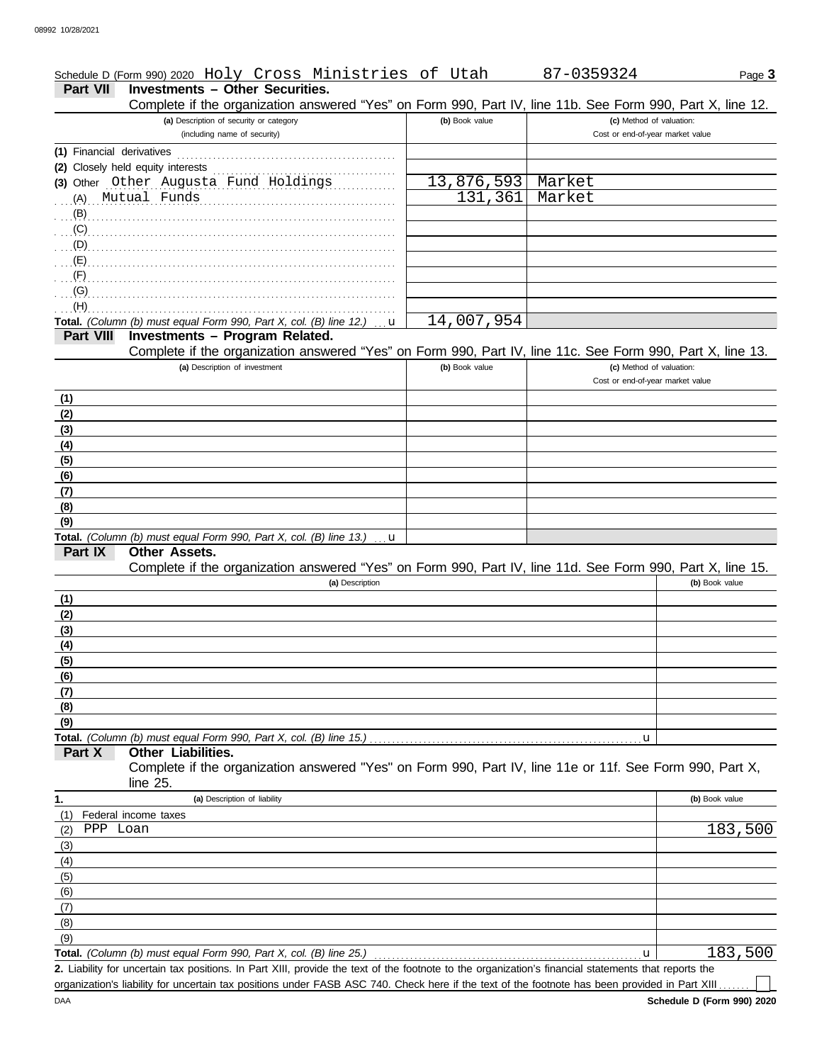|                 |                                        |  | Schedule D (Form 990) 2020 Holy Cross Ministries of Utah |  | 87-0359324                                                                                                 | Page $3$ |
|-----------------|----------------------------------------|--|----------------------------------------------------------|--|------------------------------------------------------------------------------------------------------------|----------|
| <b>Part VII</b> | <b>Investments – Other Securities.</b> |  |                                                          |  |                                                                                                            |          |
|                 |                                        |  |                                                          |  | Complete if the organization answered "Yes" on Form 990, Part IV, line 11b, See Form 990, Part X, line 12, |          |

|                           | Complete if the organization answered "Yes" on Form 990, Part IV, line 11b. See Form 990, Part X, line 12. |                |                                  |                |
|---------------------------|------------------------------------------------------------------------------------------------------------|----------------|----------------------------------|----------------|
|                           | (a) Description of security or category                                                                    | (b) Book value | (c) Method of valuation:         |                |
|                           | (including name of security)                                                                               |                | Cost or end-of-year market value |                |
| (1) Financial derivatives |                                                                                                            |                |                                  |                |
|                           | (2) Closely held equity interests                                                                          |                |                                  |                |
|                           | (3) Other Other Augusta Fund Holdings                                                                      | 13,876,593     | Market                           |                |
|                           | (A) Mutual Funds                                                                                           | 131,361        | Market                           |                |
| $\langle B \rangle$ .     |                                                                                                            |                |                                  |                |
|                           |                                                                                                            |                |                                  |                |
| $\Gamma$ (D) $\Gamma$     |                                                                                                            |                |                                  |                |
|                           |                                                                                                            |                |                                  |                |
| $(F)$ .                   |                                                                                                            |                |                                  |                |
| (G)                       |                                                                                                            |                |                                  |                |
| (H)                       |                                                                                                            |                |                                  |                |
|                           | Total. (Column (b) must equal Form 990, Part X, col. (B) line 12.)<br>u                                    | 14,007,954     |                                  |                |
| <b>Part VIII</b>          | Investments - Program Related.                                                                             |                |                                  |                |
|                           | Complete if the organization answered "Yes" on Form 990, Part IV, line 11c. See Form 990, Part X, line 13. |                |                                  |                |
|                           | (a) Description of investment                                                                              | (b) Book value | (c) Method of valuation:         |                |
|                           |                                                                                                            |                | Cost or end-of-year market value |                |
| (1)                       |                                                                                                            |                |                                  |                |
| (2)                       |                                                                                                            |                |                                  |                |
| (3)                       |                                                                                                            |                |                                  |                |
| (4)                       |                                                                                                            |                |                                  |                |
| (5)                       |                                                                                                            |                |                                  |                |
| (6)                       |                                                                                                            |                |                                  |                |
| (7)                       |                                                                                                            |                |                                  |                |
| (8)                       |                                                                                                            |                |                                  |                |
| (9)                       |                                                                                                            |                |                                  |                |
|                           | Total. (Column (b) must equal Form 990, Part X, col. (B) line 13.)<br>u                                    |                |                                  |                |
| Part IX                   | Other Assets.                                                                                              |                |                                  |                |
|                           | Complete if the organization answered "Yes" on Form 990, Part IV, line 11d. See Form 990, Part X, line 15. |                |                                  |                |
|                           | (a) Description                                                                                            |                |                                  | (b) Book value |
| (1)                       |                                                                                                            |                |                                  |                |
| (2)                       |                                                                                                            |                |                                  |                |
| (3)                       |                                                                                                            |                |                                  |                |
| (4)                       |                                                                                                            |                |                                  |                |
| (5)                       |                                                                                                            |                |                                  |                |
| (6)                       |                                                                                                            |                |                                  |                |
| (7)                       |                                                                                                            |                |                                  |                |
| (8)                       |                                                                                                            |                |                                  |                |
| (9)                       |                                                                                                            |                |                                  |                |
|                           | Total. (Column (b) must equal Form 990, Part X, col. (B) line 15.)                                         |                | u                                |                |
| Part X                    | Other Liabilities.                                                                                         |                |                                  |                |
|                           | Complete if the organization answered "Yes" on Form 990, Part IV, line 11e or 11f. See Form 990, Part X,   |                |                                  |                |
|                           | line $25$ .                                                                                                |                |                                  |                |
| 1.                        | (a) Description of liability                                                                               |                |                                  | (b) Book value |
| (1)                       | Federal income taxes                                                                                       |                |                                  |                |
| PPP Loan<br>(2)           |                                                                                                            |                |                                  | 183,500        |
|                           |                                                                                                            |                |                                  |                |
| (3)                       |                                                                                                            |                |                                  |                |
| (4)                       |                                                                                                            |                |                                  |                |
| (5)                       |                                                                                                            |                |                                  |                |
| (6)                       |                                                                                                            |                |                                  |                |

**Total.** *(Column (b) must equal Form 990, Part X, col. (B) line 25.)*  $\overline{(9)}$ 

Liability for uncertain tax positions. In Part XIII, provide the text of the footnote to the organization's financial statements that reports the **2.** organization's liability for uncertain tax positions under FASB ASC 740. Check here if the text of the footnote has been provided in Part XIII

183,500

 $\Box$ 

u

(8)  $(7)$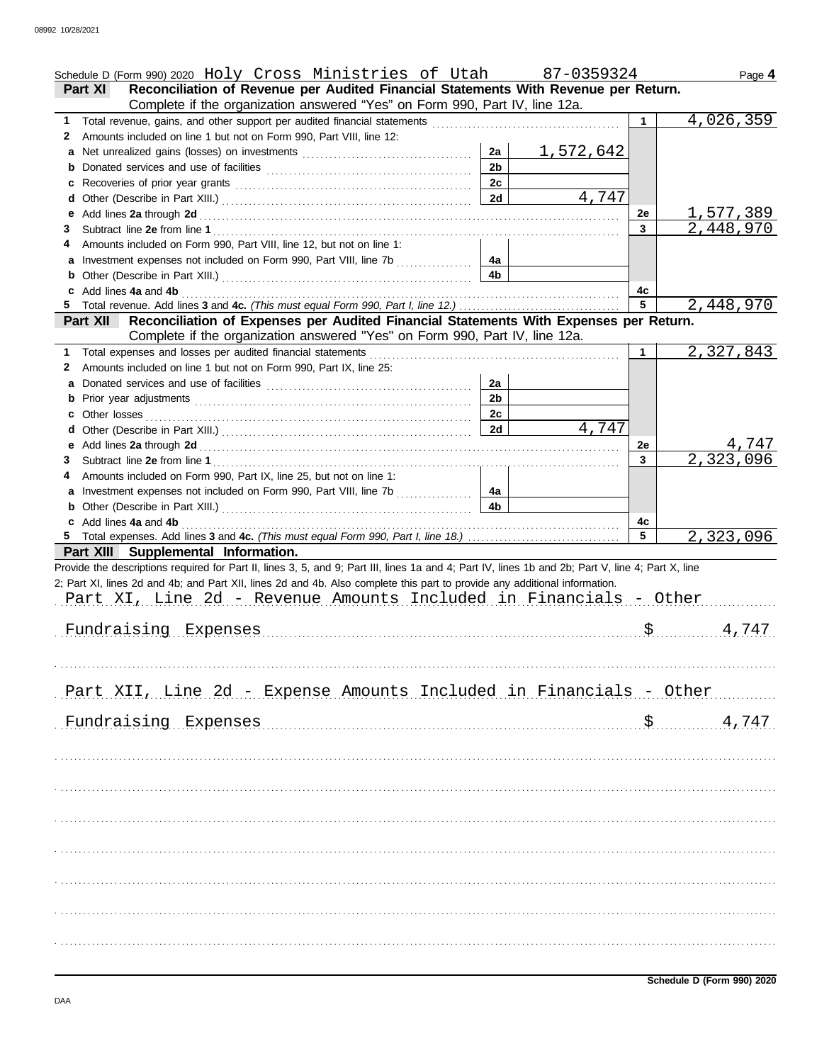|    | Schedule D (Form 990) 2020 Holy Cross Ministries of Utah 87-0359324                                                                                |                |           |              | Page 4              |
|----|----------------------------------------------------------------------------------------------------------------------------------------------------|----------------|-----------|--------------|---------------------|
|    | Reconciliation of Revenue per Audited Financial Statements With Revenue per Return.<br>Part XI                                                     |                |           |              |                     |
|    | Complete if the organization answered "Yes" on Form 990, Part IV, line 12a.                                                                        |                |           |              |                     |
| 1  | Total revenue, gains, and other support per audited financial statements [111][11][11][11][11][11][11][11][11]                                     |                |           |              | 4,026,359           |
| 2  | Amounts included on line 1 but not on Form 990, Part VIII, line 12:                                                                                |                |           |              |                     |
|    |                                                                                                                                                    | 2a             | 1,572,642 |              |                     |
|    |                                                                                                                                                    | 2 <sub>b</sub> |           |              |                     |
| c  |                                                                                                                                                    | 2c             |           |              |                     |
| d  |                                                                                                                                                    | 2d             | 4,747     |              |                     |
|    |                                                                                                                                                    |                |           | 2e           | 1,577,389           |
| 3  |                                                                                                                                                    |                |           | $\mathbf{3}$ | 2,448,970           |
| 4  | Amounts included on Form 990, Part VIII, line 12, but not on line 1:                                                                               |                |           |              |                     |
|    |                                                                                                                                                    | 4a             |           |              |                     |
| b  |                                                                                                                                                    | 4 <sub>b</sub> |           |              |                     |
|    | c Add lines 4a and 4b                                                                                                                              |                |           | 4c           |                     |
| 5. |                                                                                                                                                    |                |           | 5            | 2,448,970           |
|    | Reconciliation of Expenses per Audited Financial Statements With Expenses per Return.<br>Part XII                                                  |                |           |              |                     |
|    | Complete if the organization answered "Yes" on Form 990, Part IV, line 12a.                                                                        |                |           |              |                     |
|    |                                                                                                                                                    |                |           | 1            | 2,327,843           |
| 2  | Amounts included on line 1 but not on Form 990, Part IX, line 25:                                                                                  |                |           |              |                     |
|    |                                                                                                                                                    | 2a             |           |              |                     |
|    |                                                                                                                                                    | 2 <sub>b</sub> |           |              |                     |
|    |                                                                                                                                                    | 2c             |           |              |                     |
|    |                                                                                                                                                    | 2d             | 4,747     |              |                     |
|    |                                                                                                                                                    |                |           | 2e           | 4,747               |
| 3  |                                                                                                                                                    |                |           | $\mathbf{3}$ | 2,323,096           |
| 4  | Amounts included on Form 990, Part IX, line 25, but not on line 1:                                                                                 |                |           |              |                     |
|    | a Investment expenses not included on Form 990, Part VIII, line 7b                                                                                 | 4a             |           |              |                     |
|    |                                                                                                                                                    | 4 <sub>b</sub> |           |              |                     |
|    | c Add lines 4a and 4b                                                                                                                              |                |           | 4c           |                     |
|    |                                                                                                                                                    |                |           | 5            | 2,323,096           |
|    | Part XIII Supplemental Information.                                                                                                                |                |           |              |                     |
|    | Provide the descriptions required for Part II, lines 3, 5, and 9; Part III, lines 1a and 4; Part IV, lines 1b and 2b; Part V, line 4; Part X, line |                |           |              |                     |
|    | 2; Part XI, lines 2d and 4b; and Part XII, lines 2d and 4b. Also complete this part to provide any additional information.                         |                |           |              |                     |
|    | Part XI, Line 2d - Revenue Amounts Included in Financials - Other                                                                                  |                |           |              |                     |
|    |                                                                                                                                                    |                |           |              |                     |
|    | Fundraising Expenses                                                                                                                               |                |           |              | $S$<br>4,747        |
|    |                                                                                                                                                    |                |           |              |                     |
|    |                                                                                                                                                    |                |           |              |                     |
|    |                                                                                                                                                    |                |           |              |                     |
|    | Part XII, Line 2d - Expense Amounts Included in Financials - Other                                                                                 |                |           |              |                     |
|    |                                                                                                                                                    |                |           |              |                     |
|    | Fundraising Expenses                                                                                                                               |                |           |              | $\frac{5}{2}$ 4,747 |
|    |                                                                                                                                                    |                |           |              |                     |
|    |                                                                                                                                                    |                |           |              |                     |
|    |                                                                                                                                                    |                |           |              |                     |
|    |                                                                                                                                                    |                |           |              |                     |
|    |                                                                                                                                                    |                |           |              |                     |
|    |                                                                                                                                                    |                |           |              |                     |
|    |                                                                                                                                                    |                |           |              |                     |
|    |                                                                                                                                                    |                |           |              |                     |
|    |                                                                                                                                                    |                |           |              |                     |
|    |                                                                                                                                                    |                |           |              |                     |
|    |                                                                                                                                                    |                |           |              |                     |
|    |                                                                                                                                                    |                |           |              |                     |
|    |                                                                                                                                                    |                |           |              |                     |
|    |                                                                                                                                                    |                |           |              |                     |
|    |                                                                                                                                                    |                |           |              |                     |
|    |                                                                                                                                                    |                |           |              |                     |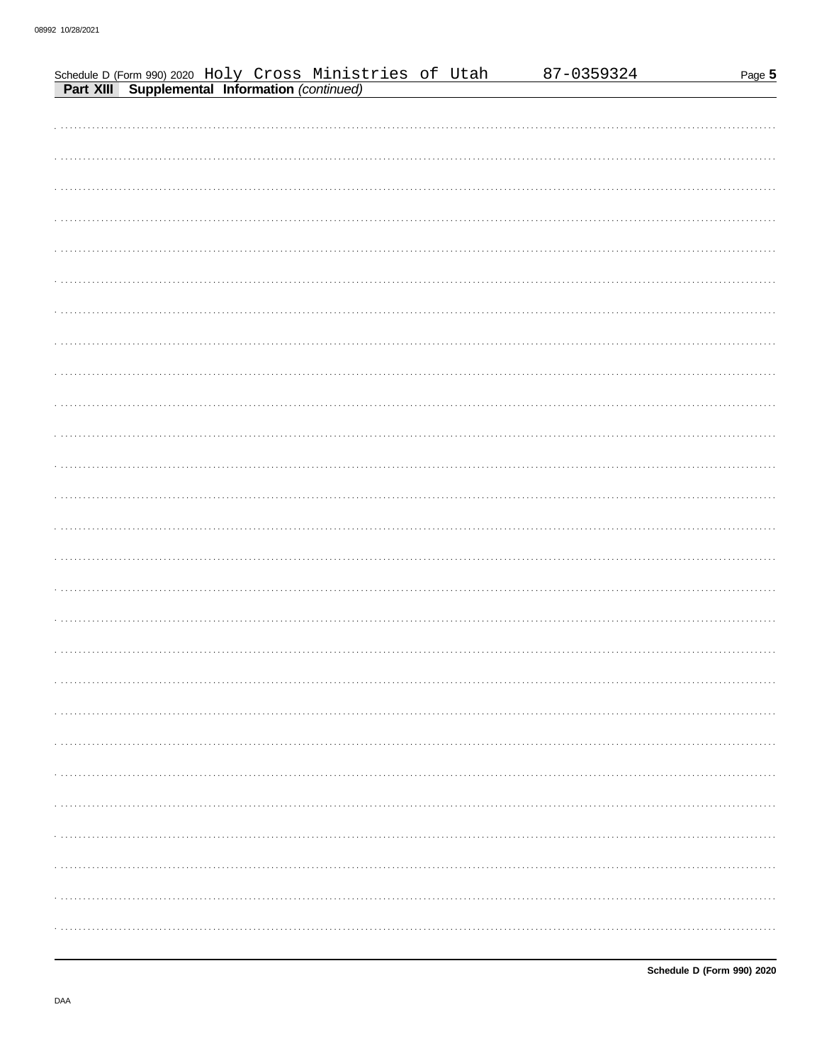| Schedule D (Form 990) 2020 Holy Cross Ministries of Utah<br>Part XIII Supplemental Information (continued) | 87-0359324 | Page 5 |
|------------------------------------------------------------------------------------------------------------|------------|--------|
|                                                                                                            |            |        |
|                                                                                                            |            |        |
|                                                                                                            |            |        |
|                                                                                                            |            |        |
|                                                                                                            |            |        |
|                                                                                                            |            |        |
|                                                                                                            |            |        |
|                                                                                                            |            |        |
|                                                                                                            |            |        |
|                                                                                                            |            |        |
|                                                                                                            |            |        |
|                                                                                                            |            |        |
|                                                                                                            |            |        |
|                                                                                                            |            |        |
|                                                                                                            |            |        |
|                                                                                                            |            |        |
|                                                                                                            |            |        |
|                                                                                                            |            |        |
|                                                                                                            |            |        |
|                                                                                                            |            |        |
|                                                                                                            |            |        |
|                                                                                                            |            |        |
|                                                                                                            |            |        |
|                                                                                                            |            |        |
|                                                                                                            |            |        |
|                                                                                                            |            |        |
|                                                                                                            |            |        |
|                                                                                                            |            |        |
|                                                                                                            |            |        |
|                                                                                                            |            |        |
|                                                                                                            |            |        |
|                                                                                                            |            |        |
|                                                                                                            |            |        |
|                                                                                                            |            | .      |
|                                                                                                            |            |        |
|                                                                                                            |            |        |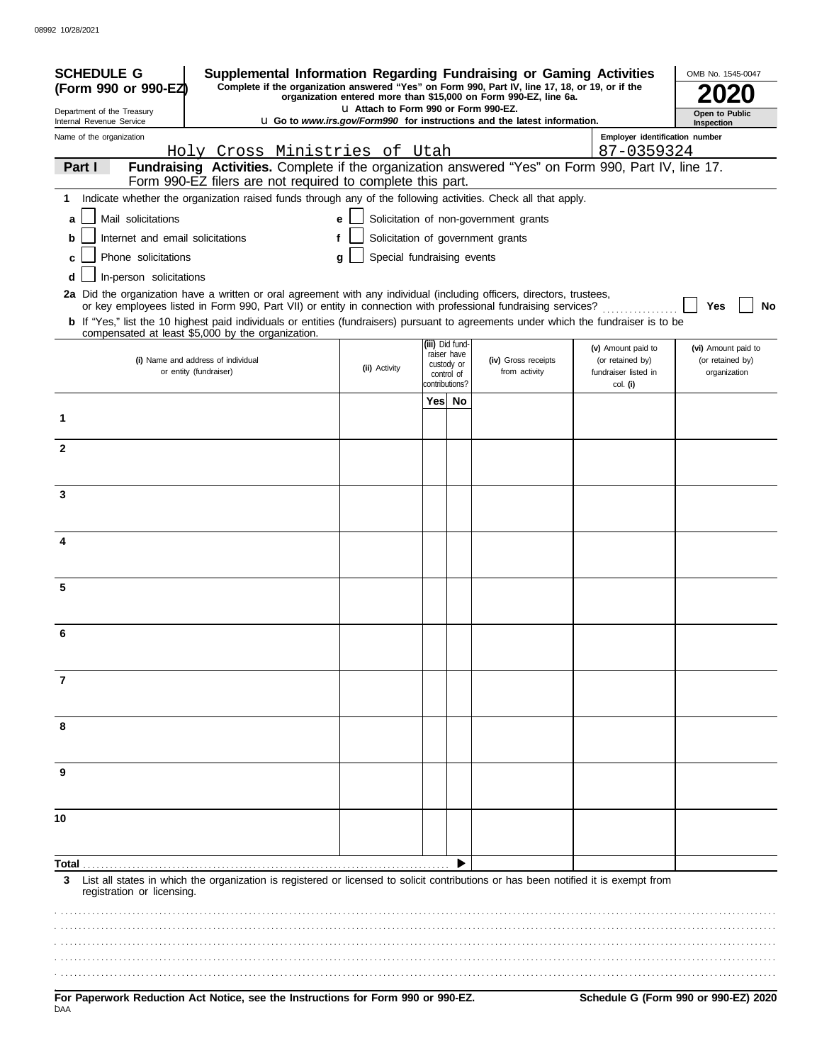| <b>SCHEDULE G</b><br>(Form 990 or 990-EZ) | Supplemental Information Regarding Fundraising or Gaming Activities<br>Complete if the organization answered "Yes" on Form 990, Part IV, line 17, 18, or 19, or if the                                                                                                                                                                                                                   |                                       |                                                           | organization entered more than \$15,000 on Form 990-EZ, line 6a.                       |                                                                | OMB No. 1545-0047                                       |
|-------------------------------------------|------------------------------------------------------------------------------------------------------------------------------------------------------------------------------------------------------------------------------------------------------------------------------------------------------------------------------------------------------------------------------------------|---------------------------------------|-----------------------------------------------------------|----------------------------------------------------------------------------------------|----------------------------------------------------------------|---------------------------------------------------------|
| Department of the Treasury                |                                                                                                                                                                                                                                                                                                                                                                                          | La Attach to Form 990 or Form 990-EZ. |                                                           |                                                                                        |                                                                | Open to Public                                          |
| Internal Revenue Service                  |                                                                                                                                                                                                                                                                                                                                                                                          |                                       |                                                           | <b>u</b> Go to <i>www.irs.gov/Form990</i> for instructions and the latest information. |                                                                | Inspection                                              |
| Name of the organization                  | Holy Cross Ministries of Utah                                                                                                                                                                                                                                                                                                                                                            |                                       |                                                           |                                                                                        | Employer identification number<br>87-0359324                   |                                                         |
| Part I                                    | Fundraising Activities. Complete if the organization answered "Yes" on Form 990, Part IV, line 17.<br>Form 990-EZ filers are not required to complete this part.                                                                                                                                                                                                                         |                                       |                                                           |                                                                                        |                                                                |                                                         |
|                                           | 1 Indicate whether the organization raised funds through any of the following activities. Check all that apply.                                                                                                                                                                                                                                                                          |                                       |                                                           |                                                                                        |                                                                |                                                         |
| Mail solicitations<br>a                   |                                                                                                                                                                                                                                                                                                                                                                                          | e                                     |                                                           | Solicitation of non-government grants                                                  |                                                                |                                                         |
| Internet and email solicitations<br>b     |                                                                                                                                                                                                                                                                                                                                                                                          | f                                     |                                                           | Solicitation of government grants                                                      |                                                                |                                                         |
| Phone solicitations                       |                                                                                                                                                                                                                                                                                                                                                                                          | Special fundraising events<br>g       |                                                           |                                                                                        |                                                                |                                                         |
| In-person solicitations<br>d              |                                                                                                                                                                                                                                                                                                                                                                                          |                                       |                                                           |                                                                                        |                                                                |                                                         |
|                                           | 2a Did the organization have a written or oral agreement with any individual (including officers, directors, trustees,<br>or key employees listed in Form 990, Part VII) or entity in connection with professional fundraising services?<br><b>b</b> If "Yes," list the 10 highest paid individuals or entities (fundraisers) pursuant to agreements under which the fundraiser is to be |                                       |                                                           |                                                                                        |                                                                | Yes<br>No                                               |
|                                           | compensated at least \$5,000 by the organization.                                                                                                                                                                                                                                                                                                                                        |                                       | (iii) Did fund-                                           |                                                                                        |                                                                |                                                         |
|                                           | (i) Name and address of individual<br>or entity (fundraiser)                                                                                                                                                                                                                                                                                                                             | (ii) Activity                         | raiser have<br>custody or<br>control of<br>contributions? | (iv) Gross receipts<br>from activity                                                   | (v) Amount paid to<br>(or retained by)<br>fundraiser listed in | (vi) Amount paid to<br>(or retained by)<br>organization |
|                                           |                                                                                                                                                                                                                                                                                                                                                                                          |                                       | Yes No                                                    |                                                                                        | col. (i)                                                       |                                                         |
| 1                                         |                                                                                                                                                                                                                                                                                                                                                                                          |                                       |                                                           |                                                                                        |                                                                |                                                         |
| $\mathbf{2}$                              |                                                                                                                                                                                                                                                                                                                                                                                          |                                       |                                                           |                                                                                        |                                                                |                                                         |
| 3                                         |                                                                                                                                                                                                                                                                                                                                                                                          |                                       |                                                           |                                                                                        |                                                                |                                                         |
|                                           |                                                                                                                                                                                                                                                                                                                                                                                          |                                       |                                                           |                                                                                        |                                                                |                                                         |
| 4                                         |                                                                                                                                                                                                                                                                                                                                                                                          |                                       |                                                           |                                                                                        |                                                                |                                                         |
| 5                                         |                                                                                                                                                                                                                                                                                                                                                                                          |                                       |                                                           |                                                                                        |                                                                |                                                         |
| 6                                         |                                                                                                                                                                                                                                                                                                                                                                                          |                                       |                                                           |                                                                                        |                                                                |                                                         |
| 7                                         |                                                                                                                                                                                                                                                                                                                                                                                          |                                       |                                                           |                                                                                        |                                                                |                                                         |
|                                           |                                                                                                                                                                                                                                                                                                                                                                                          |                                       |                                                           |                                                                                        |                                                                |                                                         |
| 8                                         |                                                                                                                                                                                                                                                                                                                                                                                          |                                       |                                                           |                                                                                        |                                                                |                                                         |
| 9                                         |                                                                                                                                                                                                                                                                                                                                                                                          |                                       |                                                           |                                                                                        |                                                                |                                                         |
| 10                                        |                                                                                                                                                                                                                                                                                                                                                                                          |                                       |                                                           |                                                                                        |                                                                |                                                         |
| Total                                     |                                                                                                                                                                                                                                                                                                                                                                                          |                                       |                                                           |                                                                                        |                                                                |                                                         |
| 3<br>registration or licensing.           | List all states in which the organization is registered or licensed to solicit contributions or has been notified it is exempt from                                                                                                                                                                                                                                                      |                                       |                                                           |                                                                                        |                                                                |                                                         |
|                                           |                                                                                                                                                                                                                                                                                                                                                                                          |                                       |                                                           |                                                                                        |                                                                |                                                         |
|                                           |                                                                                                                                                                                                                                                                                                                                                                                          |                                       |                                                           |                                                                                        |                                                                |                                                         |
|                                           |                                                                                                                                                                                                                                                                                                                                                                                          |                                       |                                                           |                                                                                        |                                                                |                                                         |
|                                           |                                                                                                                                                                                                                                                                                                                                                                                          |                                       |                                                           |                                                                                        |                                                                |                                                         |
|                                           | For Penerwork Reduction Act Notice, see the Instructions for Form 000 or 000-F7                                                                                                                                                                                                                                                                                                          |                                       |                                                           |                                                                                        |                                                                | Schodule G (Form 000 or 000-F7) 2020                    |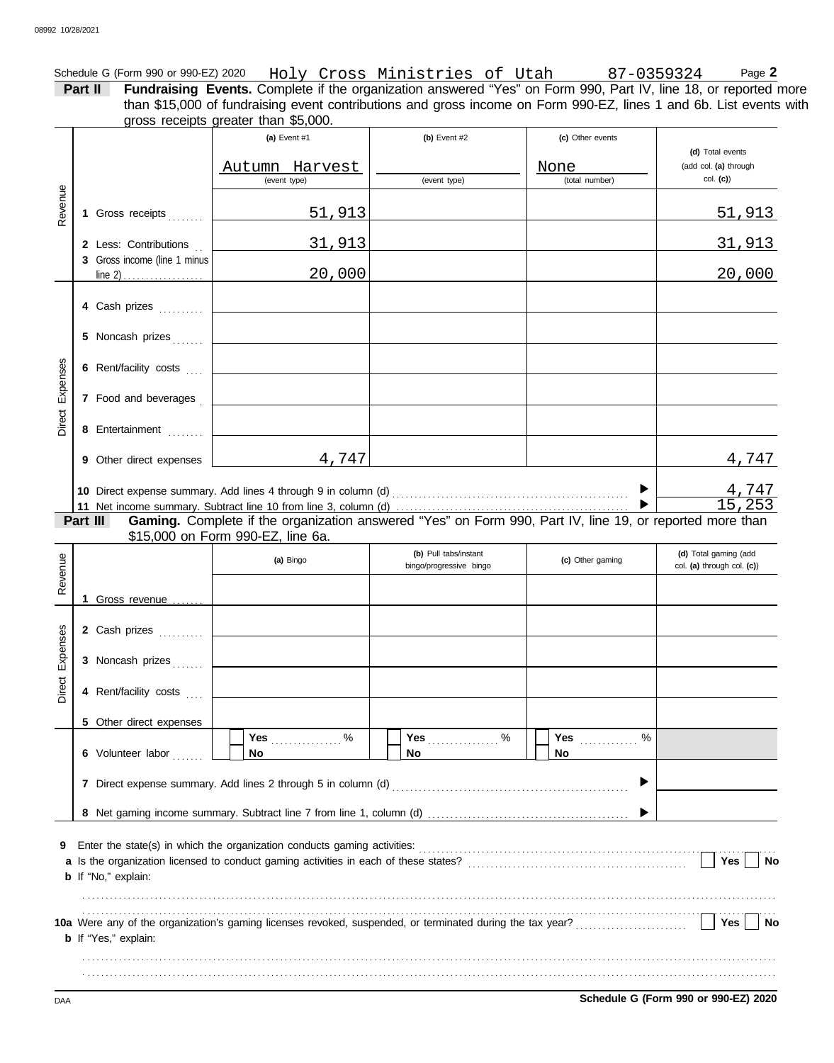|                 |                              | Schedule G (Form 990 or 990-EZ) 2020 Holy Cross Ministries of Utah 87-0359324                                                                                                                                                         |                                                  |                  | Page 2                                              |
|-----------------|------------------------------|---------------------------------------------------------------------------------------------------------------------------------------------------------------------------------------------------------------------------------------|--------------------------------------------------|------------------|-----------------------------------------------------|
|                 | Part II                      | Fundraising Events. Complete if the organization answered "Yes" on Form 990, Part IV, line 18, or reported more<br>than \$15,000 of fundraising event contributions and gross income on Form 990-EZ, lines 1 and 6b. List events with |                                                  |                  |                                                     |
|                 |                              | gross receipts greater than \$5,000.                                                                                                                                                                                                  |                                                  |                  |                                                     |
|                 |                              | (a) Event #1                                                                                                                                                                                                                          | (b) Event $#2$                                   | (c) Other events |                                                     |
|                 |                              | Autumn Harvest                                                                                                                                                                                                                        |                                                  | None             | (d) Total events<br>(add col. (a) through           |
|                 |                              | (event type)                                                                                                                                                                                                                          | (event type)                                     | (total number)   | $col.$ (c))                                         |
| Revenue         |                              |                                                                                                                                                                                                                                       |                                                  |                  |                                                     |
|                 | 1 Gross receipts             | <u>51,913</u>                                                                                                                                                                                                                         |                                                  |                  | <u>51,913</u>                                       |
|                 | 2 Less: Contributions        | <u>31,913</u>                                                                                                                                                                                                                         |                                                  |                  | <u>31,913</u>                                       |
|                 | 3 Gross income (line 1 minus |                                                                                                                                                                                                                                       |                                                  |                  |                                                     |
|                 |                              | 20,000                                                                                                                                                                                                                                |                                                  |                  | 20,000                                              |
|                 | 4 Cash prizes                |                                                                                                                                                                                                                                       |                                                  |                  |                                                     |
|                 |                              |                                                                                                                                                                                                                                       |                                                  |                  |                                                     |
|                 | 5 Noncash prizes             |                                                                                                                                                                                                                                       |                                                  |                  |                                                     |
|                 |                              |                                                                                                                                                                                                                                       |                                                  |                  |                                                     |
| Direct Expenses | 6 Rent/facility costs        |                                                                                                                                                                                                                                       |                                                  |                  |                                                     |
|                 | 7 Food and beverages         | the contract of the contract of the contract of                                                                                                                                                                                       |                                                  |                  |                                                     |
|                 |                              |                                                                                                                                                                                                                                       |                                                  |                  |                                                     |
|                 | 8 Entertainment              |                                                                                                                                                                                                                                       |                                                  |                  |                                                     |
|                 | 9 Other direct expenses      | 4,747                                                                                                                                                                                                                                 |                                                  |                  | 4,747                                               |
|                 |                              |                                                                                                                                                                                                                                       |                                                  |                  |                                                     |
|                 |                              |                                                                                                                                                                                                                                       |                                                  |                  | 4,747<br>15,253                                     |
|                 | Part III                     | Gaming. Complete if the organization answered "Yes" on Form 990, Part IV, line 19, or reported more than                                                                                                                              |                                                  |                  |                                                     |
|                 |                              | \$15,000 on Form 990-EZ, line 6a.                                                                                                                                                                                                     |                                                  |                  |                                                     |
|                 |                              | (a) Bingo                                                                                                                                                                                                                             | (b) Pull tabs/instant<br>bingo/progressive bingo | (c) Other gaming | (d) Total gaming (add<br>col. (a) through col. (c)) |
| Revenue         |                              |                                                                                                                                                                                                                                       |                                                  |                  |                                                     |
|                 | 1 Gross revenue              |                                                                                                                                                                                                                                       |                                                  |                  |                                                     |
|                 |                              |                                                                                                                                                                                                                                       |                                                  |                  |                                                     |
| ses             | 2 Cash prizes                |                                                                                                                                                                                                                                       |                                                  |                  |                                                     |
| Expen           | 3 Noncash prizes             |                                                                                                                                                                                                                                       |                                                  |                  |                                                     |
|                 |                              |                                                                                                                                                                                                                                       |                                                  |                  |                                                     |
| Direct          | 4 Rent/facility costs        |                                                                                                                                                                                                                                       |                                                  |                  |                                                     |
|                 | 5 Other direct expenses      |                                                                                                                                                                                                                                       |                                                  |                  |                                                     |
|                 |                              | Yes $\ldots \ldots \ldots$ %                                                                                                                                                                                                          |                                                  | Yes $\ldots$ %   |                                                     |
|                 | 6 Volunteer labor            | No                                                                                                                                                                                                                                    | No.                                              | No               |                                                     |
|                 |                              |                                                                                                                                                                                                                                       |                                                  | ▶                |                                                     |
|                 |                              |                                                                                                                                                                                                                                       |                                                  |                  |                                                     |
|                 |                              |                                                                                                                                                                                                                                       |                                                  |                  |                                                     |
| 9               |                              |                                                                                                                                                                                                                                       |                                                  |                  |                                                     |
|                 |                              |                                                                                                                                                                                                                                       |                                                  |                  | Yes  <br><b>No</b>                                  |
|                 | <b>b</b> If "No," explain:   |                                                                                                                                                                                                                                       |                                                  |                  |                                                     |
|                 |                              |                                                                                                                                                                                                                                       |                                                  |                  |                                                     |
|                 |                              | 10a Were any of the organization's gaming licenses revoked, suspended, or terminated during the tax year?                                                                                                                             |                                                  |                  | Yes     No                                          |
|                 | <b>b</b> If "Yes," explain:  |                                                                                                                                                                                                                                       |                                                  |                  |                                                     |
|                 |                              |                                                                                                                                                                                                                                       |                                                  |                  |                                                     |
|                 |                              |                                                                                                                                                                                                                                       |                                                  |                  |                                                     |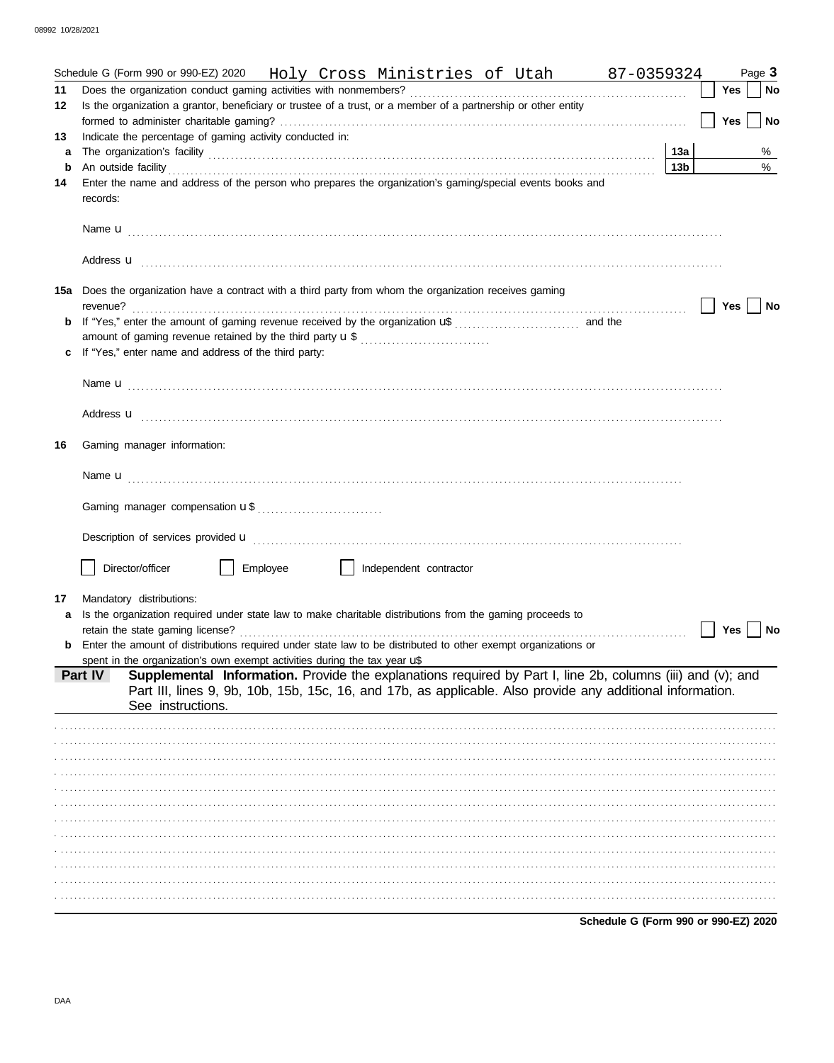|    | Schedule G (Form 990 or 990-EZ) 2020 Holy Cross Ministries of Utah 87-0359324                                                                                                                                                       |                                      |            | Page 3    |
|----|-------------------------------------------------------------------------------------------------------------------------------------------------------------------------------------------------------------------------------------|--------------------------------------|------------|-----------|
| 11 | Does the organization conduct gaming activities with nonmembers?                                                                                                                                                                    |                                      | <b>Yes</b> | No        |
| 12 | Is the organization a grantor, beneficiary or trustee of a trust, or a member of a partnership or other entity                                                                                                                      |                                      |            |           |
|    |                                                                                                                                                                                                                                     |                                      | <b>Yes</b> | <b>No</b> |
| 13 | Indicate the percentage of gaming activity conducted in:                                                                                                                                                                            |                                      |            |           |
| a  |                                                                                                                                                                                                                                     | 13а                                  |            | %         |
| b  |                                                                                                                                                                                                                                     | 13 <sub>b</sub>                      |            | %         |
| 14 | Enter the name and address of the person who prepares the organization's gaming/special events books and<br>records:                                                                                                                |                                      |            |           |
|    |                                                                                                                                                                                                                                     |                                      |            |           |
|    | Address <b>u</b> electron and the contract of the contract of the contract of the contract of the contract of the contract of the contract of the contract of the contract of the contract of the contract of the contract of the c |                                      |            |           |
|    | 15a Does the organization have a contract with a third party from whom the organization receives gaming                                                                                                                             |                                      |            |           |
|    |                                                                                                                                                                                                                                     |                                      | Yes        | No        |
| b  |                                                                                                                                                                                                                                     |                                      |            |           |
|    | If "Yes," enter name and address of the third party:                                                                                                                                                                                |                                      |            |           |
|    |                                                                                                                                                                                                                                     |                                      |            |           |
|    | Name <b>u</b> entre and the contract of the contract of the contract of the contract of the contract of the contract of the contract of the contract of the contract of the contract of the contract of the contract of the contrac |                                      |            |           |
|    | Address <b>u</b>                                                                                                                                                                                                                    |                                      |            |           |
| 16 | Gaming manager information:                                                                                                                                                                                                         |                                      |            |           |
|    |                                                                                                                                                                                                                                     |                                      |            |           |
|    |                                                                                                                                                                                                                                     |                                      |            |           |
|    | Description of services provided <b>u</b> electron contract the contract of the contract of the contract of the contract of the contract of the contract of the contract of the contract of the contract of the contract of the con |                                      |            |           |
|    | Director/officer<br>Employee<br>Independent contractor                                                                                                                                                                              |                                      |            |           |
|    |                                                                                                                                                                                                                                     |                                      |            |           |
| 17 | Mandatory distributions:                                                                                                                                                                                                            |                                      |            |           |
|    | Is the organization required under state law to make charitable distributions from the gaming proceeds to<br>retain the state gaming license?                                                                                       |                                      | Yes        | No        |
|    | Enter the amount of distributions required under state law to be distributed to other exempt organizations or                                                                                                                       |                                      |            |           |
|    | spent in the organization's own exempt activities during the tax year $\mathbf{u}^*$                                                                                                                                                |                                      |            |           |
|    | Supplemental Information. Provide the explanations required by Part I, line 2b, columns (iii) and (v); and<br>Part IV<br>Part III, lines 9, 9b, 10b, 15b, 15c, 16, and 17b, as applicable. Also provide any additional information. |                                      |            |           |
|    | See instructions.                                                                                                                                                                                                                   |                                      |            |           |
|    |                                                                                                                                                                                                                                     |                                      |            |           |
|    |                                                                                                                                                                                                                                     |                                      |            |           |
|    |                                                                                                                                                                                                                                     |                                      |            |           |
|    |                                                                                                                                                                                                                                     |                                      |            |           |
|    |                                                                                                                                                                                                                                     |                                      |            |           |
|    |                                                                                                                                                                                                                                     |                                      |            |           |
|    |                                                                                                                                                                                                                                     |                                      |            |           |
|    |                                                                                                                                                                                                                                     |                                      |            |           |
|    |                                                                                                                                                                                                                                     |                                      |            |           |
|    |                                                                                                                                                                                                                                     |                                      |            |           |
|    |                                                                                                                                                                                                                                     |                                      |            |           |
|    |                                                                                                                                                                                                                                     |                                      |            |           |
|    |                                                                                                                                                                                                                                     | Schedule G (Form 990 or 990-EZ) 2020 |            |           |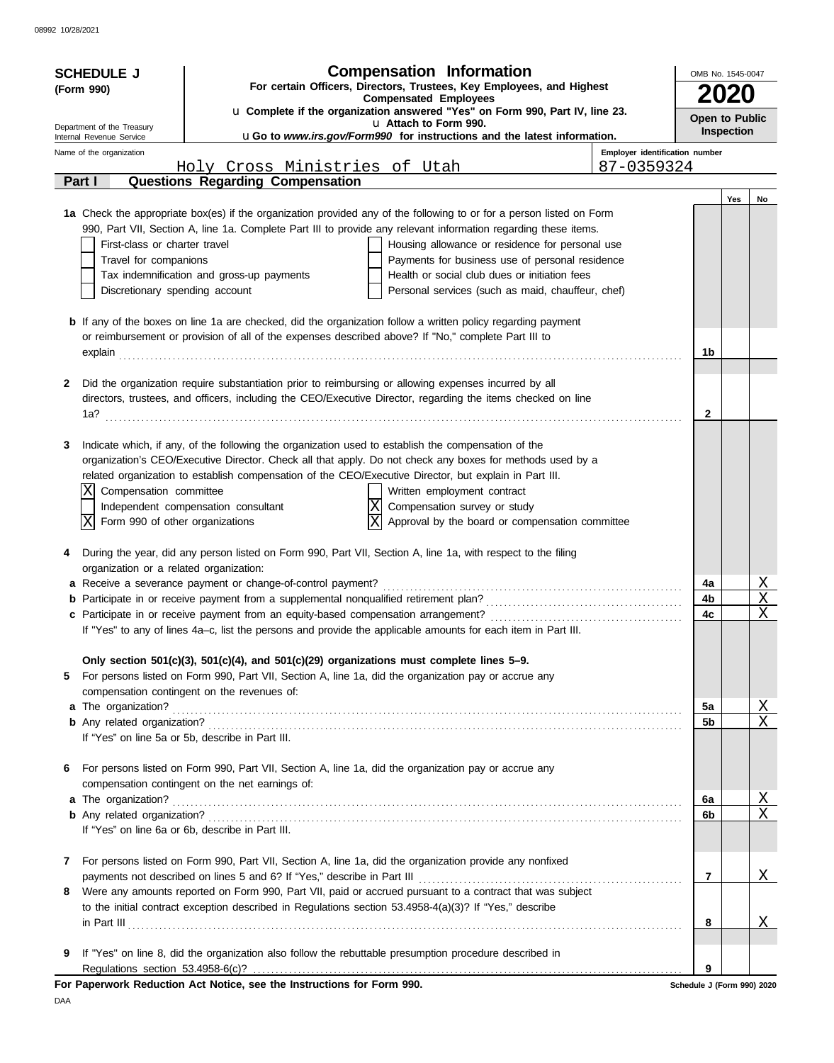| <b>Compensation Information</b><br><b>SCHEDULE J</b><br>For certain Officers, Directors, Trustees, Key Employees, and Highest<br>(Form 990)<br><b>Compensated Employees</b><br>u Complete if the organization answered "Yes" on Form 990, Part IV, line 23.<br>u Attach to Form 990. |                                                        | OMB No. 1545-0047<br>Open to Public                                                      |                                                                                                                                                                                                                                     |                                |                                 |            |                         |
|--------------------------------------------------------------------------------------------------------------------------------------------------------------------------------------------------------------------------------------------------------------------------------------|--------------------------------------------------------|------------------------------------------------------------------------------------------|-------------------------------------------------------------------------------------------------------------------------------------------------------------------------------------------------------------------------------------|--------------------------------|---------------------------------|------------|-------------------------|
|                                                                                                                                                                                                                                                                                      | Department of the Treasury<br>Internal Revenue Service |                                                                                          | uGo to www.irs.gov/Form990 for instructions and the latest information.                                                                                                                                                             |                                |                                 | Inspection |                         |
|                                                                                                                                                                                                                                                                                      | Name of the organization                               |                                                                                          |                                                                                                                                                                                                                                     | Employer identification number |                                 |            |                         |
|                                                                                                                                                                                                                                                                                      | Part I                                                 | <u>Holy Cross Ministries of Utah</u><br><b>Questions Regarding Compensation</b>          |                                                                                                                                                                                                                                     | 87-0359324                     |                                 |            |                         |
|                                                                                                                                                                                                                                                                                      |                                                        |                                                                                          |                                                                                                                                                                                                                                     |                                |                                 | Yes        | No                      |
|                                                                                                                                                                                                                                                                                      |                                                        |                                                                                          | 1a Check the appropriate box(es) if the organization provided any of the following to or for a person listed on Form                                                                                                                |                                |                                 |            |                         |
|                                                                                                                                                                                                                                                                                      |                                                        |                                                                                          | 990, Part VII, Section A, line 1a. Complete Part III to provide any relevant information regarding these items.                                                                                                                     |                                |                                 |            |                         |
|                                                                                                                                                                                                                                                                                      | First-class or charter travel                          |                                                                                          | Housing allowance or residence for personal use                                                                                                                                                                                     |                                |                                 |            |                         |
|                                                                                                                                                                                                                                                                                      | Travel for companions                                  |                                                                                          | Payments for business use of personal residence                                                                                                                                                                                     |                                |                                 |            |                         |
|                                                                                                                                                                                                                                                                                      |                                                        | Tax indemnification and gross-up payments                                                | Health or social club dues or initiation fees                                                                                                                                                                                       |                                |                                 |            |                         |
|                                                                                                                                                                                                                                                                                      | Discretionary spending account                         |                                                                                          | Personal services (such as maid, chauffeur, chef)                                                                                                                                                                                   |                                |                                 |            |                         |
|                                                                                                                                                                                                                                                                                      |                                                        |                                                                                          | <b>b</b> If any of the boxes on line 1a are checked, did the organization follow a written policy regarding payment                                                                                                                 |                                |                                 |            |                         |
|                                                                                                                                                                                                                                                                                      |                                                        |                                                                                          | or reimbursement or provision of all of the expenses described above? If "No," complete Part III to                                                                                                                                 |                                |                                 |            |                         |
|                                                                                                                                                                                                                                                                                      | explain                                                |                                                                                          |                                                                                                                                                                                                                                     |                                | 1b                              |            |                         |
|                                                                                                                                                                                                                                                                                      |                                                        |                                                                                          |                                                                                                                                                                                                                                     |                                |                                 |            |                         |
| 2                                                                                                                                                                                                                                                                                    |                                                        |                                                                                          | Did the organization require substantiation prior to reimbursing or allowing expenses incurred by all                                                                                                                               |                                |                                 |            |                         |
|                                                                                                                                                                                                                                                                                      |                                                        |                                                                                          | directors, trustees, and officers, including the CEO/Executive Director, regarding the items checked on line                                                                                                                        |                                |                                 |            |                         |
|                                                                                                                                                                                                                                                                                      | 1a?                                                    |                                                                                          |                                                                                                                                                                                                                                     |                                | $\mathbf{2}$                    |            |                         |
|                                                                                                                                                                                                                                                                                      |                                                        |                                                                                          |                                                                                                                                                                                                                                     |                                |                                 |            |                         |
| 3                                                                                                                                                                                                                                                                                    |                                                        |                                                                                          | Indicate which, if any, of the following the organization used to establish the compensation of the                                                                                                                                 |                                |                                 |            |                         |
|                                                                                                                                                                                                                                                                                      |                                                        |                                                                                          | organization's CEO/Executive Director. Check all that apply. Do not check any boxes for methods used by a<br>related organization to establish compensation of the CEO/Executive Director, but explain in Part III.                 |                                |                                 |            |                         |
|                                                                                                                                                                                                                                                                                      | Compensation committee<br>Χ                            |                                                                                          | Written employment contract                                                                                                                                                                                                         |                                |                                 |            |                         |
|                                                                                                                                                                                                                                                                                      |                                                        | Independent compensation consultant                                                      | lΧ<br>Compensation survey or study                                                                                                                                                                                                  |                                |                                 |            |                         |
|                                                                                                                                                                                                                                                                                      | lΧ<br>Form 990 of other organizations                  |                                                                                          | lΧ<br>Approval by the board or compensation committee                                                                                                                                                                               |                                |                                 |            |                         |
|                                                                                                                                                                                                                                                                                      |                                                        |                                                                                          |                                                                                                                                                                                                                                     |                                |                                 |            |                         |
|                                                                                                                                                                                                                                                                                      |                                                        |                                                                                          | During the year, did any person listed on Form 990, Part VII, Section A, line 1a, with respect to the filing                                                                                                                        |                                |                                 |            |                         |
|                                                                                                                                                                                                                                                                                      | organization or a related organization:                |                                                                                          |                                                                                                                                                                                                                                     |                                |                                 |            |                         |
|                                                                                                                                                                                                                                                                                      |                                                        | a Receive a severance payment or change-of-control payment?                              |                                                                                                                                                                                                                                     |                                | 4a<br>4b                        |            | <u>х</u><br>$\mathbf X$ |
|                                                                                                                                                                                                                                                                                      |                                                        |                                                                                          |                                                                                                                                                                                                                                     |                                | 4c                              |            | X                       |
|                                                                                                                                                                                                                                                                                      |                                                        |                                                                                          | If "Yes" to any of lines 4a-c, list the persons and provide the applicable amounts for each item in Part III.                                                                                                                       |                                |                                 |            |                         |
|                                                                                                                                                                                                                                                                                      |                                                        |                                                                                          |                                                                                                                                                                                                                                     |                                |                                 |            |                         |
|                                                                                                                                                                                                                                                                                      |                                                        | Only section 501(c)(3), 501(c)(4), and 501(c)(29) organizations must complete lines 5-9. |                                                                                                                                                                                                                                     |                                |                                 |            |                         |
| 5                                                                                                                                                                                                                                                                                    |                                                        |                                                                                          | For persons listed on Form 990, Part VII, Section A, line 1a, did the organization pay or accrue any                                                                                                                                |                                |                                 |            |                         |
|                                                                                                                                                                                                                                                                                      |                                                        | compensation contingent on the revenues of:                                              |                                                                                                                                                                                                                                     |                                |                                 |            |                         |
|                                                                                                                                                                                                                                                                                      |                                                        |                                                                                          | a The organization? <b>Example 20</b> in the contract of the contract of the contract of the contract of the contract of the contract of the contract of the contract of the contract of the contract of the contract of the contra |                                | 5a                              |            | <u>X</u><br>X           |
|                                                                                                                                                                                                                                                                                      |                                                        | If "Yes" on line 5a or 5b, describe in Part III.                                         |                                                                                                                                                                                                                                     |                                | 5b                              |            |                         |
|                                                                                                                                                                                                                                                                                      |                                                        |                                                                                          |                                                                                                                                                                                                                                     |                                |                                 |            |                         |
| 6                                                                                                                                                                                                                                                                                    |                                                        |                                                                                          | For persons listed on Form 990, Part VII, Section A, line 1a, did the organization pay or accrue any                                                                                                                                |                                |                                 |            |                         |
|                                                                                                                                                                                                                                                                                      |                                                        | compensation contingent on the net earnings of:                                          |                                                                                                                                                                                                                                     |                                |                                 |            |                         |
|                                                                                                                                                                                                                                                                                      | a The organization?                                    |                                                                                          |                                                                                                                                                                                                                                     |                                | 6a                              |            | <u>X</u>                |
|                                                                                                                                                                                                                                                                                      |                                                        |                                                                                          |                                                                                                                                                                                                                                     |                                | 6b                              |            | $\mathbf X$             |
|                                                                                                                                                                                                                                                                                      |                                                        | If "Yes" on line 6a or 6b, describe in Part III.                                         |                                                                                                                                                                                                                                     |                                |                                 |            |                         |
| 7                                                                                                                                                                                                                                                                                    |                                                        |                                                                                          | For persons listed on Form 990, Part VII, Section A, line 1a, did the organization provide any nonfixed                                                                                                                             |                                |                                 |            |                         |
|                                                                                                                                                                                                                                                                                      |                                                        |                                                                                          |                                                                                                                                                                                                                                     |                                | $\overline{7}$                  |            | X                       |
| 8                                                                                                                                                                                                                                                                                    |                                                        |                                                                                          | Were any amounts reported on Form 990, Part VII, paid or accrued pursuant to a contract that was subject                                                                                                                            |                                |                                 |            |                         |
|                                                                                                                                                                                                                                                                                      |                                                        |                                                                                          | to the initial contract exception described in Regulations section 53.4958-4(a)(3)? If "Yes," describe                                                                                                                              |                                |                                 |            |                         |
|                                                                                                                                                                                                                                                                                      |                                                        |                                                                                          |                                                                                                                                                                                                                                     |                                | 8                               |            | Χ                       |
|                                                                                                                                                                                                                                                                                      |                                                        |                                                                                          |                                                                                                                                                                                                                                     |                                |                                 |            |                         |
| 9                                                                                                                                                                                                                                                                                    |                                                        |                                                                                          | If "Yes" on line 8, did the organization also follow the rebuttable presumption procedure described in                                                                                                                              |                                |                                 |            |                         |
|                                                                                                                                                                                                                                                                                      |                                                        | For Paperwork Reduction Act Notice, see the Instructions for Form 990.                   |                                                                                                                                                                                                                                     |                                | 9<br>Schedule J (Form 990) 2020 |            |                         |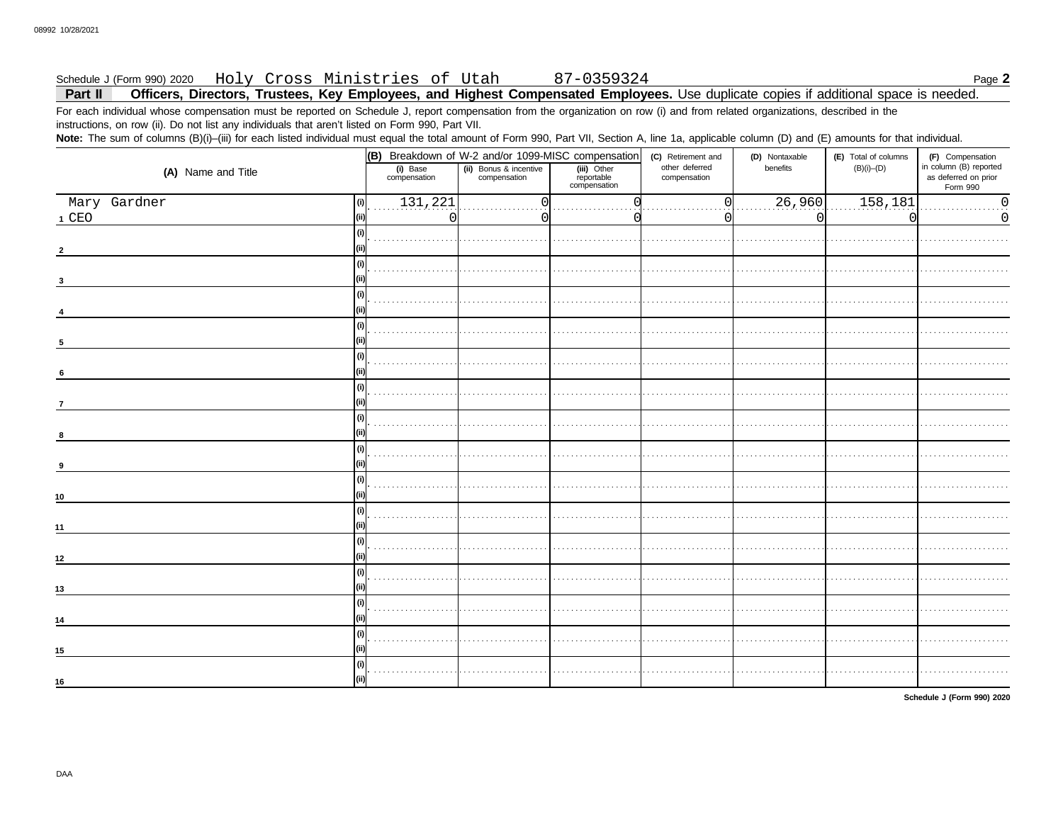### Holy Cross Ministries of Utah 87-0359324 Schedule J (Form 990) 2020

Officers, Directors, Trustees, Key Employees, and Highest Compensated Employees. Use duplicate copies if additional space is needed. Part II

For each individual whose compensation must be reported on Schedule J, report compensation from the organization on row (i) and from related organizations, described in the instructions, on row (ii). Do not list any individuals that aren't listed on Form 990, Part VII.

Note: The sum of columns (B)(i)-(iii) for each listed individual must equal the total amount of Form 990, Part VII, Section A, line 1a, applicable column (D) and (E) amounts for that individual.

|                       | (B) Breakdown of W-2 and/or 1099-MISC compensation |                                        |                                           | (C) Retirement and             | (D) Nontaxable       | (E) Total of columns | (F) Compensation                                           |
|-----------------------|----------------------------------------------------|----------------------------------------|-------------------------------------------|--------------------------------|----------------------|----------------------|------------------------------------------------------------|
| (A) Name and Title    | (i) Base<br>compensation                           | (ii) Bonus & incentive<br>compensation | (iii) Other<br>reportable<br>compensation | other deferred<br>compensation | benefits             | $(B)(i)$ – $(D)$     | in column (B) reported<br>as deferred on prior<br>Form 990 |
| Mary Gardner<br>(i)   | 131, 221                                           |                                        |                                           |                                | $\overline{.26,960}$ | 158, 181             | 0<br>$\cdots$                                              |
| $1$ CEO<br>(iii)      | 0                                                  |                                        |                                           |                                | 0                    |                      | $\Omega$                                                   |
| (i)                   |                                                    |                                        |                                           |                                |                      |                      |                                                            |
|                       |                                                    |                                        |                                           |                                |                      |                      |                                                            |
| (i)                   |                                                    |                                        |                                           |                                |                      |                      |                                                            |
| (i)                   |                                                    |                                        |                                           |                                |                      |                      |                                                            |
| (i)                   |                                                    |                                        |                                           |                                |                      |                      |                                                            |
|                       |                                                    |                                        |                                           |                                |                      |                      |                                                            |
| (i)<br>6              |                                                    |                                        |                                           |                                |                      |                      |                                                            |
| (i)<br>$\overline{7}$ |                                                    |                                        |                                           |                                |                      |                      |                                                            |
| (i)<br>8              |                                                    |                                        |                                           |                                |                      |                      |                                                            |
| (i)                   |                                                    |                                        |                                           |                                |                      |                      |                                                            |
| 9                     |                                                    |                                        |                                           |                                |                      |                      |                                                            |
| (i)<br>10             |                                                    |                                        |                                           |                                |                      |                      |                                                            |
| (i)<br>11             |                                                    |                                        |                                           |                                |                      |                      |                                                            |
| 12                    |                                                    |                                        |                                           |                                |                      |                      |                                                            |
| (i)                   |                                                    |                                        |                                           |                                |                      |                      |                                                            |
| 13                    |                                                    |                                        |                                           |                                |                      |                      |                                                            |
| (i)<br>14             |                                                    |                                        |                                           |                                |                      |                      |                                                            |
| (i)<br>15             |                                                    |                                        |                                           |                                |                      |                      |                                                            |
| (i)                   |                                                    |                                        |                                           |                                |                      |                      |                                                            |
| (ii)<br>16            |                                                    |                                        |                                           |                                |                      |                      |                                                            |

Schedule J (Form 990) 2020

Page 2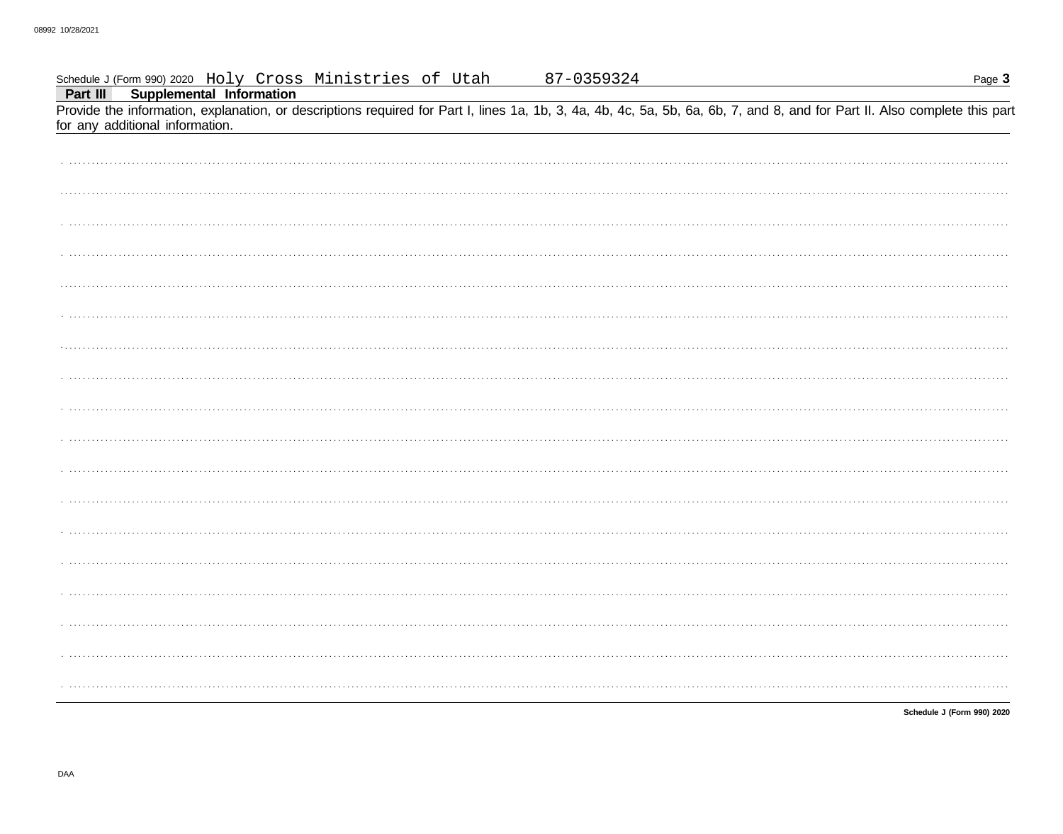| Schedule J (Form 990) 2020 Holy Cross Ministries of Utah<br>Part III Supplemental Information                                                                                                                 | 87-0359324 | Page 3                     |
|---------------------------------------------------------------------------------------------------------------------------------------------------------------------------------------------------------------|------------|----------------------------|
| Provide the information, explanation, or descriptions required for Part I, lines 1a, 1b, 3, 4a, 4b, 4c, 5a, 5b, 6a, 6b, 7, and 8, and for Part II. Also complete this part<br>for any additional information. |            |                            |
|                                                                                                                                                                                                               |            |                            |
|                                                                                                                                                                                                               |            |                            |
|                                                                                                                                                                                                               |            |                            |
|                                                                                                                                                                                                               |            |                            |
|                                                                                                                                                                                                               |            |                            |
|                                                                                                                                                                                                               |            |                            |
|                                                                                                                                                                                                               |            |                            |
|                                                                                                                                                                                                               |            |                            |
|                                                                                                                                                                                                               |            |                            |
|                                                                                                                                                                                                               |            |                            |
|                                                                                                                                                                                                               |            |                            |
|                                                                                                                                                                                                               |            |                            |
|                                                                                                                                                                                                               |            |                            |
|                                                                                                                                                                                                               |            |                            |
|                                                                                                                                                                                                               |            |                            |
|                                                                                                                                                                                                               |            |                            |
|                                                                                                                                                                                                               |            |                            |
|                                                                                                                                                                                                               |            |                            |
|                                                                                                                                                                                                               |            | Schedule J (Form 990) 2020 |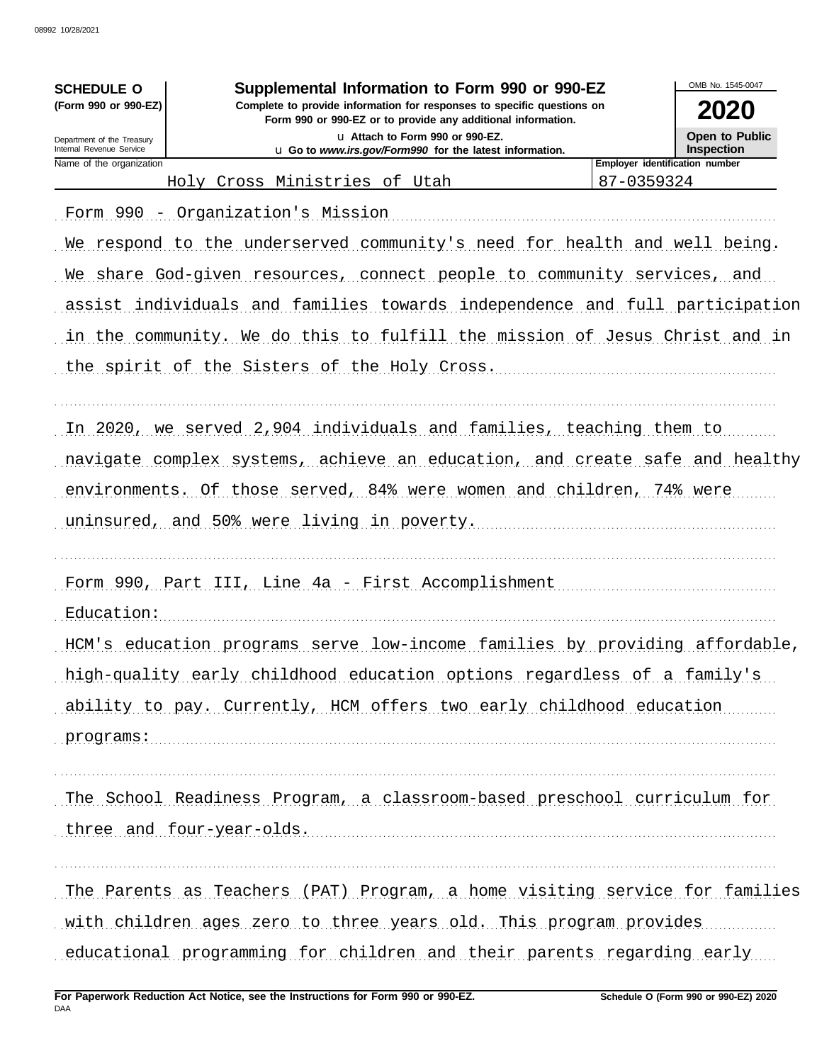| <b>SCHEDULE O</b>                                      | Supplemental Information to Form 990 or 990-EZ<br>Complete to provide information for responses to specific questions on |                                | OMB No. 1545-0047                   |
|--------------------------------------------------------|--------------------------------------------------------------------------------------------------------------------------|--------------------------------|-------------------------------------|
| (Form 990 or 990-EZ)                                   | 2020                                                                                                                     |                                |                                     |
| Department of the Treasury<br>Internal Revenue Service | La Attach to Form 990 or 990-EZ.<br>u Go to www.irs.gov/Form990 for the latest information.                              |                                | Open to Public<br><b>Inspection</b> |
| Name of the organization                               |                                                                                                                          | Employer identification number |                                     |
|                                                        | Holy Cross Ministries of Utah                                                                                            | 87-0359324                     |                                     |
|                                                        | Form 990 - Organization's Mission                                                                                        |                                |                                     |
|                                                        | We respond to the underserved community's need for health and well being.                                                |                                |                                     |
|                                                        | We share God-given resources, connect people to community services, and                                                  |                                |                                     |
|                                                        | assist individuals and families towards independence and full participation                                              |                                |                                     |
|                                                        | in the community. We do this to fulfill the mission of Jesus Christ and in                                               |                                |                                     |
|                                                        | the spirit of the Sisters of the Holy Cross.                                                                             |                                |                                     |
|                                                        |                                                                                                                          |                                |                                     |
|                                                        | In 2020, we served 2,904 individuals and families, teaching them to                                                      |                                |                                     |
|                                                        | navigate complex systems, achieve an education, and create safe and healthy                                              |                                |                                     |
|                                                        | environments. Of those served, 84% were women and children, 74% were                                                     |                                |                                     |
|                                                        | uninsured, and 50% were living in poverty.                                                                               |                                |                                     |
|                                                        |                                                                                                                          |                                |                                     |
|                                                        | Form 990, Part III, Line 4a - First Accomplishment                                                                       |                                |                                     |
| Education:                                             |                                                                                                                          |                                |                                     |
|                                                        | HCM's education programs serve low-income families by providing affordable,                                              |                                |                                     |
|                                                        | high-quality early childhood education options regardless of a family's                                                  |                                |                                     |
|                                                        | ability to pay. Currently, HCM offers two early childhood education                                                      |                                |                                     |
| programs:                                              |                                                                                                                          |                                |                                     |
|                                                        |                                                                                                                          |                                |                                     |
|                                                        | The School Readiness Program, a classroom-based preschool curriculum for                                                 |                                |                                     |
|                                                        |                                                                                                                          |                                |                                     |
|                                                        | three and four-year-olds.                                                                                                |                                |                                     |
|                                                        | The Parents as Teachers (PAT) Program, a home visiting service for families                                              |                                |                                     |
|                                                        | with children ages zero to three years old. This program provides                                                        |                                |                                     |
|                                                        |                                                                                                                          |                                |                                     |
|                                                        | educational programming for children and their parents regarding early                                                   |                                |                                     |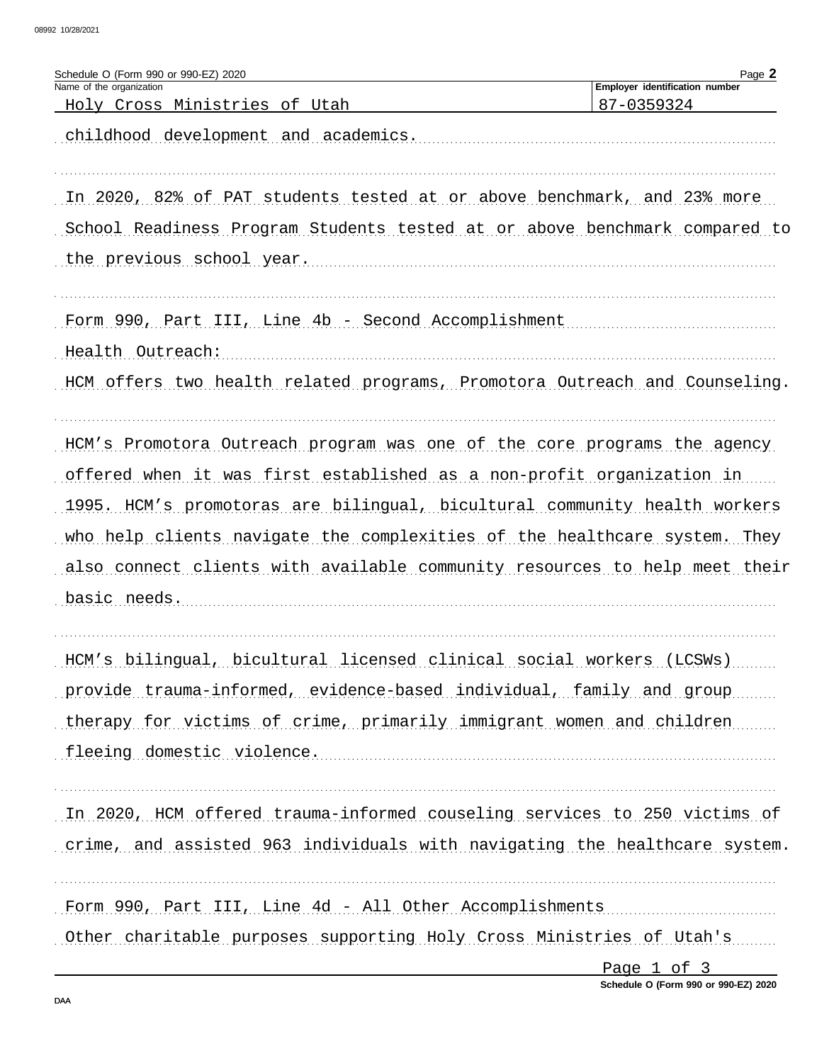| Employer identification number<br>87-0359324<br><u>Holy Cross Ministries of Utah</u><br>childhood development and academics.<br>In 2020, 82% of PAT students tested at or above benchmark, and 23% more<br>School Readiness Program Students tested at or above benchmark compared to<br>the previous school year.<br>Form 990, Part III, Line 4b - Second Accomplishment<br>Health Outreach:<br>HCM offers two health related programs, Promotora Outreach and Counseling.<br>HCM's Promotora Outreach program was one of the core programs the agency<br>offered when it was first established as a non-profit organization in<br>1995. HCM's promotoras are bilingual, bicultural community health workers<br>who help clients navigate the complexities of the healthcare system. They<br>also connect clients with available community resources to help meet their<br>basic needs.<br>HCM's bilingual, bicultural licensed clinical social workers (LCSWs)<br>provide trauma-informed, evidence-based individual, family and group<br>therapy for victims of crime, primarily immigrant women and children<br>fleeing domestic violence.<br>In 2020, HCM offered trauma-informed couseling services to 250 victims of<br>crime, and assisted 963 individuals with navigating the healthcare system. | Schedule O (Form 990 or 990-EZ) 2020<br>Name of the organization | Page 2 |
|-----------------------------------------------------------------------------------------------------------------------------------------------------------------------------------------------------------------------------------------------------------------------------------------------------------------------------------------------------------------------------------------------------------------------------------------------------------------------------------------------------------------------------------------------------------------------------------------------------------------------------------------------------------------------------------------------------------------------------------------------------------------------------------------------------------------------------------------------------------------------------------------------------------------------------------------------------------------------------------------------------------------------------------------------------------------------------------------------------------------------------------------------------------------------------------------------------------------------------------------------------------------------------------------------------------|------------------------------------------------------------------|--------|
|                                                                                                                                                                                                                                                                                                                                                                                                                                                                                                                                                                                                                                                                                                                                                                                                                                                                                                                                                                                                                                                                                                                                                                                                                                                                                                           |                                                                  |        |
|                                                                                                                                                                                                                                                                                                                                                                                                                                                                                                                                                                                                                                                                                                                                                                                                                                                                                                                                                                                                                                                                                                                                                                                                                                                                                                           |                                                                  |        |
|                                                                                                                                                                                                                                                                                                                                                                                                                                                                                                                                                                                                                                                                                                                                                                                                                                                                                                                                                                                                                                                                                                                                                                                                                                                                                                           |                                                                  |        |
|                                                                                                                                                                                                                                                                                                                                                                                                                                                                                                                                                                                                                                                                                                                                                                                                                                                                                                                                                                                                                                                                                                                                                                                                                                                                                                           |                                                                  |        |
|                                                                                                                                                                                                                                                                                                                                                                                                                                                                                                                                                                                                                                                                                                                                                                                                                                                                                                                                                                                                                                                                                                                                                                                                                                                                                                           |                                                                  |        |
|                                                                                                                                                                                                                                                                                                                                                                                                                                                                                                                                                                                                                                                                                                                                                                                                                                                                                                                                                                                                                                                                                                                                                                                                                                                                                                           |                                                                  |        |
|                                                                                                                                                                                                                                                                                                                                                                                                                                                                                                                                                                                                                                                                                                                                                                                                                                                                                                                                                                                                                                                                                                                                                                                                                                                                                                           |                                                                  |        |
|                                                                                                                                                                                                                                                                                                                                                                                                                                                                                                                                                                                                                                                                                                                                                                                                                                                                                                                                                                                                                                                                                                                                                                                                                                                                                                           |                                                                  |        |
|                                                                                                                                                                                                                                                                                                                                                                                                                                                                                                                                                                                                                                                                                                                                                                                                                                                                                                                                                                                                                                                                                                                                                                                                                                                                                                           |                                                                  |        |
|                                                                                                                                                                                                                                                                                                                                                                                                                                                                                                                                                                                                                                                                                                                                                                                                                                                                                                                                                                                                                                                                                                                                                                                                                                                                                                           |                                                                  |        |
|                                                                                                                                                                                                                                                                                                                                                                                                                                                                                                                                                                                                                                                                                                                                                                                                                                                                                                                                                                                                                                                                                                                                                                                                                                                                                                           |                                                                  |        |
|                                                                                                                                                                                                                                                                                                                                                                                                                                                                                                                                                                                                                                                                                                                                                                                                                                                                                                                                                                                                                                                                                                                                                                                                                                                                                                           |                                                                  |        |
|                                                                                                                                                                                                                                                                                                                                                                                                                                                                                                                                                                                                                                                                                                                                                                                                                                                                                                                                                                                                                                                                                                                                                                                                                                                                                                           |                                                                  |        |
|                                                                                                                                                                                                                                                                                                                                                                                                                                                                                                                                                                                                                                                                                                                                                                                                                                                                                                                                                                                                                                                                                                                                                                                                                                                                                                           |                                                                  |        |
|                                                                                                                                                                                                                                                                                                                                                                                                                                                                                                                                                                                                                                                                                                                                                                                                                                                                                                                                                                                                                                                                                                                                                                                                                                                                                                           |                                                                  |        |
|                                                                                                                                                                                                                                                                                                                                                                                                                                                                                                                                                                                                                                                                                                                                                                                                                                                                                                                                                                                                                                                                                                                                                                                                                                                                                                           |                                                                  |        |
|                                                                                                                                                                                                                                                                                                                                                                                                                                                                                                                                                                                                                                                                                                                                                                                                                                                                                                                                                                                                                                                                                                                                                                                                                                                                                                           |                                                                  |        |
|                                                                                                                                                                                                                                                                                                                                                                                                                                                                                                                                                                                                                                                                                                                                                                                                                                                                                                                                                                                                                                                                                                                                                                                                                                                                                                           |                                                                  |        |
|                                                                                                                                                                                                                                                                                                                                                                                                                                                                                                                                                                                                                                                                                                                                                                                                                                                                                                                                                                                                                                                                                                                                                                                                                                                                                                           |                                                                  |        |
|                                                                                                                                                                                                                                                                                                                                                                                                                                                                                                                                                                                                                                                                                                                                                                                                                                                                                                                                                                                                                                                                                                                                                                                                                                                                                                           |                                                                  |        |
|                                                                                                                                                                                                                                                                                                                                                                                                                                                                                                                                                                                                                                                                                                                                                                                                                                                                                                                                                                                                                                                                                                                                                                                                                                                                                                           |                                                                  |        |
|                                                                                                                                                                                                                                                                                                                                                                                                                                                                                                                                                                                                                                                                                                                                                                                                                                                                                                                                                                                                                                                                                                                                                                                                                                                                                                           |                                                                  |        |
|                                                                                                                                                                                                                                                                                                                                                                                                                                                                                                                                                                                                                                                                                                                                                                                                                                                                                                                                                                                                                                                                                                                                                                                                                                                                                                           |                                                                  |        |
|                                                                                                                                                                                                                                                                                                                                                                                                                                                                                                                                                                                                                                                                                                                                                                                                                                                                                                                                                                                                                                                                                                                                                                                                                                                                                                           |                                                                  |        |
|                                                                                                                                                                                                                                                                                                                                                                                                                                                                                                                                                                                                                                                                                                                                                                                                                                                                                                                                                                                                                                                                                                                                                                                                                                                                                                           |                                                                  |        |
|                                                                                                                                                                                                                                                                                                                                                                                                                                                                                                                                                                                                                                                                                                                                                                                                                                                                                                                                                                                                                                                                                                                                                                                                                                                                                                           |                                                                  |        |
|                                                                                                                                                                                                                                                                                                                                                                                                                                                                                                                                                                                                                                                                                                                                                                                                                                                                                                                                                                                                                                                                                                                                                                                                                                                                                                           |                                                                  |        |
|                                                                                                                                                                                                                                                                                                                                                                                                                                                                                                                                                                                                                                                                                                                                                                                                                                                                                                                                                                                                                                                                                                                                                                                                                                                                                                           |                                                                  |        |
|                                                                                                                                                                                                                                                                                                                                                                                                                                                                                                                                                                                                                                                                                                                                                                                                                                                                                                                                                                                                                                                                                                                                                                                                                                                                                                           |                                                                  |        |
|                                                                                                                                                                                                                                                                                                                                                                                                                                                                                                                                                                                                                                                                                                                                                                                                                                                                                                                                                                                                                                                                                                                                                                                                                                                                                                           |                                                                  |        |
| Form 990, Part III, Line 4d - All Other Accomplishments                                                                                                                                                                                                                                                                                                                                                                                                                                                                                                                                                                                                                                                                                                                                                                                                                                                                                                                                                                                                                                                                                                                                                                                                                                                   |                                                                  |        |
| Other charitable purposes supporting Holy Cross Ministries of Utah's                                                                                                                                                                                                                                                                                                                                                                                                                                                                                                                                                                                                                                                                                                                                                                                                                                                                                                                                                                                                                                                                                                                                                                                                                                      |                                                                  |        |

Page 1 of 3 Schedule O (Form 990 or 990-EZ) 2020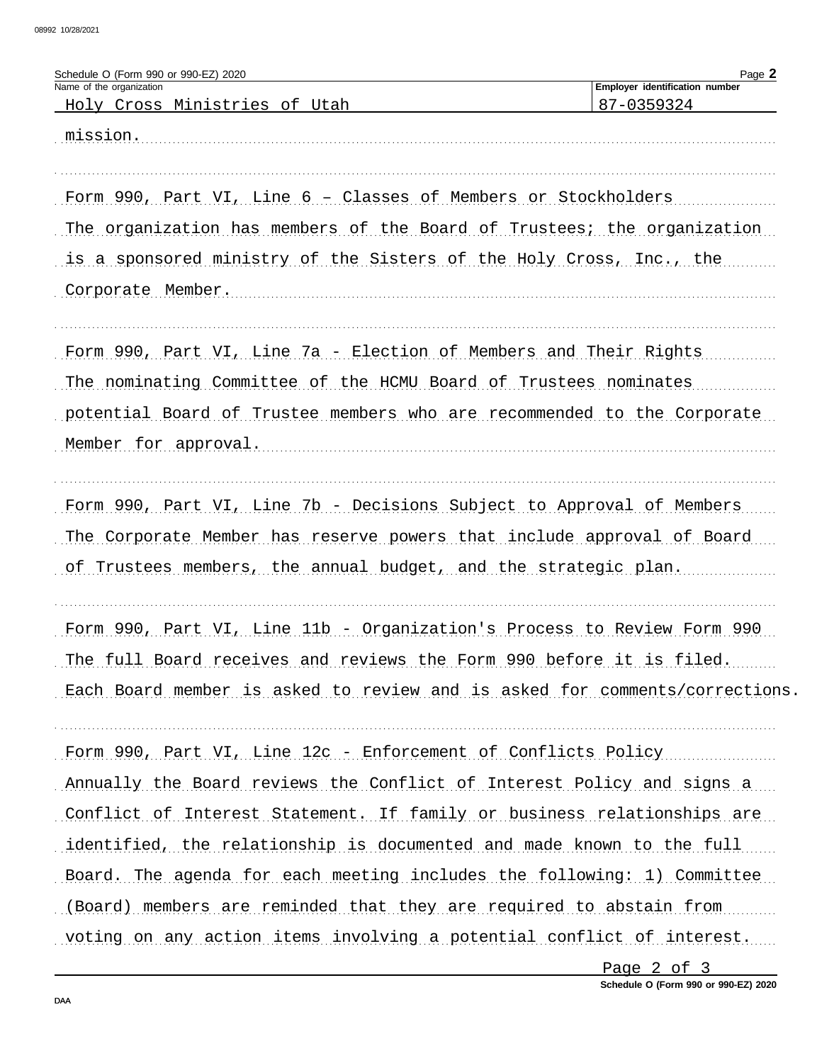| Schedule O (Form 990 or 990-EZ) 2020<br>Name of the organization           | Page 2<br>Employer identification number |
|----------------------------------------------------------------------------|------------------------------------------|
| <u>Holy Cross Ministries of Utah</u>                                       | 87-0359324                               |
| mission.                                                                   |                                          |
|                                                                            |                                          |
| Form 990, Part VI, Line 6 - Classes of Members or Stockholders             |                                          |
| The organization has members of the Board of Trustees, the organization    |                                          |
| is a sponsored ministry of the Sisters of the Holy Cross, Inc., the        |                                          |
| Corporate Member.                                                          |                                          |
| Form 990, Part VI, Line 7a - Election of Members and Their Rights          |                                          |
| The nominating Committee of the HCMU Board of Trustees nominates           |                                          |
| potential Board of Trustee members who are recommended to the Corporate    |                                          |
| Member for approval.                                                       |                                          |
| Form 990, Part VI, Line 7b - Decisions Subject to Approval of Members      |                                          |
| The Corporate Member has reserve powers that include approval of Board     |                                          |
| of Trustees members, the annual budget, and the strategic plan.            |                                          |
|                                                                            |                                          |
| Form 990, Part VI, Line 11b - Organization's Process to Review Form 990    |                                          |
| The full Board receives and reviews the Form 990 before it is filed.       |                                          |
| Each Board member is asked to review and is asked for comments/corrections |                                          |
| Form 990, Part VI, Line 12c - Enforcement of Conflicts Policy              |                                          |
| Annually the Board reviews the Conflict of Interest Policy and signs a     |                                          |
| Conflict of Interest Statement. If family or business relationships are    |                                          |
| identified, the relationship is documented and made known to the full      |                                          |
| Board. The agenda for each meeting includes the following: 1) Committee    |                                          |
| (Board) members are reminded that they are required to abstain from        |                                          |
| voting on any action items involving a potential conflict of interest.     |                                          |
|                                                                            |                                          |

Page 2 of 3 Schedule O (Form 990 or 990-EZ) 2020  $\ddot{\phantom{a}}$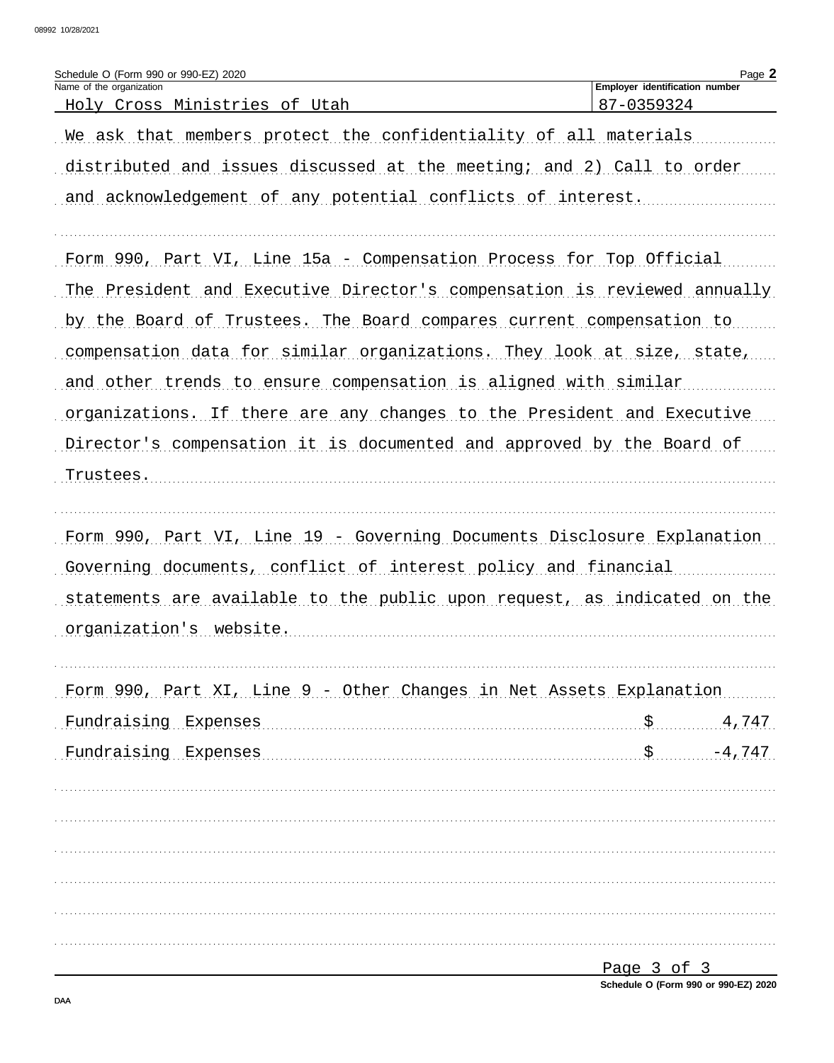| Schedule O (Form 990 or 990-EZ) 2020<br>Name of the organization         | Employer identification number | Page 2 |
|--------------------------------------------------------------------------|--------------------------------|--------|
| Holy Cross Ministries of Utah                                            | 87-0359324                     |        |
| We ask that members protect the confidentiality of all materials         |                                |        |
| distributed and issues discussed at the meeting; and 2) Call to order    |                                |        |
| and acknowledgement of any potential conflicts of interest.              |                                |        |
|                                                                          |                                |        |
| Form 990, Part VI, Line 15a - Compensation Process for Top Official      |                                |        |
| The President and Executive Director's compensation is reviewed annually |                                |        |
| by the Board of Trustees. The Board compares current compensation to     |                                |        |
| compensation data for similar organizations. They look at size, state,   |                                |        |
| and other trends to ensure compensation is aligned with similar          |                                |        |
| organizations. If there are any changes to the President and Executive   |                                |        |
| Director's compensation it is documented and approved by the Board of    |                                |        |
| Trustees.                                                                |                                |        |
|                                                                          |                                |        |
| Form 990, Part VI, Line 19 - Governing Documents Disclosure Explanation  |                                |        |
| Governing documents, conflict of interest policy and financial           |                                |        |
| statements are available to the public upon request, as indicated on the |                                |        |
| organization's website.                                                  |                                |        |
|                                                                          |                                |        |
| Form 990, Part XI, Line 9 - Other Changes in Net Assets Explanation      |                                |        |
| Fundraising Expenses                                                     |                                | 4,747  |
| Fundraising Expenses                                                     | $$ -4,747$                     |        |
|                                                                          |                                |        |
|                                                                          |                                |        |
|                                                                          |                                |        |
|                                                                          |                                |        |
|                                                                          |                                |        |
|                                                                          |                                |        |
|                                                                          | $P$ age $3$ of $3$             |        |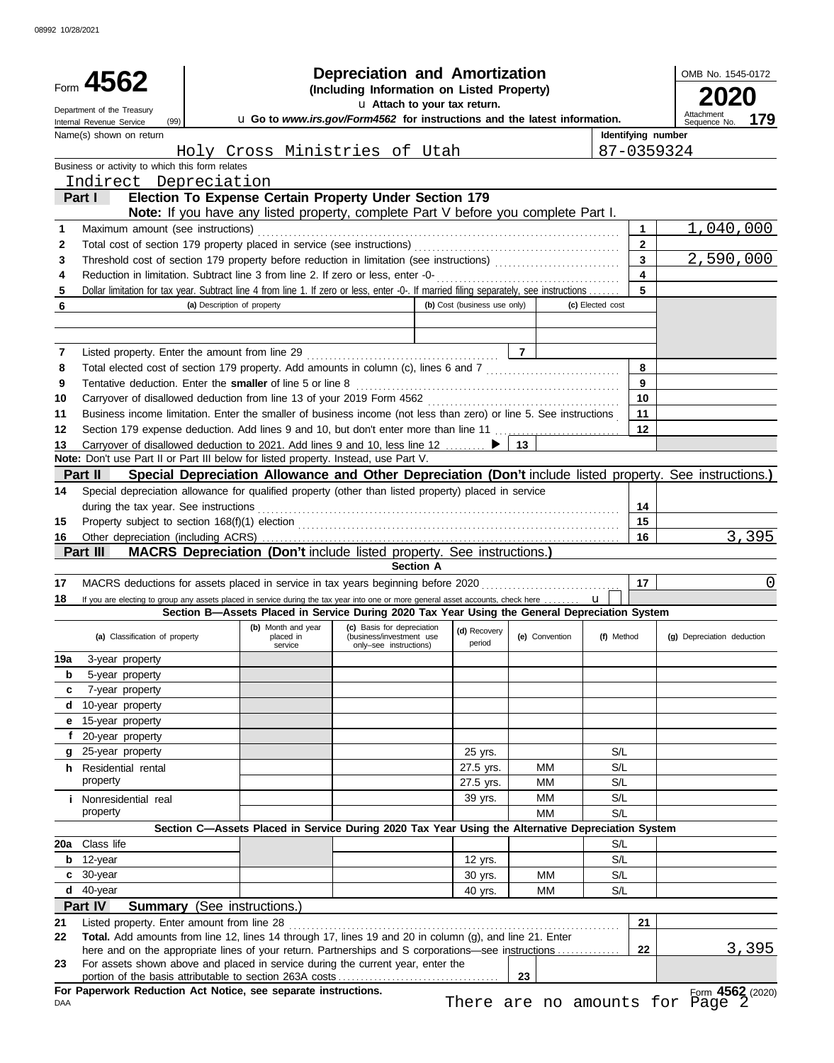|        | Form 4562                                                                                                                                                                                                  | Depreciation and Amortization<br>(Including Information on Listed Property)<br>u Attach to your tax return. |                                            |                                                                                                   |                              |                |                           |                  |                    |                                 | OMB No. 1545-0172 |  |
|--------|------------------------------------------------------------------------------------------------------------------------------------------------------------------------------------------------------------|-------------------------------------------------------------------------------------------------------------|--------------------------------------------|---------------------------------------------------------------------------------------------------|------------------------------|----------------|---------------------------|------------------|--------------------|---------------------------------|-------------------|--|
|        | Department of the Treasury<br>(99)<br>Internal Revenue Service                                                                                                                                             |                                                                                                             |                                            | u Go to www.irs.gov/Form4562 for instructions and the latest information.                         |                              |                |                           |                  |                    | Sequence No.                    | 179               |  |
|        | Name(s) shown on return                                                                                                                                                                                    |                                                                                                             |                                            |                                                                                                   |                              |                |                           |                  | Identifying number |                                 |                   |  |
|        |                                                                                                                                                                                                            |                                                                                                             |                                            | Holy Cross Ministries of Utah                                                                     |                              |                |                           |                  |                    | 87-0359324                      |                   |  |
|        | Business or activity to which this form relates                                                                                                                                                            |                                                                                                             |                                            |                                                                                                   |                              |                |                           |                  |                    |                                 |                   |  |
|        | Indirect Depreciation<br>Part I                                                                                                                                                                            |                                                                                                             |                                            | Election To Expense Certain Property Under Section 179                                            |                              |                |                           |                  |                    |                                 |                   |  |
|        |                                                                                                                                                                                                            |                                                                                                             |                                            | <b>Note:</b> If you have any listed property, complete Part V before you complete Part I.         |                              |                |                           |                  |                    |                                 |                   |  |
| 1      | Maximum amount (see instructions)                                                                                                                                                                          |                                                                                                             |                                            |                                                                                                   |                              |                |                           |                  | 1                  |                                 | 1,040,000         |  |
| 2      | Total cost of section 179 property placed in service (see instructions)                                                                                                                                    |                                                                                                             |                                            |                                                                                                   |                              |                |                           |                  | $\overline{2}$     |                                 |                   |  |
| 3      |                                                                                                                                                                                                            |                                                                                                             |                                            |                                                                                                   |                              |                |                           |                  | $\overline{3}$     |                                 | 2,590,000         |  |
| 4      | Reduction in limitation. Subtract line 3 from line 2. If zero or less, enter -0-                                                                                                                           |                                                                                                             |                                            |                                                                                                   |                              |                |                           |                  | 4                  |                                 |                   |  |
| 5      | Dollar limitation for tax year. Subtract line 4 from line 1. If zero or less, enter -0-. If married filing separately, see instructions                                                                    |                                                                                                             |                                            |                                                                                                   |                              |                |                           |                  | 5                  |                                 |                   |  |
| 6      |                                                                                                                                                                                                            | (a) Description of property                                                                                 |                                            |                                                                                                   | (b) Cost (business use only) |                |                           | (c) Elected cost |                    |                                 |                   |  |
|        |                                                                                                                                                                                                            |                                                                                                             |                                            |                                                                                                   |                              |                |                           |                  |                    |                                 |                   |  |
| 7      | Listed property. Enter the amount from line 29                                                                                                                                                             |                                                                                                             |                                            |                                                                                                   |                              | $\overline{7}$ |                           |                  |                    |                                 |                   |  |
| 8      | Total elected cost of section 179 property. Add amounts in column (c), lines 6 and 7 [[[[[[[[[[[[[[[[[[[[[[[[                                                                                              |                                                                                                             |                                            |                                                                                                   |                              |                |                           |                  | 8                  |                                 |                   |  |
| 9      | Tentative deduction. Enter the smaller of line 5 or line 8                                                                                                                                                 |                                                                                                             |                                            |                                                                                                   |                              |                |                           |                  | 9                  |                                 |                   |  |
| 10     | Carryover of disallowed deduction from line 13 of your 2019 Form 4562                                                                                                                                      |                                                                                                             |                                            |                                                                                                   |                              |                |                           |                  | 10                 |                                 |                   |  |
| 11     | Business income limitation. Enter the smaller of business income (not less than zero) or line 5. See instructions                                                                                          |                                                                                                             |                                            |                                                                                                   |                              |                |                           |                  | 11                 |                                 |                   |  |
| 12     | Section 179 expense deduction. Add lines 9 and 10, but don't enter more than line 11                                                                                                                       |                                                                                                             |                                            |                                                                                                   |                              |                |                           |                  | 12                 |                                 |                   |  |
| 13     | Carryover of disallowed deduction to 2021. Add lines 9 and 10, less line 12 $\ldots$                                                                                                                       |                                                                                                             |                                            |                                                                                                   |                              | 13             |                           |                  |                    |                                 |                   |  |
|        | Note: Don't use Part II or Part III below for listed property. Instead, use Part V.<br>Special Depreciation Allowance and Other Depreciation (Don't include listed property. See instructions.)<br>Part II |                                                                                                             |                                            |                                                                                                   |                              |                |                           |                  |                    |                                 |                   |  |
| 14     | Special depreciation allowance for qualified property (other than listed property) placed in service                                                                                                       |                                                                                                             |                                            |                                                                                                   |                              |                |                           |                  |                    |                                 |                   |  |
|        | during the tax year. See instructions<br>14                                                                                                                                                                |                                                                                                             |                                            |                                                                                                   |                              |                |                           |                  |                    |                                 |                   |  |
| 15     |                                                                                                                                                                                                            |                                                                                                             |                                            |                                                                                                   |                              |                |                           |                  | 15                 |                                 |                   |  |
| 16     |                                                                                                                                                                                                            |                                                                                                             |                                            |                                                                                                   |                              |                |                           |                  | 16                 |                                 | 3,395             |  |
|        | Part III                                                                                                                                                                                                   |                                                                                                             |                                            | <b>MACRS Depreciation (Don't include listed property. See instructions.)</b><br><b>Section A</b>  |                              |                |                           |                  |                    |                                 |                   |  |
| 17     | MACRS deductions for assets placed in service in tax years beginning before 2020                                                                                                                           |                                                                                                             |                                            |                                                                                                   |                              |                |                           |                  | 17                 |                                 | 0                 |  |
| 18     | If you are electing to group any assets placed in service during the tax year into one or more general asset accounts, check here                                                                          |                                                                                                             |                                            |                                                                                                   |                              |                |                           | $\mathbf{u}$     |                    |                                 |                   |  |
|        |                                                                                                                                                                                                            |                                                                                                             |                                            | Section B-Assets Placed in Service During 2020 Tax Year Using the General Depreciation System     |                              |                |                           |                  |                    |                                 |                   |  |
|        | (a) Classification of property                                                                                                                                                                             |                                                                                                             | (b) Month and year<br>placed in<br>service | (c) Basis for depreciation<br>(business/investment use<br>only-see instructions)                  | (d) Recovery<br>period       |                | (e) Convention (f) Method |                  |                    | (g) Depreciation deduction      |                   |  |
| 19a    | 3-year property                                                                                                                                                                                            |                                                                                                             |                                            |                                                                                                   |                              |                |                           |                  |                    |                                 |                   |  |
| b      | 5-year property                                                                                                                                                                                            |                                                                                                             |                                            |                                                                                                   |                              |                |                           |                  |                    |                                 |                   |  |
| c      | 7-year property                                                                                                                                                                                            |                                                                                                             |                                            |                                                                                                   |                              |                |                           |                  |                    |                                 |                   |  |
| d<br>е | 10-year property<br>15-year property                                                                                                                                                                       |                                                                                                             |                                            |                                                                                                   |                              |                |                           |                  |                    |                                 |                   |  |
| f      | 20-year property                                                                                                                                                                                           |                                                                                                             |                                            |                                                                                                   |                              |                |                           |                  |                    |                                 |                   |  |
| g      | 25-year property                                                                                                                                                                                           |                                                                                                             |                                            |                                                                                                   | 25 yrs.                      |                |                           | S/L              |                    |                                 |                   |  |
|        | h Residential rental                                                                                                                                                                                       |                                                                                                             |                                            |                                                                                                   | 27.5 yrs.                    |                | MМ                        | S/L              |                    |                                 |                   |  |
|        | property                                                                                                                                                                                                   |                                                                                                             |                                            |                                                                                                   | 27.5 yrs.                    |                | MМ                        | S/L              |                    |                                 |                   |  |
|        | <i>i</i> Nonresidential real                                                                                                                                                                               |                                                                                                             |                                            |                                                                                                   | 39 yrs.                      |                | MМ                        | S/L              |                    |                                 |                   |  |
|        | property                                                                                                                                                                                                   |                                                                                                             |                                            |                                                                                                   |                              |                | MМ                        | S/L              |                    |                                 |                   |  |
|        | 20a Class life                                                                                                                                                                                             |                                                                                                             |                                            | Section C-Assets Placed in Service During 2020 Tax Year Using the Alternative Depreciation System |                              |                |                           | S/L              |                    |                                 |                   |  |
|        | $b$ 12-year                                                                                                                                                                                                |                                                                                                             |                                            |                                                                                                   | 12 yrs.                      |                |                           | S/L              |                    |                                 |                   |  |
|        | c 30-year                                                                                                                                                                                                  |                                                                                                             |                                            |                                                                                                   | 30 yrs.                      |                | <b>MM</b>                 | S/L              |                    |                                 |                   |  |
|        | d 40-year                                                                                                                                                                                                  |                                                                                                             |                                            |                                                                                                   | 40 yrs.                      |                | MМ                        | S/L              |                    |                                 |                   |  |
|        | Part IV                                                                                                                                                                                                    | <b>Summary</b> (See instructions.)                                                                          |                                            |                                                                                                   |                              |                |                           |                  |                    |                                 |                   |  |
| 21     | Listed property. Enter amount from line 28                                                                                                                                                                 |                                                                                                             |                                            |                                                                                                   |                              |                |                           |                  | 21                 |                                 |                   |  |
| 22     | Total. Add amounts from line 12, lines 14 through 17, lines 19 and 20 in column (g), and line 21. Enter                                                                                                    |                                                                                                             |                                            |                                                                                                   |                              |                |                           |                  | 22                 |                                 | <u>3,395</u>      |  |
| 23     | here and on the appropriate lines of your return. Partnerships and S corporations—see instructions<br>For assets shown above and placed in service during the current year, enter the                      |                                                                                                             |                                            |                                                                                                   |                              |                |                           |                  |                    |                                 |                   |  |
|        |                                                                                                                                                                                                            |                                                                                                             |                                            |                                                                                                   |                              | 23             |                           |                  |                    |                                 |                   |  |
|        | For Paperwork Reduction Act Notice, see separate instructions.                                                                                                                                             |                                                                                                             |                                            |                                                                                                   |                              |                |                           |                  |                    |                                 | Form 4562 (2020)  |  |
| DAA    |                                                                                                                                                                                                            |                                                                                                             |                                            |                                                                                                   |                              |                |                           |                  |                    | There are no amounts for Page 2 |                   |  |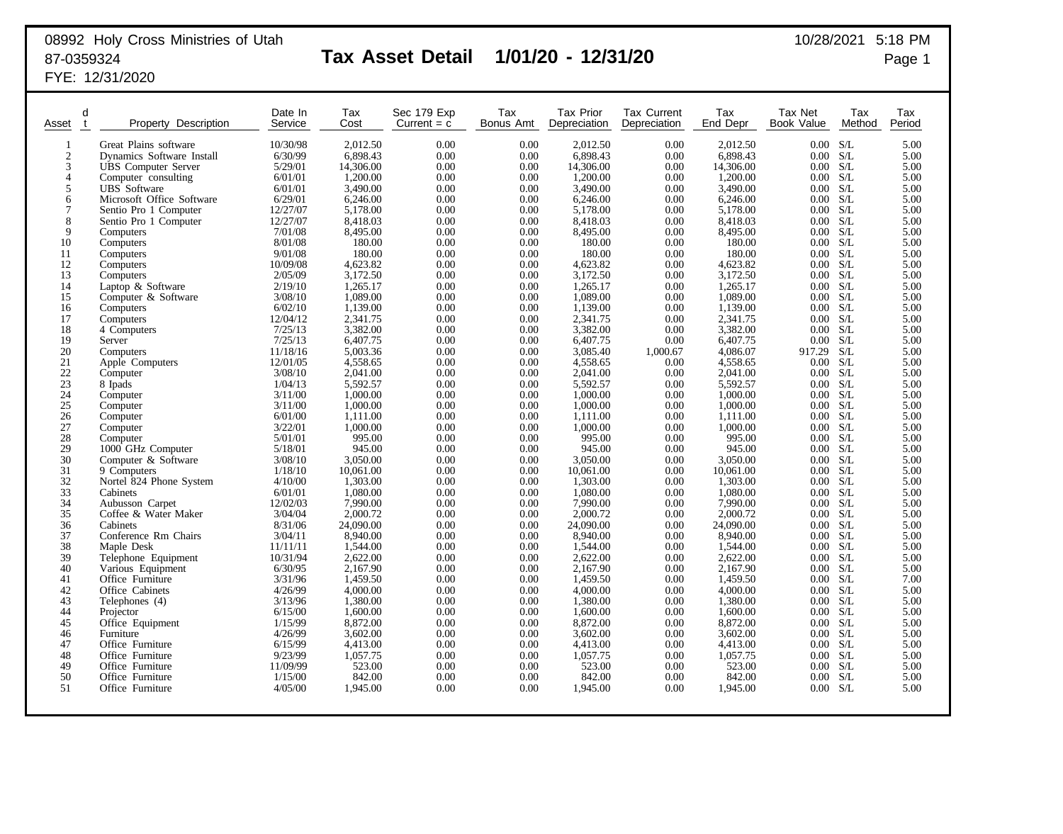## 08992 Holy Cross Ministries of Utah 10/28/2021 5:18 PM 87-0359324 **Tax Asset Detail 1/01/20 - 12/31/20** Page 1

FYE: 12/31/2020

| Asset           | d<br>$\mathbf{f}$ | Property Description             | Date In<br>Service  | Tax<br>Cost           | Sec 179 Exp<br>Current $= c$ | Tax<br>Bonus Amt | <b>Tax Prior</b><br>Depreciation | <b>Tax Current</b><br>Depreciation | Tax<br>End Depr       | Tax Net<br>Book Value       | Tax<br>Method | Tax<br>Period |
|-----------------|-------------------|----------------------------------|---------------------|-----------------------|------------------------------|------------------|----------------------------------|------------------------------------|-----------------------|-----------------------------|---------------|---------------|
| -1              |                   | Great Plains software            | 10/30/98            | 2,012.50              | 0.00                         | 0.00             | 2,012.50                         | 0.00                               | 2,012.50              | 0.00                        | S/L           | 5.00          |
| $\overline{2}$  |                   | Dynamics Software Install        | 6/30/99             | 6,898.43              | 0.00                         | 0.00             | 6,898.43                         | 0.00                               | 6,898.43              | 0.00                        | S/L           | 5.00          |
| 3               |                   | <b>UBS</b> Computer Server       | 5/29/01             | 14,306.00             | 0.00                         | 0.00             | 14,306.00                        | 0.00                               | 14,306.00             | 0.00 S/L                    |               | 5.00          |
| $\overline{4}$  |                   | Computer consulting              | 6/01/01             | 1.200.00              | 0.00                         | 0.00             | 1.200.00                         | 0.00                               | 1.200.00              | 0.00                        | S/L           | 5.00          |
| 5               |                   | <b>UBS</b> Software              | 6/01/01             | 3,490.00              | 0.00                         | 0.00             | 3,490.00                         | 0.00                               | 3,490.00              | 0.00                        | S/L           | 5.00          |
| 6               |                   | Microsoft Office Software        | 6/29/01             | 6,246.00              | 0.00                         | 0.00             | 6,246.00                         | 0.00                               | 6,246.00              | 0.00 S/L                    |               | 5.00          |
| 7               |                   | Sentio Pro 1 Computer            | 12/27/07            | 5,178.00              | 0.00                         | 0.00             | 5,178.00                         | 0.00                               | 5,178.00              | 0.00 S/L                    |               | 5.00          |
| 8               |                   | Sentio Pro 1 Computer            | 12/27/07            | 8,418.03              | 0.00                         | 0.00             | 8,418.03                         | 0.00                               | 8,418.03              | 0.00 S/L                    |               | 5.00          |
| 9               |                   | Computers                        | 7/01/08             | 8,495.00              | 0.00                         | 0.00             | 8,495.00                         | 0.00                               | 8,495.00              | 0.00 S/L                    |               | 5.00          |
| 10              |                   | Computers                        | 8/01/08             | 180.00                | 0.00                         | 0.00             | 180.00                           | 0.00                               | 180.00                | 0.00 S/L                    |               | 5.00          |
| 11              |                   | Computers                        | 9/01/08             | 180.00                | 0.00                         | 0.00             | 180.00                           | 0.00                               | 180.00                | 0.00 S/L                    |               | 5.00          |
| 12              |                   | Computers                        | 10/09/08            | 4,623.82              | 0.00                         | 0.00             | 4,623.82                         | 0.00                               | 4,623.82              | 0.00 S/L                    |               | 5.00          |
| 13              |                   | Computers                        | 2/05/09<br>2/19/10  | 3,172.50              | 0.00<br>0.00                 | 0.00             | 3,172.50                         | 0.00                               | 3,172.50              | 0.00 S/L<br>$0.00\quad S/L$ |               | 5.00          |
| 14<br>15        |                   | Laptop & Software                | 3/08/10             | 1,265.17<br>1,089.00  | 0.00                         | 0.00<br>0.00     | 1,265.17<br>1,089.00             | 0.00<br>0.00                       | 1,265.17<br>1,089.00  | $0.00\,$                    | S/L           | 5.00<br>5.00  |
| 16              |                   | Computer & Software<br>Computers | 6/02/10             | 1,139.00              | 0.00                         | 0.00             | 1,139.00                         | 0.00                               | 1,139.00              | $0.00\,$                    | S/L           | 5.00          |
| 17              |                   | Computers                        | 12/04/12            | 2,341.75              | 0.00                         | 0.00             | 2,341.75                         | 0.00                               | 2,341.75              | 0.00 S/L                    |               | 5.00          |
| 18              |                   | 4 Computers                      | 7/25/13             | 3,382.00              | 0.00                         | 0.00             | 3,382.00                         | 0.00                               | 3,382.00              | 0.00                        | S/L           | 5.00          |
| 19              |                   | Server                           | 7/25/13             | 6,407.75              | 0.00                         | 0.00             | 6,407.75                         | 0.00                               | 6,407.75              | 0.00 S/L                    |               | 5.00          |
| 20              |                   | Computers                        | 11/18/16            | 5,003.36              | 0.00                         | 0.00             | 3,085.40                         | 1,000.67                           | 4,086.07              | 917.29                      | S/L           | 5.00          |
| 21              |                   | Apple Computers                  | 12/01/05            | 4,558.65              | 0.00                         | 0.00             | 4,558.65                         | 0.00                               | 4,558.65              | $0.00\,$                    | S/L           | 5.00          |
| 22              |                   | Computer                         | 3/08/10             | 2,041.00              | 0.00                         | 0.00             | 2,041.00                         | 0.00                               | 2.041.00              | 0.00 S/L                    |               | 5.00          |
| $\overline{23}$ |                   | 8 Ipads                          | 1/04/13             | 5,592.57              | 0.00                         | 0.00             | 5,592.57                         | 0.00                               | 5,592.57              | 0.00 S/L                    |               | 5.00          |
| 24              |                   | Computer                         | 3/11/00             | 1.000.00              | 0.00                         | 0.00             | 1.000.00                         | 0.00                               | 1,000.00              | 0.00                        | S/L           | 5.00          |
| 25              |                   | Computer                         | 3/11/00             | 1,000.00              | 0.00                         | 0.00             | 1,000.00                         | 0.00                               | 1,000.00              | 0.00 S/L                    |               | 5.00          |
| 26              |                   | Computer                         | 6/01/00             | 1,111.00              | 0.00                         | 0.00             | 1,111.00                         | 0.00                               | 1,111.00              | $0.00\,$                    | S/L           | 5.00          |
| 27              |                   | Computer                         | 3/22/01             | 1,000.00              | 0.00                         | 0.00             | 1,000.00                         | 0.00                               | 1,000.00              | $0.00\,$                    | S/L           | 5.00          |
| $28\,$          |                   | Computer                         | 5/01/01             | 995.00                | 0.00                         | 0.00             | 995.00                           | 0.00                               | 995.00                | $0.00\quad S/L$             |               | 5.00          |
| 29              |                   | 1000 GHz Computer                | 5/18/01             | 945.00                | 0.00                         | 0.00             | 945.00                           | 0.00                               | 945.00                | $0.00\,$                    | S/L           | 5.00          |
| 30              |                   | Computer & Software              | 3/08/10             | 3,050.00              | 0.00                         | 0.00             | 3,050.00                         | 0.00                               | 3,050.00              | 0.00                        | S/L           | 5.00          |
| 31              |                   | 9 Computers                      | 1/18/10             | 10,061.00             | 0.00                         | 0.00             | 10,061.00                        | 0.00                               | 10,061.00             | 0.00 S/L                    |               | 5.00          |
| 32              |                   | Nortel 824 Phone System          | 4/10/00             | 1.303.00              | 0.00                         | 0.00             | 1,303.00                         | 0.00                               | 1.303.00              | $0.00\,$                    | S/L           | 5.00          |
| 33<br>34        |                   | Cabinets                         | 6/01/01             | 1,080.00              | 0.00                         | 0.00             | 1,080.00                         | 0.00                               | 1,080.00              | 0.00                        | S/L           | 5.00          |
| 35              |                   | Aubusson Carpet                  | 12/02/03<br>3/04/04 | 7,990.00              | 0.00                         | 0.00             | 7,990.00                         | 0.00                               | 7,990.00              | 0.00 S/L<br>0.00 S/L        |               | 5.00          |
| 36              |                   | Coffee & Water Maker<br>Cabinets | 8/31/06             | 2,000.72<br>24,090.00 | 0.00<br>0.00                 | 0.00<br>0.00     | 2,000.72<br>24,090.00            | 0.00<br>0.00                       | 2,000.72<br>24,090.00 | 0.00 S/L                    |               | 5.00<br>5.00  |
| 37              |                   | Conference Rm Chairs             | 3/04/11             | 8,940.00              | 0.00                         | 0.00             | 8,940.00                         | 0.00                               | 8,940.00              | 0.00 S/L                    |               | 5.00          |
| 38              |                   | Maple Desk                       | 11/11/11            | 1,544.00              | 0.00                         | 0.00             | 1,544.00                         | 0.00                               | 1.544.00              | 0.00 S/L                    |               | 5.00          |
| 39              |                   | Telephone Equipment              | 10/31/94            | 2,622.00              | 0.00                         | 0.00             | 2,622.00                         | 0.00                               | 2,622.00              | 0.00 S/L                    |               | 5.00          |
| 40              |                   | Various Equipment                | 6/30/95             | 2,167.90              | 0.00                         | 0.00             | 2,167.90                         | 0.00                               | 2,167.90              | 0.00 S/L                    |               | 5.00          |
| 41              |                   | Office Furniture                 | 3/31/96             | 1,459.50              | 0.00                         | 0.00             | 1,459.50                         | 0.00                               | 1,459.50              | 0.00 S/L                    |               | 7.00          |
| 42              |                   | Office Cabinets                  | 4/26/99             | 4,000.00              | 0.00                         | 0.00             | 4,000.00                         | 0.00                               | 4,000.00              | $0.00\quad S/L$             |               | 5.00          |
| 43              |                   | Telephones (4)                   | 3/13/96             | 1,380.00              | 0.00                         | 0.00             | 1,380.00                         | 0.00                               | 1,380.00              | 0.00 S/L                    |               | 5.00          |
| 44              |                   | Projector                        | 6/15/00             | 1,600.00              | 0.00                         | 0.00             | 1,600.00                         | 0.00                               | 1,600.00              | 0.00 S/L                    |               | 5.00          |
| 45              |                   | Office Equipment                 | 1/15/99             | 8,872.00              | 0.00                         | 0.00             | 8,872.00                         | 0.00                               | 8,872.00              | 0.00 S/L                    |               | 5.00          |
| 46              |                   | Furniture                        | 4/26/99             | 3,602.00              | 0.00                         | 0.00             | 3,602.00                         | 0.00                               | 3,602.00              | 0.00 S/L                    |               | 5.00          |
| 47              |                   | Office Furniture                 | 6/15/99             | 4,413.00              | 0.00                         | 0.00             | 4,413.00                         | 0.00                               | 4,413.00              | 0.00 S/L                    |               | 5.00          |
| 48              |                   | Office Furniture                 | 9/23/99             | 1,057.75              | 0.00                         | 0.00             | 1,057.75                         | 0.00                               | 1,057.75              | 0.00 S/L                    |               | 5.00          |
| 49              |                   | Office Furniture                 | 11/09/99            | 523.00                | 0.00                         | 0.00             | 523.00                           | 0.00                               | 523.00                | 0.00                        | S/L           | 5.00          |
| 50              |                   | Office Furniture                 | 1/15/00             | 842.00                | 0.00                         | 0.00             | 842.00                           | 0.00                               | 842.00                | 0.00                        | S/L           | 5.00          |
| 51              |                   | Office Furniture                 | 4/05/00             | 1,945.00              | 0.00                         | 0.00             | 1,945.00                         | 0.00                               | 1,945.00              | 0.00                        | S/L           | 5.00          |
|                 |                   |                                  |                     |                       |                              |                  |                                  |                                    |                       |                             |               |               |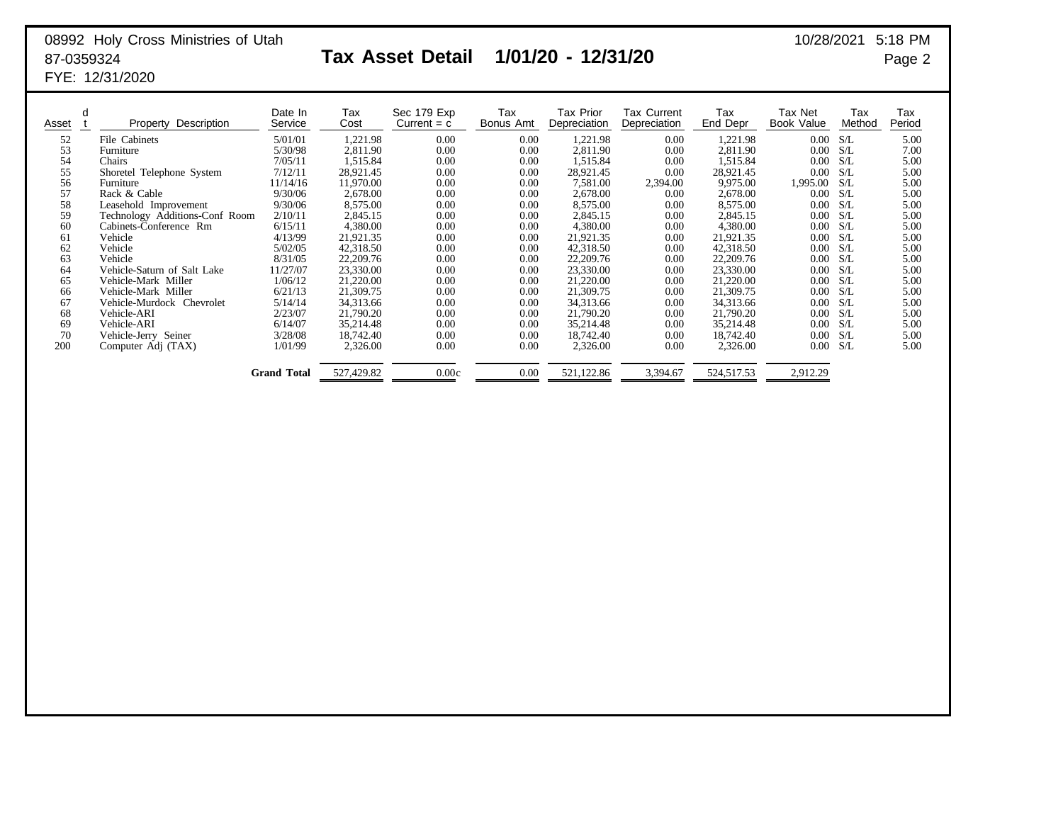### 08992 Holy Cross Ministries of Utah 10/28/2021 5:18 PM 87-0359324 **Tax Asset Detail 1/01/20 - 12/31/20** Page 2 FYE: 12/31/2020

| d<br>Asset | Description<br>Property        | Date In<br>Service | Tax<br>Cost | Sec 179 Exp<br>Current $= c$ | Tax<br>Bonus Amt | Tax Prior<br>Depreciation | <b>Tax Current</b><br>Depreciation | Tax<br>End Depr | Tax Net<br>Book Value | Tax<br>Method | Tax<br>Period |
|------------|--------------------------------|--------------------|-------------|------------------------------|------------------|---------------------------|------------------------------------|-----------------|-----------------------|---------------|---------------|
| 52         | File Cabinets                  | 5/01/01            | 1,221.98    | 0.00                         | 0.00             | 1,221.98                  | 0.00                               | 1,221.98        | 0.00                  | S/L           | 5.00          |
| 53         | Furniture                      | 5/30/98            | 2,811.90    | 0.00                         | 0.00             | 2,811.90                  | 0.00                               | 2,811.90        | 0.00                  | S/L           | 7.00          |
| 54         | Chairs                         | 7/05/11            | 1,515.84    | 0.00                         | 0.00             | 1,515.84                  | 0.00                               | 1,515.84        | 0.00                  | S/L           | 5.00          |
| 55         | Shoretel Telephone System      | 7/12/11            | 28,921.45   | 0.00                         | 0.00             | 28,921.45                 | 0.00                               | 28,921.45       | 0.00                  | S/L           | 5.00          |
| 56         | Furniture                      | 11/14/16           | 11,970.00   | 0.00                         | 0.00             | 7,581.00                  | 2,394.00                           | 9,975.00        | 1,995.00              | S/L           | 5.00          |
| 57         | Rack & Cable                   | 9/30/06            | 2,678.00    | 0.00                         | 0.00             | 2,678.00                  | 0.00                               | 2,678.00        | 0.00                  | S/L           | 5.00          |
| 58         | Leasehold Improvement          | 9/30/06            | 8,575.00    | 0.00                         | 0.00             | 8,575.00                  | 0.00                               | 8,575.00        | 0.00                  | S/L           | 5.00          |
| 59         | Technology Additions-Conf Room | 2/10/11            | 2,845.15    | 0.00                         | 0.00             | 2,845.15                  | 0.00                               | 2,845.15        | 0.00                  | S/L           | 5.00          |
| 60         | Cabinets-Conference Rm         | 6/15/11            | 4,380.00    | 0.00                         | 0.00             | 4,380.00                  | 0.00                               | 4,380.00        | 0.00                  | S/L           | 5.00          |
| 61         | Vehicle                        | 4/13/99            | 21,921.35   | 0.00                         | 0.00             | 21,921.35                 | 0.00                               | 21,921.35       | 0.00                  | S/L           | 5.00          |
| 62         | Vehicle                        | 5/02/05            | 42,318.50   | 0.00                         | 0.00             | 42,318.50                 | 0.00                               | 42,318.50       | 0.00                  | S/L           | 5.00          |
| 63         | Vehicle                        | 8/31/05            | 22,209.76   | 0.00                         | 0.00             | 22,209.76                 | 0.00                               | 22,209.76       | 0.00                  | S/L           | 5.00          |
| 64         | Vehicle-Saturn of Salt Lake    | 11/27/07           | 23,330.00   | 0.00                         | 0.00             | 23,330.00                 | 0.00                               | 23,330.00       | 0.00                  | S/L           | 5.00          |
| 65         | Vehicle-Mark Miller            | 1/06/12            | 21,220.00   | 0.00                         | 0.00             | 21,220.00                 | 0.00                               | 21,220.00       | 0.00                  | S/L           | 5.00          |
| 66         | Vehicle-Mark Miller            | 6/21/13            | 21,309.75   | 0.00                         | 0.00             | 21,309.75                 | 0.00                               | 21,309.75       | 0.00                  | S/L           | 5.00          |
| 67         | Vehicle-Murdock Chevrolet      | 5/14/14            | 34,313.66   | 0.00                         | 0.00             | 34,313.66                 | 0.00                               | 34,313.66       | 0.00                  | S/L           | 5.00          |
| 68         | Vehicle-ARI                    | 2/23/07            | 21,790.20   | 0.00                         | 0.00             | 21,790.20                 | 0.00                               | 21,790.20       | 0.00                  | S/L           | 5.00          |
| 69         | Vehicle-ARI                    | 6/14/07            | 35,214.48   | 0.00                         | 0.00             | 35,214.48                 | 0.00                               | 35,214.48       | 0.00                  | S/L           | 5.00          |
| 70         | Vehicle-Jerry Seiner           | 3/28/08            | 18,742.40   | 0.00                         | 0.00             | 18,742.40                 | 0.00                               | 18.742.40       | 0.00                  | S/L           | 5.00          |
| 200        | Computer Adj (TAX)             | 1/01/99            | 2,326.00    | 0.00                         | 0.00             | 2,326.00                  | 0.00                               | 2,326.00        | 0.00                  | S/L           | 5.00          |
|            |                                | <b>Grand Total</b> | 527,429.82  | 0.00c                        | 0.00             | 521,122.86                | 3,394.67                           | 524,517.53      | 2,912.29              |               |               |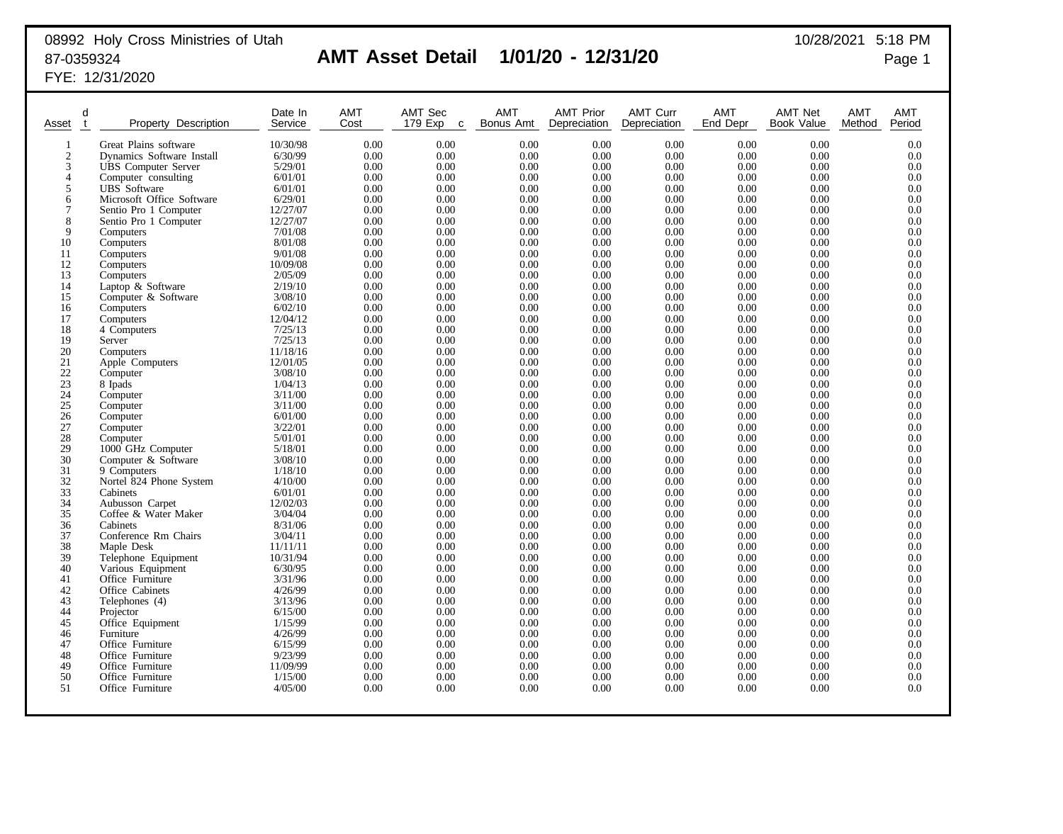# 08992 Holy Cross Ministries of Utah 10/28/2021 5:18 PM

## 87-0359324 **AMT Asset Detail 1/01/20 - 12/31/20** Page 1

FYE: 12/31/2020

| Asset           | d<br>$\mathbf{t}$ | Property Description                    | Date In<br>Service  | <b>AMT</b><br>Cost | AMT Sec<br>179 Exp<br>C | <b>AMT</b><br>Bonus Amt | <b>AMT Prior</b><br>Depreciation | <b>AMT Curr</b><br>Depreciation | <b>AMT</b><br>End Depr | <b>AMT Net</b><br>Book Value | <b>AMT</b><br>Method | <b>AMT</b><br>Period |
|-----------------|-------------------|-----------------------------------------|---------------------|--------------------|-------------------------|-------------------------|----------------------------------|---------------------------------|------------------------|------------------------------|----------------------|----------------------|
| 1               |                   | Great Plains software                   | 10/30/98            | 0.00               | 0.00                    | 0.00                    | 0.00                             | 0.00                            | 0.00                   | 0.00                         |                      | 0.0                  |
| $\overline{2}$  |                   | Dynamics Software Install               | 6/30/99             | 0.00               | 0.00                    | 0.00                    | 0.00                             | 0.00                            | 0.00                   | 0.00                         |                      | 0.0                  |
| 3               |                   | <b>UBS</b> Computer Server              | 5/29/01             | 0.00               | 0.00                    | 0.00                    | 0.00                             | 0.00                            | 0.00                   | 0.00                         |                      | 0.0                  |
| $\overline{4}$  |                   | Computer consulting                     | 6/01/01             | 0.00               | 0.00                    | 0.00                    | 0.00                             | 0.00                            | 0.00                   | 0.00                         |                      | 0.0                  |
| 5               |                   | <b>UBS</b> Software                     | 6/01/01             | 0.00               | 0.00                    | 0.00                    | 0.00                             | 0.00                            | 0.00                   | 0.00                         |                      | 0.0                  |
| 6               |                   | Microsoft Office Software               | 6/29/01             | 0.00               | 0.00                    | 0.00                    | 0.00                             | 0.00                            | 0.00                   | 0.00                         |                      | 0.0                  |
| 7               |                   | Sentio Pro 1 Computer                   | 12/27/07            | 0.00               | 0.00                    | 0.00                    | 0.00                             | 0.00                            | 0.00                   | 0.00                         |                      | 0.0                  |
| 8               |                   | Sentio Pro 1 Computer                   | 12/27/07            | 0.00               | 0.00                    | 0.00                    | 0.00                             | 0.00                            | 0.00                   | 0.00                         |                      | 0.0                  |
| 9               |                   | Computers                               | 7/01/08             | 0.00               | 0.00                    | 0.00                    | 0.00                             | 0.00                            | 0.00                   | 0.00                         |                      | 0.0                  |
| 10              |                   | Computers                               | 8/01/08             | 0.00               | 0.00                    | 0.00                    | 0.00                             | 0.00                            | 0.00                   | 0.00                         |                      | 0.0                  |
| 11              |                   | Computers                               | 9/01/08             | 0.00               | 0.00                    | 0.00                    | 0.00                             | 0.00                            | 0.00                   | 0.00                         |                      | 0.0                  |
| 12              |                   | Computers                               | 10/09/08            | 0.00               | 0.00                    | 0.00                    | 0.00                             | 0.00                            | 0.00                   | 0.00                         |                      | 0.0                  |
| 13              |                   | Computers                               | 2/05/09             | 0.00               | 0.00                    | 0.00                    | 0.00                             | 0.00                            | 0.00                   | 0.00                         |                      | 0.0                  |
| 14              |                   | Laptop & Software                       | 2/19/10             | 0.00               | 0.00                    | 0.00                    | 0.00                             | 0.00                            | 0.00                   | 0.00                         |                      | 0.0                  |
| 15              |                   | Computer & Software                     | 3/08/10             | 0.00               | 0.00                    | 0.00                    | 0.00                             | 0.00                            | 0.00                   | 0.00                         |                      | 0.0                  |
| 16<br>17        |                   | Computers                               | 6/02/10<br>12/04/12 | 0.00<br>0.00       | 0.00<br>0.00            | 0.00<br>0.00            | 0.00<br>0.00                     | 0.00<br>0.00                    | 0.00<br>0.00           | 0.00<br>0.00                 |                      | 0.0<br>0.0           |
| 18              |                   | Computers<br>4 Computers                | 7/25/13             | 0.00               | 0.00                    | 0.00                    | 0.00                             | 0.00                            | 0.00                   | 0.00                         |                      | 0.0                  |
| 19              |                   | Server                                  | 7/25/13             | 0.00               | 0.00                    | 0.00                    | 0.00                             | 0.00                            | 0.00                   | 0.00                         |                      | 0.0                  |
| 20              |                   | Computers                               | 11/18/16            | 0.00               | 0.00                    | 0.00                    | 0.00                             | 0.00                            | 0.00                   | 0.00                         |                      | 0.0                  |
| 21              |                   | Apple Computers                         | 12/01/05            | 0.00               | 0.00                    | 0.00                    | 0.00                             | 0.00                            | 0.00                   | 0.00                         |                      | 0.0                  |
| $22\,$          |                   | Computer                                | 3/08/10             | 0.00               | 0.00                    | 0.00                    | 0.00                             | 0.00                            | 0.00                   | 0.00                         |                      | 0.0                  |
| $\overline{23}$ |                   | 8 Ipads                                 | 1/04/13             | 0.00               | 0.00                    | 0.00                    | 0.00                             | 0.00                            | 0.00                   | 0.00                         |                      | 0.0                  |
|                 |                   | Computer                                | 3/11/00             | 0.00               | 0.00                    | 0.00                    | 0.00                             | 0.00                            | 0.00                   | 0.00                         |                      | 0.0                  |
| $\frac{24}{25}$ |                   | Computer                                | 3/11/00             | 0.00               | 0.00                    | 0.00                    | 0.00                             | 0.00                            | 0.00                   | 0.00                         |                      | 0.0                  |
| 26              |                   | Computer                                | 6/01/00             | 0.00               | 0.00                    | 0.00                    | 0.00                             | 0.00                            | 0.00                   | 0.00                         |                      | 0.0                  |
| $\overline{27}$ |                   | Computer                                | 3/22/01             | 0.00               | 0.00                    | 0.00                    | 0.00                             | 0.00                            | 0.00                   | 0.00                         |                      | 0.0                  |
| 28              |                   | Computer                                | 5/01/01             | 0.00               | 0.00                    | 0.00                    | 0.00                             | 0.00                            | 0.00                   | 0.00                         |                      | 0.0                  |
| 29              |                   | 1000 GHz Computer                       | 5/18/01             | 0.00               | 0.00                    | 0.00                    | 0.00                             | 0.00                            | 0.00                   | 0.00                         |                      | 0.0                  |
| 30              |                   | Computer & Software                     | 3/08/10             | 0.00               | 0.00                    | 0.00                    | 0.00                             | 0.00                            | 0.00                   | 0.00                         |                      | 0.0                  |
| 31              |                   | 9 Computers                             | 1/18/10             | 0.00               | 0.00                    | 0.00                    | 0.00                             | 0.00                            | 0.00                   | 0.00                         |                      | 0.0                  |
| 32<br>33        |                   | Nortel 824 Phone System                 | 4/10/00             | 0.00               | 0.00                    | 0.00                    | 0.00                             | 0.00<br>0.00                    | 0.00<br>0.00           | 0.00<br>0.00                 |                      | 0.0<br>0.0           |
| 34              |                   | Cabinets                                | 6/01/01<br>12/02/03 | 0.00<br>0.00       | 0.00<br>0.00            | 0.00<br>0.00            | 0.00<br>0.00                     | 0.00                            | 0.00                   | 0.00                         |                      | 0.0                  |
| $\overline{35}$ |                   | Aubusson Carpet<br>Coffee & Water Maker | 3/04/04             | 0.00               | 0.00                    | 0.00                    | 0.00                             | 0.00                            | 0.00                   | 0.00                         |                      | 0.0                  |
| 36              |                   | Cabinets                                | 8/31/06             | 0.00               | 0.00                    | 0.00                    | 0.00                             | 0.00                            | 0.00                   | 0.00                         |                      | 0.0                  |
| 37              |                   | Conference Rm Chairs                    | 3/04/11             | 0.00               | 0.00                    | 0.00                    | 0.00                             | 0.00                            | 0.00                   | 0.00                         |                      | 0.0                  |
| 38              |                   | Maple Desk                              | 11/11/11            | 0.00               | 0.00                    | 0.00                    | 0.00                             | 0.00                            | 0.00                   | 0.00                         |                      | 0.0                  |
| 39              |                   | Telephone Equipment                     | 10/31/94            | 0.00               | 0.00                    | 0.00                    | 0.00                             | 0.00                            | 0.00                   | 0.00                         |                      | 0.0                  |
| 40              |                   | Various Equipment                       | 6/30/95             | 0.00               | 0.00                    | 0.00                    | 0.00                             | 0.00                            | 0.00                   | 0.00                         |                      | 0.0                  |
| 41              |                   | Office Furniture                        | 3/31/96             | 0.00               | 0.00                    | 0.00                    | 0.00                             | 0.00                            | 0.00                   | 0.00                         |                      | 0.0                  |
| 42              |                   | Office Cabinets                         | 4/26/99             | 0.00               | 0.00                    | 0.00                    | 0.00                             | 0.00                            | 0.00                   | 0.00                         |                      | 0.0                  |
| 43              |                   | Telephones (4)                          | 3/13/96             | 0.00               | 0.00                    | 0.00                    | 0.00                             | 0.00                            | 0.00                   | 0.00                         |                      | 0.0                  |
| 44              |                   | Projector                               | 6/15/00             | 0.00               | 0.00                    | 0.00                    | 0.00                             | 0.00                            | 0.00                   | 0.00                         |                      | 0.0                  |
| 45              |                   | Office Equipment                        | 1/15/99             | 0.00               | 0.00                    | 0.00                    | 0.00                             | 0.00                            | 0.00                   | 0.00                         |                      | 0.0                  |
| 46              |                   | Furniture                               | 4/26/99             | 0.00               | 0.00                    | 0.00                    | 0.00                             | 0.00                            | 0.00                   | 0.00                         |                      | 0.0                  |
| 47              |                   | Office Furniture                        | 6/15/99             | 0.00               | 0.00                    | 0.00                    | 0.00                             | 0.00                            | 0.00                   | 0.00                         |                      | 0.0                  |
| 48              |                   | Office Furniture                        | 9/23/99             | 0.00<br>0.00       | 0.00<br>0.00            | 0.00                    | 0.00                             | 0.00                            | 0.00<br>0.00           | 0.00<br>0.00                 |                      | 0.0<br>0.0           |
| 49<br>50        |                   | Office Furniture<br>Office Furniture    | 11/09/99<br>1/15/00 | 0.00               | 0.00                    | 0.00<br>0.00            | 0.00<br>0.00                     | 0.00<br>0.00                    | 0.00                   | 0.00                         |                      | 0.0                  |
| 51              |                   | Office Furniture                        | 4/05/00             | 0.00               | 0.00                    | 0.00                    | 0.00                             | 0.00                            | 0.00                   | 0.00                         |                      | 0.0                  |
|                 |                   |                                         |                     |                    |                         |                         |                                  |                                 |                        |                              |                      |                      |
|                 |                   |                                         |                     |                    |                         |                         |                                  |                                 |                        |                              |                      |                      |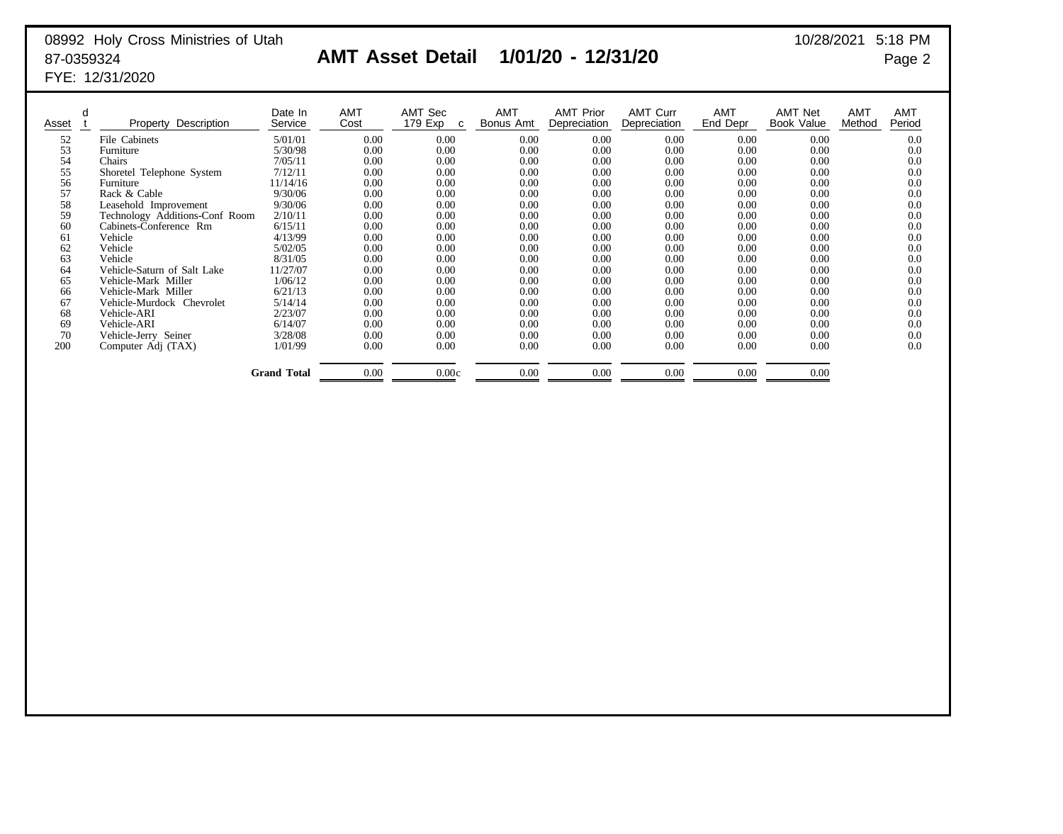## 08992 Holy Cross Ministries of Utah 10/28/2021 5:18 PM FYE: 12/31/2020

## 87-0359324 **AMT Asset Detail 1/01/20 - 12/31/20** Page 2

| Asset | Property Description           | Date In<br>Service | <b>AMT</b><br>Cost | AMT Sec<br>179 Exp<br>C | <b>AMT</b><br>Bonus Amt | <b>AMT Prior</b><br>Depreciation | <b>AMT Curr</b><br>Depreciation | <b>AMT</b><br>End Depr | <b>AMT Net</b><br>Book Value | AMT<br>Method | AMT<br>Period |
|-------|--------------------------------|--------------------|--------------------|-------------------------|-------------------------|----------------------------------|---------------------------------|------------------------|------------------------------|---------------|---------------|
| 52    | File Cabinets                  | 5/01/01            | 0.00               | 0.00                    | 0.00                    | 0.00                             | 0.00                            | 0.00                   | 0.00                         |               | 0.0           |
| 53    | Furniture                      | 5/30/98            | 0.00               | 0.00                    | 0.00                    | 0.00                             | 0.00                            | 0.00                   | 0.00                         |               | 0.0           |
| 54    | Chairs                         | 7/05/11            | 0.00               | 0.00                    | 0.00                    | 0.00                             | 0.00                            | 0.00                   | 0.00                         |               | 0.0           |
| 55    | Shoretel Telephone System      | 7/12/11            | 0.00               | 0.00                    | 0.00                    | 0.00                             | 0.00                            | 0.00                   | 0.00                         |               | 0.0           |
| 56    | Furniture                      | 11/14/16           | 0.00               | 0.00                    | 0.00                    | 0.00                             | 0.00                            | 0.00                   | 0.00                         |               | 0.0           |
| 57    | Rack & Cable                   | 9/30/06            | 0.00               | 0.00                    | 0.00                    | 0.00                             | 0.00                            | 0.00                   | 0.00                         |               | 0.0           |
| 58    | Leasehold Improvement          | 9/30/06            | 0.00               | 0.00                    | 0.00                    | 0.00                             | 0.00                            | 0.00                   | 0.00                         |               | 0.0           |
| 59    | Technology Additions-Conf Room | 2/10/11            | 0.00               | 0.00                    | 0.00                    | 0.00                             | 0.00                            | 0.00                   | 0.00                         |               | 0.0           |
| 60    | Cabinets-Conference Rm         | 6/15/11            | 0.00               | 0.00                    | 0.00                    | 0.00                             | 0.00                            | 0.00                   | 0.00                         |               | 0.0           |
| 61    | Vehicle                        | 4/13/99            | 0.00               | 0.00                    | 0.00                    | 0.00                             | 0.00                            | 0.00                   | 0.00                         |               | 0.0           |
| 62    | Vehicle                        | 5/02/05            | 0.00               | 0.00                    | 0.00                    | 0.00                             | 0.00                            | 0.00                   | 0.00                         |               | 0.0           |
| 63    | Vehicle                        | 8/31/05            | 0.00               | 0.00                    | 0.00                    | 0.00                             | 0.00                            | 0.00                   | 0.00                         |               | 0.0           |
| 64    | Vehicle-Saturn of Salt Lake    | 11/27/07           | 0.00               | 0.00                    | 0.00                    | 0.00                             | 0.00                            | 0.00                   | 0.00                         |               | 0.0           |
| 65    | Vehicle-Mark Miller            | 1/06/12            | 0.00               | 0.00                    | 0.00                    | 0.00                             | 0.00                            | 0.00                   | 0.00                         |               | 0.0           |
| 66    | Vehicle-Mark Miller            | 6/21/13            | 0.00               | 0.00                    | 0.00                    | 0.00                             | 0.00                            | 0.00                   | 0.00                         |               | 0.0           |
| 67    | Vehicle-Murdock Chevrolet      | 5/14/14            | 0.00               | 0.00                    | 0.00                    | 0.00                             | 0.00                            | 0.00                   | 0.00                         |               | 0.0           |
| 68    | Vehicle-ARI                    | 2/23/07            | 0.00               | 0.00                    | 0.00                    | 0.00                             | 0.00                            | 0.00                   | 0.00                         |               | 0.0           |
| 69    | Vehicle-ARI                    | 6/14/07            | 0.00               | 0.00                    | 0.00                    | 0.00                             | 0.00                            | 0.00                   | 0.00                         |               | 0.0           |
| 70    | Vehicle-Jerry Seiner           | 3/28/08            | 0.00               | 0.00                    | 0.00                    | 0.00                             | 0.00                            | 0.00                   | 0.00                         |               | 0.0           |
| 200   | Computer Adj (TAX)             | 1/01/99            | 0.00               | 0.00                    | 0.00                    | 0.00                             | 0.00                            | 0.00                   | 0.00                         |               | 0.0           |
|       |                                | <b>Grand Total</b> | 0.00               | 0.00c                   | 0.00                    | 0.00                             | 0.00                            | 0.00                   | 0.00                         |               |               |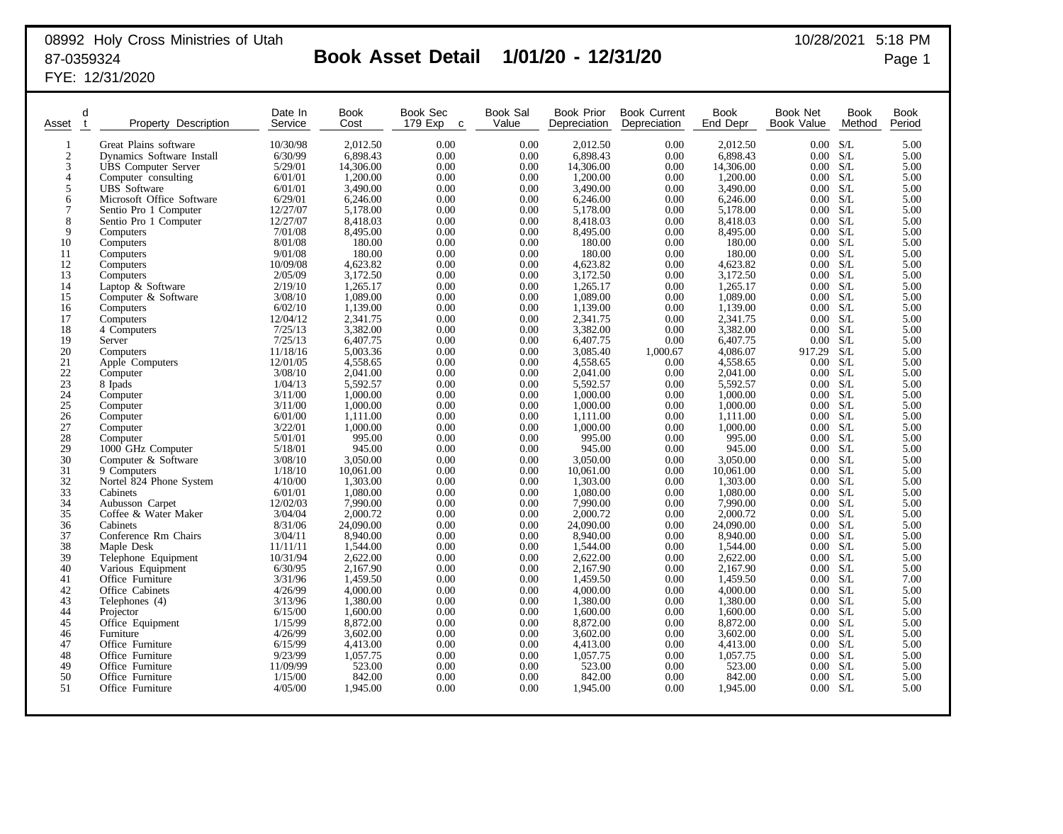## 08992 Holy Cross Ministries of Utah 10/28/2021 5:18 PM 87-0359324 **Book Asset Detail 1/01/20 - 12/31/20** Page 1

FYE: 12/31/2020

| Asset                                   | d<br>t | Property<br>Description    | Date In<br>Service | <b>Book</b><br>Cost  | Book Sec<br>179 Exp<br>$\mathbf c$ | Book Sal<br>Value | <b>Book Prior</b><br>Depreciation | <b>Book Current</b><br>Depreciation | Book<br>End Depr     | Book Net<br>Book Value | <b>Book</b><br>Method | <b>Book</b><br>Period |
|-----------------------------------------|--------|----------------------------|--------------------|----------------------|------------------------------------|-------------------|-----------------------------------|-------------------------------------|----------------------|------------------------|-----------------------|-----------------------|
| $\mathbf{1}$                            |        | Great Plains software      | 10/30/98           | 2.012.50             | 0.00                               | 0.00              | 2,012.50                          | 0.00                                | 2.012.50             | 0.00 S/L               |                       | 5.00                  |
| $\overline{2}$                          |        | Dynamics Software Install  | 6/30/99            | 6,898.43             | 0.00                               | 0.00              | 6,898.43                          | 0.00                                | 6,898.43             | 0.00 S/L               |                       | 5.00                  |
| 3                                       |        | <b>UBS</b> Computer Server | 5/29/01            | 14,306.00            | 0.00                               | 0.00              | 14,306.00                         | 0.00                                | 14,306.00            | 0.00 S/L               |                       | 5.00                  |
| $\overline{4}$                          |        | Computer consulting        | 6/01/01            | 1,200.00             | 0.00                               | 0.00              | 1,200.00                          | 0.00                                | 1,200.00             | 0.00 S/L               |                       | 5.00                  |
| 5                                       |        | <b>UBS</b> Software        | 6/01/01            | 3,490.00             | 0.00                               | 0.00              | 3,490.00                          | 0.00                                | 3,490.00             | 0.00 S/L               |                       | 5.00                  |
| 6                                       |        | Microsoft Office Software  | 6/29/01            | 6,246.00             | 0.00                               | 0.00              | 6,246.00                          | 0.00                                | 6,246.00             | 0.00 S/L               |                       | 5.00                  |
| 7                                       |        | Sentio Pro 1 Computer      | 12/27/07           | 5,178.00             | 0.00                               | 0.00              | 5,178.00                          | 0.00                                | 5,178.00             | 0.00 S/L               |                       | 5.00                  |
| 8                                       |        | Sentio Pro 1 Computer      | 12/27/07           | 8,418.03             | 0.00                               | 0.00              | 8,418.03                          | 0.00                                | 8,418.03             | 0.00 S/L               |                       | 5.00                  |
| 9                                       |        | Computers                  | 7/01/08            | 8,495.00             | 0.00                               | 0.00              | 8,495.00                          | 0.00                                | 8,495.00             | 0.00 S/L               |                       | 5.00                  |
| 10                                      |        | Computers                  | 8/01/08            | 180.00               | 0.00                               | 0.00              | 180.00                            | 0.00                                | 180.00               | 0.00 S/L               |                       | 5.00                  |
| 11                                      |        | Computers                  | 9/01/08            | 180.00               | 0.00                               | 0.00              | 180.00                            | 0.00                                | 180.00               | 0.00                   | S/L                   | 5.00                  |
| 12                                      |        | Computers                  | 10/09/08           | 4,623.82             | 0.00                               | 0.00              | 4,623.82                          | 0.00                                | 4,623.82             | 0.00 S/L               |                       | 5.00                  |
| 13                                      |        | Computers                  | 2/05/09            | 3,172.50             | 0.00                               | 0.00              | 3,172.50                          | 0.00                                | 3,172.50             | 0.00 S/L               |                       | 5.00                  |
| 14                                      |        | Laptop & Software          | 2/19/10            | 1.265.17             | 0.00                               | 0.00              | 1,265.17                          | 0.00                                | 1,265.17             | $0.00\,$               | S/L                   | 5.00                  |
| 15                                      |        | Computer & Software        | 3/08/10            | 1,089.00             | 0.00                               | 0.00              | 1,089.00                          | 0.00                                | 1,089.00             | $0.00\quad S/L$        |                       | 5.00                  |
| 16                                      |        | Computers                  | 6/02/10            | 1,139.00             | 0.00                               | 0.00              | 1,139.00                          | 0.00                                | 1,139.00             | 0.00 S/L               |                       | 5.00                  |
| 17                                      |        | Computers                  | 12/04/12           | 2,341.75             | 0.00                               | 0.00              | 2,341.75                          | 0.00                                | 2,341.75             | $0.00\,$               | S/L                   | 5.00                  |
| 18                                      |        | 4 Computers                | 7/25/13            | 3,382.00             | 0.00                               | 0.00              | 3,382.00                          | 0.00                                | 3,382.00             | 0.00 S/L               |                       | 5.00                  |
| 19                                      |        | Server                     | 7/25/13            | 6,407.75             | 0.00                               | 0.00              | 6,407.75                          | 0.00                                | 6,407.75             | 0.00 S/L               |                       | 5.00                  |
| 20                                      |        | Computers                  | 11/18/16           | 5,003.36             | 0.00                               | 0.00              | 3,085.40                          | 1,000.67                            | 4,086.07             | 917.29                 | S/L                   | 5.00                  |
| 21                                      |        | Apple Computers            | 12/01/05           | 4,558.65             | 0.00                               | 0.00              | 4,558.65                          | 0.00                                | 4,558.65             | 0.00 S/L               |                       | 5.00                  |
| $\begin{array}{c} 22 \\ 23 \end{array}$ |        | Computer                   | 3/08/10            | 2.041.00             | 0.00                               | 0.00              | 2.041.00                          | 0.00                                | 2,041.00             | 0.00 S/L               |                       | 5.00                  |
| 24                                      |        | 8 Ipads                    | 1/04/13            | 5,592.57<br>1.000.00 | 0.00                               | 0.00              | 5,592.57                          | 0.00                                | 5,592.57             | 0.00 S/L               |                       | 5.00                  |
| 25                                      |        | Computer                   | 3/11/00<br>3/11/00 | 1,000.00             | 0.00<br>0.00                       | 0.00<br>0.00      | 1,000.00<br>1,000.00              | 0.00<br>0.00                        | 1,000.00<br>1,000.00 | 0.00 S/L<br>0.00 S/L   |                       | 5.00<br>5.00          |
| 26                                      |        | Computer                   | 6/01/00            | 1,111.00             | 0.00                               | 0.00              | 1,111.00                          | 0.00                                | 1,111.00             | 0.00 S/L               |                       | 5.00                  |
| 27                                      |        | Computer<br>Computer       | 3/22/01            | 1,000.00             | 0.00                               | 0.00              | 1,000.00                          | 0.00                                | 1,000.00             | 0.00 S/L               |                       | 5.00                  |
| 28                                      |        | Computer                   | 5/01/01            | 995.00               | 0.00                               | 0.00              | 995.00                            | 0.00                                | 995.00               | 0.00 S/L               |                       | 5.00                  |
| 29                                      |        | 1000 GHz Computer          | 5/18/01            | 945.00               | 0.00                               | 0.00              | 945.00                            | 0.00                                | 945.00               | 0.00 S/L               |                       | 5.00                  |
| 30                                      |        | Computer & Software        | 3/08/10            | 3,050.00             | 0.00                               | 0.00              | 3,050.00                          | 0.00                                | 3,050.00             | 0.00 S/L               |                       | 5.00                  |
| 31                                      |        | 9 Computers                | 1/18/10            | 10,061.00            | 0.00                               | 0.00              | 10,061.00                         | 0.00                                | 10,061.00            | 0.00 S/L               |                       | 5.00                  |
| 32                                      |        | Nortel 824 Phone System    | 4/10/00            | 1,303.00             | 0.00                               | 0.00              | 1,303.00                          | 0.00                                | 1,303.00             | 0.00 S/L               |                       | 5.00                  |
| $\overline{33}$                         |        | Cabinets                   | 6/01/01            | 1,080.00             | 0.00                               | 0.00              | 1,080.00                          | 0.00                                | 1,080.00             | 0.00 S/L               |                       | 5.00                  |
| 34                                      |        | Aubusson Carpet            | 12/02/03           | 7.990.00             | 0.00                               | 0.00              | 7,990.00                          | 0.00                                | 7,990.00             | 0.00 S/L               |                       | 5.00                  |
| 35                                      |        | Coffee & Water Maker       | 3/04/04            | 2,000.72             | 0.00                               | 0.00              | 2,000.72                          | 0.00                                | 2,000.72             | 0.00 S/L               |                       | 5.00                  |
| 36                                      |        | Cabinets                   | 8/31/06            | 24,090.00            | 0.00                               | 0.00              | 24,090.00                         | 0.00                                | 24,090.00            | 0.00 S/L               |                       | 5.00                  |
| 37                                      |        | Conference Rm Chairs       | 3/04/11            | 8,940.00             | 0.00                               | 0.00              | 8,940.00                          | 0.00                                | 8,940.00             | 0.00 S/L               |                       | 5.00                  |
| 38                                      |        | Maple Desk                 | 11/11/11           | 1,544.00             | 0.00                               | 0.00              | 1,544.00                          | 0.00                                | 1,544.00             | 0.00 S/L               |                       | 5.00                  |
| 39                                      |        | Telephone Equipment        | 10/31/94           | 2,622.00             | 0.00                               | 0.00              | 2,622.00                          | 0.00                                | 2,622.00             | 0.00 S/L               |                       | 5.00                  |
| 40                                      |        | Various Equipment          | 6/30/95            | 2,167.90             | 0.00                               | 0.00              | 2,167.90                          | 0.00                                | 2,167.90             | 0.00 S/L               |                       | 5.00                  |
| 41                                      |        | Office Furniture           | 3/31/96            | 1,459.50             | 0.00                               | 0.00              | 1,459.50                          | 0.00                                | 1,459.50             | 0.00 S/L               |                       | 7.00                  |
| 42                                      |        | Office Cabinets            | 4/26/99            | 4,000.00             | 0.00                               | 0.00              | 4,000.00                          | 0.00                                | 4,000.00             | 0.00 S/L               |                       | 5.00                  |
| 43                                      |        | Telephones (4)             | 3/13/96            | 1.380.00             | 0.00                               | 0.00              | 1.380.00                          | 0.00                                | 1.380.00             | 0.00 S/L               |                       | 5.00                  |
| 44                                      |        | Projector                  | 6/15/00            | 1,600.00             | 0.00                               | 0.00              | 1,600.00                          | 0.00                                | 1,600.00             | 0.00 S/L               |                       | 5.00                  |
| 45                                      |        | Office Equipment           | 1/15/99            | 8,872.00             | 0.00                               | 0.00              | 8,872.00                          | 0.00                                | 8,872.00             | 0.00 S/L               |                       | 5.00                  |
| 46                                      |        | Furniture                  | 4/26/99            | 3.602.00             | 0.00                               | 0.00              | 3.602.00                          | 0.00                                | 3.602.00             | 0.00 S/L               |                       | 5.00                  |
| 47                                      |        | Office Furniture           | 6/15/99            | 4,413.00             | 0.00                               | 0.00              | 4,413.00                          | 0.00                                | 4,413.00             | 0.00 S/L               |                       | 5.00                  |
| 48                                      |        | Office Furniture           | 9/23/99            | 1,057.75             | 0.00                               | 0.00              | 1,057.75                          | 0.00                                | 1,057.75             | $0.00\,$               | S/L                   | 5.00                  |
| 49                                      |        | Office Furniture           | 11/09/99           | 523.00               | 0.00                               | 0.00              | 523.00                            | 0.00                                | 523.00               | $0.00\,$               | S/L                   | 5.00                  |
| 50<br>51                                |        | Office Furniture           | 1/15/00            | 842.00               | 0.00                               | 0.00              | 842.00                            | 0.00                                | 842.00               | $0.00 -$               | S/L                   | 5.00                  |
|                                         |        | Office Furniture           | 4/05/00            | 1,945.00             | 0.00                               | 0.00              | 1,945.00                          | 0.00                                | 1,945.00             | 0.00                   | S/L                   | 5.00                  |
|                                         |        |                            |                    |                      |                                    |                   |                                   |                                     |                      |                        |                       |                       |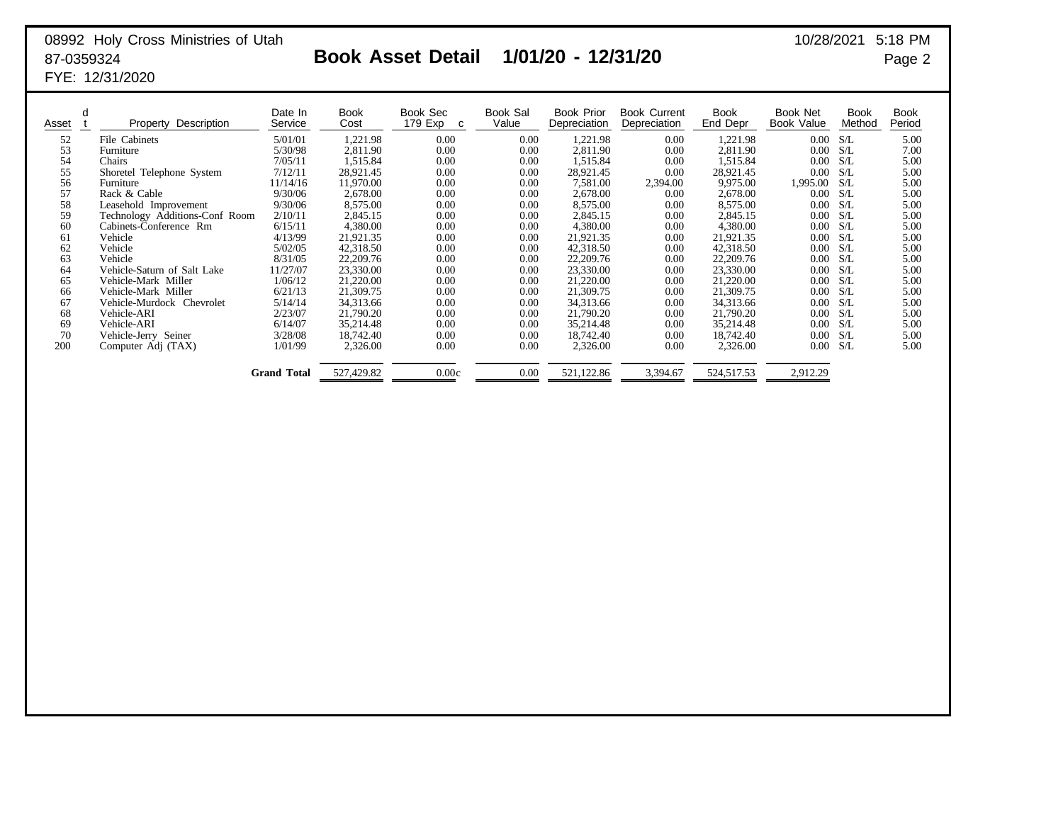## 08992 Holy Cross Ministries of Utah 87-0359324 **Book Asset Detail 1/01/20 - 12/31/20** Page 2 FYE: 12/31/2020

| 10/28/2021 |  | 5:18 PM |
|------------|--|---------|
|------------|--|---------|

| d<br>Asset | Property Description           | Date In<br>Service | Book<br>Cost | Book Sec<br>179 Ехр<br>C | Book Sal<br>Value | <b>Book Prior</b><br>Depreciation | <b>Book Current</b><br>Depreciation | Book<br>End Depr | Book Net<br>Book Value | <b>Book</b><br>Method | <b>Book</b><br>Period |
|------------|--------------------------------|--------------------|--------------|--------------------------|-------------------|-----------------------------------|-------------------------------------|------------------|------------------------|-----------------------|-----------------------|
| 52         | File Cabinets                  | 5/01/01            | 1,221.98     | 0.00                     | 0.00              | 1,221.98                          | 0.00                                | 1,221.98         | 0.00                   | S/L                   | 5.00                  |
| 53         | Furniture                      | 5/30/98            | 2,811.90     | 0.00                     | 0.00              | 2,811.90                          | 0.00                                | 2,811.90         | 0.00                   | -S/L                  | 7.00                  |
| 54         | Chairs                         | 7/05/11            | 1,515.84     | 0.00                     | 0.00              | 1,515.84                          | 0.00                                | 1,515.84         | 0.00                   | S/L                   | 5.00                  |
| 55         | Shoretel Telephone System      | 7/12/11            | 28,921.45    | 0.00                     | 0.00              | 28,921.45                         | 0.00                                | 28,921.45        | 0.00                   | S/L                   | 5.00                  |
| 56         | Furniture                      | 11/14/16           | 11,970.00    | 0.00                     | 0.00              | 7,581.00                          | 2,394.00                            | 9,975.00         | 1,995.00               | S/L                   | 5.00                  |
| 57         | Rack & Cable                   | 9/30/06            | 2,678.00     | 0.00                     | 0.00              | 2,678.00                          | 0.00                                | 2.678.00         | 0.00                   | S/L                   | 5.00                  |
| 58         | Leasehold Improvement          | 9/30/06            | 8,575.00     | 0.00                     | 0.00              | 8,575.00                          | 0.00                                | 8,575.00         | 0.00                   | S/L                   | 5.00                  |
| 59         | Technology Additions-Conf Room | 2/10/11            | 2,845.15     | 0.00                     | 0.00              | 2,845.15                          | 0.00                                | 2,845.15         | 0.00                   | S/L                   | 5.00                  |
| 60         | Cabinets-Conference Rm         | 6/15/11            | 4,380.00     | 0.00                     | 0.00              | 4,380.00                          | $0.00\,$                            | 4.380.00         | 0.00                   | S/L                   | 5.00                  |
| 61         | Vehicle                        | 4/13/99            | 21,921.35    | 0.00                     | 0.00              | 21,921.35                         | 0.00                                | 21,921.35        | 0.00                   | -S/L                  | 5.00                  |
| 62         | Vehicle                        | 5/02/05            | 42,318.50    | 0.00                     | 0.00              | 42,318.50                         | 0.00                                | 42,318.50        | 0.00                   | S/L                   | 5.00                  |
| 63         | Vehicle                        | 8/31/05            | 22,209.76    | 0.00                     | 0.00              | 22,209.76                         | 0.00                                | 22,209.76        | 0.00                   | S/L                   | 5.00                  |
| 64         | Vehicle-Saturn of Salt Lake    | 11/27/07           | 23,330.00    | 0.00                     | 0.00              | 23,330.00                         | 0.00                                | 23,330.00        | 0.00                   | S/L                   | 5.00                  |
| 65         | Vehicle-Mark Miller            | 1/06/12            | 21,220.00    | 0.00                     | 0.00              | 21,220.00                         | 0.00                                | 21,220.00        | 0.00                   | S/L                   | 5.00                  |
| 66         | Vehicle-Mark Miller            | 6/21/13            | 21,309.75    | 0.00                     | 0.00              | 21,309.75                         | 0.00                                | 21,309.75        | 0.00                   | S/L                   | 5.00                  |
| 67         | Vehicle-Murdock Chevrolet      | 5/14/14            | 34,313.66    | 0.00                     | 0.00              | 34,313.66                         | 0.00                                | 34,313.66        | 0.00                   | S/L                   | 5.00                  |
| 68         | Vehicle-ARI                    | 2/23/07            | 21,790.20    | 0.00                     | 0.00              | 21,790.20                         | 0.00                                | 21,790.20        | 0.00                   | S/L                   | 5.00                  |
| 69         | Vehicle-ARI                    | 6/14/07            | 35,214.48    | 0.00                     | 0.00              | 35,214.48                         | 0.00                                | 35,214.48        | 0.00                   | S/L                   | 5.00                  |
| 70         | Vehicle-Jerry Seiner           | 3/28/08            | 18,742.40    | 0.00                     | 0.00              | 18,742.40                         | 0.00                                | 18,742.40        | 0.00                   | S/L                   | 5.00                  |
| 200        | Computer Adj (TAX)             | 1/01/99            | 2,326.00     | 0.00                     | 0.00              | 2,326.00                          | 0.00                                | 2,326.00         | 0.00                   | S/L                   | 5.00                  |
|            |                                | <b>Grand Total</b> | 527,429.82   | 0.00c                    | 0.00              | 521,122.86                        | 3,394.67                            | 524,517.53       | 2,912.29               |                       |                       |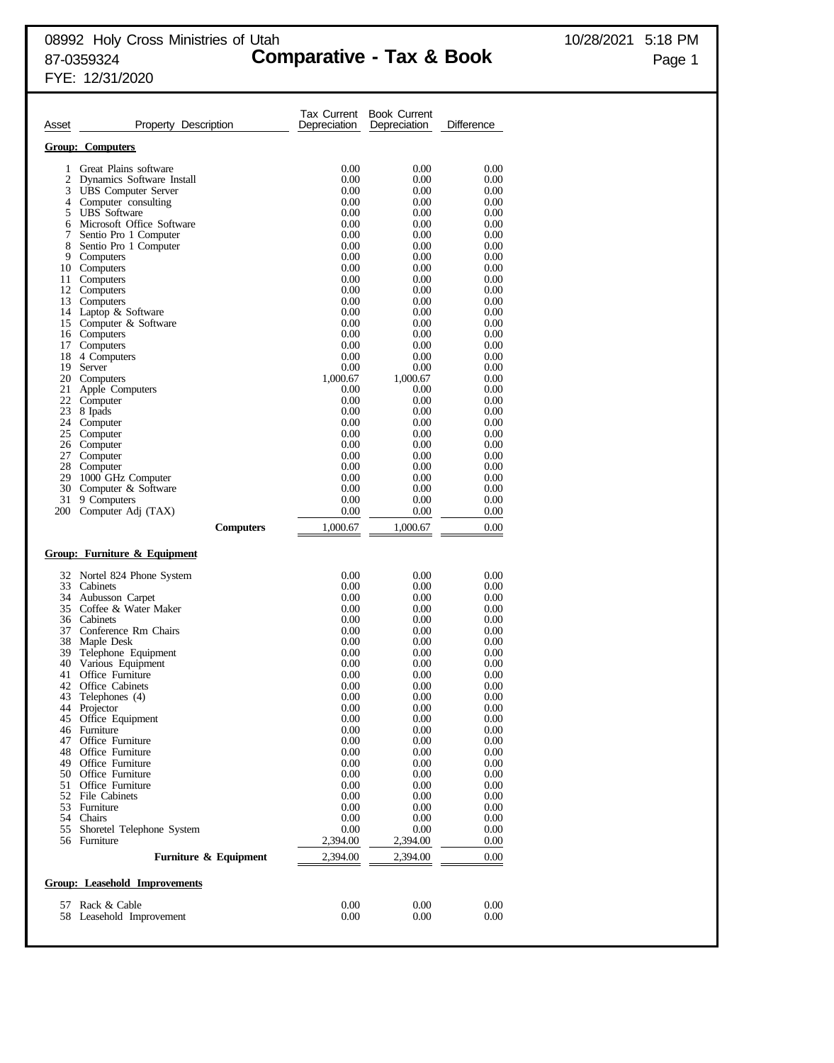Tax Current Book Current

| Asset          | Property Description                    | Depreciation | Depreciation | Difference   |
|----------------|-----------------------------------------|--------------|--------------|--------------|
|                | <b>Group: Computers</b>                 |              |              |              |
|                | Great Plains software                   |              |              |              |
| 1<br>2         | Dynamics Software Install               | 0.00<br>0.00 | 0.00<br>0.00 | 0.00<br>0.00 |
| 3              | <b>UBS</b> Computer Server              | 0.00         | 0.00         | 0.00         |
| $\overline{4}$ | Computer consulting                     | 0.00         | 0.00         | 0.00         |
| 5              | <b>UBS</b> Software                     | 0.00         | 0.00         | 0.00         |
| 6              | Microsoft Office Software               | 0.00         | 0.00         | 0.00         |
| 7              | Sentio Pro 1 Computer                   | 0.00         | 0.00         | 0.00         |
| 8<br>9         | Sentio Pro 1 Computer<br>Computers      | 0.00<br>0.00 | 0.00<br>0.00 | 0.00<br>0.00 |
|                | 10 Computers                            | 0.00         | 0.00         | 0.00         |
|                | 11 Computers                            | 0.00         | 0.00         | 0.00         |
|                | 12 Computers                            | 0.00         | 0.00         | 0.00         |
| 13             | Computers                               | 0.00         | 0.00         | 0.00         |
|                | 14 Laptop & Software                    | 0.00         | 0.00         | 0.00         |
|                | 15 Computer & Software                  | 0.00         | 0.00         | 0.00         |
| 17             | 16 Computers<br>Computers               | 0.00<br>0.00 | 0.00<br>0.00 | 0.00<br>0.00 |
| 18             | 4 Computers                             | 0.00         | 0.00         | 0.00         |
| 19             | Server                                  | 0.00         | 0.00         | 0.00         |
| 20             | Computers                               | 1,000.67     | 1,000.67     | 0.00         |
| 21             | Apple Computers                         | 0.00         | 0.00         | 0.00         |
| 22             | Computer                                | 0.00         | 0.00         | 0.00         |
| 23             | 8 Ipads                                 | 0.00         | 0.00         | 0.00         |
|                | 24 Computer<br>25 Computer              | 0.00<br>0.00 | 0.00<br>0.00 | 0.00<br>0.00 |
|                | 26 Computer                             | 0.00         | 0.00         | 0.00         |
| 27             | Computer                                | 0.00         | 0.00         | 0.00         |
|                | 28 Computer                             | 0.00         | 0.00         | 0.00         |
| 29             | 1000 GHz Computer                       | 0.00         | 0.00         | 0.00         |
|                | 30 Computer & Software                  | 0.00         | 0.00         | 0.00         |
| 31<br>200      | 9 Computers<br>Computer Adj (TAX)       | 0.00<br>0.00 | 0.00<br>0.00 | 0.00<br>0.00 |
|                | <b>Computers</b>                        | 1,000.67     | 1,000.67     | 0.00         |
|                |                                         |              |              |              |
|                | <b>Group: Furniture &amp; Equipment</b> |              |              |              |
|                | 32 Nortel 824 Phone System              | 0.00         | 0.00         | 0.00         |
|                | 33 Cabinets                             | 0.00         | 0.00         | 0.00         |
|                | 34 Aubusson Carpet                      | 0.00         | 0.00         | 0.00         |
|                | 35 Coffee & Water Maker<br>36 Cabinets  | 0.00<br>0.00 | 0.00<br>0.00 | 0.00<br>0.00 |
| 37             | Conference Rm Chairs                    | 0.00         | 0.00         | 0.00         |
|                | 38 Maple Desk                           | 0.00         | 0.00         | 0.00         |
| 39             | Telephone Equipment                     | 0.00         | 0.00         | 0.00         |
| 40             | Various Equipment                       | 0.00         | 0.00         | 0.00         |
| 41             | Office Furniture                        | 0.00         | 0.00         | 0.00         |
| 42             | Office Cabinets                         | 0.00         | 0.00         | 0.00         |
|                | 43 Telephones (4)<br>44 Projector       | 0.00<br>0.00 | 0.00<br>0.00 | 0.00<br>0.00 |
|                | 45 Office Equipment                     | 0.00         | 0.00         | $0.00\,$     |
|                | 46 Furniture                            | 0.00         | 0.00         | 0.00         |
|                | 47 Office Furniture                     | 0.00         | 0.00         | 0.00         |
|                | 48 Office Furniture                     | 0.00         | 0.00         | 0.00         |
|                | 49 Office Furniture                     | 0.00         | 0.00         | 0.00         |
| 51             | 50 Office Furniture<br>Office Furniture | 0.00<br>0.00 | 0.00         | 0.00<br>0.00 |
|                | 52 File Cabinets                        | 0.00         | 0.00<br>0.00 | 0.00         |
|                | 53 Furniture                            | 0.00         | 0.00         | 0.00         |
|                | 54 Chairs                               | 0.00         | 0.00         | 0.00         |
|                | 55 Shoretel Telephone System            | 0.00         | 0.00         | 0.00         |
|                | 56 Furniture                            | 2,394.00     | 2,394.00     | 0.00         |
|                | Furniture & Equipment                   | 2,394.00     | 2,394.00     | 0.00         |
|                | <b>Group: Leasehold Improvements</b>    |              |              |              |
|                | 57 Rack & Cable                         | 0.00         | 0.00         | 0.00         |
|                | 58 Leasehold Improvement                | 0.00         | 0.00         | 0.00         |
|                |                                         |              |              |              |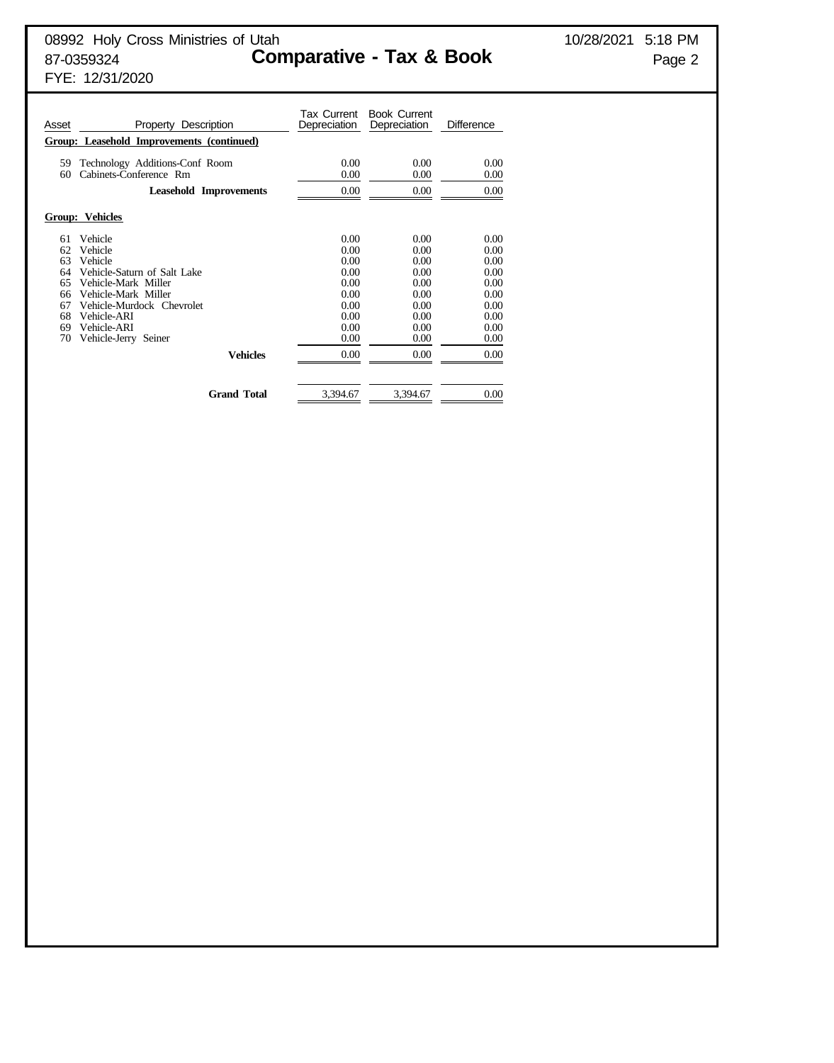Tax Current Book Current<br>Depreciation Depreciation Asset **Property Description** Depreciation Depreciation Difference **Group: Leasehold Improvements (continued)** 59 Technology Additions-Conf Room 0.00 0.00 0.00 0.00 60 Cabinets-Conference Rm 0.00 0.00 0.00 **Leasehold Improvements** 0.00 0.00 0.00 0.00 **Group: Vehicles**  $\begin{array}{cccc} 61 & \text{Vehicle} & & & & 0.00 & & 0.00 \\ 62 & \text{Vehicle} & & & 0.00 & & 0.00 & & 0.00 \\ \end{array}$ 62 Vehicle 0.00 0.00 0.00 63 Vehicle 0.00 0.00 0.00 0.00 64 Vehicle-Saturn of Salt Lake 0.00 0.00 0.00 0.00 65 Vehicle-Mark Miller 2000 0.00 0.00 0.00 66 Vehicle-Mark Miller 0.00 0.00 0.00 67 Vehicle-Murdock Chevrolet  $\begin{array}{ccc} 67 & \text{Vehicle-Murdock} & \text{Cheviolet} & 0.00 & 0.00 & 0.00 \\ 68 & \text{Vehicle-ARI} & 0.00 & 0.00 & 0.00 \\ 69 & \text{Vehicle-ARI} & 0.00 & 0.00 & 0.00 \\ \end{array}$ 68 Vehicle-ARI 0.00 0.00 0.00 0.00 69 Vehicle-ARI 0.00 0.00 0.00 0.00 70 Vehicle-Jerry Seiner 2000 0.00 0.00 0.00 0.00 **Vehicles** 0.00 0.00 0.00 0.00 Grand Total 3,394.67 3,394.67 0.00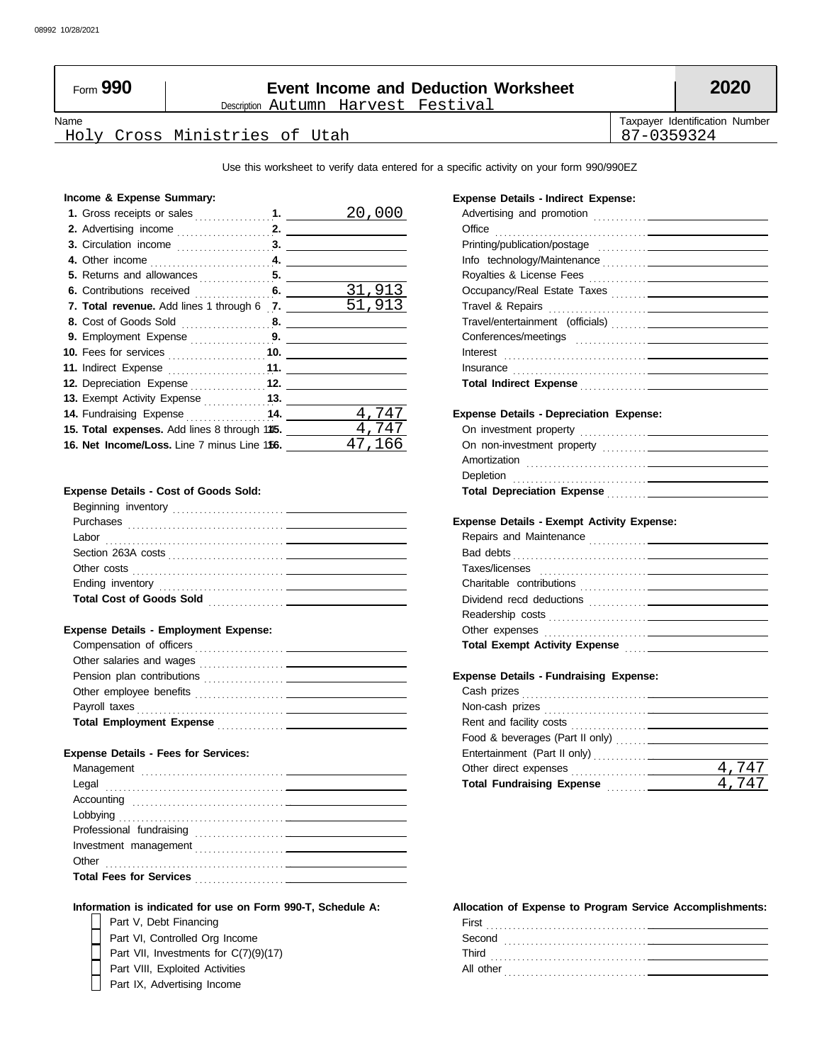| Form 990 | <b>Event Income and Deduction Worksheet</b> |            | 2020                           |
|----------|---------------------------------------------|------------|--------------------------------|
|          | Description Autumn Harvest Festival         |            |                                |
| Name     |                                             |            | Taxpayer Identification Number |
|          | Holy Cross Ministries of Utah               | 87-0359324 |                                |

Use this worksheet to verify data entered for a specific activity on your form 990/990EZ

**Expense Details - Indirect Expense:**

### **Income & Expense Summary:**

|                                                   |     | 20.    |
|---------------------------------------------------|-----|--------|
|                                                   |     |        |
| 3. Circulation income 3. __                       |     |        |
|                                                   |     |        |
| 5. Returns and allowances $\ldots$ , $\ldots$     |     |        |
| 6. Contributions received                         | 6.  | 31,91  |
| <b>7. Total revenue.</b> Add lines 1 through 6 7. |     | 51,913 |
|                                                   |     |        |
| 9. Employment Expense 9.                          |     |        |
|                                                   |     |        |
| 11. Indirect Expense                              | 11. |        |
| 12. Depreciation Expense  12.                     |     |        |
|                                                   |     |        |
| 14. Fundraising Expense 14.                       |     | 4.747  |
| 15. Total expenses. Add lines 8 through 145.      |     | 4.747  |
| 16. Net Income/Loss. Line 7 minus Line 156.       |     | 47,166 |

### **Expense Details - Cost of Goods Sold:**

| Beginning inventory             |  |
|---------------------------------|--|
| Purchases                       |  |
| Labor                           |  |
| Section 263A costs              |  |
| Other costs                     |  |
|                                 |  |
| <b>Total Cost of Goods Sold</b> |  |
|                                 |  |

### **Expense Details - Employment Expense:**

| Compensation of officers                                                                                                                    |  |
|---------------------------------------------------------------------------------------------------------------------------------------------|--|
| Other salaries and wages<br>the contract of the contract of the contract of the contract of the contract of the contract of the contract of |  |
| Pension plan contributions<br>. <del>.</del>                                                                                                |  |
| Other employee benefits                                                                                                                     |  |
| Payroll taxes                                                                                                                               |  |
| <b>Total Employment Expense</b>                                                                                                             |  |

### **Expense Details - Fees for Services:**

| Other                          |
|--------------------------------|
| <b>Total Fees for Services</b> |
|                                |

**Information is indicated for use on Form 990-T, Schedule A:**

Part V, Debt Financing<br>Part VI, Controlled Org<br>Part VII, Investments fo Part VI, Controlled Org Income

Part VIII, Exploited Activities Part VII, Investments for C(7)(9)(17)

Part IX, Advertising Income

| Total Indirect Expense <b>container and the contact of the contact of the contact of the contact of the contact of the contact of the contact of the contact of the contact of the contact of the contact of the contact of the </b> |  |
|--------------------------------------------------------------------------------------------------------------------------------------------------------------------------------------------------------------------------------------|--|
|                                                                                                                                                                                                                                      |  |
| <b>Expense Details - Depreciation Expense:</b>                                                                                                                                                                                       |  |
|                                                                                                                                                                                                                                      |  |
|                                                                                                                                                                                                                                      |  |
|                                                                                                                                                                                                                                      |  |
|                                                                                                                                                                                                                                      |  |
|                                                                                                                                                                                                                                      |  |
|                                                                                                                                                                                                                                      |  |
|                                                                                                                                                                                                                                      |  |
| <b>Expense Details - Exempt Activity Expense:</b>                                                                                                                                                                                    |  |
|                                                                                                                                                                                                                                      |  |
|                                                                                                                                                                                                                                      |  |
|                                                                                                                                                                                                                                      |  |
|                                                                                                                                                                                                                                      |  |
|                                                                                                                                                                                                                                      |  |
|                                                                                                                                                                                                                                      |  |
|                                                                                                                                                                                                                                      |  |
|                                                                                                                                                                                                                                      |  |
|                                                                                                                                                                                                                                      |  |
| <b>Expense Details - Fundraising Expense:</b>                                                                                                                                                                                        |  |
|                                                                                                                                                                                                                                      |  |
|                                                                                                                                                                                                                                      |  |
|                                                                                                                                                                                                                                      |  |
|                                                                                                                                                                                                                                      |  |

### **Allocation of Expense to Program Service Accomplishments:** First

 $\frac{4,747}{4,747}$ 4,747

**Total Fundraising Expense** . . . . . . . . . . .

Other direct expenses . . . . . . . . . . . . . . . . . . .

| ו טוו     |  |
|-----------|--|
| Second    |  |
| Third     |  |
| All other |  |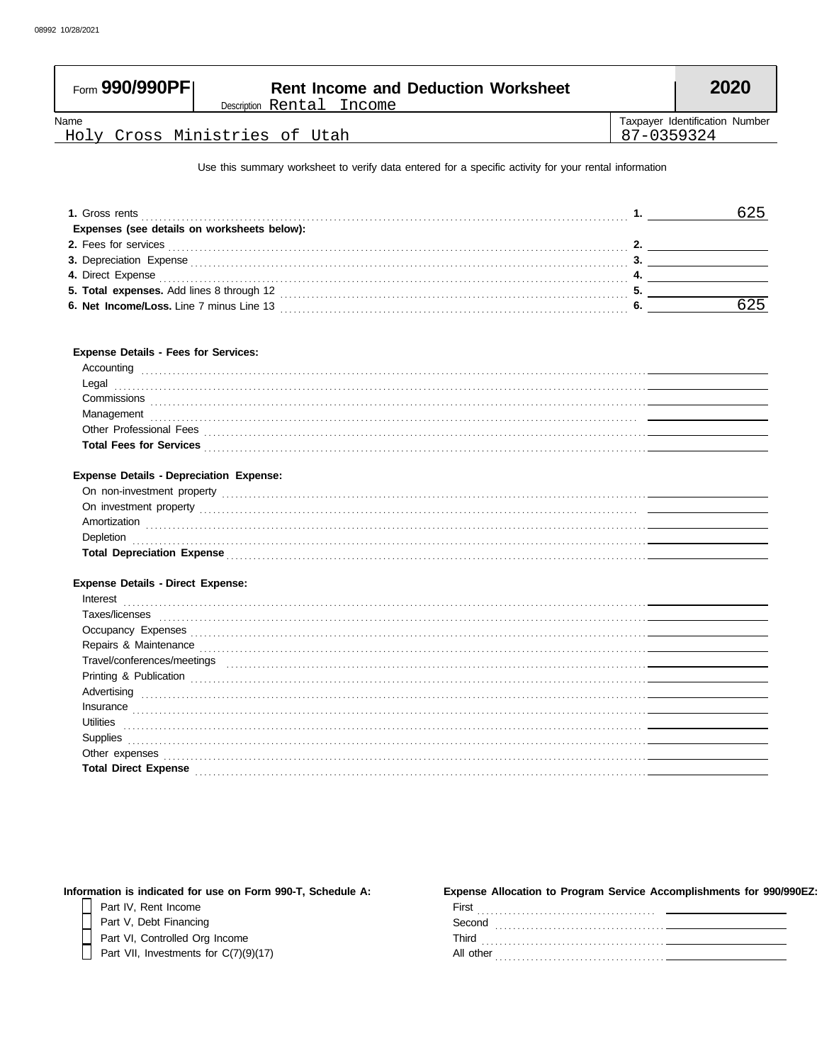| Name                                                                                                                                                                                                                                                                                                                                                                                                                                                                                                                                                                         |                             | Taxpayer Identification Number |
|------------------------------------------------------------------------------------------------------------------------------------------------------------------------------------------------------------------------------------------------------------------------------------------------------------------------------------------------------------------------------------------------------------------------------------------------------------------------------------------------------------------------------------------------------------------------------|-----------------------------|--------------------------------|
| Holy Cross Ministries of Utah                                                                                                                                                                                                                                                                                                                                                                                                                                                                                                                                                | 87-0359324                  |                                |
| Use this summary worksheet to verify data entered for a specific activity for your rental information                                                                                                                                                                                                                                                                                                                                                                                                                                                                        |                             |                                |
|                                                                                                                                                                                                                                                                                                                                                                                                                                                                                                                                                                              |                             |                                |
| Expenses (see details on worksheets below):                                                                                                                                                                                                                                                                                                                                                                                                                                                                                                                                  | $1.$ 2008 $\sim$ 300 $\sim$ | 625                            |
|                                                                                                                                                                                                                                                                                                                                                                                                                                                                                                                                                                              |                             |                                |
| 2. Fees for services <b>contract and the contract of the service of the service of the services</b>                                                                                                                                                                                                                                                                                                                                                                                                                                                                          |                             | 2. $\qquad \qquad$             |
| 3. Depreciation Expense entertainment and all the contract of the contract of the contract of the contract of                                                                                                                                                                                                                                                                                                                                                                                                                                                                |                             |                                |
|                                                                                                                                                                                                                                                                                                                                                                                                                                                                                                                                                                              |                             |                                |
|                                                                                                                                                                                                                                                                                                                                                                                                                                                                                                                                                                              |                             | 625                            |
|                                                                                                                                                                                                                                                                                                                                                                                                                                                                                                                                                                              |                             |                                |
|                                                                                                                                                                                                                                                                                                                                                                                                                                                                                                                                                                              |                             |                                |
| <b>Expense Details - Fees for Services:</b>                                                                                                                                                                                                                                                                                                                                                                                                                                                                                                                                  |                             |                                |
|                                                                                                                                                                                                                                                                                                                                                                                                                                                                                                                                                                              |                             |                                |
| Accounting 2000 contains a contact the contact of the contact of the contact of the contact of the contact of the contact of the contact of the contact of the contact of the contact of the contact of the contact of the con<br>Legal                                                                                                                                                                                                                                                                                                                                      |                             |                                |
|                                                                                                                                                                                                                                                                                                                                                                                                                                                                                                                                                                              |                             |                                |
| Commissions <b>commissions commissions</b>                                                                                                                                                                                                                                                                                                                                                                                                                                                                                                                                   |                             |                                |
| Management <b>construction and the construction of the construction</b> and the construction of the construction of the construction of the construction of the construction of the construction of the construction of the constru                                                                                                                                                                                                                                                                                                                                          |                             |                                |
| Other Professional Fees <b>contained a contained a contained a contained a contained a contained a contained a contained a contact of the contact of the contact of the contact of the contact of the contact of the contact of </b><br>Total Fees for Services <b>Figure 2018 CONSERVICES CONSERVICES CONSERVICES CONSERVICES CONSERVICES CONSERVICES</b>                                                                                                                                                                                                                   |                             |                                |
|                                                                                                                                                                                                                                                                                                                                                                                                                                                                                                                                                                              |                             |                                |
| <b>Expense Details - Depreciation Expense:</b>                                                                                                                                                                                                                                                                                                                                                                                                                                                                                                                               |                             |                                |
|                                                                                                                                                                                                                                                                                                                                                                                                                                                                                                                                                                              |                             |                                |
|                                                                                                                                                                                                                                                                                                                                                                                                                                                                                                                                                                              |                             |                                |
|                                                                                                                                                                                                                                                                                                                                                                                                                                                                                                                                                                              |                             |                                |
| Depletion with a construction of the construction of the construction of the construction of the construction of the construction of the construction of the construction of the construction of the construction of the const                                                                                                                                                                                                                                                                                                                                               |                             |                                |
| Total Depreciation Expense <b>contract to the Contract Contract Contract Contract Contract Contract Contract Contract Contract Contract Contract Contract Contract Contract Contract Contract Contract Contract Contract Contrac</b>                                                                                                                                                                                                                                                                                                                                         |                             |                                |
|                                                                                                                                                                                                                                                                                                                                                                                                                                                                                                                                                                              |                             |                                |
| <b>Expense Details - Direct Expense:</b>                                                                                                                                                                                                                                                                                                                                                                                                                                                                                                                                     |                             |                                |
| Interest                                                                                                                                                                                                                                                                                                                                                                                                                                                                                                                                                                     |                             |                                |
| Taxes/licenses examples and the contract of the contract of the contract of the contract of the contract of the contract of the contract of the contract of the contract of the contract of the contract of the contract of th                                                                                                                                                                                                                                                                                                                                               |                             |                                |
| Occupancy Expenses <b>contract to the contract of the contract of the contract of the contract of the contract of the contract of the contract of the contract of the contract of the contract of the contract of the contract o</b>                                                                                                                                                                                                                                                                                                                                         |                             |                                |
| Repairs & Maintenance                                                                                                                                                                                                                                                                                                                                                                                                                                                                                                                                                        |                             |                                |
| Travel/conferences/meetings                                                                                                                                                                                                                                                                                                                                                                                                                                                                                                                                                  |                             |                                |
| Printing & Publication contains and contains a series of the contact of the contact of the contact of the contact of the contact of the contact of the contact of the contact of the contact of the contact of the contact of                                                                                                                                                                                                                                                                                                                                                |                             |                                |
| Advertising <b>contract to the contract of the contract of the contract of the contract of the contract of the contract of the contract of the contract of the contract of the contract of the contract of the contract of the c</b>                                                                                                                                                                                                                                                                                                                                         |                             |                                |
| $In surface \begin{equation} \begin{equation} \begin{bmatrix} \text{in} \end{bmatrix} \end{equation} \begin{bmatrix} \text{in} \end{bmatrix} \end{equation} \begin{equation} \begin{bmatrix} \text{in} \end{bmatrix} \end{equation} \begin{equation} \begin{bmatrix} \text{in} \end{bmatrix} \end{equation} \begin{equation} \begin{bmatrix} \text{in} \end{bmatrix} \end{equation} \begin{equation} \begin{bmatrix} \text{in} \end{bmatrix} \end{equation} \begin{equation} \begin{bmatrix} \text{in} \end{bmatrix} \end{equation} \begin{equation} \begin{bmatrix} \text{$ |                             |                                |
| Utilities                                                                                                                                                                                                                                                                                                                                                                                                                                                                                                                                                                    |                             |                                |
|                                                                                                                                                                                                                                                                                                                                                                                                                                                                                                                                                                              |                             |                                |
|                                                                                                                                                                                                                                                                                                                                                                                                                                                                                                                                                                              |                             |                                |
|                                                                                                                                                                                                                                                                                                                                                                                                                                                                                                                                                                              |                             |                                |
| Total Direct Expense <b>contract Expense</b> and the contract of the contract of the contract of the contract of the contract of the contract of the contract of the contract of the contract of the contract of the contract of th                                                                                                                                                                                                                                                                                                                                          |                             |                                |

| Information is indicated for use on Form 990-T, Schedule A: | <b>Expense Allocation to Program Servi</b> |  |  |
|-------------------------------------------------------------|--------------------------------------------|--|--|
| Part IV. Rent Income                                        | First                                      |  |  |
| Part V. Debt Financing                                      | Second                                     |  |  |
| Part VI, Controlled Org Income                              | Third                                      |  |  |

Part VII, Investments for  $C(7)(9)(17)$ 

| xpense Allocation to Program Service Accomplishments for 990/990EZ: |  |
|---------------------------------------------------------------------|--|
| First                                                               |  |
| Second                                                              |  |
| Third                                                               |  |
| All other                                                           |  |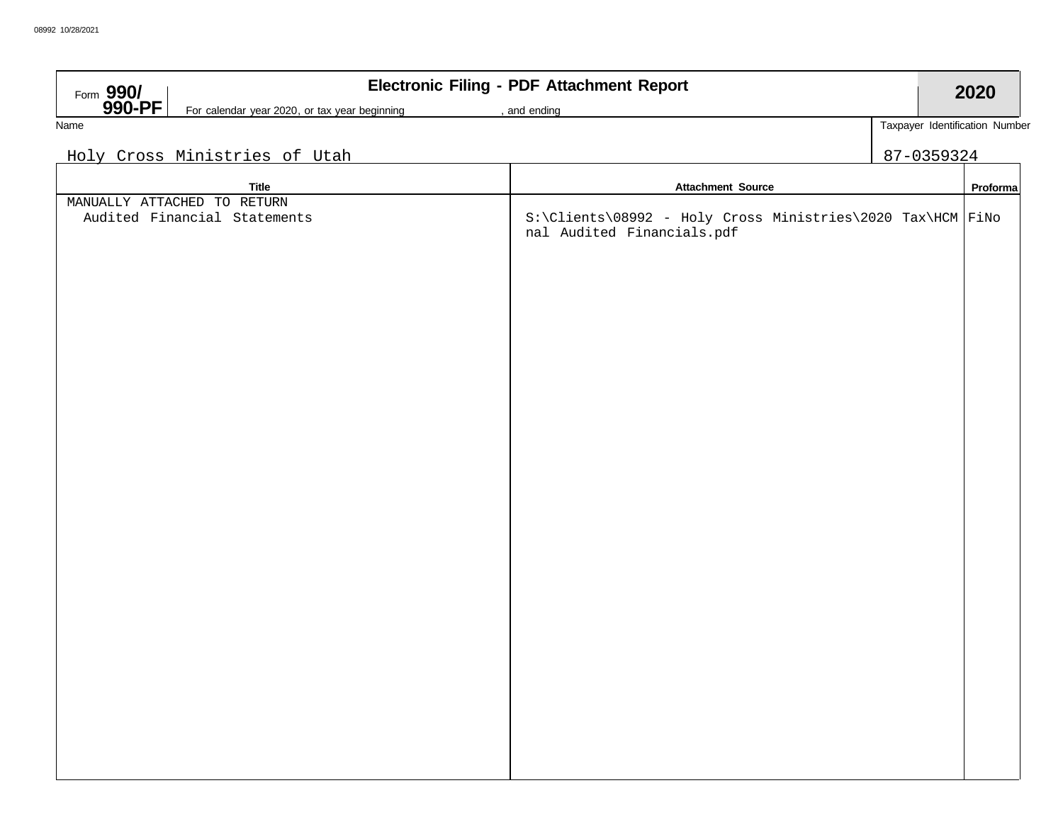| Form $990/$<br>For calendar year 2020, or tax year beginning<br>, and ending<br>Taxpayer Identification Number<br>Name<br>Holy Cross Ministries of Utah<br>87-0359324                               | 2020     |
|-----------------------------------------------------------------------------------------------------------------------------------------------------------------------------------------------------|----------|
|                                                                                                                                                                                                     |          |
|                                                                                                                                                                                                     |          |
|                                                                                                                                                                                                     |          |
|                                                                                                                                                                                                     |          |
| <b>Title</b><br><b>Attachment Source</b><br>MANUALLY ATTACHED TO RETURN<br>S:\Clients\08992 - Holy Cross Ministries\2020 Tax\HCM FiNo<br>Audited Financial Statements<br>nal Audited Financials.pdf | Proforma |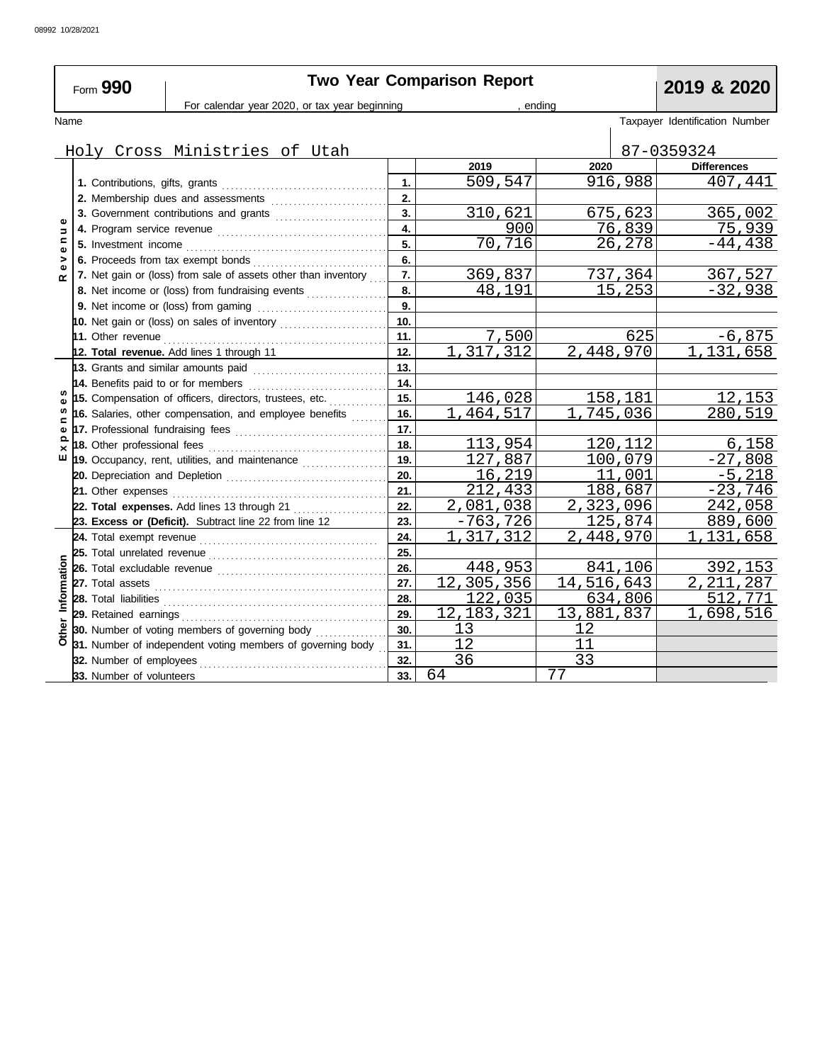| Form 990                  |                                     |                                                                         |     | <b>Two Year Comparison Report</b> |               | 2019 & 2020                    |
|---------------------------|-------------------------------------|-------------------------------------------------------------------------|-----|-----------------------------------|---------------|--------------------------------|
|                           |                                     | For calendar year 2020, or tax year beginning                           |     |                                   | endina        |                                |
| Name                      |                                     |                                                                         |     |                                   |               | Taxpayer Identification Number |
|                           |                                     |                                                                         |     |                                   |               |                                |
|                           |                                     | Holy Cross Ministries of Utah                                           |     |                                   |               | 87-0359324                     |
|                           |                                     |                                                                         |     | 2019                              | 2020          | <b>Differences</b>             |
|                           |                                     |                                                                         | 1.  | 509,547                           | 916,988       | 407,441                        |
|                           |                                     | 2. Membership dues and assessments                                      | 2.  |                                   |               |                                |
| $\mathbf{Q}$              |                                     | 3. Government contributions and grants                                  | 3.  | 310,621                           | 675,623       | 365,002                        |
| $\Rightarrow$             |                                     |                                                                         | 4.  | 900                               | <u>76,839</u> | 75,939                         |
| $\mathbf{C}$<br>$\bullet$ |                                     |                                                                         | 5.  | 70,716                            | 26,278        | $-44, 438$                     |
| ><br>$\mathbf{Q}$         |                                     | 6. Proceeds from tax exempt bonds                                       | 6.  |                                   |               |                                |
| œ                         |                                     | 7. Net gain or (loss) from sale of assets other than inventory          | 7.  | 369,837                           | 737,364       | 367,527                        |
|                           |                                     | 8. Net income or (loss) from fundraising events                         | 8.  | 48,191                            | 15,253        | $-32,938$                      |
|                           |                                     |                                                                         | 9.  |                                   |               |                                |
|                           |                                     | 10. Net gain or (loss) on sales of inventory <i>containal containal</i> | 10. |                                   |               |                                |
|                           |                                     |                                                                         | 11. | 7,500                             | 625           | $-6,875$                       |
|                           |                                     | 12. Total revenue. Add lines 1 through 11                               | 12. | 1,317,312                         | 2,448,970     | $\overline{1}$ , 131, 658      |
|                           |                                     | 13. Grants and similar amounts paid                                     | 13. |                                   |               |                                |
|                           | 14. Benefits paid to or for members |                                                                         | 14. |                                   |               |                                |
|                           |                                     | 15. Compensation of officers, directors, trustees, etc.                 | 15. | 146,028                           | 158,181       | 12,153                         |
| c                         |                                     | 16. Salaries, other compensation, and employee benefits                 | 16. | 464,517<br>1.                     | 745,036<br>1. | 280,519                        |
| $\pmb{\omega}$            |                                     |                                                                         | 17. |                                   |               |                                |
| ௨<br>$\times$             | 18. Other professional fees         |                                                                         | 18. | 113,954                           | 120,112       | 6,158                          |
| ш                         |                                     | 19. Occupancy, rent, utilities, and maintenance                         | 19. | 127,887                           | 100,079       | $-27,808$                      |
|                           |                                     |                                                                         | 20. | 16,219                            | 11,001        | $-5,218$                       |
|                           |                                     |                                                                         | 21. | 212,433                           | 188,687       | $-23,746$                      |
|                           |                                     | 22. Total expenses. Add lines 13 through 21                             | 22. | 2,081,038                         | 2,323,096     | 242,058                        |
|                           |                                     | 23. Excess or (Deficit). Subtract line 22 from line 12                  | 23. | -763,726                          | 125,874       | 889,600                        |
|                           |                                     |                                                                         | 24. | 1,317,312                         | 2,448,970     | ,131,658                       |
|                           | 25. Total unrelated revenue         |                                                                         | 25. |                                   |               |                                |
|                           |                                     |                                                                         | 26. | 448,953                           | 841,106       | 392,153                        |
|                           |                                     |                                                                         | 27. | 12,305,356                        | 14,516,643    | $\overline{2,211,287}$         |
| Information               |                                     |                                                                         | 28. | 122,035                           | 634,806       | 512,771                        |
|                           |                                     |                                                                         | 29. | 12,183,321                        | 13,881,837    | 1,698,516                      |
| Other                     |                                     | 30. Number of voting members of governing body                          | 30. | 13                                | 12            |                                |
|                           |                                     | 31. Number of independent voting members of governing body              | 31. | 12                                | 11            |                                |
|                           | 32. Number of employees             |                                                                         | 32. | 36                                | 33            |                                |
|                           | 33. Number of volunteers            |                                                                         | 33. | 64                                | 77            |                                |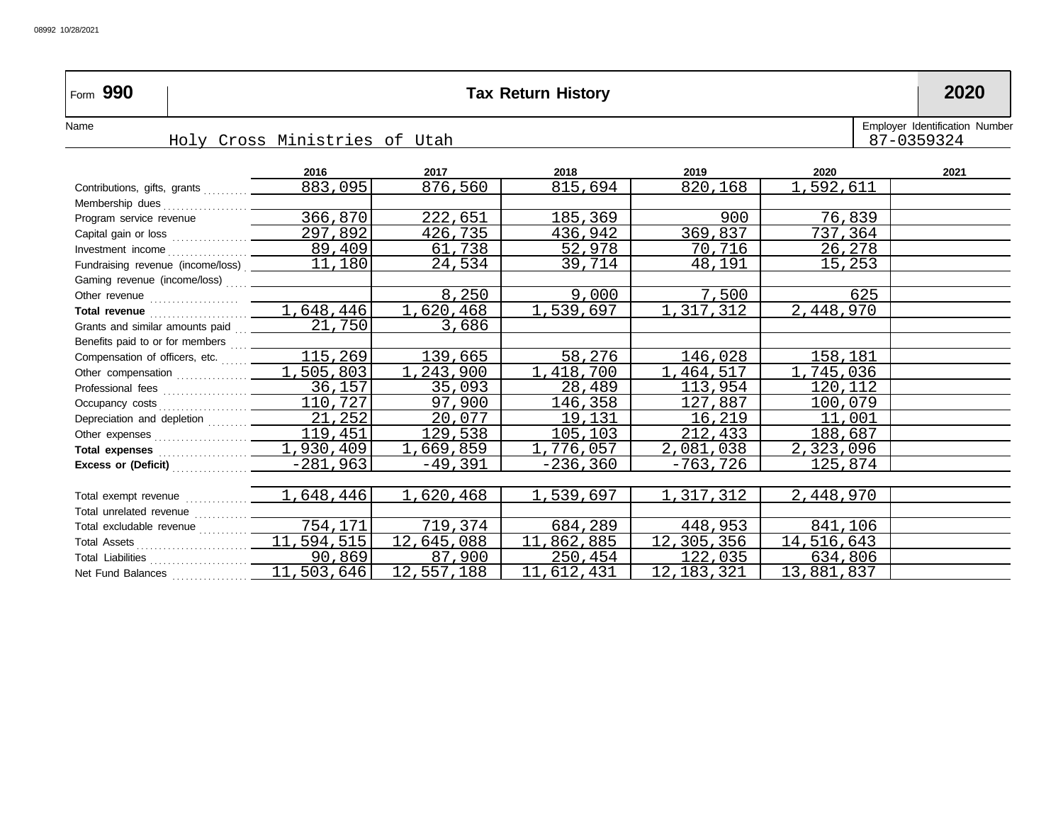| Form 990                                                                                      | <b>Tax Return History</b>     |            |            |              |            |                                              |  |
|-----------------------------------------------------------------------------------------------|-------------------------------|------------|------------|--------------|------------|----------------------------------------------|--|
| Name                                                                                          | Holy Cross Ministries of Utah |            |            |              |            | Employer Identification Number<br>87-0359324 |  |
|                                                                                               |                               |            |            |              |            |                                              |  |
|                                                                                               | 2016                          | 2017       | 2018       | 2019         | 2020       | 2021                                         |  |
| Contributions, gifts, grants                                                                  | 883,095                       | 876,560    | 815,694    | 820,168      | 1,592,611  |                                              |  |
|                                                                                               |                               |            |            |              |            |                                              |  |
| Program service revenue                                                                       | 366,870                       | 222,651    | 185,369    | 900          | 76,839     |                                              |  |
|                                                                                               |                               | 426,735    | 436,942    | 369,837      | 737,364    |                                              |  |
|                                                                                               |                               | 61,738     | 52,978     | 70,716       | 26,278     |                                              |  |
| Fundraising revenue (income/loss) ___________11,180                                           |                               | 24,534     | 39,714     | 48,191       | 15,253     |                                              |  |
|                                                                                               |                               |            |            |              |            |                                              |  |
|                                                                                               |                               | 8,250      | 9,000      | 7,500        | 625        |                                              |  |
| Other revenue $\frac{1,648,446}{21,548,446}$                                                  |                               | 1,620,468  | 1,539,697  | 1,317,312    | 2,448,970  |                                              |  |
|                                                                                               |                               | 3,686      |            |              |            |                                              |  |
| Benefits paid to or for members  ________                                                     |                               |            |            |              |            |                                              |  |
| Benefits pain to be results.<br>Compensation of officers, etc.<br>$\frac{115,205}{1,505,803}$ |                               | 139,665    | 58,276     | 146,028      | 158,181    |                                              |  |
|                                                                                               |                               | 1,243,900  | 1,418,700  | 1,464,517    | ,745,036   |                                              |  |
|                                                                                               |                               | 35,093     | 28,489     | 113,954      | 120,112    |                                              |  |
|                                                                                               | 110,727                       | 97,900     | 146,358    | 127,887      | 100,079    |                                              |  |
|                                                                                               | 21,252                        | 20,077     | 19,131     | 16,219       | 11,001     |                                              |  |
|                                                                                               | 119,451                       | 129,538    | 105, 103   | 212,433      | 188,687    |                                              |  |
| Total expenses <b>contract to the CO</b> 1,930,409                                            |                               | 1,669,859  | 1,776,057  | 2,081,038    | 2,323,096  |                                              |  |
| Excess or (Deficit)                                                                           | $-281,963$                    | $-49,391$  | $-236,360$ | $-763, 726$  | 125,874    |                                              |  |
|                                                                                               |                               |            |            |              |            |                                              |  |
| Total exempt revenue  ____                                                                    | 1,648,446                     | 1,620,468  | 1,539,697  | 1,317,312    | 2,448,970  |                                              |  |
|                                                                                               |                               |            |            |              |            |                                              |  |
|                                                                                               | 754, 171                      | 719,374    | 684,289    | 448,953      | 841,106    |                                              |  |
|                                                                                               | 11, 594, 515                  | 12,645,088 | 11,862,885 | 12,305,356   | 14,516,643 |                                              |  |
|                                                                                               | 90,869                        | 87,900     | 250,454    | 122,035      | 634,806    |                                              |  |
|                                                                                               | 11,503,646                    | 12,557,188 | 11,612,431 | 12, 183, 321 | 13,881,837 |                                              |  |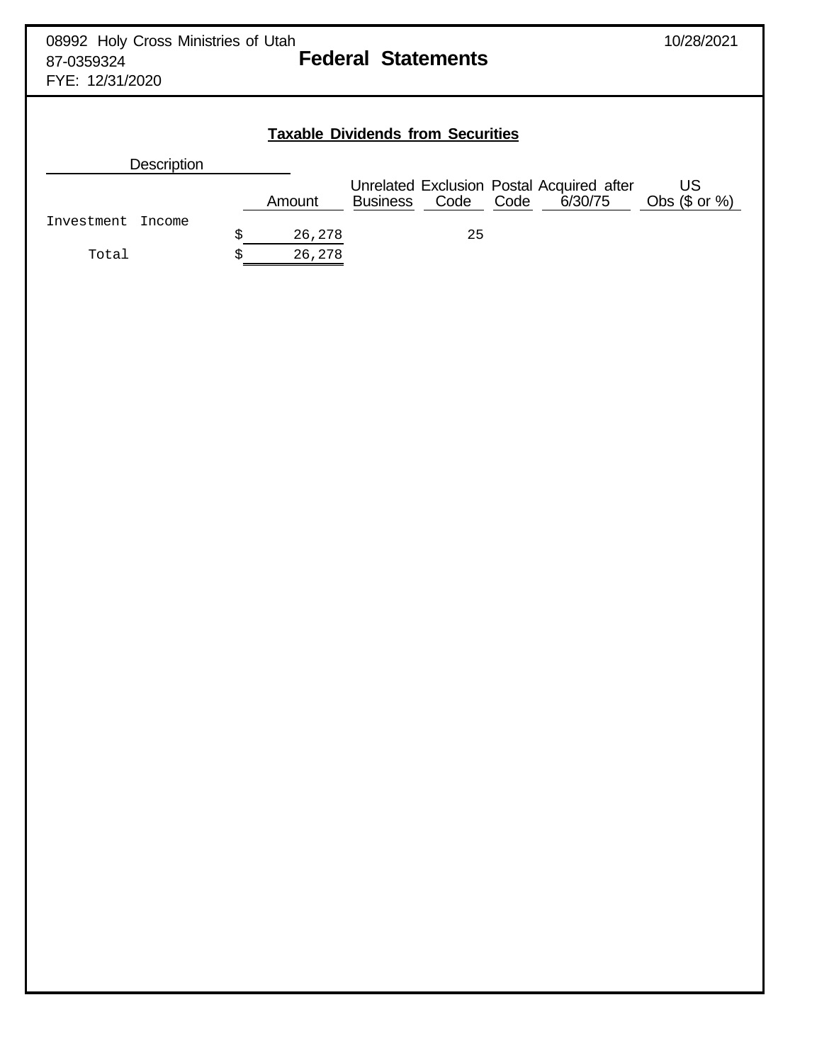| 08992 Holy Cross Ministries of Utah<br>87-0359324<br>FYE: 12/31/2020 |              | <b>Federal Statements</b>                                            |                 | 10/28/2021             |
|----------------------------------------------------------------------|--------------|----------------------------------------------------------------------|-----------------|------------------------|
|                                                                      |              | <b>Taxable Dividends from Securities</b>                             |                 |                        |
| <b>Description</b>                                                   |              |                                                                      |                 |                        |
|                                                                      | Amount       | Unrelated Exclusion Postal Acquired after<br>Code<br><b>Business</b> | 6/30/75<br>Code | US<br>Obs $(\$$ or $%$ |
| Investment<br>Income                                                 | \$<br>26,278 | 25                                                                   |                 |                        |
| Total                                                                | 26,278<br>Ś  |                                                                      |                 |                        |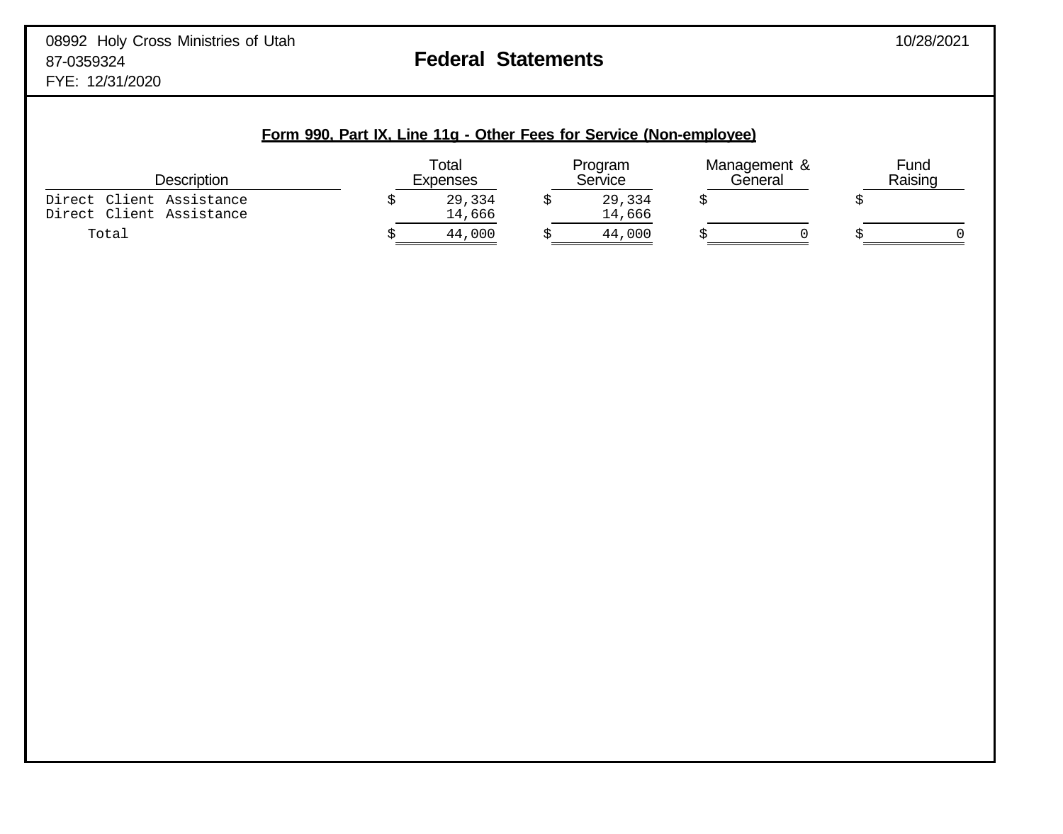| Form 990, Part IX, Line 11g - Other Fees for Service (Non-employee) |  |                          |  |                    |  |                         |  |                 |
|---------------------------------------------------------------------|--|--------------------------|--|--------------------|--|-------------------------|--|-----------------|
| Description                                                         |  | Total<br><b>Expenses</b> |  | Program<br>Service |  | Management &<br>General |  | Fund<br>Raising |
| Direct Client Assistance<br>Direct Client Assistance                |  | 29,334<br>14,666         |  | 29,334<br>14,666   |  |                         |  |                 |
| Total                                                               |  | 44,000                   |  | 44,000             |  |                         |  |                 |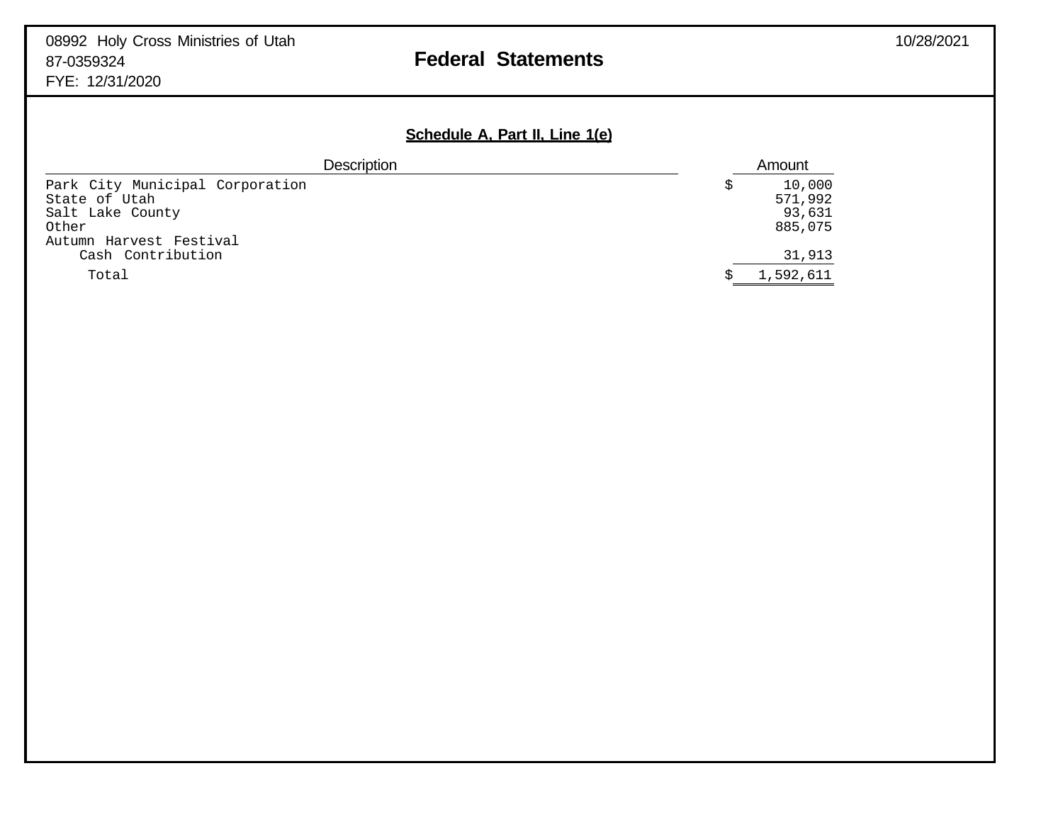## 08992 Holy Cross Ministries of Utah 10/28/2021 87-0359324 **Federal Statements**

FYE: 12/31/2020

## **Schedule A, Part II, Line 1(e)**

| <b>Description</b>              |  | Amount    |  |
|---------------------------------|--|-----------|--|
| Park City Municipal Corporation |  | 10,000    |  |
| State of Utah                   |  | 571,992   |  |
| Salt Lake County                |  | 93,631    |  |
| Other                           |  | 885,075   |  |
| Autumn Harvest Festival         |  |           |  |
| Cash Contribution               |  | 31,913    |  |
| Total                           |  | 1,592,611 |  |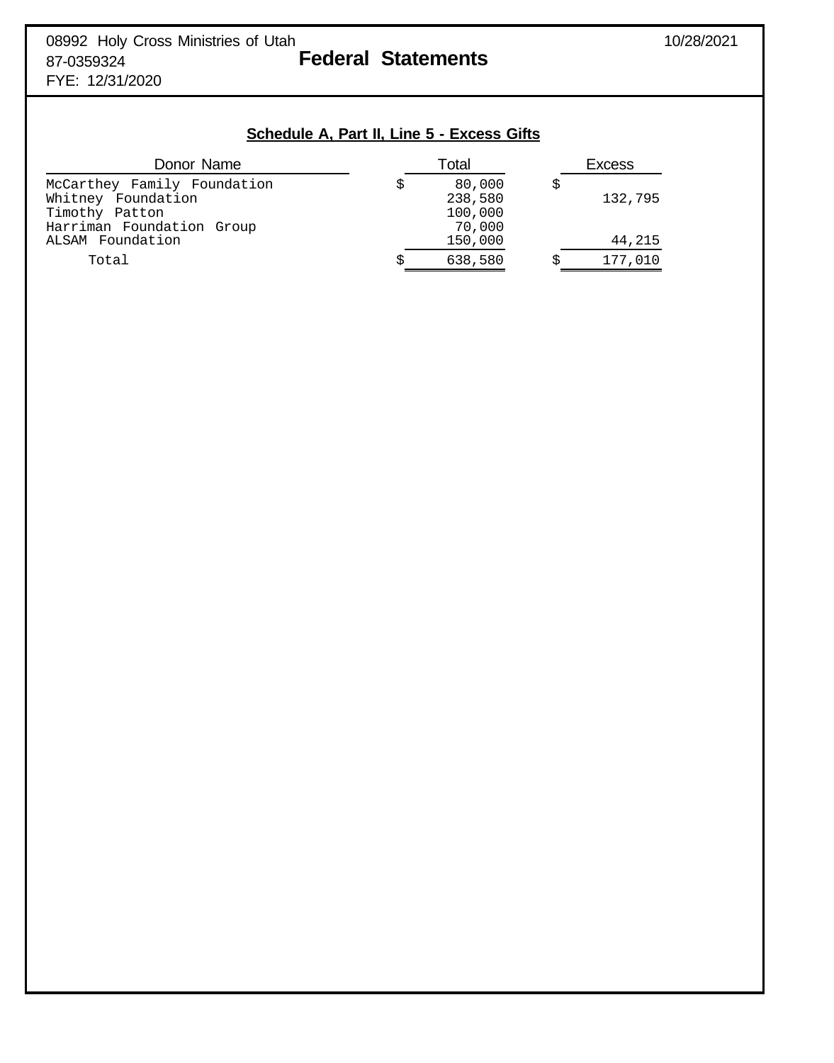## **Schedule A, Part II, Line 5 - Excess Gifts**

| Donor Name                  |   | Total   | <b>Excess</b> |         |  |
|-----------------------------|---|---------|---------------|---------|--|
| McCarthey Family Foundation |   | 80,000  |               |         |  |
| Whitney Foundation          |   | 238,580 |               | 132,795 |  |
| Timothy Patton              |   | 100,000 |               |         |  |
| Harriman Foundation Group   |   | 70,000  |               |         |  |
| ALSAM Foundation            |   | 150,000 |               | 44,215  |  |
| Total                       | S | 638,580 |               | 177,010 |  |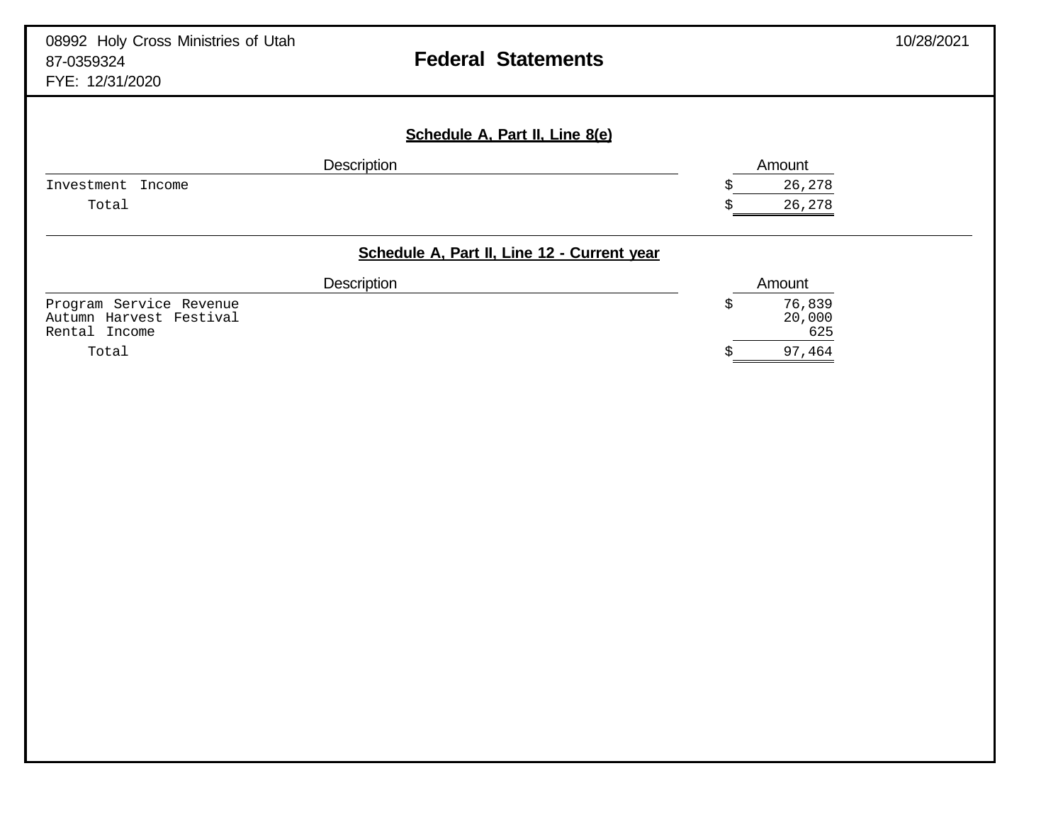| 08992 Holy Cross Ministries of Utah<br>87-0359324<br>FYE: 12/31/2020 |             | <b>Federal Statements</b>                   |                               | 10/28/2021 |
|----------------------------------------------------------------------|-------------|---------------------------------------------|-------------------------------|------------|
|                                                                      |             | Schedule A, Part II, Line 8(e)              |                               |            |
|                                                                      | Description |                                             | Amount                        |            |
| Investment<br>Income                                                 |             |                                             | 26,278                        |            |
| Total                                                                |             |                                             | 26,278                        |            |
|                                                                      | Description | Schedule A, Part II, Line 12 - Current year | Amount                        |            |
| Program Service Revenue<br>Autumn Harvest Festival<br>Rental Income  |             |                                             | \$<br>76,839<br>20,000<br>625 |            |
| Total                                                                |             |                                             | 97,464                        |            |
|                                                                      |             |                                             |                               |            |